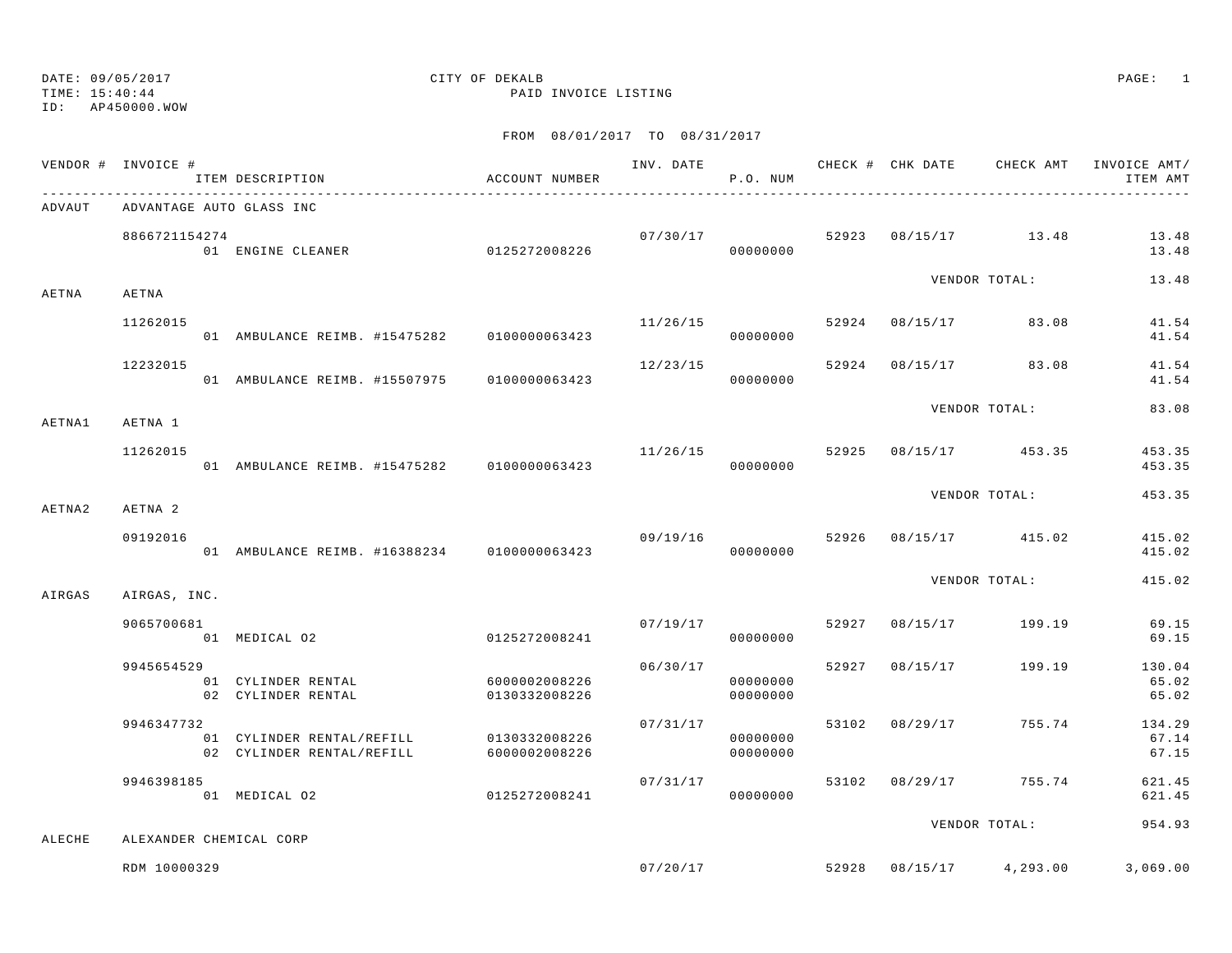|        | VENDOR # INVOICE # | ITEM DESCRIPTION                                       | ACCOUNT NUMBER                 |          | P.O. NUM                         |                |                                 | INVOICE AMT/<br>ITEM AMT |
|--------|--------------------|--------------------------------------------------------|--------------------------------|----------|----------------------------------|----------------|---------------------------------|--------------------------|
| ADVAUT |                    | ADVANTAGE AUTO GLASS INC                               |                                |          |                                  |                |                                 |                          |
|        | 8866721154274      | 01 ENGINE CLEANER                                      | 0125272008226                  |          | 00000000                         |                | $07/30/17$ 52923 08/15/17 13.48 | 13.48<br>13.48           |
| AETNA  | AETNA              |                                                        |                                |          |                                  |                | VENDOR TOTAL:                   | 13.48                    |
|        | 11262015           | 01 AMBULANCE REIMB. #15475282 0100000063423            |                                | 11/26/15 | 00000000                         |                | 52924 08/15/17 83.08            | 41.54<br>41.54           |
|        | 12232015           | 01 AMBULANCE REIMB. #15507975 0100000063423            |                                | 12/23/15 | 00000000                         |                | 52924 08/15/17 83.08            | 41.54<br>41.54           |
| AETNA1 | AETNA 1            |                                                        |                                |          |                                  |                | VENDOR TOTAL:                   | 83.08                    |
|        | 11262015           | 01 AMBULANCE REIMB. #15475282 0100000063423            |                                | 11/26/15 | 00000000                         |                | 52925 08/15/17 453.35           | 453.35<br>453.35         |
| AETNA2 | AETNA 2            |                                                        |                                |          |                                  |                | VENDOR TOTAL:                   | 453.35                   |
|        | 09192016           | 01 AMBULANCE REIMB. #16388234 0100000063423            |                                | 09/19/16 | 00000000                         |                | 52926 08/15/17 415.02           | 415.02<br>415.02         |
| AIRGAS | AIRGAS, INC.       |                                                        |                                |          |                                  |                | VENDOR TOTAL:                   | 415.02                   |
|        | 9065700681         | 01 MEDICAL 02<br>0125272008241                         |                                | 07/19/17 | 00000000                         |                | 52927 08/15/17 199.19           | 69.15<br>69.15           |
|        | 9945654529         | 01 CYLINDER RENTAL<br>02 CYLINDER RENTAL               | 6000002008226<br>0130332008226 |          | 06/30/17<br>00000000<br>00000000 |                | 52927 08/15/17 199.19           | 130.04<br>65.02<br>65.02 |
|        | 9946347732         | 01 CYLINDER RENTAL/REFILL<br>02 CYLINDER RENTAL/REFILL | 0130332008226<br>6000002008226 |          | 07/31/17<br>00000000<br>00000000 | 53102 08/29/17 | 755.74                          | 134.29<br>67.14<br>67.15 |
|        | 9946398185         | 01 MEDICAL 02                                          | 0125272008241                  |          | 07/31/17<br>00000000             | 53102 08/29/17 | 755.74                          | 621.45<br>621.45         |
| ALECHE |                    | ALEXANDER CHEMICAL CORP                                |                                |          |                                  |                | VENDOR TOTAL:                   | 954.93                   |
|        | RDM 10000329       |                                                        |                                | 07/20/17 |                                  |                | 52928 08/15/17 4,293.00         | 3,069.00                 |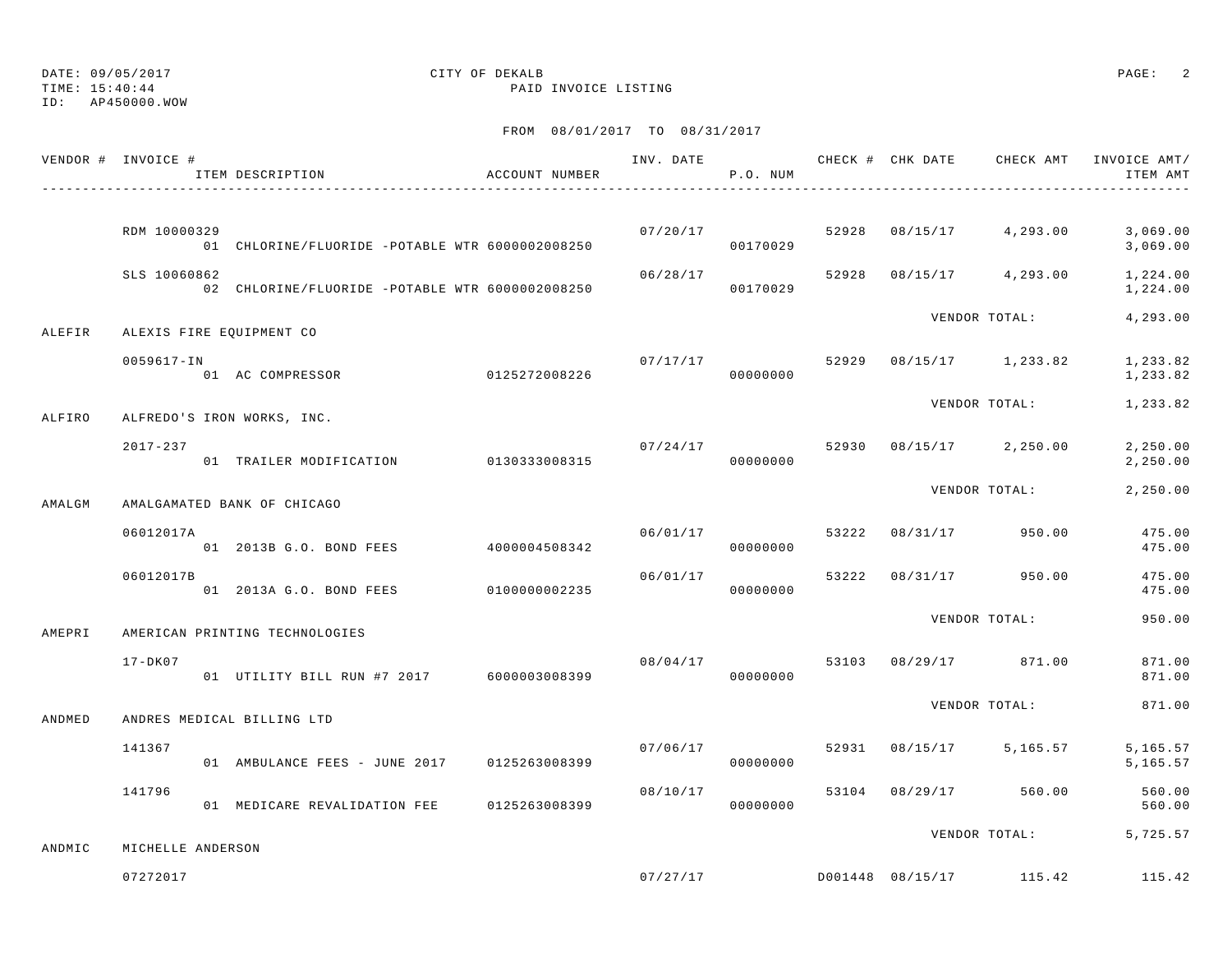TIME: 15:40:44 PAID INVOICE LISTING

ID: AP450000.WOW

|        | VENDOR # INVOICE #       | ITEM DESCRIPTION                                | ACCOUNT NUMBER |          | P.O. NUM |       | INV. DATE 6 1999 CHECK # CHK DATE 6 CHECK AMT INVOICE AMT | ITEM AMT             |
|--------|--------------------------|-------------------------------------------------|----------------|----------|----------|-------|-----------------------------------------------------------|----------------------|
|        |                          |                                                 |                |          |          |       |                                                           |                      |
|        | RDM 10000329             | 01 CHLORINE/FLUORIDE -POTABLE WTR 6000002008250 |                | 07/20/17 | 00170029 |       | 52928 08/15/17 4,293.00                                   | 3,069.00<br>3,069.00 |
|        | SLS 10060862             | 02 CHLORINE/FLUORIDE -POTABLE WTR 6000002008250 |                | 06/28/17 | 00170029 | 52928 | 08/15/17 4,293.00                                         | 1,224.00<br>1,224.00 |
| ALEFIR | ALEXIS FIRE EQUIPMENT CO |                                                 |                |          |          |       | VENDOR TOTAL:                                             | 4,293.00             |
|        | 0059617-IN               | 01 AC COMPRESSOR 0125272008226                  |                | 07/17/17 | 00000000 |       | 52929 08/15/17 1,233.82                                   | 1,233.82<br>1,233.82 |
| ALFIRO |                          | ALFREDO'S IRON WORKS, INC.                      |                |          |          |       | VENDOR TOTAL:                                             | 1,233.82             |
|        | $2017 - 237$             | 01 TRAILER MODIFICATION 0130333008315           |                | 07/24/17 | 00000000 |       | 52930 08/15/17 2,250.00                                   | 2,250.00<br>2,250.00 |
| AMALGM |                          | AMALGAMATED BANK OF CHICAGO                     |                |          |          |       | VENDOR TOTAL:                                             | 2,250.00             |
|        | 06012017A                | 01  2013B G.O. BOND FEES  4000004508342         |                | 06/01/17 | 00000000 |       | 53222 08/31/17 950.00                                     | 475.00<br>475.00     |
|        | 06012017B                | 01 2013A G.O. BOND FEES 0100000002235           |                | 06/01/17 | 00000000 |       | 53222 08/31/17 950.00                                     | 475.00<br>475.00     |
| AMEPRI |                          | AMERICAN PRINTING TECHNOLOGIES                  |                |          |          |       | VENDOR TOTAL:                                             | 950.00               |
|        | $17 - DK07$              | 01 UTILITY BILL RUN #7 2017 6000003008399       |                | 08/04/17 | 00000000 |       | 53103 08/29/17 871.00                                     | 871.00<br>871.00     |
| ANDMED |                          | ANDRES MEDICAL BILLING LTD                      |                |          |          |       | VENDOR TOTAL:                                             | 871.00               |
|        | 141367                   | 01 AMBULANCE FEES - JUNE 2017                   | 0125263008399  | 07/06/17 | 00000000 |       | 52931 08/15/17 5,165.57                                   | 5,165.57<br>5,165.57 |
|        | 141796                   | 01 MEDICARE REVALIDATION FEE 0125263008399      |                | 08/10/17 | 00000000 |       | 53104 08/29/17 560.00                                     | 560.00<br>560.00     |
| ANDMIC | MICHELLE ANDERSON        |                                                 |                |          |          |       | VENDOR TOTAL: 5,725.57                                    |                      |
|        | 07272017                 |                                                 |                | 07/27/17 |          |       | D001448 08/15/17 115.42                                   | 115.42               |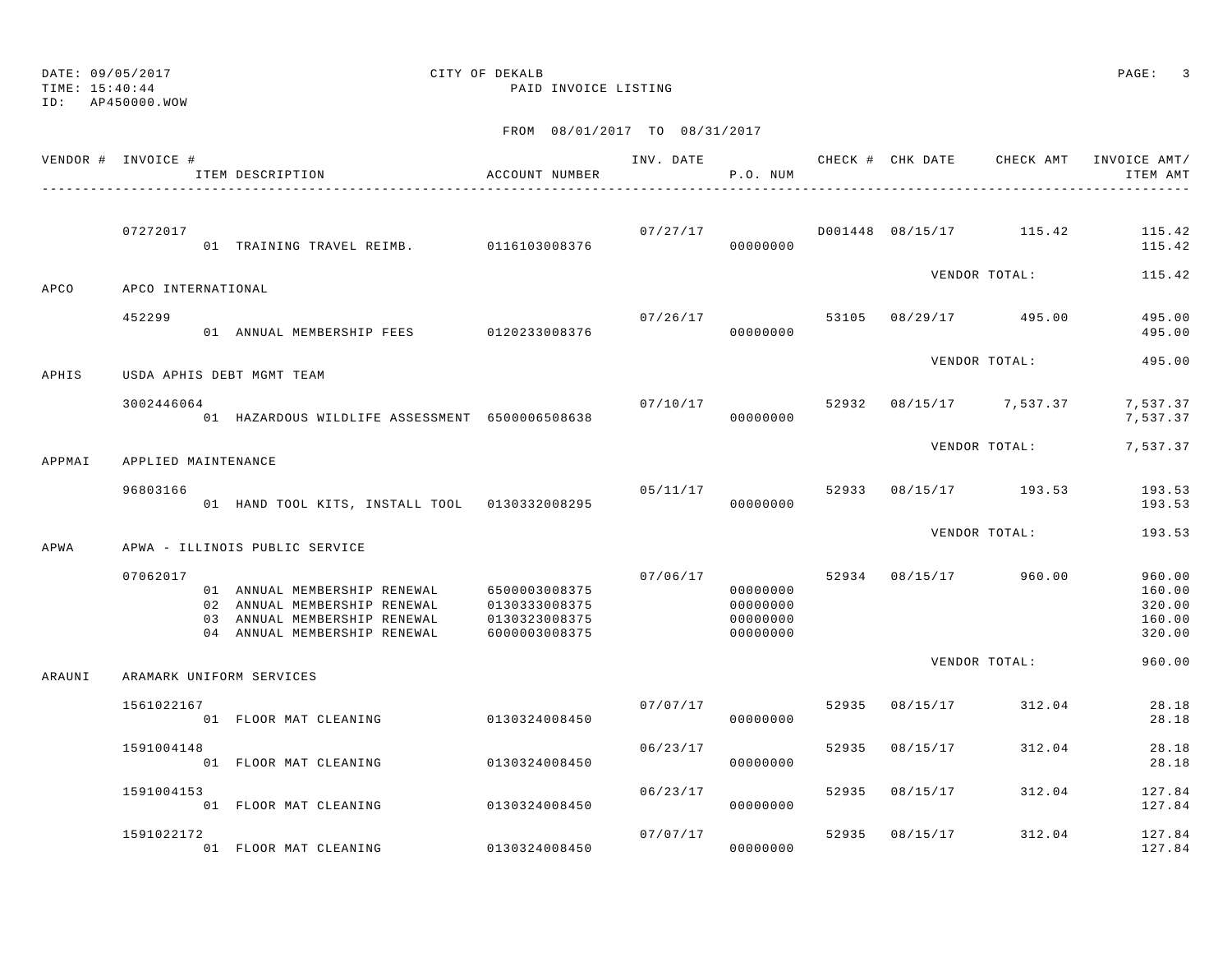DATE: 09/05/2017 CITY OF DEKALB PAGE: 3 TIME: 15:40:44 PAID INVOICE LISTING ID: AP450000.WOW

|        | VENDOR # INVOICE #  | ITEM DESCRIPTION                                                                                                             | ACCOUNT NUMBER                                                   | INV. DATE | P.O. NUM                                     |       |          | CHECK # CHK DATE CHECK AMT         | INVOICE AMT/<br>ITEM AMT                       |
|--------|---------------------|------------------------------------------------------------------------------------------------------------------------------|------------------------------------------------------------------|-----------|----------------------------------------------|-------|----------|------------------------------------|------------------------------------------------|
|        | 07272017            | 01 TRAINING TRAVEL REIMB. 0116103008376                                                                                      |                                                                  | 07/27/17  | 00000000                                     |       |          | D001448 08/15/17 115.42            | 115.42<br>115.42                               |
| APCO   | APCO INTERNATIONAL  |                                                                                                                              |                                                                  |           |                                              |       |          | VENDOR TOTAL:                      | 115.42                                         |
|        | 452299              | 01 ANNUAL MEMBERSHIP FEES 0120233008376                                                                                      |                                                                  | 07/26/17  | 00000000                                     |       |          | 53105 08/29/17 495.00              | 495.00<br>495.00                               |
| APHIS  |                     | USDA APHIS DEBT MGMT TEAM                                                                                                    |                                                                  |           |                                              |       |          | VENDOR TOTAL:                      | 495.00                                         |
|        | 3002446064          | 01 HAZARDOUS WILDLIFE ASSESSMENT 6500006508638                                                                               |                                                                  |           | 00000000                                     |       |          | $07/10/17$ 52932 08/15/17 7,537.37 | 7,537.37<br>7,537.37                           |
| APPMAI | APPLIED MAINTENANCE |                                                                                                                              |                                                                  |           |                                              |       |          | VENDOR TOTAL:                      | 7,537.37                                       |
|        | 96803166            | 01 HAND TOOL KITS, INSTALL TOOL 0130332008295                                                                                |                                                                  | 05/11/17  | 00000000                                     |       |          | 52933 08/15/17 193.53              | 193.53<br>193.53                               |
| APWA   |                     | APWA - ILLINOIS PUBLIC SERVICE                                                                                               |                                                                  |           |                                              |       |          | VENDOR TOTAL:                      | 193.53                                         |
|        | 07062017            | 01 ANNUAL MEMBERSHIP RENEWAL<br>02 ANNUAL MEMBERSHIP RENEWAL<br>03 ANNUAL MEMBERSHIP RENEWAL<br>04 ANNUAL MEMBERSHIP RENEWAL | 6500003008375<br>0130333008375<br>0130323008375<br>6000003008375 | 07/06/17  | 00000000<br>00000000<br>00000000<br>00000000 |       |          | 52934 08/15/17 960.00              | 960.00<br>160.00<br>320.00<br>160.00<br>320.00 |
| ARAUNI |                     | ARAMARK UNIFORM SERVICES                                                                                                     |                                                                  |           |                                              |       |          | VENDOR TOTAL:                      | 960.00                                         |
|        | 1561022167          | 01 FLOOR MAT CLEANING                                                                                                        | 0130324008450                                                    | 07/07/17  | 00000000                                     | 52935 | 08/15/17 | 312.04                             | 28.18<br>28.18                                 |
|        | 1591004148          | 01 FLOOR MAT CLEANING                                                                                                        | 0130324008450                                                    | 06/23/17  | 00000000                                     | 52935 | 08/15/17 | 312.04                             | 28.18<br>28.18                                 |
|        | 1591004153          | 01 FLOOR MAT CLEANING                                                                                                        | 0130324008450                                                    | 06/23/17  | 00000000                                     | 52935 | 08/15/17 | 312.04                             | 127.84<br>127.84                               |
|        | 1591022172          | 01 FLOOR MAT CLEANING                                                                                                        | 0130324008450                                                    | 07/07/17  | 00000000                                     | 52935 | 08/15/17 | 312.04                             | 127.84<br>127.84                               |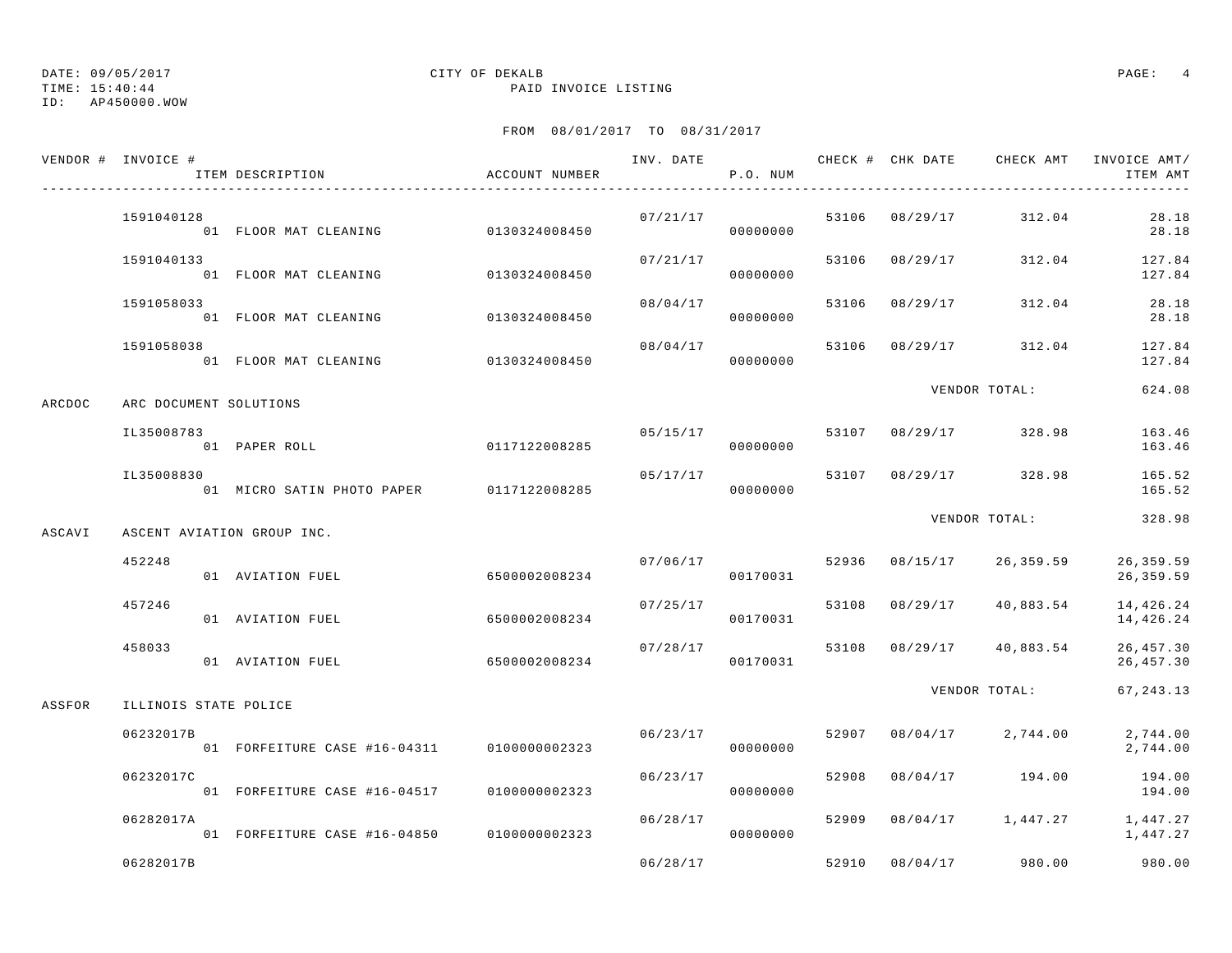TIME: 15:40:44 PAID INVOICE LISTING

ID: AP450000.WOW

|        | VENDOR # INVOICE #     | ITEM DESCRIPTION                           | ACCOUNT NUMBER | INV. DATE | P.O. NUM |       | CHECK # CHK DATE |                    | CHECK AMT INVOICE AMT/<br>ITEM AMT |
|--------|------------------------|--------------------------------------------|----------------|-----------|----------|-------|------------------|--------------------|------------------------------------|
|        | 1591040128             | 01 FLOOR MAT CLEANING                      | 0130324008450  | 07/21/17  | 00000000 | 53106 | 08/29/17         | 312.04             | 28.18<br>28.18                     |
|        | 1591040133             | 01 FLOOR MAT CLEANING                      | 0130324008450  | 07/21/17  | 00000000 | 53106 | 08/29/17         | 312.04             | 127.84<br>127.84                   |
|        | 1591058033             | 01 FLOOR MAT CLEANING                      | 0130324008450  | 08/04/17  | 00000000 | 53106 | 08/29/17         | 312.04             | 28.18<br>28.18                     |
|        | 1591058038             | 01 FLOOR MAT CLEANING                      | 0130324008450  | 08/04/17  | 00000000 | 53106 | 08/29/17         | 312.04             | 127.84<br>127.84                   |
| ARCDOC | ARC DOCUMENT SOLUTIONS |                                            |                |           |          |       |                  | VENDOR TOTAL:      | 624.08                             |
|        | IL35008783             | 01 PAPER ROLL                              | 0117122008285  | 05/15/17  | 00000000 |       | 53107 08/29/17   | 328.98             | 163.46<br>163.46                   |
|        | IL35008830             | 01 MICRO SATIN PHOTO PAPER                 | 0117122008285  | 05/17/17  | 00000000 | 53107 | 08/29/17         | 328.98             | 165.52<br>165.52                   |
| ASCAVI |                        | ASCENT AVIATION GROUP INC.                 |                |           |          |       |                  | VENDOR TOTAL:      | 328.98                             |
|        | 452248                 | 01 AVIATION FUEL                           | 6500002008234  | 07/06/17  | 00170031 | 52936 | 08/15/17         | 26,359.59          | 26, 359.59<br>26,359.59            |
|        | 457246                 | 01 AVIATION FUEL                           | 6500002008234  | 07/25/17  | 00170031 | 53108 | 08/29/17         | 40,883.54          | 14, 426.24<br>14,426.24            |
|        | 458033                 | 01 AVIATION FUEL                           | 6500002008234  | 07/28/17  | 00170031 | 53108 |                  | 08/29/17 40,883.54 | 26, 457.30<br>26, 457.30           |
| ASSFOR | ILLINOIS STATE POLICE  |                                            |                |           |          |       |                  | VENDOR TOTAL:      | 67, 243.13                         |
|        | 06232017B              | 01 FORFEITURE CASE #16-04311               | 0100000002323  | 06/23/17  | 00000000 | 52907 | 08/04/17         | 2,744.00           | 2,744.00<br>2,744.00               |
|        | 06232017C              | 01 FORFEITURE CASE #16-04517               | 0100000002323  | 06/23/17  | 00000000 | 52908 | 08/04/17         | 194.00             | 194.00<br>194.00                   |
|        | 06282017A              | 01 FORFEITURE CASE #16-04850 0100000002323 |                | 06/28/17  | 00000000 | 52909 | 08/04/17         | 1,447.27           | 1,447.27<br>1,447.27               |
|        | 06282017B              |                                            |                | 06/28/17  |          | 52910 | 08/04/17         | 980.00             | 980.00                             |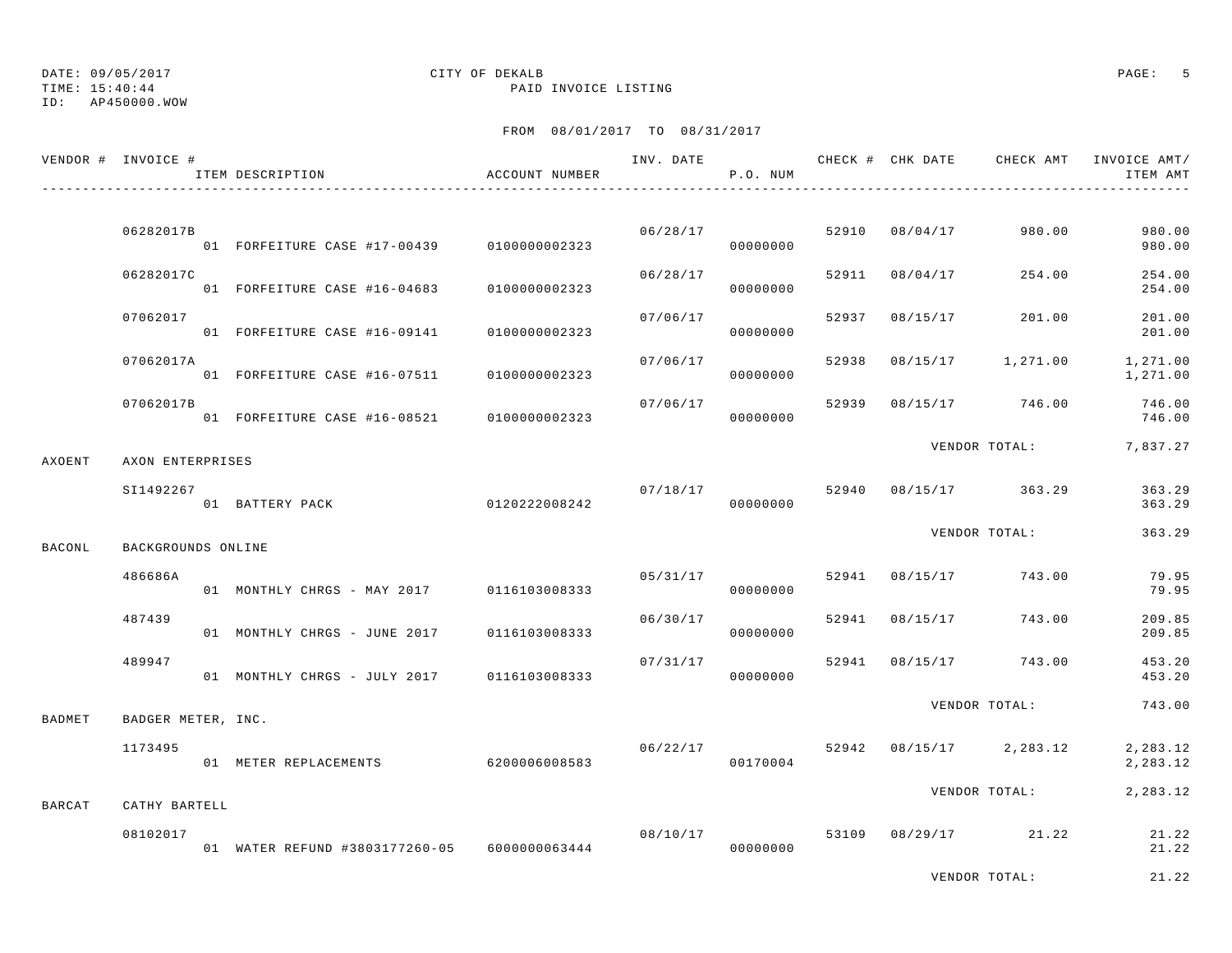TIME: 15:40:44 PAID INVOICE LISTING

ID: AP450000.WOW

|        | VENDOR # INVOICE # | ITEM DESCRIPTION                             | ACCOUNT NUMBER | INV. DATE | P.O. NUM |       |                | CHECK # CHK DATE CHECK AMT | INVOICE AMT/<br>ITEM AMT |
|--------|--------------------|----------------------------------------------|----------------|-----------|----------|-------|----------------|----------------------------|--------------------------|
|        | 06282017B          | 01 FORFEITURE CASE #17-00439 0100000002323   |                | 06/28/17  | 00000000 | 52910 | 08/04/17       | 980.00                     | 980.00<br>980.00         |
|        | 06282017C          | 01 FORFEITURE CASE #16-04683                 | 0100000002323  | 06/28/17  | 00000000 | 52911 | 08/04/17       | 254.00                     | 254.00<br>254.00         |
|        | 07062017           | 01 FORFEITURE CASE #16-09141                 | 0100000002323  | 07/06/17  | 00000000 | 52937 | 08/15/17       | 201.00                     | 201.00<br>201.00         |
|        | 07062017A          | 01 FORFEITURE CASE #16-07511                 | 0100000002323  | 07/06/17  | 00000000 | 52938 | 08/15/17       | 1,271.00                   | 1,271.00<br>1,271.00     |
|        | 07062017B          | 01 FORFEITURE CASE #16-08521                 | 0100000002323  | 07/06/17  | 00000000 | 52939 | 08/15/17       | 746.00                     | 746.00<br>746.00         |
| AXOENT | AXON ENTERPRISES   |                                              |                |           |          |       |                | VENDOR TOTAL:              | 7,837.27                 |
|        | SI1492267          | 01 BATTERY PACK                              | 0120222008242  | 07/18/17  | 00000000 | 52940 |                | 08/15/17 363.29            | 363.29<br>363.29         |
| BACONL | BACKGROUNDS ONLINE |                                              |                |           |          |       |                | VENDOR TOTAL:              | 363.29                   |
|        | 486686A            | 01 MONTHLY CHRGS - MAY 2017 0116103008333    |                | 05/31/17  | 00000000 | 52941 | 08/15/17       | 743.00                     | 79.95<br>79.95           |
|        | 487439             | 01 MONTHLY CHRGS - JUNE 2017                 | 0116103008333  | 06/30/17  | 00000000 | 52941 | 08/15/17       | 743.00                     | 209.85<br>209.85         |
|        | 489947             | 01 MONTHLY CHRGS - JULY 2017                 | 0116103008333  | 07/31/17  | 00000000 | 52941 | 08/15/17       | 743.00                     | 453.20<br>453.20         |
| BADMET | BADGER METER, INC. |                                              |                |           |          |       |                | VENDOR TOTAL:              | 743.00                   |
|        | 1173495            | 01 METER REPLACEMENTS                        | 6200006008583  | 06/22/17  | 00170004 |       | 52942 08/15/17 | 2,283.12                   | 2,283.12<br>2,283.12     |
| BARCAT | CATHY BARTELL      |                                              |                |           |          |       |                | VENDOR TOTAL:              | 2,283.12                 |
|        | 08102017           | 01 WATER REFUND #3803177260-05 6000000063444 |                | 08/10/17  | 00000000 | 53109 |                | 08/29/17 21.22             | 21.22<br>21.22           |
|        |                    |                                              |                |           |          |       |                | VENDOR TOTAL:              | 21.22                    |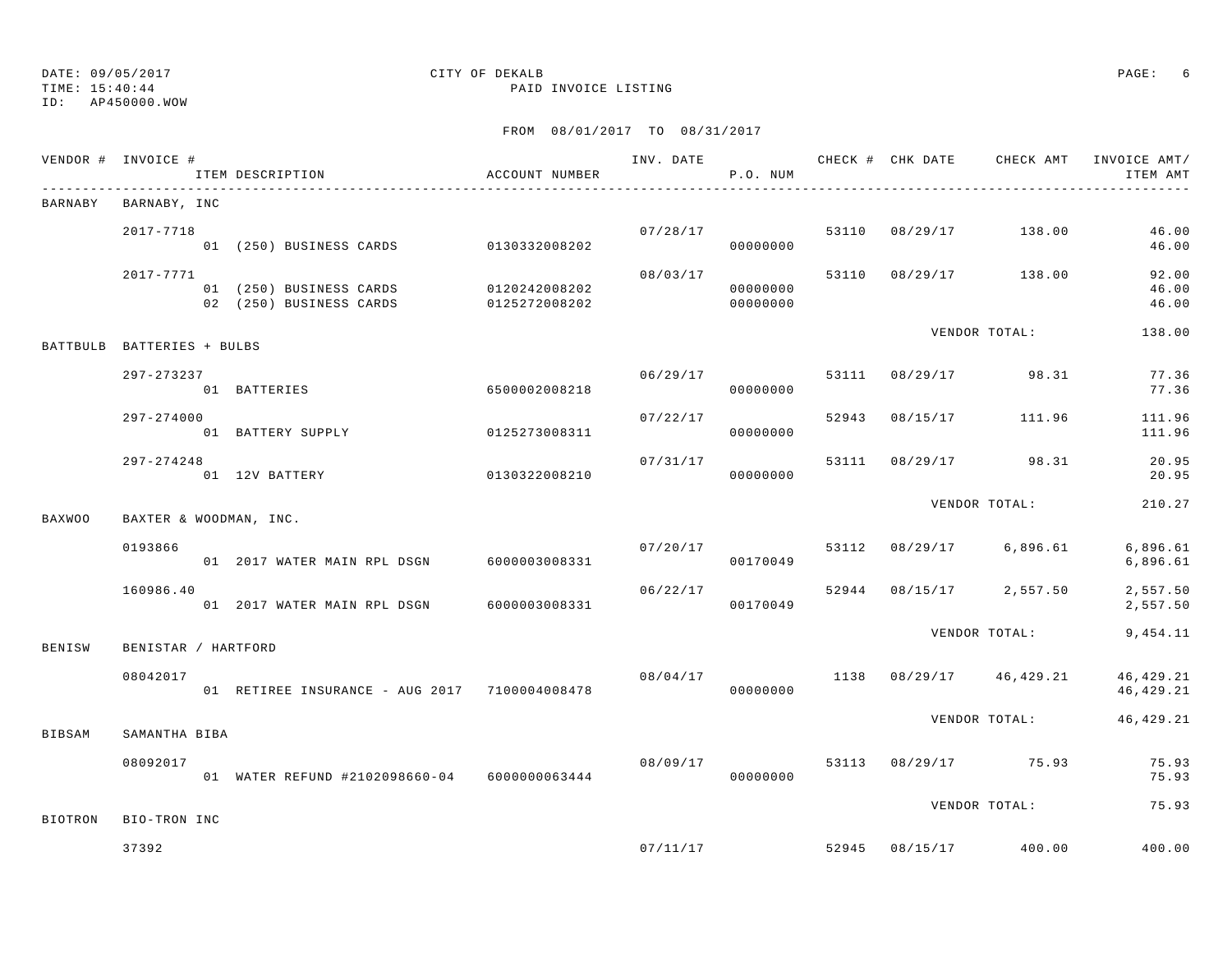# ID: AP450000.WOW

# DATE: 09/05/2017 CITY OF DEKALB PAGE: 6

TIME: 15:40:44 PAID INVOICE LISTING

|                | VENDOR # INVOICE #         | ITEM DESCRIPTION<br>_______________________________              | ACCOUNT NUMBER |          | P.O. NUM             |       |                                      | ITEM AMT                |
|----------------|----------------------------|------------------------------------------------------------------|----------------|----------|----------------------|-------|--------------------------------------|-------------------------|
| BARNABY        | BARNABY, INC               |                                                                  |                |          |                      |       |                                      |                         |
|                | 2017-7718                  | 01 (250) BUSINESS CARDS 0130332008202                            |                |          | 00000000             |       | 07/28/17 53110 08/29/17 138.00       | 46.00<br>46.00          |
|                | 2017-7771                  | 01 (250) BUSINESS CARDS 0120242008202<br>02 (250) BUSINESS CARDS | 0125272008202  | 08/03/17 | 00000000<br>00000000 |       | 53110 08/29/17 138.00                | 92.00<br>46.00<br>46.00 |
|                | BATTBULB BATTERIES + BULBS |                                                                  |                |          |                      |       | VENDOR TOTAL:                        | 138.00                  |
|                | 297-273237<br>01 BATTERIES | 6500002008218                                                    |                | 06/29/17 | 00000000             |       | 53111 08/29/17 98.31                 | 77.36<br>77.36          |
|                | $297 - 274000$             | 01 BATTERY SUPPLY                                                | 0125273008311  | 07/22/17 | 00000000             | 52943 | 08/15/17 111.96                      | 111.96<br>111.96        |
|                | $297 - 274248$             | 01 12V BATTERY<br>0130322008210                                  |                | 07/31/17 | 00000000             |       | 53111 08/29/17 98.31                 | 20.95<br>20.95          |
| <b>BAXWOO</b>  | BAXTER & WOODMAN, INC.     |                                                                  |                |          |                      |       | VENDOR TOTAL:                        | 210.27                  |
|                | 0193866                    | 01  2017 WATER MAIN RPL DSGN  6000003008331                      |                | 07/20/17 | 00170049             |       | 53112 08/29/17 6,896.61              | 6,896.61<br>6,896.61    |
|                | 160986.40                  | 01 2017 WATER MAIN RPL DSGN 6000003008331                        |                | 06/22/17 | 00170049             |       | 52944 08/15/17 2,557.50              | 2,557.50<br>2,557.50    |
| BENISW         | BENISTAR / HARTFORD        |                                                                  |                |          |                      |       | VENDOR TOTAL:                        | 9,454.11                |
|                | 08042017                   | 01 RETIREE INSURANCE - AUG 2017 7100004008478                    |                |          | 00000000             |       | $08/04/17$ 1138 $08/29/17$ 46,429.21 | 46,429.21<br>46,429.21  |
| BIBSAM         | SAMANTHA BIBA              |                                                                  |                |          |                      |       | VENDOR TOTAL:                        | 46,429.21               |
|                | 08092017                   | 01 WATER REFUND #2102098660-04 6000000063444                     |                | 08/09/17 | 00000000             |       | 53113 08/29/17 75.93                 | 75.93<br>75.93          |
|                |                            |                                                                  |                |          |                      |       | VENDOR TOTAL:                        | 75.93                   |
| <b>BIOTRON</b> | BIO-TRON INC<br>37392      |                                                                  |                |          | 07/11/17             |       | 52945 08/15/17 400.00                | 400.00                  |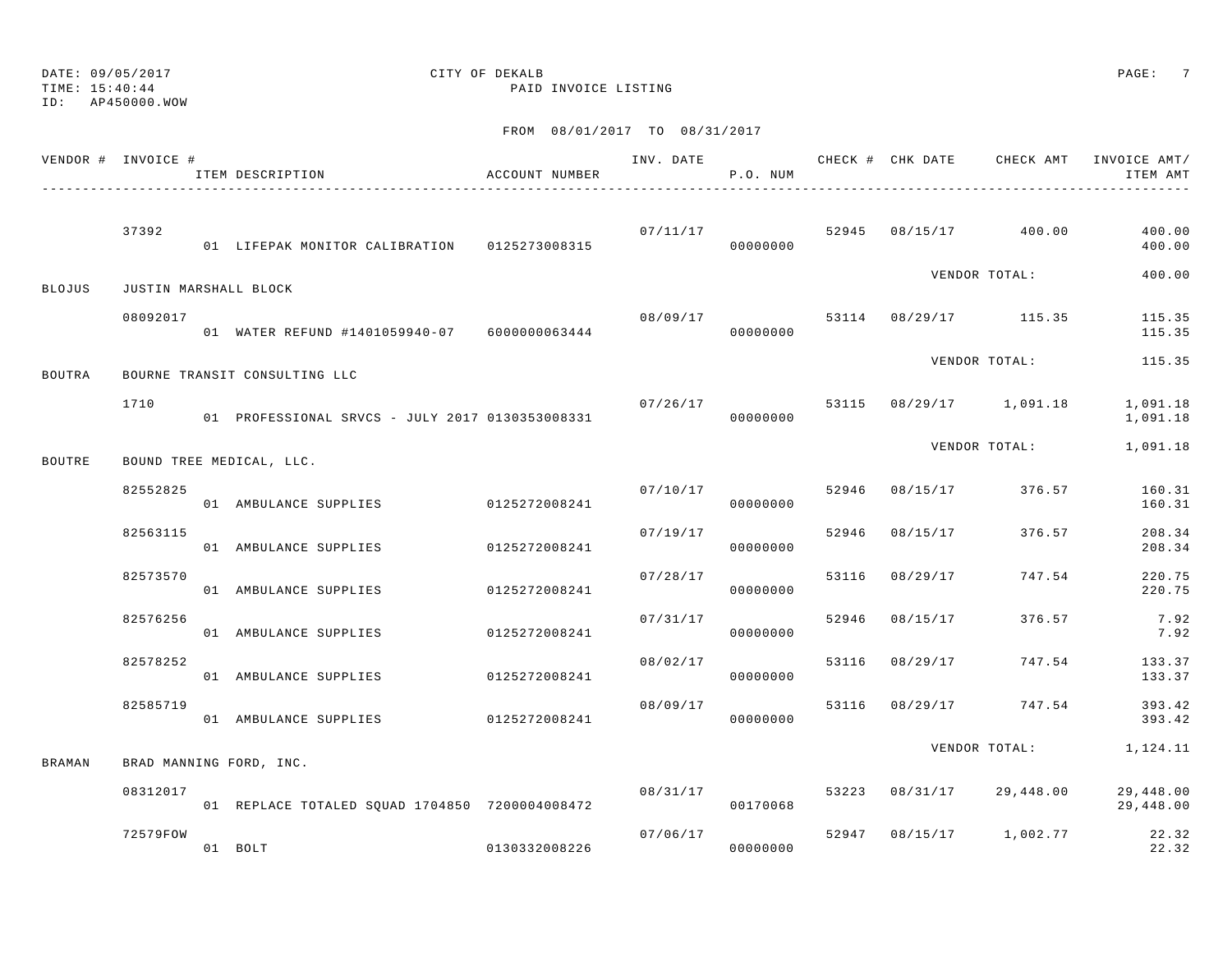TIME: 15:40:44 PAID INVOICE LISTING

ID: AP450000.WOW

|               | VENDOR # INVOICE #    | ITEM DESCRIPTION                                | ACCOUNT NUMBER | INV. DATE | P.O. NUM             |       |                                      | CHECK # CHK DATE CHECK AMT INVOICE AMT/<br>ITEM AMT |
|---------------|-----------------------|-------------------------------------------------|----------------|-----------|----------------------|-------|--------------------------------------|-----------------------------------------------------|
|               | 37392                 | 01 LIFEPAK MONITOR CALIBRATION 0125273008315    |                | 07/11/17  | 00000000             |       | 52945 08/15/17 400.00                | 400.00<br>400.00                                    |
| <b>BLOJUS</b> | JUSTIN MARSHALL BLOCK |                                                 |                |           |                      |       | VENDOR TOTAL:                        | 400.00                                              |
|               | 08092017              | 01 WATER REFUND #1401059940-07 6000000063444    |                |           | 00000000             |       | $08/09/17$ 53114 $08/29/17$ 115.35   | 115.35<br>115.35                                    |
| BOUTRA        |                       | BOURNE TRANSIT CONSULTING LLC                   |                |           |                      |       | VENDOR TOTAL:                        | 115.35                                              |
|               | 1710                  | 01 PROFESSIONAL SRVCS - JULY 2017 0130353008331 |                |           | 00000000             |       | $07/26/17$ 53115 $08/29/17$ 1,091.18 | 1,091.18<br>1,091.18                                |
| BOUTRE        |                       | BOUND TREE MEDICAL, LLC.                        |                |           |                      |       | VENDOR TOTAL:                        | 1,091.18                                            |
|               | 82552825              | 01 AMBULANCE SUPPLIES 0125272008241             |                | 07/10/17  | 00000000             |       | 52946 08/15/17 376.57                | 160.31<br>160.31                                    |
|               | 82563115              | 01 AMBULANCE SUPPLIES 0125272008241             |                |           | 07/19/17<br>00000000 | 52946 | 08/15/17 376.57                      | 208.34<br>208.34                                    |
|               | 82573570              | 01 AMBULANCE SUPPLIES                           | 0125272008241  | 07/28/17  | 00000000             | 53116 | 08/29/17 747.54                      | 220.75<br>220.75                                    |
|               | 82576256              | 01 AMBULANCE SUPPLIES 0125272008241             |                | 07/31/17  | 00000000             | 52946 | 08/15/17 376.57                      | 7.92<br>7.92                                        |
|               | 82578252              | 01 AMBULANCE SUPPLIES                           | 0125272008241  | 08/02/17  | 00000000             | 53116 | 08/29/17 747.54                      | 133.37<br>133.37                                    |
|               | 82585719              | 01 AMBULANCE SUPPLIES                           | 0125272008241  | 08/09/17  | 00000000             |       | 53116 08/29/17 747.54                | 393.42<br>393.42                                    |
| BRAMAN        |                       | BRAD MANNING FORD, INC.                         |                |           |                      |       |                                      | VENDOR TOTAL: 1, 124.11                             |
|               | 08312017              | 01 REPLACE TOTALED SQUAD 1704850 7200004008472  |                |           | 08/31/17<br>00170068 |       | 53223 08/31/17 29,448.00             | 29,448.00<br>29,448.00                              |
|               | 72579FOW              | 01 BOLT                                         | 0130332008226  |           | 07/06/17<br>00000000 |       | 52947 08/15/17 1,002.77              | 22.32<br>22.32                                      |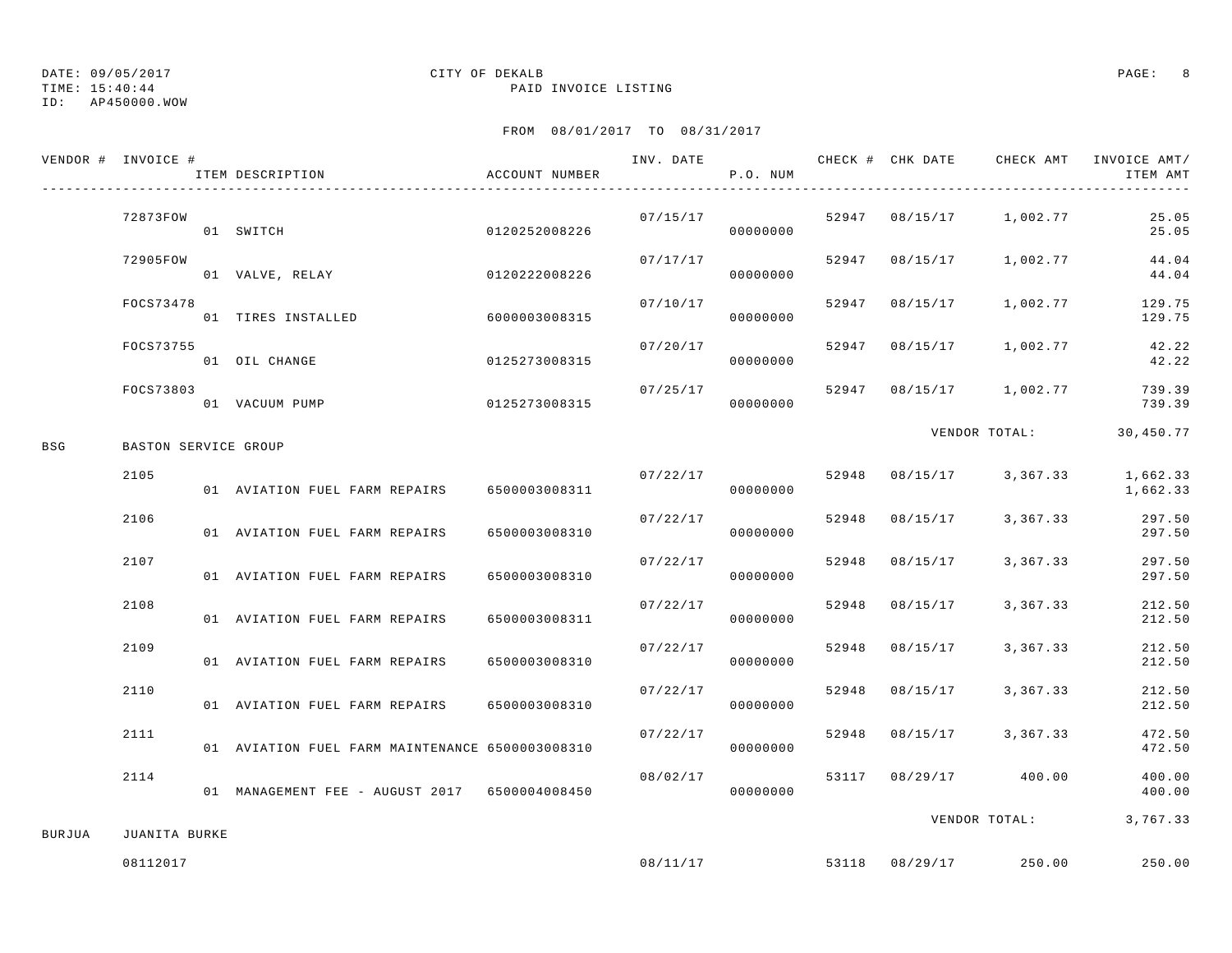TIME: 15:40:44 PAID INVOICE LISTING

ID: AP450000.WOW

|        | VENDOR # INVOICE #   | ITEM DESCRIPTION                                | ACCOUNT NUMBER | INV. DATE | P.O. NUM             |                |                                    | CHECK # CHK DATE CHECK AMT INVOICE AMT/<br>ITEM AMT |
|--------|----------------------|-------------------------------------------------|----------------|-----------|----------------------|----------------|------------------------------------|-----------------------------------------------------|
|        | 72873FOW             | 01 SWITCH                                       | 0120252008226  |           | 00000000             |                | $07/15/17$ 52947 08/15/17 1,002.77 | 25.05<br>25.05                                      |
|        | 72905FOW             | 01 VALVE, RELAY                                 | 0120222008226  | 07/17/17  | 00000000             |                | 52947 08/15/17 1,002.77            | 44.04<br>44.04                                      |
|        | FOCS73478            | 01 TIRES INSTALLED 6000003008315                |                | 07/10/17  | 00000000             |                | 52947 08/15/17 1,002.77            | 129.75<br>129.75                                    |
|        | FOCS73755            | 01 OIL CHANGE                                   | 0125273008315  | 07/20/17  | 00000000             |                | 52947 08/15/17 1,002.77            | 42.22<br>42.22                                      |
|        | FOCS73803            | 01 VACUUM PUMP                                  | 0125273008315  | 07/25/17  | 00000000             |                | 52947 08/15/17 1,002.77            | 739.39<br>739.39                                    |
| BSG    | BASTON SERVICE GROUP |                                                 |                |           |                      |                |                                    | VENDOR TOTAL: 30,450.77                             |
|        | 2105                 | 01 AVIATION FUEL FARM REPAIRS 6500003008311     |                |           | 07/22/17<br>00000000 |                | 52948 08/15/17 3,367.33            | 1,662.33<br>1,662.33                                |
|        | 2106                 | 01 AVIATION FUEL FARM REPAIRS                   | 6500003008310  | 07/22/17  | 00000000             | 52948 08/15/17 | 3,367.33                           | 297.50<br>297.50                                    |
|        | 2107                 | 01 AVIATION FUEL FARM REPAIRS                   | 6500003008310  | 07/22/17  | 00000000             | 52948 08/15/17 | 3,367.33                           | 297.50<br>297.50                                    |
|        | 2108                 | 01 AVIATION FUEL FARM REPAIRS                   | 6500003008311  | 07/22/17  | 00000000             | 52948 08/15/17 | 3,367.33                           | 212.50<br>212.50                                    |
|        | 2109                 | 01 AVIATION FUEL FARM REPAIRS                   | 6500003008310  | 07/22/17  | 00000000             | 52948 08/15/17 | 3,367.33                           | 212.50<br>212.50                                    |
|        | 2110                 | 01 AVIATION FUEL FARM REPAIRS 6500003008310     |                | 07/22/17  | 00000000             | 52948 08/15/17 | 3,367.33                           | 212.50<br>212.50                                    |
|        | 2111                 | 01 AVIATION FUEL FARM MAINTENANCE 6500003008310 |                | 07/22/17  | 00000000             |                | 52948 08/15/17 3,367.33            | 472.50<br>472.50                                    |
|        | 2114                 | 01 MANAGEMENT FEE - AUGUST 2017 6500004008450   |                | 08/02/17  | 00000000             |                | 53117 08/29/17 400.00              | 400.00<br>400.00                                    |
| BURJUA | JUANITA BURKE        |                                                 |                |           |                      |                |                                    | VENDOR TOTAL: 3,767.33                              |
|        | 08112017             |                                                 |                | 08/11/17  |                      |                | 53118 08/29/17 250.00              | 250.00                                              |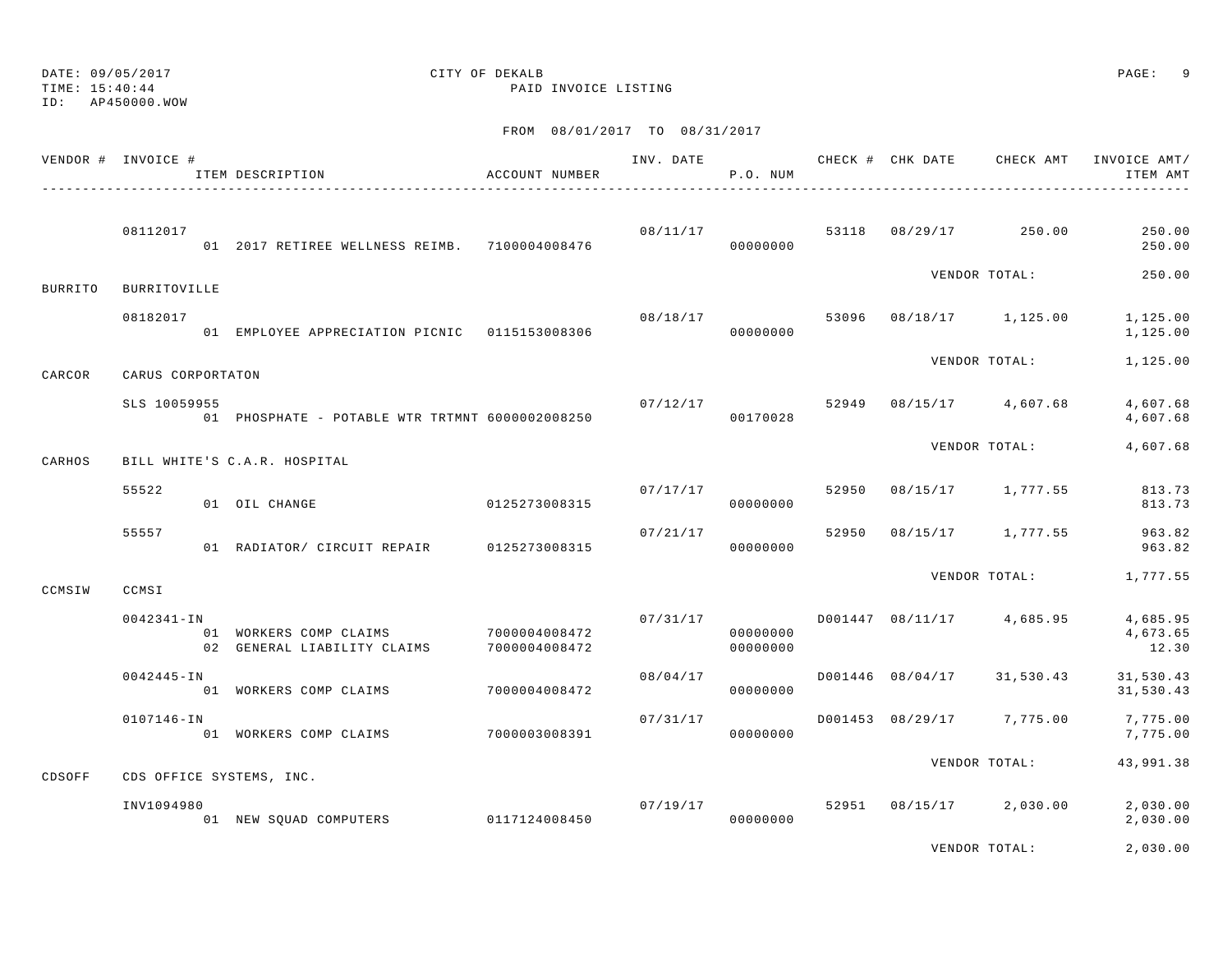DATE: 09/05/2017 CITY OF DEKALB PAGE: 9 TIME: 15:40:44 PAID INVOICE LISTING

ID: AP450000.WOW

FROM 08/01/2017 TO 08/31/2017

|                | VENDOR # INVOICE #  | ITEM DESCRIPTION                                                    | ACCOUNT NUMBER |                      | P.O. NUM             |       |                                          | INV. DATE 6 1999 CHECK # CHK DATE CHECK AMT INVOICE AMT/<br>ITEM AMT |
|----------------|---------------------|---------------------------------------------------------------------|----------------|----------------------|----------------------|-------|------------------------------------------|----------------------------------------------------------------------|
|                | 08112017            | 01 2017 RETIREE WELLNESS REIMB. 7100004008476                       |                |                      | 00000000             |       | $08/11/17$ 53118 $08/29/17$ 250.00       | 250.00<br>250.00                                                     |
| <b>BURRITO</b> | <b>BURRITOVILLE</b> |                                                                     |                |                      |                      |       | VENDOR TOTAL:                            | 250.00                                                               |
|                | 08182017            | 01 EMPLOYEE APPRECIATION PICNIC 0115153008306                       |                | 08/18/17<br>00000000 |                      |       | 53096 08/18/17 1,125.00                  | 1,125.00<br>1,125.00                                                 |
| CARCOR         | CARUS CORPORTATON   |                                                                     |                |                      |                      |       | VENDOR TOTAL:                            | 1,125.00                                                             |
|                | SLS 10059955        | 01 PHOSPHATE - POTABLE WTR TRTMNT 6000002008250                     |                |                      | 00170028             |       | $07/12/17$ $52949$ $08/15/17$ $4,607.68$ | 4,607.68<br>4,607.68                                                 |
| CARHOS         |                     | BILL WHITE'S C.A.R. HOSPITAL                                        |                |                      |                      |       | VENDOR TOTAL:                            | 4,607.68                                                             |
|                | 55522               | 01 OIL CHANGE                                                       | 0125273008315  |                      | 07/17/17<br>00000000 | 52950 | 08/15/17 1,777.55                        | 813.73<br>813.73                                                     |
|                | 55557               | 01 RADIATOR/ CIRCUIT REPAIR 0125273008315                           |                | 07/21/17             | 00000000             | 52950 | 08/15/17 1,777.55                        | 963.82<br>963.82                                                     |
| CCMSIW         | CCMSI               |                                                                     |                |                      |                      |       | VENDOR TOTAL:                            | 1,777.55                                                             |
|                | $0042341 - IN$      | 01 WORKERS COMP CLAIMS 7000004008472<br>02 GENERAL LIABILITY CLAIMS | 7000004008472  |                      | 00000000<br>00000000 |       | $07/31/17$ D001447 08/11/17 4,685.95     | 4,685.95<br>4,673.65<br>12.30                                        |
|                | $0042445 - IN$      | 01 WORKERS COMP CLAIMS                                              | 70000004008472 | 08/04/17             | 00000000             |       | D001446 08/04/17 31,530.43               | 31,530.43<br>31,530.43                                               |
|                | 0107146-IN          | 01 WORKERS COMP CLAIMS 7000003008391                                |                | 07/31/17             | 00000000             |       | D001453 08/29/17 7,775.00                | 7,775.00<br>7,775.00                                                 |
| CDSOFF         |                     | CDS OFFICE SYSTEMS, INC.                                            |                |                      |                      |       | VENDOR TOTAL:                            | 43,991.38                                                            |
|                | INV1094980          | 01 NEW SQUAD COMPUTERS 0117124008450                                |                |                      | 00000000             |       | $07/19/17$ 52951 08/15/17 2,030.00       | 2,030.00<br>2,030.00                                                 |
|                |                     |                                                                     |                |                      |                      |       |                                          |                                                                      |

VENDOR TOTAL: 2,030.00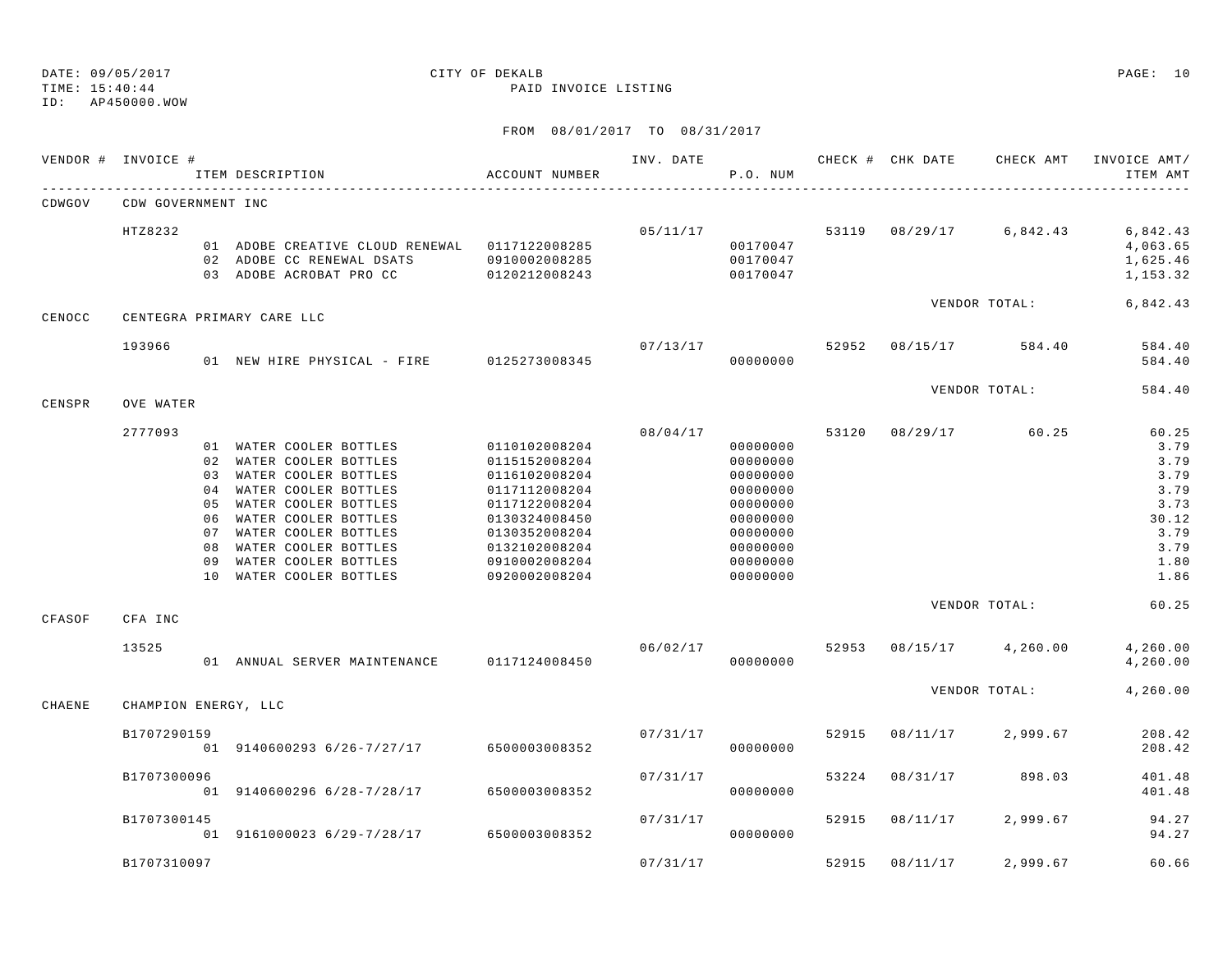TIME: 15:40:44 PAID INVOICE LISTING

ID: AP450000.WOW

|        | VENDOR # INVOICE #   |                                                          | ITEM DESCRIPTION                                                                                                                                                                                                                                   | ACCOUNT NUMBER                                                                                                                                                         | INV. DATE | P.O. NUM                                                                                                             |       | CHECK # CHK DATE | CHECK AMT     | INVOICE AMT/<br>ITEM AMT                                                               |
|--------|----------------------|----------------------------------------------------------|----------------------------------------------------------------------------------------------------------------------------------------------------------------------------------------------------------------------------------------------------|------------------------------------------------------------------------------------------------------------------------------------------------------------------------|-----------|----------------------------------------------------------------------------------------------------------------------|-------|------------------|---------------|----------------------------------------------------------------------------------------|
| CDWGOV | CDW GOVERNMENT INC   |                                                          |                                                                                                                                                                                                                                                    |                                                                                                                                                                        |           |                                                                                                                      |       |                  |               |                                                                                        |
|        | HTZ8232              |                                                          | 01 ADOBE CREATIVE CLOUD RENEWAL 0117122008285<br>02 ADOBE CC RENEWAL DSATS<br>03 ADOBE ACROBAT PRO CC                                                                                                                                              | 0910002008285<br>0120212008243                                                                                                                                         | 05/11/17  | 00170047<br>00170047<br>00170047                                                                                     | 53119 | 08/29/17         | 6,842.43      | 6,842.43<br>4,063.65<br>1,625.46<br>1,153.32                                           |
| CENOCC |                      |                                                          | CENTEGRA PRIMARY CARE LLC                                                                                                                                                                                                                          |                                                                                                                                                                        |           |                                                                                                                      |       |                  | VENDOR TOTAL: | 6,842.43                                                                               |
|        | 193966               |                                                          | 01 NEW HIRE PHYSICAL - FIRE 0125273008345                                                                                                                                                                                                          |                                                                                                                                                                        | 07/13/17  | 00000000                                                                                                             | 52952 | 08/15/17         | 584.40        | 584.40<br>584.40                                                                       |
| CENSPR | OVE WATER            |                                                          |                                                                                                                                                                                                                                                    |                                                                                                                                                                        |           |                                                                                                                      |       |                  | VENDOR TOTAL: | 584.40                                                                                 |
|        | 2777093              | 03<br>0 <sub>4</sub><br>05<br>06<br>07<br>08<br>09<br>10 | 01 WATER COOLER BOTTLES<br>02 WATER COOLER BOTTLES<br>WATER COOLER BOTTLES<br>WATER COOLER BOTTLES<br>WATER COOLER BOTTLES<br>WATER COOLER BOTTLES<br>WATER COOLER BOTTLES<br>WATER COOLER BOTTLES<br>WATER COOLER BOTTLES<br>WATER COOLER BOTTLES | 0110102008204<br>0115152008204<br>0116102008204<br>0117112008204<br>0117122008204<br>0130324008450<br>0130352008204<br>0132102008204<br>0910002008204<br>0920002008204 | 08/04/17  | 00000000<br>00000000<br>00000000<br>00000000<br>00000000<br>00000000<br>00000000<br>00000000<br>00000000<br>00000000 | 53120 | 08/29/17         | 60.25         | 60.25<br>3.79<br>3.79<br>3.79<br>3.79<br>3.73<br>30.12<br>3.79<br>3.79<br>1.80<br>1.86 |
| CFASOF | CFA INC              |                                                          |                                                                                                                                                                                                                                                    |                                                                                                                                                                        |           |                                                                                                                      |       |                  | VENDOR TOTAL: | 60.25                                                                                  |
|        | 13525                |                                                          | 01 ANNUAL SERVER MAINTENANCE 0117124008450                                                                                                                                                                                                         |                                                                                                                                                                        | 06/02/17  | 00000000                                                                                                             | 52953 | 08/15/17         | 4,260.00      | 4,260.00<br>4,260.00                                                                   |
| CHAENE | CHAMPION ENERGY, LLC |                                                          |                                                                                                                                                                                                                                                    |                                                                                                                                                                        |           |                                                                                                                      |       |                  | VENDOR TOTAL: | 4,260.00                                                                               |
|        | B1707290159          |                                                          | 01 9140600293 6/26-7/27/17                                                                                                                                                                                                                         | 6500003008352                                                                                                                                                          | 07/31/17  | 00000000                                                                                                             | 52915 | 08/11/17         | 2,999.67      | 208.42<br>208.42                                                                       |
|        | B1707300096          |                                                          | 01 9140600296 6/28-7/28/17                                                                                                                                                                                                                         | 6500003008352                                                                                                                                                          | 07/31/17  | 00000000                                                                                                             | 53224 | 08/31/17         | 898.03        | 401.48<br>401.48                                                                       |
|        | B1707300145          |                                                          | 01 9161000023 6/29-7/28/17                                                                                                                                                                                                                         | 6500003008352                                                                                                                                                          | 07/31/17  | 00000000                                                                                                             | 52915 | 08/11/17         | 2,999.67      | 94.27<br>94.27                                                                         |
|        | B1707310097          |                                                          |                                                                                                                                                                                                                                                    |                                                                                                                                                                        | 07/31/17  |                                                                                                                      | 52915 | 08/11/17         | 2,999.67      | 60.66                                                                                  |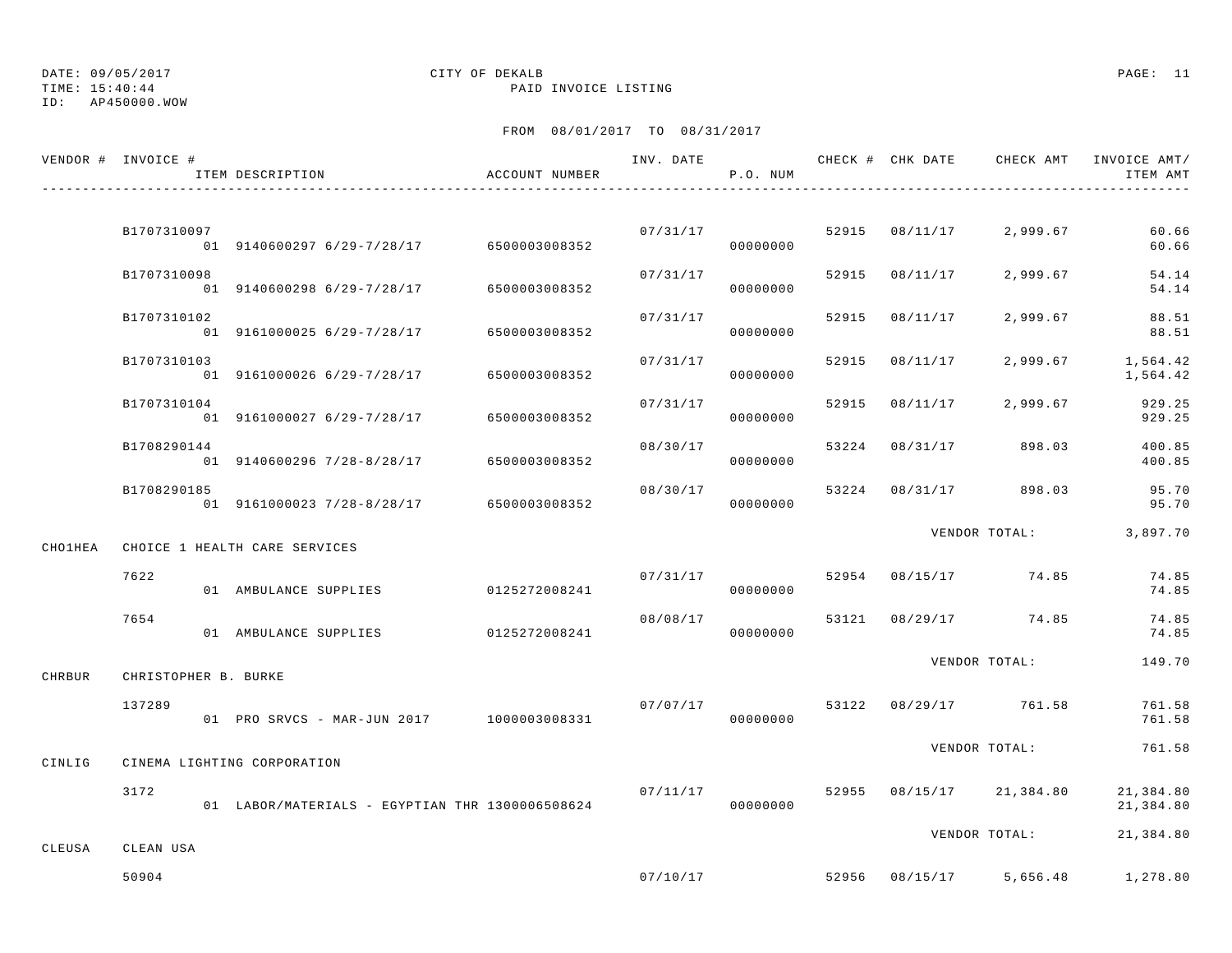TIME: 15:40:44 PAID INVOICE LISTING

ID: AP450000.WOW

|                | VENDOR # INVOICE #   | ITEM DESCRIPTION                                | ACCOUNT NUMBER |          | P.O. NUM |       |                | INV. DATE 6 CHECK # CHK DATE CHECK AMT INVOICE AMT/ | ITEM AMT               |
|----------------|----------------------|-------------------------------------------------|----------------|----------|----------|-------|----------------|-----------------------------------------------------|------------------------|
|                |                      |                                                 |                |          |          |       |                |                                                     |                        |
|                | B1707310097          | 01 9140600297 6/29-7/28/17 6500003008352        |                | 07/31/17 | 00000000 |       | 52915 08/11/17 | 2,999.67                                            | 60.66<br>60.66         |
|                | B1707310098          | 01 9140600298 6/29-7/28/17                      | 6500003008352  | 07/31/17 | 00000000 | 52915 | 08/11/17       | 2,999.67                                            | 54.14<br>54.14         |
|                | B1707310102          | 01 9161000025 6/29-7/28/17                      | 6500003008352  | 07/31/17 | 00000000 | 52915 | 08/11/17       | 2,999.67                                            | 88.51<br>88.51         |
|                | B1707310103          | 01 9161000026 6/29-7/28/17                      | 6500003008352  | 07/31/17 | 00000000 | 52915 | 08/11/17       | 2,999.67                                            | 1,564.42<br>1,564.42   |
|                | B1707310104          | 01 9161000027 6/29-7/28/17 6500003008352        |                | 07/31/17 | 00000000 |       | 52915 08/11/17 | 2,999.67                                            | 929.25<br>929.25       |
|                | B1708290144          | 01 9140600296 7/28-8/28/17 6500003008352        |                | 08/30/17 | 00000000 | 53224 |                | 08/31/17 898.03                                     | 400.85<br>400.85       |
|                | B1708290185          | 01 9161000023 7/28-8/28/17 6500003008352        |                | 08/30/17 | 00000000 | 53224 | 08/31/17       | 898.03                                              | 95.70<br>95.70         |
| <b>CHO1HEA</b> |                      | CHOICE 1 HEALTH CARE SERVICES                   |                |          |          |       |                | VENDOR TOTAL:                                       | 3,897.70               |
|                | 7622                 |                                                 |                | 07/31/17 |          |       |                | 52954 08/15/17 74.85                                | 74.85                  |
|                |                      | 01 AMBULANCE SUPPLIES                           | 0125272008241  |          | 00000000 |       |                |                                                     | 74.85                  |
|                | 7654                 | 01 AMBULANCE SUPPLIES                           | 0125272008241  | 08/08/17 | 00000000 |       |                | 53121 08/29/17 74.85                                | 74.85<br>74.85         |
| CHRBUR         | CHRISTOPHER B. BURKE |                                                 |                |          |          |       |                | VENDOR TOTAL:                                       | 149.70                 |
|                | 137289               | 01 PRO SRVCS - MAR-JUN 2017 1000003008331       |                | 07/07/17 | 00000000 |       |                | 53122 08/29/17 761.58                               | 761.58<br>761.58       |
| CINLIG         |                      | CINEMA LIGHTING CORPORATION                     |                |          |          |       |                | VENDOR TOTAL:                                       | 761.58                 |
|                | 3172                 | 01 LABOR/MATERIALS - EGYPTIAN THR 1300006508624 |                | 07/11/17 | 00000000 |       |                | 52955 08/15/17 21,384.80                            | 21,384.80<br>21,384.80 |
|                |                      |                                                 |                |          |          |       |                | VENDOR TOTAL:                                       | 21,384.80              |
| CLEUSA         | CLEAN USA            |                                                 |                |          |          |       |                |                                                     |                        |
|                | 50904                |                                                 |                | 07/10/17 |          |       |                | 52956 08/15/17 5.656.48 1.278.80                    |                        |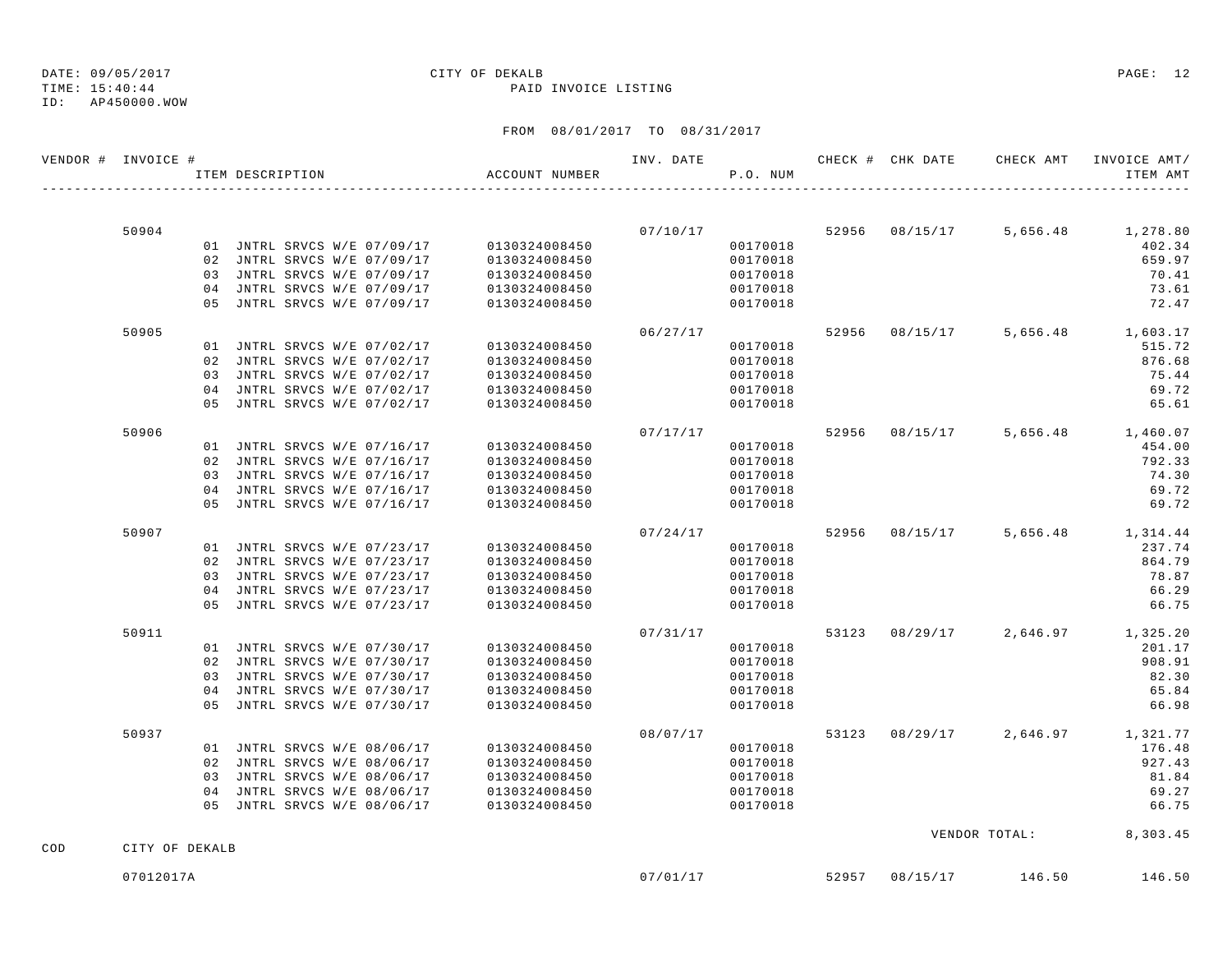TIME: 15:40:44 PAID INVOICE LISTING ID: AP450000.WOW

# DATE: 09/05/2017 CITY OF DEKALB PAGE: 12

|     | VENDOR # INVOICE # | ITEM DESCRIPTION |                             | ACCOUNT NUMBER                            | INV. DATE | P.O. NUM |  | CHECK # CHK DATE CHECK AMT | INVOICE AMT/<br>ITEM AMT         |
|-----|--------------------|------------------|-----------------------------|-------------------------------------------|-----------|----------|--|----------------------------|----------------------------------|
|     |                    |                  |                             |                                           |           |          |  |                            |                                  |
|     | 50904              |                  |                             |                                           |           |          |  |                            | $07/10/17$ 5,656.48 1,278.80     |
|     |                    |                  |                             | 01 JNTRL SRVCS W/E 07/09/17 0130324008450 |           | 00170018 |  |                            | 402.34                           |
|     |                    |                  | 02 JNTRL SRVCS W/E 07/09/17 | 0130324008450                             |           | 00170018 |  |                            | 659.97                           |
|     |                    |                  | 03 JNTRL SRVCS W/E 07/09/17 | 0130324008450                             |           | 00170018 |  |                            | 70.41                            |
|     |                    |                  | 04 JNTRL SRVCS W/E 07/09/17 | 0130324008450<br>0130324008450            |           | 00170018 |  |                            | 73.61                            |
|     |                    |                  | 05 JNTRL SRVCS W/E 07/09/17 |                                           |           | 00170018 |  |                            | 72.47                            |
|     | 50905              |                  |                             |                                           | 06/27/17  |          |  |                            | 52956 08/15/17 5,656.48 1,603.17 |
|     |                    |                  | 01 JNTRL SRVCS W/E 07/02/17 | 0130324008450                             |           | 00170018 |  |                            | 515.72                           |
|     |                    |                  | 02 JNTRL SRVCS W/E 07/02/17 | 0130324008450                             |           | 00170018 |  |                            | 876.68                           |
|     |                    |                  | 03 JNTRL SRVCS W/E 07/02/17 | 0130324008450                             |           | 00170018 |  |                            | 75.44                            |
|     |                    |                  | 04 JNTRL SRVCS W/E 07/02/17 | 0130324008450                             |           | 00170018 |  |                            | 69.72                            |
|     |                    |                  | 05 JNTRL SRVCS W/E 07/02/17 | 0130324008450                             |           | 00170018 |  |                            | 65.61                            |
|     | 50906              |                  |                             |                                           | 07/17/17  |          |  |                            | 52956 08/15/17 5,656.48 1,460.07 |
|     |                    |                  |                             | 01 JNTRL SRVCS W/E 07/16/17 0130324008450 |           | 00170018 |  |                            | 454.00                           |
|     |                    |                  | 02 JNTRL SRVCS W/E 07/16/17 | 0130324008450                             |           | 00170018 |  |                            | 792.33                           |
|     |                    |                  | 03 JNTRL SRVCS W/E 07/16/17 | 0130324008450<br>0130324008450            |           | 00170018 |  |                            | 74.30                            |
|     |                    |                  | 04 JNTRL SRVCS W/E 07/16/17 |                                           |           | 00170018 |  |                            | 69.72                            |
|     |                    |                  | 05 JNTRL SRVCS W/E 07/16/17 | 0130324008450                             |           | 00170018 |  |                            | 69.72                            |
|     | 50907              |                  |                             |                                           | 07/24/17  |          |  |                            | 52956 08/15/17 5,656.48 1,314.44 |
|     |                    |                  |                             | 01 JNTRL SRVCS W/E 07/23/17 0130324008450 |           | 00170018 |  |                            | 237.74                           |
|     |                    |                  | 02 JNTRL SRVCS W/E 07/23/17 | 0130324008450                             |           | 00170018 |  |                            | 864.79                           |
|     |                    |                  | 03 JNTRL SRVCS W/E 07/23/17 | 0130324008450                             |           | 00170018 |  |                            | 78.87                            |
|     |                    |                  | 04 JNTRL SRVCS W/E 07/23/17 | 0130324008450                             |           | 00170018 |  |                            | 66.29                            |
|     |                    |                  | 05 JNTRL SRVCS W/E 07/23/17 | 0130324008450                             |           | 00170018 |  |                            | 66.75                            |
|     | 50911              |                  |                             |                                           | 07/31/17  |          |  |                            | 53123 08/29/17 2,646.97 1,325.20 |
|     |                    |                  |                             | 01 JNTRL SRVCS W/E 07/30/17 0130324008450 |           | 00170018 |  |                            | 201.17                           |
|     |                    |                  | 02 JNTRL SRVCS W/E 07/30/17 | 0130324008450                             |           | 00170018 |  |                            | 908.91                           |
|     |                    |                  | 03 JNTRL SRVCS W/E 07/30/17 | 0130324008450                             |           | 00170018 |  |                            | 82.30                            |
|     |                    |                  | 04 JNTRL SRVCS W/E 07/30/17 | 0130324008450                             |           | 00170018 |  |                            | 65.84                            |
|     |                    |                  | 05 JNTRL SRVCS W/E 07/30/17 | 0130324008450                             |           | 00170018 |  |                            | 66.98                            |
|     | 50937              |                  |                             |                                           | 08/07/17  |          |  | 53123 08/29/17 2,646.97    | 1,321.77                         |
|     |                    |                  | 01 JNTRL SRVCS W/E 08/06/17 | 0130324008450                             |           | 00170018 |  |                            | 176.48                           |
|     |                    |                  | 02 JNTRL SRVCS W/E 08/06/17 | 0130324008450                             |           | 00170018 |  |                            | 927.43                           |
|     |                    |                  | 03 JNTRL SRVCS W/E 08/06/17 | 0130324008450                             |           | 00170018 |  |                            | 81.84                            |
|     |                    |                  | 04 JNTRL SRVCS W/E 08/06/17 | 0130324008450                             |           | 00170018 |  |                            | 69.27                            |
|     |                    |                  | 05 JNTRL SRVCS W/E 08/06/17 | 0130324008450                             |           | 00170018 |  |                            | 66.75                            |
| COD | CITY OF DEKALB     |                  |                             |                                           |           |          |  |                            | VENDOR TOTAL: 8,303.45           |
|     |                    |                  |                             |                                           |           |          |  |                            |                                  |
|     | 07012017A          |                  |                             |                                           | 07/01/17  |          |  | 52957 08/15/17 146.50      | 146.50                           |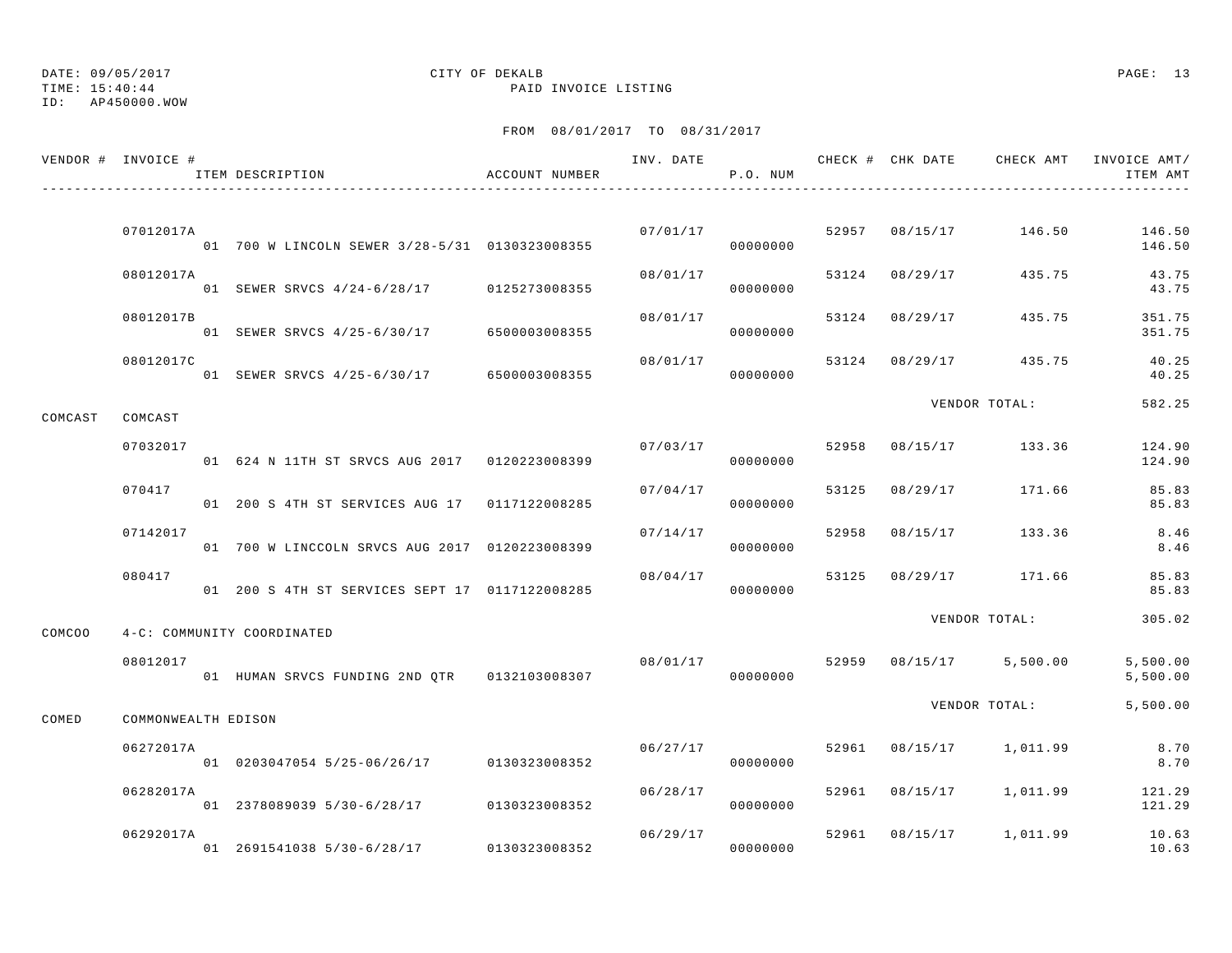TIME: 15:40:44 PAID INVOICE LISTING

ID: AP450000.WOW

|         | VENDOR # INVOICE #  | ITEM DESCRIPTION                               | ACCOUNT NUMBER | INV. DATE | P.O. NUM |       |                | CHECK # CHK DATE CHECK AMT INVOICE AMT/ | ITEM AMT             |
|---------|---------------------|------------------------------------------------|----------------|-----------|----------|-------|----------------|-----------------------------------------|----------------------|
|         |                     |                                                |                |           |          |       |                |                                         |                      |
|         | 07012017A           | 01 700 W LINCOLN SEWER 3/28-5/31 0130323008355 |                | 07/01/17  | 00000000 |       | 52957 08/15/17 | 146.50                                  | 146.50<br>146.50     |
|         | 08012017A           | 01 SEWER SRVCS 4/24-6/28/17 0125273008355      |                | 08/01/17  | 00000000 | 53124 | 08/29/17       | 435.75                                  | 43.75<br>43.75       |
|         | 08012017B           | 01 SEWER SRVCS 4/25-6/30/17 6500003008355      |                | 08/01/17  | 00000000 | 53124 | 08/29/17       | 435.75                                  | 351.75<br>351.75     |
|         | 08012017C           | 01 SEWER SRVCS 4/25-6/30/17 6500003008355      |                | 08/01/17  | 00000000 | 53124 |                | 08/29/17 435.75                         | 40.25<br>40.25       |
| COMCAST | COMCAST             |                                                |                |           |          |       |                | VENDOR TOTAL:                           | 582.25               |
|         | 07032017            | 01 624 N 11TH ST SRVCS AUG 2017 0120223008399  |                | 07/03/17  | 00000000 | 52958 | 08/15/17       | 133.36                                  | 124.90<br>124.90     |
|         | 070417              | 01 200 S 4TH ST SERVICES AUG 17 0117122008285  |                | 07/04/17  | 00000000 | 53125 | 08/29/17       | 171.66                                  | 85.83<br>85.83       |
|         | 07142017            | 01 700 W LINCCOLN SRVCS AUG 2017 0120223008399 |                | 07/14/17  | 00000000 | 52958 | 08/15/17       | 133.36                                  | 8.46<br>8.46         |
|         | 080417              | 01 200 S 4TH ST SERVICES SEPT 17 0117122008285 |                | 08/04/17  | 00000000 | 53125 | 08/29/17       | 171.66                                  | 85.83<br>85.83       |
| COMCOO  |                     | 4-C: COMMUNITY COORDINATED                     |                |           |          |       |                | VENDOR TOTAL:                           | 305.02               |
|         | 08012017            | 01 HUMAN SRVCS FUNDING 2ND QTR 0132103008307   |                | 08/01/17  | 00000000 | 52959 |                | 08/15/17 5,500.00                       | 5,500.00<br>5,500.00 |
| COMED   | COMMONWEALTH EDISON |                                                |                |           |          |       |                | VENDOR TOTAL:                           | 5,500.00             |
|         | 06272017A           | 01 0203047054 5/25-06/26/17 0130323008352      |                | 06/27/17  | 00000000 | 52961 |                | 08/15/17 1,011.99                       | 8.70<br>8.70         |
|         | 06282017A           | 01 2378089039 5/30-6/28/17 0130323008352       |                | 06/28/17  | 00000000 | 52961 |                | 08/15/17 1,011.99                       | 121.29<br>121.29     |
|         | 06292017A           | 01 2691541038 5/30-6/28/17                     | 0130323008352  | 06/29/17  | 00000000 |       |                | 52961 08/15/17 1,011.99                 | 10.63<br>10.63       |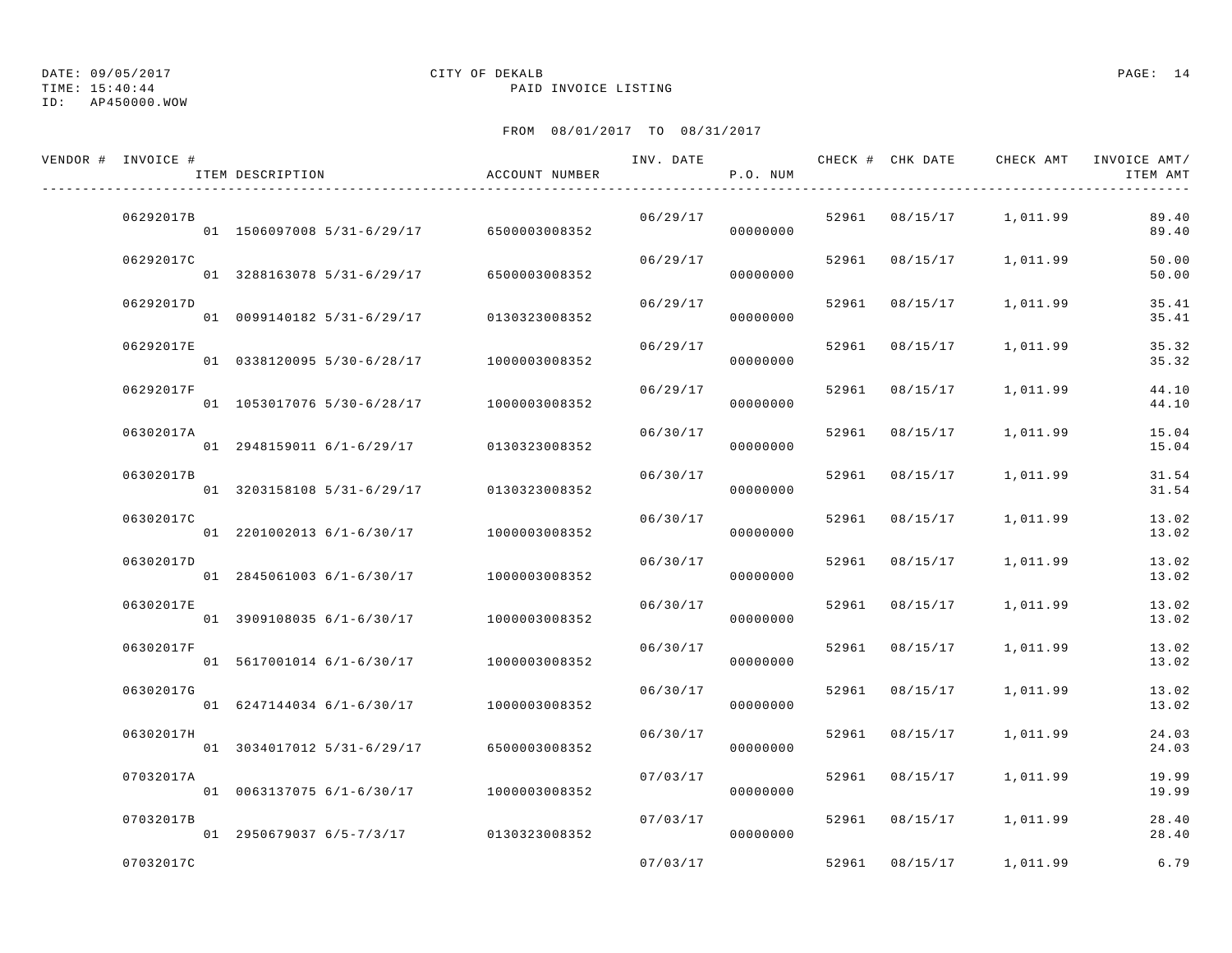TIME: 15:40:44 PAID INVOICE LISTING

## ID: AP450000.WOW

# DATE: 09/05/2017 CITY OF DEKALB PAGE: 14

| VENDOR # INVOICE # | ITEM DESCRIPTION                         | ACCOUNT NUMBER | INV. DATE | P.O. NUM |       | CHECK # CHK DATE | CHECK AMT               | INVOICE AMT/<br>ITEM AMT |
|--------------------|------------------------------------------|----------------|-----------|----------|-------|------------------|-------------------------|--------------------------|
| 06292017B          | 01 1506097008 5/31-6/29/17 6500003008352 |                | 06/29/17  | 00000000 |       |                  | 52961 08/15/17 1,011.99 | 89.40<br>89.40           |
| 06292017C          | 01 3288163078 5/31-6/29/17               | 6500003008352  | 06/29/17  | 00000000 |       | 52961 08/15/17   | 1,011.99                | 50.00<br>50.00           |
| 06292017D          | 01 0099140182 5/31-6/29/17               | 0130323008352  | 06/29/17  | 00000000 |       | 52961 08/15/17   | 1,011.99                | 35.41<br>35.41           |
| 06292017E          | 01 0338120095 5/30-6/28/17               | 1000003008352  | 06/29/17  | 00000000 | 52961 | 08/15/17         | 1,011.99                | 35.32<br>35.32           |
| 06292017F          | 01 1053017076 5/30-6/28/17               | 1000003008352  | 06/29/17  | 00000000 | 52961 | 08/15/17         | 1,011.99                | 44.10<br>44.10           |
| 06302017A          | 01 2948159011 6/1-6/29/17                | 0130323008352  | 06/30/17  | 00000000 |       | 52961 08/15/17   | 1,011.99                | 15.04<br>15.04           |
| 06302017B          | 01 3203158108 5/31-6/29/17               | 0130323008352  | 06/30/17  | 00000000 |       | 52961 08/15/17   | 1,011.99                | 31.54<br>31.54           |
| 06302017C          | 01 2201002013 6/1-6/30/17                | 1000003008352  | 06/30/17  | 00000000 | 52961 | 08/15/17         | 1,011.99                | 13.02<br>13.02           |
| 06302017D          | 01 2845061003 6/1-6/30/17                | 1000003008352  | 06/30/17  | 00000000 |       | 52961 08/15/17   | 1,011.99                | 13.02<br>13.02           |
| 06302017E          | 01 3909108035 6/1-6/30/17                | 1000003008352  | 06/30/17  | 00000000 |       | 52961 08/15/17   | 1,011.99                | 13.02<br>13.02           |
| 06302017F          | 01 5617001014 6/1-6/30/17                | 1000003008352  | 06/30/17  | 00000000 |       | 52961 08/15/17   | 1,011.99                | 13.02<br>13.02           |
| 06302017G          | 01 6247144034 6/1-6/30/17                | 1000003008352  | 06/30/17  | 00000000 | 52961 | 08/15/17         | 1,011.99                | 13.02<br>13.02           |
| 06302017H          | 01 3034017012 5/31-6/29/17               | 6500003008352  | 06/30/17  | 00000000 |       | 52961 08/15/17   | 1,011.99                | 24.03<br>24.03           |
| 07032017A          | 01 0063137075 6/1-6/30/17                | 1000003008352  | 07/03/17  | 00000000 |       | 52961 08/15/17   | 1,011.99                | 19.99<br>19.99           |
| 07032017B          | 01 2950679037 6/5-7/3/17 0130323008352   |                | 07/03/17  | 00000000 |       | 52961 08/15/17   | 1,011.99                | 28.40<br>28.40           |
| 07032017C          |                                          |                | 07/03/17  |          |       | 52961 08/15/17   | 1,011.99                | 6.79                     |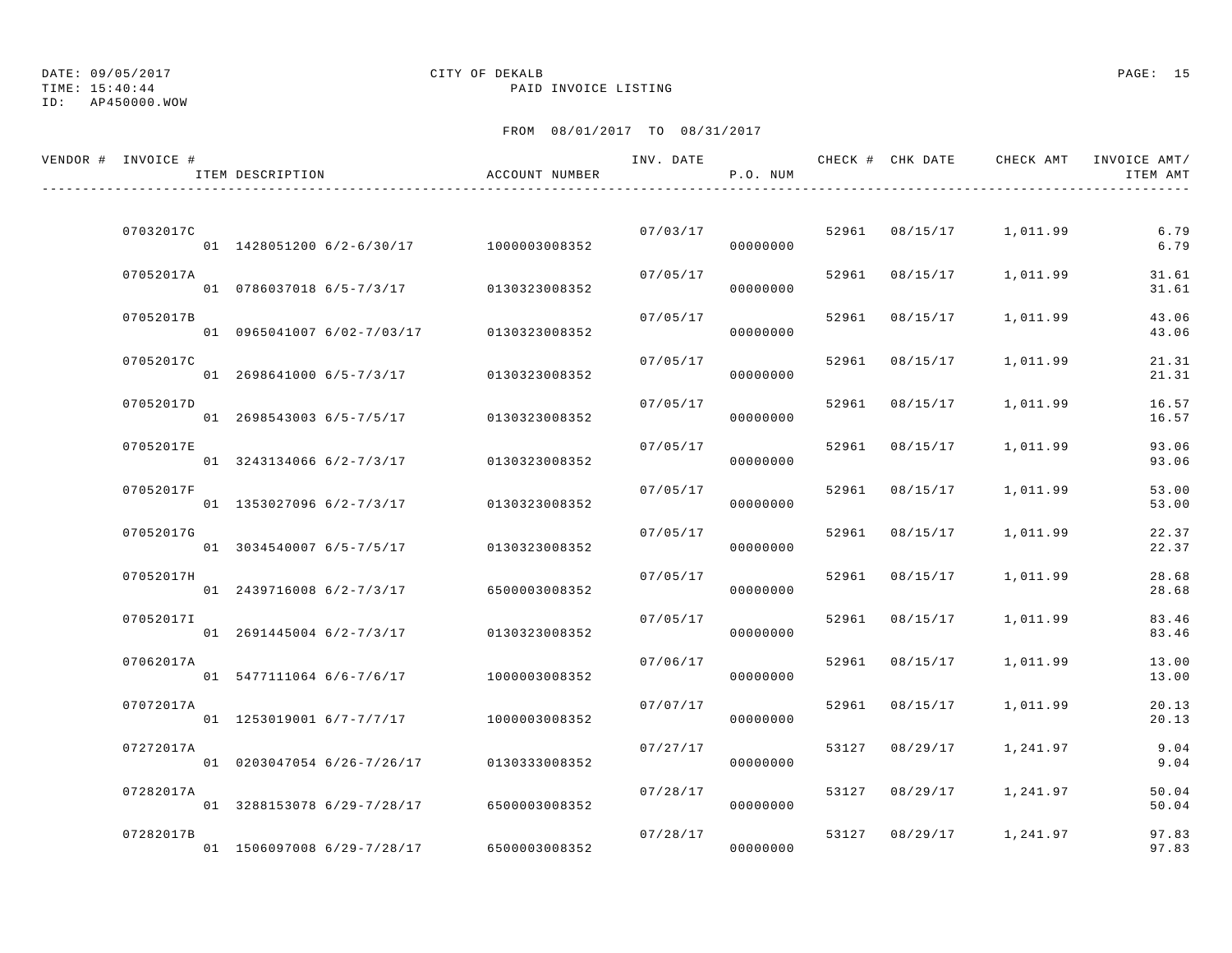ID: AP450000.WOW

# DATE: 09/05/2017 CITY OF DEKALB PAGE: 15

TIME: 15:40:44 PAID INVOICE LISTING

| VENDOR # INVOICE # | ITEM DESCRIPTION           | ACCOUNT NUMBER | INV. DATE | P.O. NUM |       | CHECK # CHK DATE | CHECK AMT               | INVOICE AMT/<br>ITEM AMT |
|--------------------|----------------------------|----------------|-----------|----------|-------|------------------|-------------------------|--------------------------|
| 07032017C          | 01 1428051200 6/2-6/30/17  | 1000003008352  | 07/03/17  | 00000000 |       | 52961 08/15/17   | 1,011.99                | 6.79<br>6.79             |
| 07052017A          | 01 0786037018 6/5-7/3/17   | 0130323008352  | 07/05/17  | 00000000 |       | 52961 08/15/17   | 1,011.99                | 31.61<br>31.61           |
| 07052017B          | 01 0965041007 6/02-7/03/17 | 0130323008352  | 07/05/17  | 00000000 | 52961 | 08/15/17         | 1,011.99                | 43.06<br>43.06           |
| 07052017C          | 01 2698641000 6/5-7/3/17   | 0130323008352  | 07/05/17  | 00000000 | 52961 | 08/15/17         | 1,011.99                | 21.31<br>21.31           |
| 07052017D          | 01 2698543003 6/5-7/5/17   | 0130323008352  | 07/05/17  | 00000000 | 52961 | 08/15/17         | 1,011.99                | 16.57<br>16.57           |
| 07052017E          | 01 3243134066 6/2-7/3/17   | 0130323008352  | 07/05/17  | 00000000 | 52961 | 08/15/17         | 1,011.99                | 93.06<br>93.06           |
| 07052017F          | 01 1353027096 6/2-7/3/17   | 0130323008352  | 07/05/17  | 00000000 | 52961 | 08/15/17         | 1,011.99                | 53.00<br>53.00           |
| 07052017G          | 01 3034540007 6/5-7/5/17   | 0130323008352  | 07/05/17  | 00000000 | 52961 | 08/15/17         | 1,011.99                | 22.37<br>22.37           |
| 07052017H          | 01 2439716008 6/2-7/3/17   | 6500003008352  | 07/05/17  | 00000000 | 52961 | 08/15/17         | 1,011.99                | 28.68<br>28.68           |
| 07052017I          | 01 2691445004 6/2-7/3/17   | 0130323008352  | 07/05/17  | 00000000 | 52961 | 08/15/17         | 1,011.99                | 83.46<br>83.46           |
| 07062017A          | 01 5477111064 6/6-7/6/17   | 1000003008352  | 07/06/17  | 00000000 | 52961 | 08/15/17         | 1,011.99                | 13.00<br>13.00           |
| 07072017A          | 01 1253019001 6/7-7/7/17   | 1000003008352  | 07/07/17  | 00000000 | 52961 | 08/15/17         | 1,011.99                | 20.13<br>20.13           |
| 07272017A          | 01 0203047054 6/26-7/26/17 | 0130333008352  | 07/27/17  | 00000000 | 53127 | 08/29/17         | 1,241.97                | 9.04<br>9.04             |
| 07282017A          | 01 3288153078 6/29-7/28/17 | 6500003008352  | 07/28/17  | 00000000 | 53127 | 08/29/17         | 1,241.97                | 50.04<br>50.04           |
| 07282017B          | 01 1506097008 6/29-7/28/17 | 6500003008352  | 07/28/17  | 00000000 |       |                  | 53127 08/29/17 1,241.97 | 97.83<br>97.83           |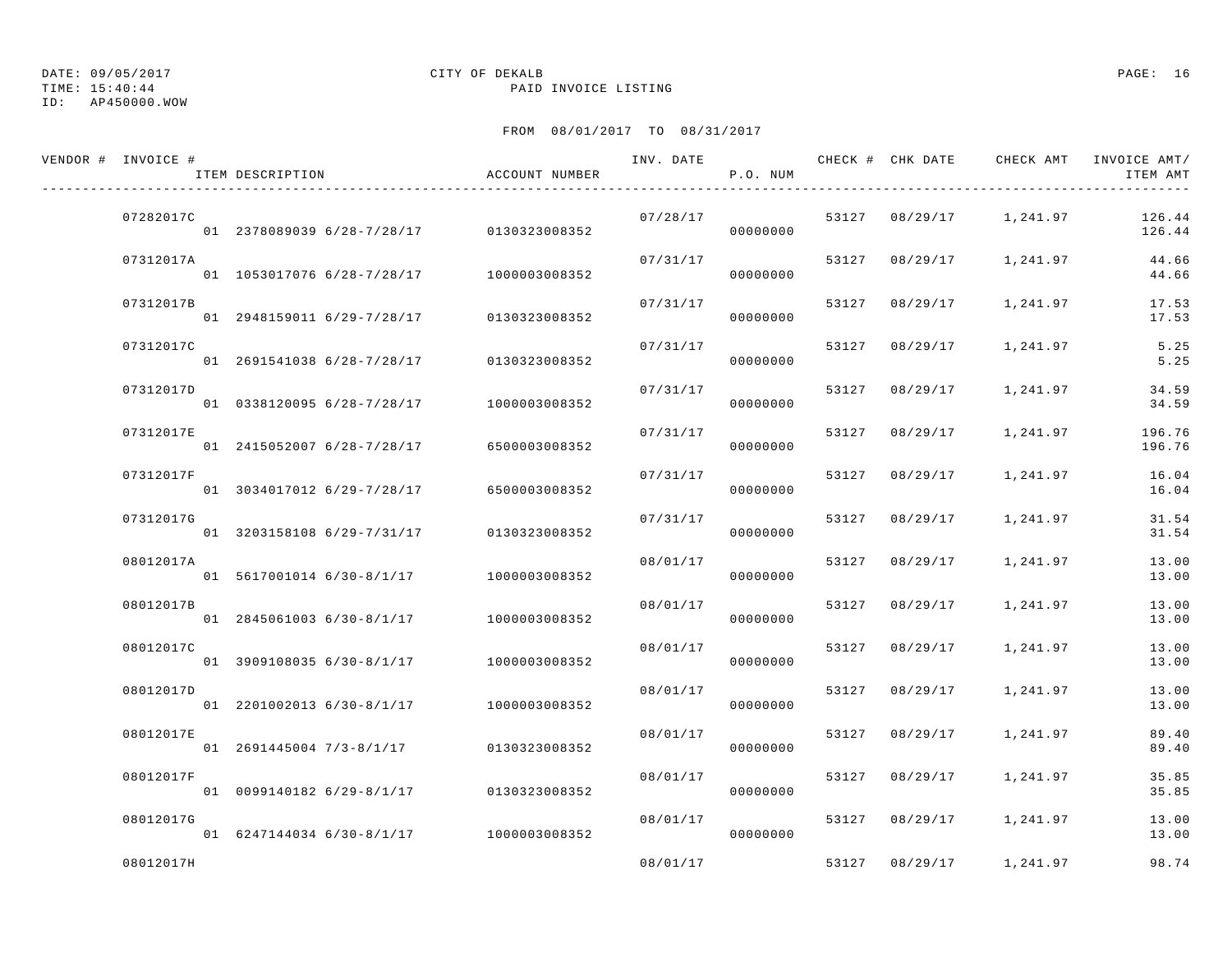TIME: 15:40:44 PAID INVOICE LISTING

## ID: AP450000.WOW

# DATE: 09/05/2017 CITY OF DEKALB PAGE: 16

| VENDOR # INVOICE # | ITEM DESCRIPTION                         | ACCOUNT NUMBER | INV. DATE | P.O. NUM |       | CHECK # CHK DATE | CHECK AMT               | INVOICE AMT/<br>ITEM AMT |
|--------------------|------------------------------------------|----------------|-----------|----------|-------|------------------|-------------------------|--------------------------|
| 07282017C          | 01 2378089039 6/28-7/28/17 0130323008352 |                | 07/28/17  | 00000000 |       |                  | 53127 08/29/17 1,241.97 | 126.44<br>126.44         |
| 07312017A          | 01 1053017076 6/28-7/28/17               | 1000003008352  | 07/31/17  | 00000000 |       | 53127 08/29/17   | 1,241.97                | 44.66<br>44.66           |
| 07312017B          | 01 2948159011 6/29-7/28/17               | 0130323008352  | 07/31/17  | 00000000 | 53127 | 08/29/17         | 1,241.97                | 17.53<br>17.53           |
| 07312017C          | 01 2691541038 6/28-7/28/17               | 0130323008352  | 07/31/17  | 00000000 | 53127 | 08/29/17         | 1,241.97                | 5.25<br>5.25             |
| 07312017D          | 01 0338120095 6/28-7/28/17               | 1000003008352  | 07/31/17  | 00000000 | 53127 | 08/29/17         | 1,241.97                | 34.59<br>34.59           |
| 07312017E          | 01 2415052007 6/28-7/28/17               | 6500003008352  | 07/31/17  | 00000000 |       | 53127 08/29/17   | 1,241.97                | 196.76<br>196.76         |
| 07312017F          | 01 3034017012 6/29-7/28/17               | 6500003008352  | 07/31/17  | 00000000 | 53127 | 08/29/17         | 1,241.97                | 16.04<br>16.04           |
| 07312017G          | 01 3203158108 6/29-7/31/17               | 0130323008352  | 07/31/17  | 00000000 | 53127 | 08/29/17         | 1,241.97                | 31.54<br>31.54           |
| 08012017A          | 01 5617001014 6/30-8/1/17                | 1000003008352  | 08/01/17  | 00000000 | 53127 | 08/29/17         | 1,241.97                | 13.00<br>13.00           |
| 08012017B          | 01 2845061003 6/30-8/1/17                | 1000003008352  | 08/01/17  | 00000000 |       | 53127 08/29/17   | 1,241.97                | 13.00<br>13.00           |
| 08012017C          | 01 3909108035 6/30-8/1/17                | 1000003008352  | 08/01/17  | 00000000 | 53127 | 08/29/17         | 1,241.97                | 13.00<br>13.00           |
| 08012017D          | 01 2201002013 6/30-8/1/17                | 1000003008352  | 08/01/17  | 00000000 | 53127 | 08/29/17         | 1,241.97                | 13.00<br>13.00           |
| 08012017E          | 01 2691445004 7/3-8/1/17                 | 0130323008352  | 08/01/17  | 00000000 | 53127 | 08/29/17         | 1,241.97                | 89.40<br>89.40           |
| 08012017F          | 01 0099140182 6/29-8/1/17                | 0130323008352  | 08/01/17  | 00000000 | 53127 | 08/29/17         | 1,241.97                | 35.85<br>35.85           |
| 08012017G          | 01 6247144034 6/30-8/1/17 1000003008352  |                | 08/01/17  | 00000000 | 53127 | 08/29/17         | 1,241.97                | 13.00<br>13.00           |
| 08012017H          |                                          |                | 08/01/17  |          | 53127 | 08/29/17         | 1,241.97                | 98.74                    |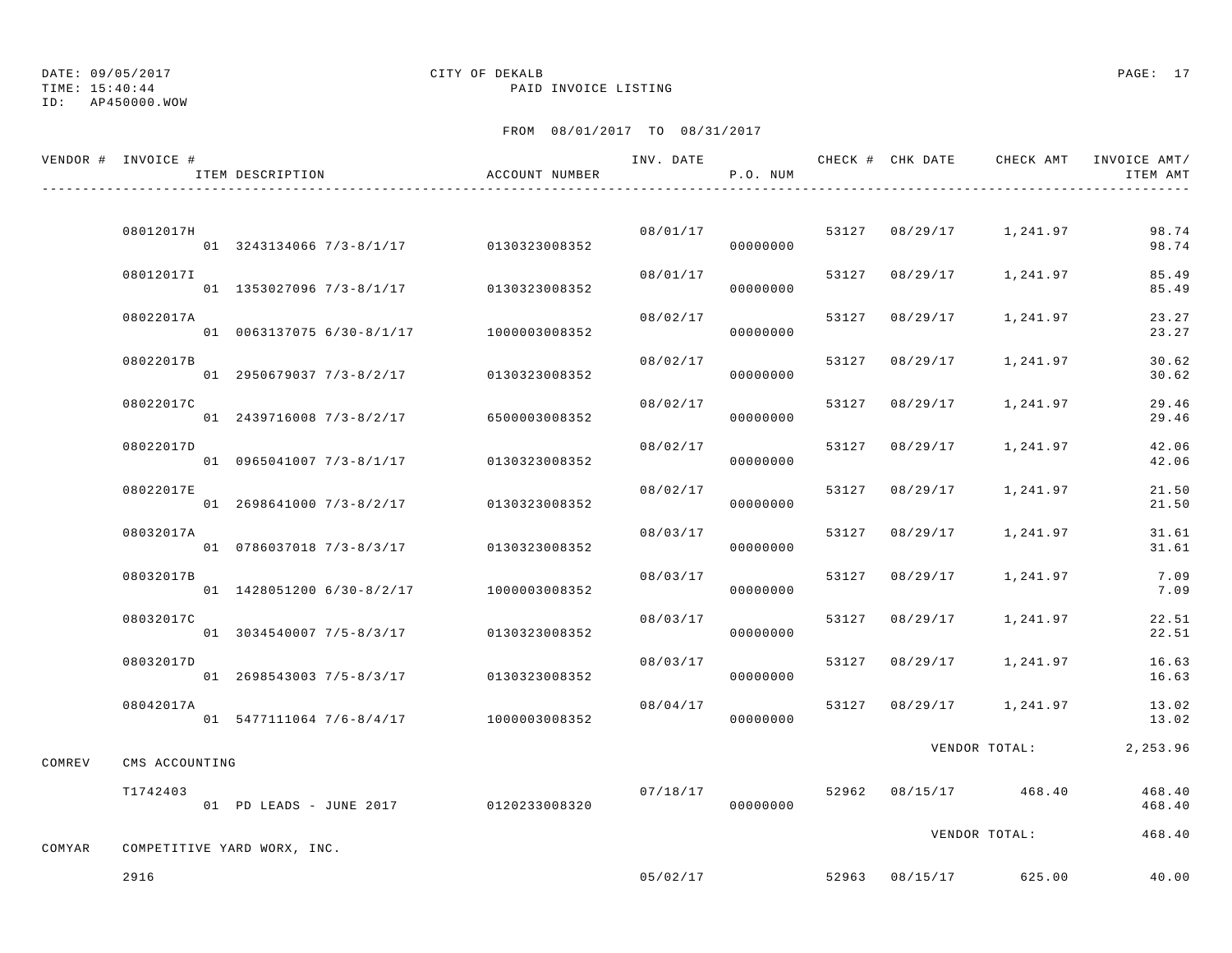TIME: 15:40:44 PAID INVOICE LISTING

ID: AP450000.WOW

|        | VENDOR # INVOICE # | ITEM DESCRIPTION                       | ACCOUNT NUMBER | INV. DATE | P.O. NUM |       |                | CHECK # CHK DATE     CHECK AMT   INVOICE AMT/ | ITEM AMT         |
|--------|--------------------|----------------------------------------|----------------|-----------|----------|-------|----------------|-----------------------------------------------|------------------|
|        |                    |                                        |                |           |          |       |                |                                               |                  |
|        | 08012017H          | 01 3243134066 7/3-8/1/17 0130323008352 |                | 08/01/17  | 00000000 |       | 53127 08/29/17 | 1,241.97                                      | 98.74<br>98.74   |
|        | 08012017I          | 01 1353027096 7/3-8/1/17               | 0130323008352  | 08/01/17  | 00000000 | 53127 | 08/29/17       | 1,241.97                                      | 85.49<br>85.49   |
|        | 08022017A          | 01 0063137075 6/30-8/1/17              | 1000003008352  | 08/02/17  | 00000000 | 53127 | 08/29/17       | 1,241.97                                      | 23.27<br>23.27   |
|        | 08022017B          | 01 2950679037 7/3-8/2/17               | 0130323008352  | 08/02/17  | 00000000 |       | 53127 08/29/17 | 1,241.97                                      | 30.62<br>30.62   |
|        | 08022017C          | 01 2439716008 7/3-8/2/17               | 6500003008352  | 08/02/17  | 00000000 | 53127 | 08/29/17       | 1,241.97                                      | 29.46<br>29.46   |
|        | 08022017D          | 01 0965041007 7/3-8/1/17               | 0130323008352  | 08/02/17  | 00000000 | 53127 | 08/29/17       | 1,241.97                                      | 42.06<br>42.06   |
|        | 08022017E          | 01 2698641000 7/3-8/2/17               | 0130323008352  | 08/02/17  | 00000000 | 53127 | 08/29/17       | 1,241.97                                      | 21.50<br>21.50   |
|        | 08032017A          | 01 0786037018 7/3-8/3/17               | 0130323008352  | 08/03/17  | 00000000 | 53127 | 08/29/17       | 1,241.97                                      | 31.61<br>31.61   |
|        | 08032017B          | 01 1428051200 6/30-8/2/17              | 1000003008352  | 08/03/17  | 00000000 | 53127 | 08/29/17       | 1,241.97                                      | 7.09<br>7.09     |
|        | 08032017C          | 01 3034540007 7/5-8/3/17               | 0130323008352  | 08/03/17  | 00000000 | 53127 | 08/29/17       | 1,241.97                                      | 22.51<br>22.51   |
|        | 08032017D          | 01 2698543003 7/5-8/3/17               | 0130323008352  | 08/03/17  | 00000000 | 53127 | 08/29/17       | 1,241.97                                      | 16.63<br>16.63   |
|        | 08042017A          | 01 5477111064 7/6-8/4/17 1000003008352 |                | 08/04/17  | 00000000 |       | 53127 08/29/17 | 1,241.97                                      | 13.02<br>13.02   |
| COMREV | CMS ACCOUNTING     |                                        |                |           |          |       |                | VENDOR TOTAL:                                 | 2,253.96         |
|        | T1742403           | 01 PD LEADS - JUNE 2017 0120233008320  |                | 07/18/17  | 00000000 | 52962 | 08/15/17       | 468.40                                        | 468.40<br>468.40 |
|        |                    |                                        |                |           |          |       |                | VENDOR TOTAL:                                 | 468.40           |
| COMYAR |                    | COMPETITIVE YARD WORX, INC.            |                |           |          |       |                |                                               |                  |
|        | 2916               |                                        |                | 05/02/17  |          |       |                | 52963 08/15/17 625.00                         | 40.00            |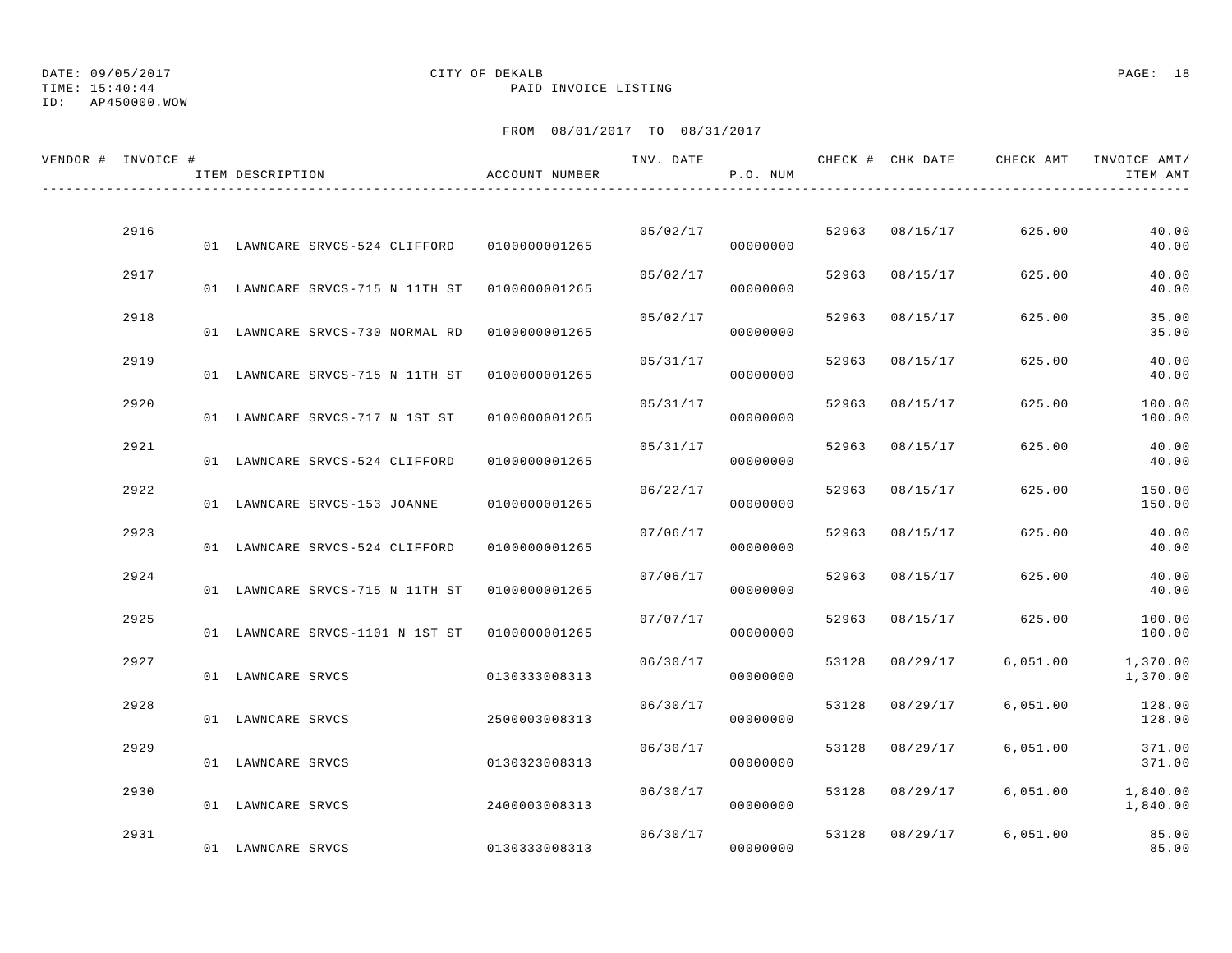# TIME: 15:40:44 PAID INVOICE LISTING

## ID: AP450000.WOW

# DATE: 09/05/2017 CITY OF DEKALB PAGE: 18

| VENDOR # INVOICE # | ITEM DESCRIPTION                              | ACCOUNT NUMBER | INV. DATE | P.O. NUM |       |                | CHECK # CHK DATE CHECK AMT | INVOICE AMT/<br>ITEM AMT |
|--------------------|-----------------------------------------------|----------------|-----------|----------|-------|----------------|----------------------------|--------------------------|
| 2916               |                                               |                | 05/02/17  |          |       | 52963 08/15/17 | 625.00                     | 40.00                    |
|                    | 01 LAWNCARE SRVCS-524 CLIFFORD                | 0100000001265  |           | 00000000 |       |                |                            | 40.00                    |
| 2917               | 01 LAWNCARE SRVCS-715 N 11TH ST               | 0100000001265  | 05/02/17  | 00000000 |       | 52963 08/15/17 | 625.00                     | 40.00<br>40.00           |
| 2918               | 01 LAWNCARE SRVCS-730 NORMAL RD               | 0100000001265  | 05/02/17  | 00000000 | 52963 | 08/15/17       | 625.00                     | 35.00<br>35.00           |
| 2919               | 01 LAWNCARE SRVCS-715 N 11TH ST 0100000001265 |                | 05/31/17  | 00000000 | 52963 | 08/15/17       | 625.00                     | 40.00<br>40.00           |
| 2920               | 01 LAWNCARE SRVCS-717 N 1ST ST                | 0100000001265  | 05/31/17  | 00000000 | 52963 | 08/15/17       | 625.00                     | 100.00<br>100.00         |
| 2921               | 01 LAWNCARE SRVCS-524 CLIFFORD                | 0100000001265  | 05/31/17  | 00000000 | 52963 | 08/15/17       | 625.00                     | 40.00<br>40.00           |
| 2922               | 01 LAWNCARE SRVCS-153 JOANNE                  | 0100000001265  | 06/22/17  | 00000000 | 52963 | 08/15/17       | 625.00                     | 150.00<br>150.00         |
| 2923               | 01 LAWNCARE SRVCS-524 CLIFFORD                | 0100000001265  | 07/06/17  | 00000000 | 52963 | 08/15/17       | 625.00                     | 40.00<br>40.00           |
| 2924               | 01 LAWNCARE SRVCS-715 N 11TH ST               | 0100000001265  | 07/06/17  | 00000000 | 52963 | 08/15/17       | 625.00                     | 40.00<br>40.00           |
| 2925               | 01 LAWNCARE SRVCS-1101 N 1ST ST 0100000001265 |                | 07/07/17  | 00000000 |       | 52963 08/15/17 | 625.00                     | 100.00<br>100.00         |
| 2927               | 01 LAWNCARE SRVCS                             | 0130333008313  | 06/30/17  | 00000000 | 53128 | 08/29/17       | 6,051.00                   | 1,370.00<br>1,370.00     |
| 2928               | 01 LAWNCARE SRVCS                             | 2500003008313  | 06/30/17  | 00000000 | 53128 | 08/29/17       | 6,051.00                   | 128.00<br>128.00         |
| 2929               | 01 LAWNCARE SRVCS                             | 0130323008313  | 06/30/17  | 00000000 |       | 53128 08/29/17 | 6,051.00                   | 371.00<br>371.00         |
| 2930               | 01 LAWNCARE SRVCS                             | 2400003008313  | 06/30/17  | 00000000 | 53128 | 08/29/17       | 6,051.00                   | 1,840.00<br>1,840.00     |
| 2931               | 01 LAWNCARE SRVCS                             | 0130333008313  | 06/30/17  | 00000000 |       | 53128 08/29/17 | 6,051.00                   | 85.00<br>85.00           |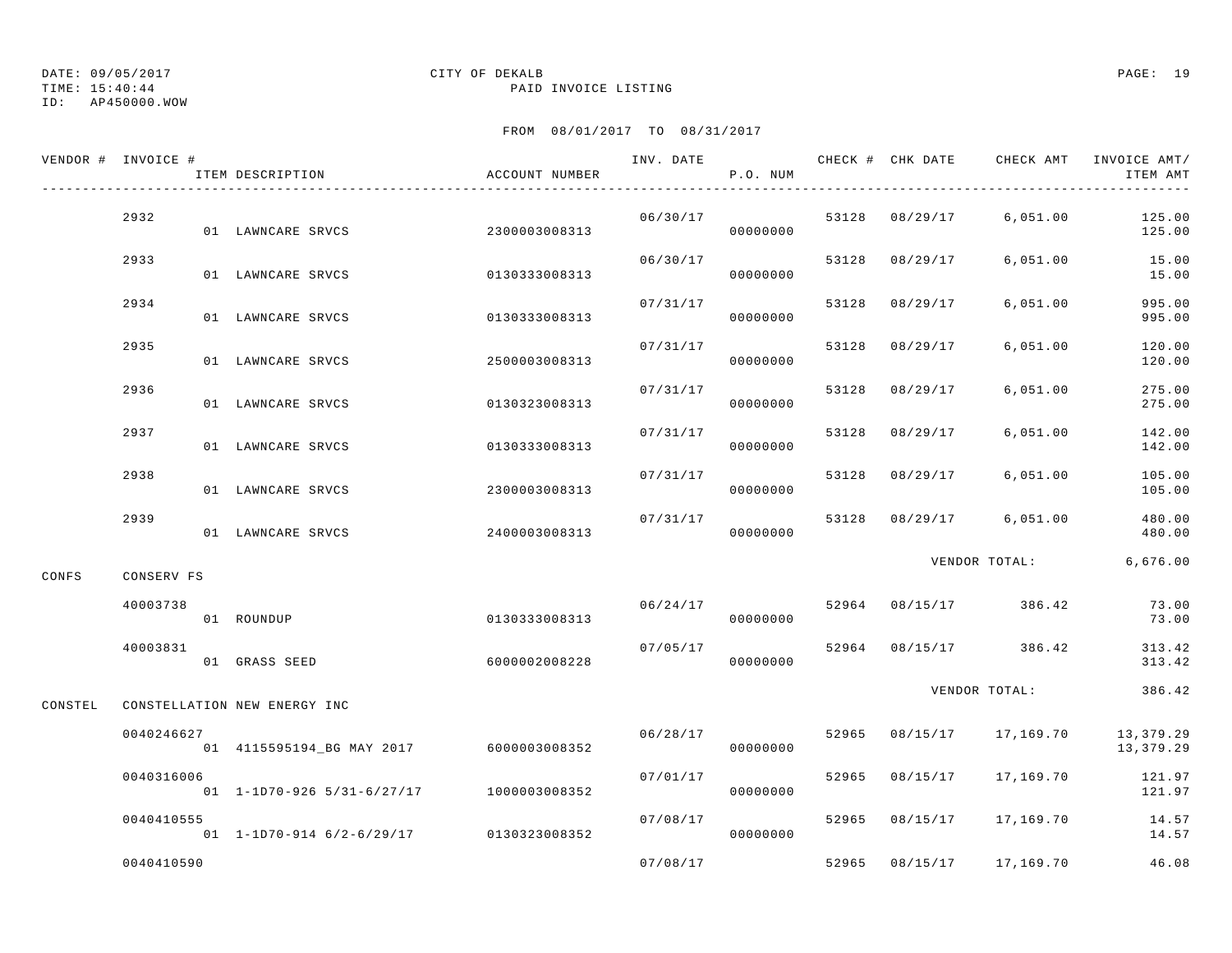TIME: 15:40:44 PAID INVOICE LISTING

ID: AP450000.WOW

|         | VENDOR # INVOICE # | ITEM DESCRIPTION                            | ACCOUNT NUMBER | INV. DATE | P.O. NUM |       |                | CHECK # CHK DATE CHECK AMT | INVOICE AMT/<br>ITEM AMT |
|---------|--------------------|---------------------------------------------|----------------|-----------|----------|-------|----------------|----------------------------|--------------------------|
|         | 2932               | 01 LAWNCARE SRVCS                           | 2300003008313  | 06/30/17  | 00000000 |       | 53128 08/29/17 | 6,051.00                   | 125.00<br>125.00         |
|         | 2933               | 01 LAWNCARE SRVCS                           | 0130333008313  | 06/30/17  | 00000000 | 53128 | 08/29/17       | 6,051.00                   | 15.00<br>15.00           |
|         | 2934               | 01 LAWNCARE SRVCS                           | 0130333008313  | 07/31/17  | 00000000 | 53128 | 08/29/17       | 6,051.00                   | 995.00<br>995.00         |
|         | 2935               | 01 LAWNCARE SRVCS                           | 2500003008313  | 07/31/17  | 00000000 | 53128 | 08/29/17       | 6,051.00                   | 120.00<br>120.00         |
|         | 2936               | 01 LAWNCARE SRVCS                           | 0130323008313  | 07/31/17  | 00000000 | 53128 | 08/29/17       | 6,051.00                   | 275.00<br>275.00         |
|         | 2937               | 01 LAWNCARE SRVCS                           | 0130333008313  | 07/31/17  | 00000000 | 53128 | 08/29/17       | 6,051.00                   | 142.00<br>142.00         |
|         | 2938               | 01 LAWNCARE SRVCS                           | 2300003008313  | 07/31/17  | 00000000 | 53128 | 08/29/17       | 6,051.00                   | 105.00<br>105.00         |
|         | 2939               | 01 LAWNCARE SRVCS                           | 2400003008313  | 07/31/17  | 00000000 | 53128 | 08/29/17       | 6,051.00                   | 480.00<br>480.00         |
| CONFS   | CONSERV FS         |                                             |                |           |          |       |                | VENDOR TOTAL:              | 6,676.00                 |
|         | 40003738           | 01 ROUNDUP                                  | 0130333008313  | 06/24/17  | 00000000 |       | 52964 08/15/17 | 386.42                     | 73.00<br>73.00           |
|         | 40003831           | 01 GRASS SEED                               | 6000002008228  | 07/05/17  | 00000000 |       | 52964 08/15/17 | 386.42                     | 313.42<br>313.42         |
| CONSTEL |                    | CONSTELLATION NEW ENERGY INC                |                |           |          |       |                | VENDOR TOTAL:              | 386.42                   |
|         | 0040246627         | 01  4115595194_BG  MAY  2017  6000003008352 |                | 06/28/17  | 00000000 | 52965 | 08/15/17       | 17,169.70                  | 13,379.29<br>13,379.29   |
|         | 0040316006         | $01 1 - 1D70 - 926 5/31 - 6/27/17$          | 1000003008352  | 07/01/17  | 00000000 | 52965 | 08/15/17       | 17,169.70                  | 121.97<br>121.97         |
|         | 0040410555         | 01 1-1D70-914 6/2-6/29/17 0130323008352     |                | 07/08/17  | 00000000 | 52965 | 08/15/17       | 17,169.70                  | 14.57<br>14.57           |
|         | 0040410590         |                                             |                | 07/08/17  |          | 52965 | 08/15/17       | 17,169.70                  | 46.08                    |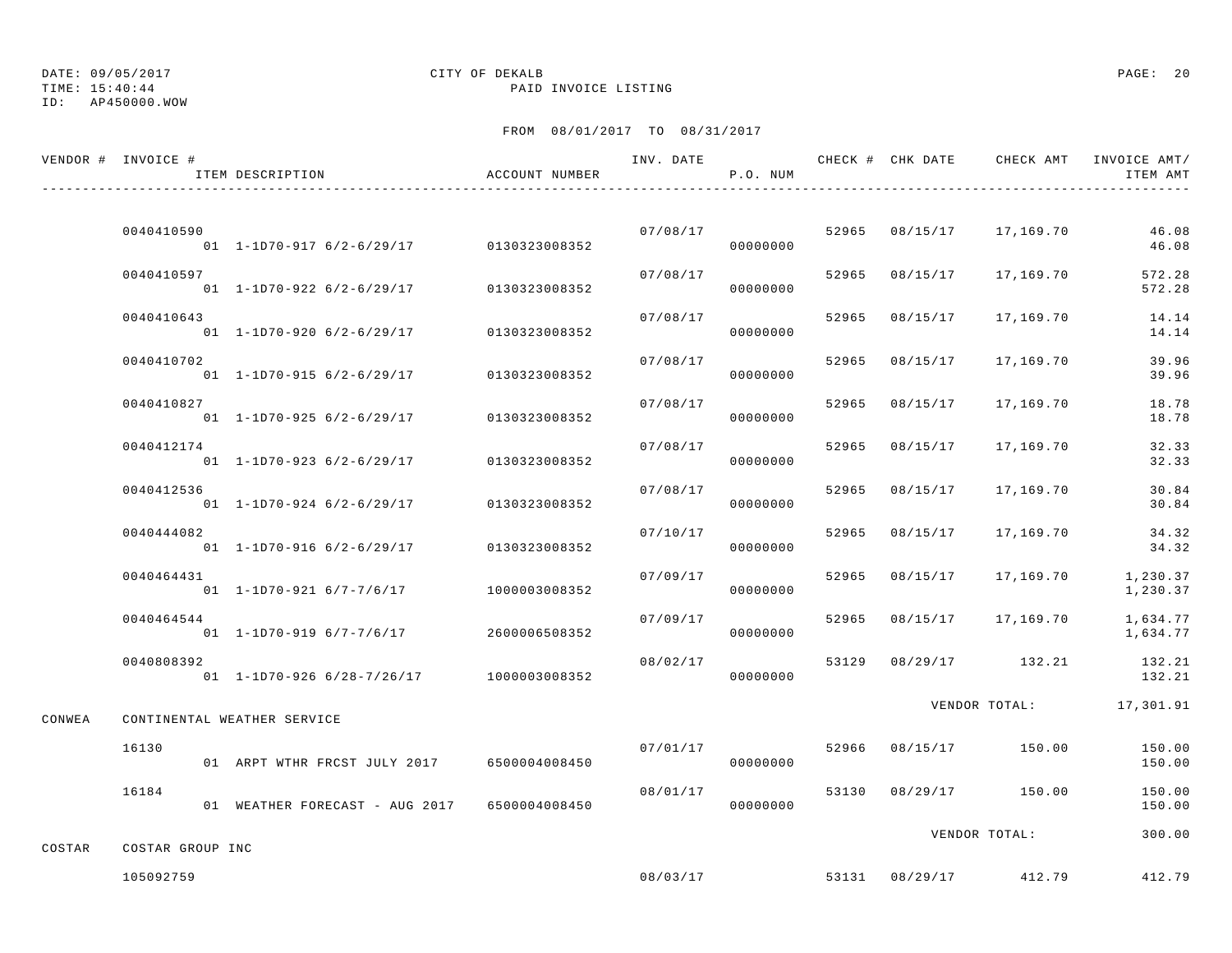ID: AP450000.WOW

# DATE: 09/05/2017 CITY OF DEKALB PAGE: 20

TIME: 15:40:44 PAID INVOICE LISTING

|        | VENDOR # INVOICE #            | ITEM DESCRIPTION                              | ACCOUNT NUMBER |          | P.O. NUM |       |                | INV. DATE 6 CHECK # CHK DATE CHECK AMT | INVOICE AMT/<br>ITEM AMT |
|--------|-------------------------------|-----------------------------------------------|----------------|----------|----------|-------|----------------|----------------------------------------|--------------------------|
|        |                               |                                               |                |          |          |       |                |                                        |                          |
|        | 0040410590                    | 01 1-1D70-917 6/2-6/29/17 0130323008352       |                | 07/08/17 | 00000000 |       | 52965 08/15/17 | 17,169.70                              | 46.08<br>46.08           |
|        | 0040410597                    | $01$ 1-1D70-922 6/2-6/29/17                   | 0130323008352  | 07/08/17 | 00000000 | 52965 | 08/15/17       | 17,169.70                              | 572.28<br>572.28         |
|        | 0040410643                    | $01 \quad 1 - 1D70 - 920 \quad 6/2 - 6/29/17$ | 0130323008352  | 07/08/17 | 00000000 | 52965 | 08/15/17       | 17,169.70                              | 14.14<br>14.14           |
|        | 0040410702                    | $01$ 1-1D70-915 6/2-6/29/17                   | 0130323008352  | 07/08/17 | 00000000 | 52965 | 08/15/17       | 17,169.70                              | 39.96<br>39.96           |
|        | 0040410827                    | $01$ 1-1D70-925 6/2-6/29/17                   | 0130323008352  | 07/08/17 | 00000000 | 52965 | 08/15/17       | 17,169.70                              | 18.78<br>18.78           |
|        | 0040412174                    | $01 \quad 1 - 1D70 - 923 \quad 6/2 - 6/29/17$ | 0130323008352  | 07/08/17 | 00000000 | 52965 | 08/15/17       | 17,169.70                              | 32.33<br>32.33           |
|        | 0040412536                    | $01$ 1-1D70-924 6/2-6/29/17                   | 0130323008352  | 07/08/17 | 00000000 | 52965 | 08/15/17       | 17,169.70                              | 30.84<br>30.84           |
|        | 0040444082                    | $01$ 1-1D70-916 6/2-6/29/17                   | 0130323008352  | 07/10/17 | 00000000 | 52965 | 08/15/17       | 17,169.70                              | 34.32<br>34.32           |
|        | 0040464431                    | 01 1-1D70-921 6/7-7/6/17                      | 1000003008352  | 07/09/17 | 00000000 | 52965 | 08/15/17       | 17,169.70                              | 1,230.37<br>1,230.37     |
|        | 0040464544                    | 01 1-1D70-919 6/7-7/6/17                      | 2600006508352  | 07/09/17 | 00000000 | 52965 | 08/15/17       | 17,169.70                              | 1,634.77<br>1,634.77     |
|        | 0040808392                    | 01  1-1D70-926  6/28-7/26/17  1000003008352   |                | 08/02/17 | 00000000 | 53129 |                | 08/29/17 132.21                        | 132.21<br>132.21         |
| CONWEA |                               | CONTINENTAL WEATHER SERVICE                   |                |          |          |       |                |                                        | VENDOR TOTAL: 17,301.91  |
|        | 16130                         | 01 ARPT WTHR FRCST JULY 2017                  | 6500004008450  | 07/01/17 | 00000000 |       |                | 52966 08/15/17 150.00                  | 150.00<br>150.00         |
|        | 16184                         | 01 WEATHER FORECAST - AUG 2017                | 6500004008450  | 08/01/17 | 00000000 | 53130 |                | 08/29/17 150.00                        | 150.00<br>150.00         |
|        |                               |                                               |                |          |          |       |                | VENDOR TOTAL:                          | 300.00                   |
| COSTAR | COSTAR GROUP INC<br>105092759 |                                               |                | 08/03/17 |          |       |                | 53131 08/29/17 412.79                  | 412.79                   |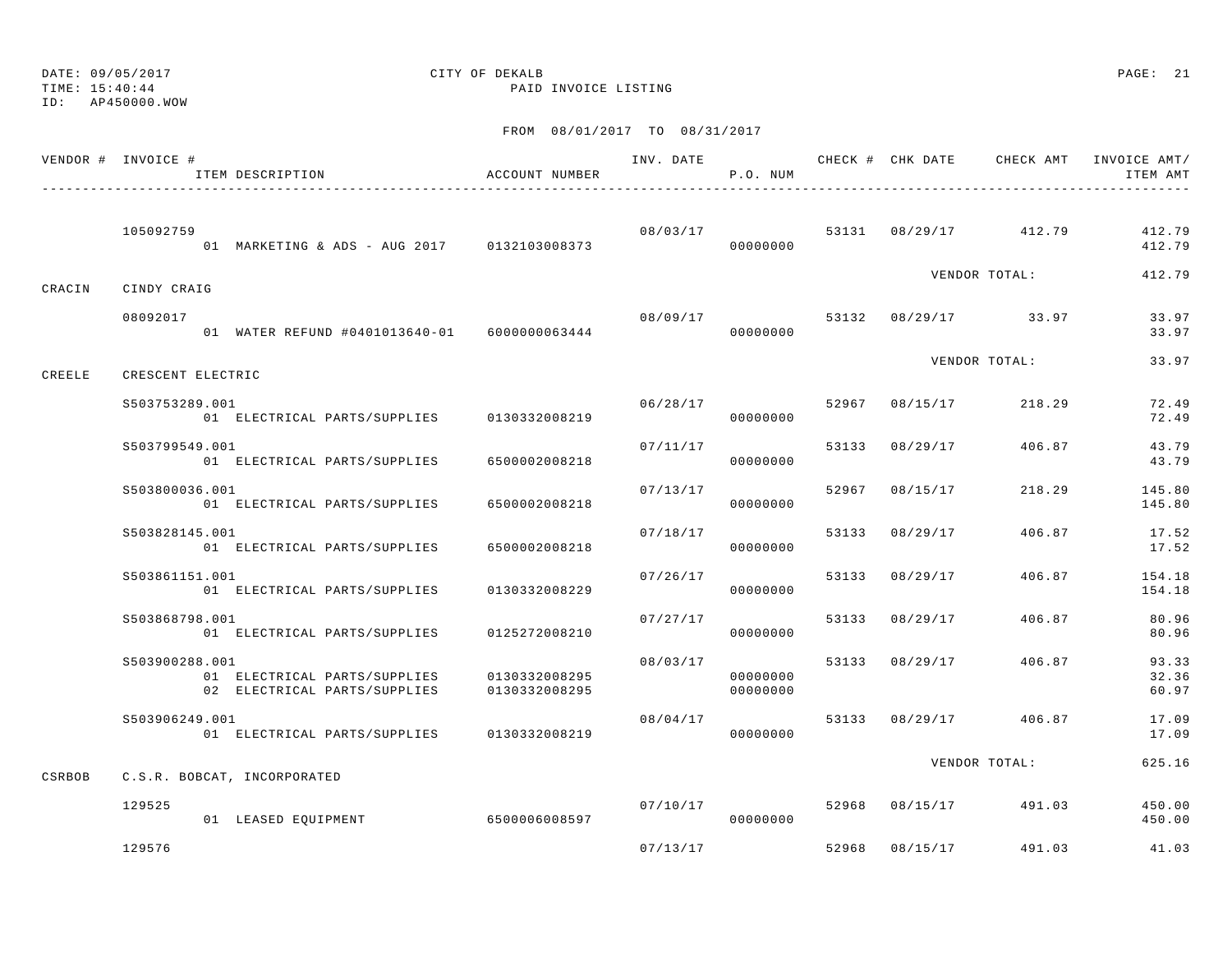ID: AP450000.WOW

### TIME: 15:40:44 PAID INVOICE LISTING

|        | VENDOR # INVOICE #<br>ITEM DESCRIPTION                                         | ACCOUNT NUMBER                 |          | P.O. NUM             |       |                |                       | INV. DATE 6 CHECK # CHK DATE CHECK AMT INVOICE AMT/<br>ITEM AMT |
|--------|--------------------------------------------------------------------------------|--------------------------------|----------|----------------------|-------|----------------|-----------------------|-----------------------------------------------------------------|
|        | 105092759<br>01 MARKETING & ADS - AUG 2017 0132103008373                       |                                | 08/03/17 | 00000000             |       |                | 53131 08/29/17 412.79 | 412.79<br>412.79                                                |
| CRACIN | CINDY CRAIG                                                                    |                                |          |                      |       |                | VENDOR TOTAL:         | 412.79                                                          |
|        | 08092017<br>01 WATER REFUND #0401013640-01 6000000063444                       |                                | 08/09/17 | 00000000             |       |                | 53132 08/29/17 33.97  | 33.97<br>33.97                                                  |
| CREELE | CRESCENT ELECTRIC                                                              |                                |          |                      |       |                | VENDOR TOTAL:         | 33.97                                                           |
|        | S503753289.001<br>01 ELECTRICAL PARTS/SUPPLIES 0130332008219                   |                                | 06/28/17 | 00000000             |       | 52967 08/15/17 | 218.29                | 72.49<br>72.49                                                  |
|        | S503799549.001<br>01 ELECTRICAL PARTS/SUPPLIES                                 | 6500002008218                  | 07/11/17 | 00000000             |       | 53133 08/29/17 | 406.87                | 43.79<br>43.79                                                  |
|        | \$503800036.001<br>01 ELECTRICAL PARTS/SUPPLIES                                | 6500002008218                  | 07/13/17 | 00000000             |       | 52967 08/15/17 | 218.29                | 145.80<br>145.80                                                |
|        | S503828145.001<br>01 ELECTRICAL PARTS/SUPPLIES                                 | 6500002008218                  | 07/18/17 | 00000000             | 53133 | 08/29/17       | 406.87                | 17.52<br>17.52                                                  |
|        | S503861151.001<br>01 ELECTRICAL PARTS/SUPPLIES                                 | 0130332008229                  | 07/26/17 | 00000000             |       | 53133 08/29/17 | 406.87                | 154.18<br>154.18                                                |
|        | S503868798.001<br>01 ELECTRICAL PARTS/SUPPLIES                                 | 0125272008210                  | 07/27/17 | 00000000             |       | 53133 08/29/17 | 406.87                | 80.96<br>80.96                                                  |
|        | S503900288.001<br>01 ELECTRICAL PARTS/SUPPLIES<br>02 ELECTRICAL PARTS/SUPPLIES | 0130332008295<br>0130332008295 | 08/03/17 | 00000000<br>00000000 |       | 53133 08/29/17 | 406.87                | 93.33<br>32.36<br>60.97                                         |
|        | S503906249.001<br>01 ELECTRICAL PARTS/SUPPLIES 0130332008219                   |                                | 08/04/17 | 00000000             |       |                | 53133 08/29/17 406.87 | 17.09<br>17.09                                                  |
| CSRBOB | C.S.R. BOBCAT, INCORPORATED                                                    |                                |          |                      |       |                | VENDOR TOTAL:         | 625.16                                                          |
|        | 129525<br>01 LEASED EQUIPMENT                                                  | 6500006008597                  | 07/10/17 | 00000000             |       | 52968 08/15/17 | 491.03                | 450.00<br>450.00                                                |
|        | 129576                                                                         |                                | 07/13/17 |                      |       | 52968 08/15/17 | 491.03                | 41.03                                                           |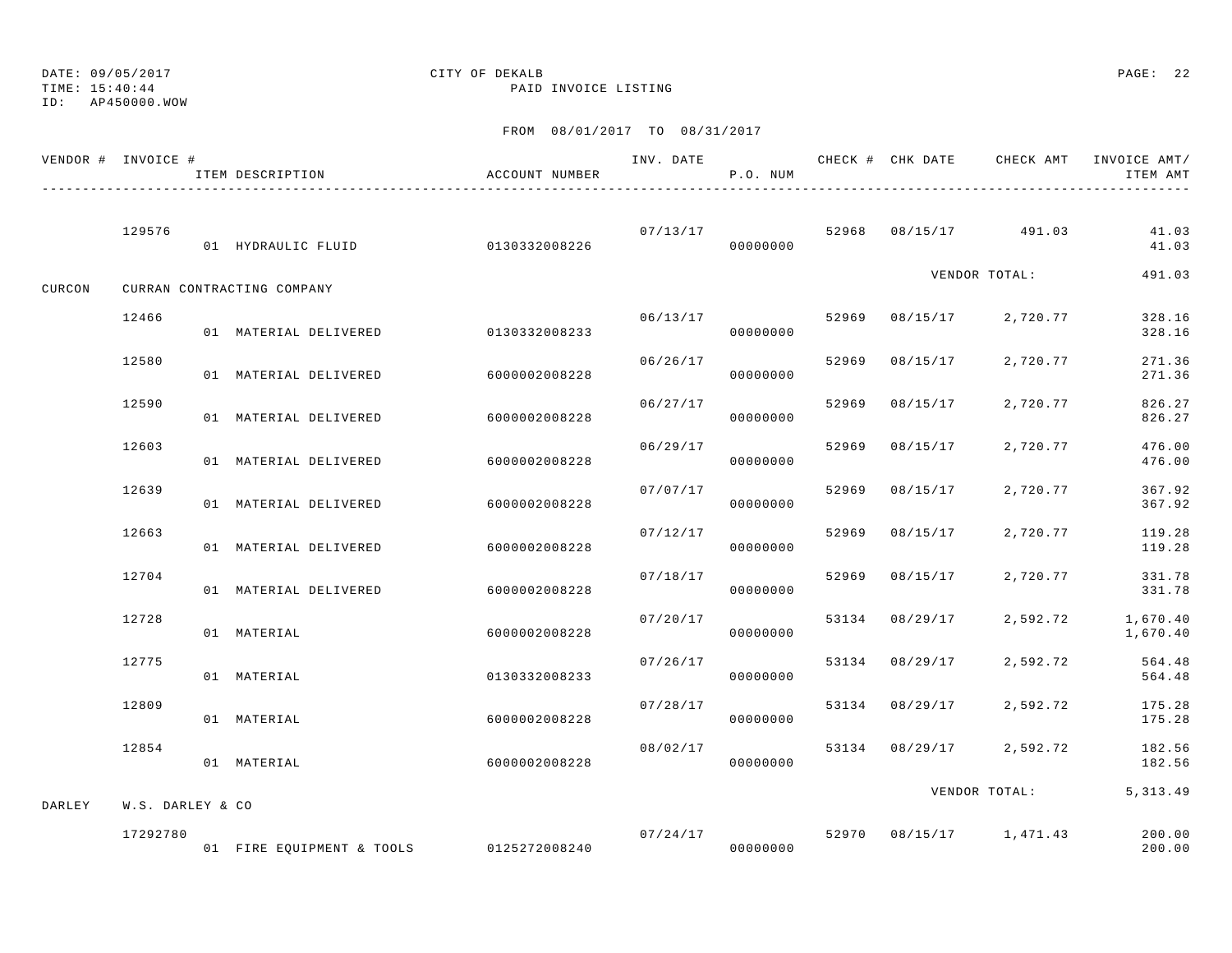TIME: 15:40:44 PAID INVOICE LISTING

## ID: AP450000.WOW

# DATE: 09/05/2017 CITY OF DEKALB PAGE: 22

| VENDOR # INVOICE # |                  | ITEM DESCRIPTION<br>____________________________________ | ACCOUNT NUMBER |          | P.O. NUM |       |                | INV. DATE 6 CHECK # CHK DATE CHECK AMT | INVOICE AMT/<br>ITEM AMT |
|--------------------|------------------|----------------------------------------------------------|----------------|----------|----------|-------|----------------|----------------------------------------|--------------------------|
|                    | 129576           | 01 HYDRAULIC FLUID                                       | 0130332008226  | 07/13/17 | 00000000 |       |                | 52968 08/15/17 491.03                  | 41.03<br>41.03           |
| CURCON             |                  | CURRAN CONTRACTING COMPANY                               |                |          |          |       |                | VENDOR TOTAL:                          | 491.03                   |
|                    | 12466            | 01 MATERIAL DELIVERED                                    | 0130332008233  | 06/13/17 | 00000000 |       | 52969 08/15/17 | 2,720.77                               | 328.16<br>328.16         |
|                    | 12580            | 01 MATERIAL DELIVERED                                    | 6000002008228  | 06/26/17 | 00000000 | 52969 | 08/15/17       | 2,720.77                               | 271.36<br>271.36         |
|                    | 12590            | 01 MATERIAL DELIVERED                                    | 6000002008228  | 06/27/17 | 00000000 | 52969 | 08/15/17       | 2,720.77                               | 826.27<br>826.27         |
|                    | 12603            | 01 MATERIAL DELIVERED                                    | 6000002008228  | 06/29/17 | 00000000 | 52969 | 08/15/17       | 2,720.77                               | 476.00<br>476.00         |
|                    | 12639            | 01 MATERIAL DELIVERED                                    | 6000002008228  | 07/07/17 | 00000000 | 52969 | 08/15/17       | 2,720.77                               | 367.92<br>367.92         |
|                    | 12663            | 01 MATERIAL DELIVERED                                    | 6000002008228  | 07/12/17 | 00000000 | 52969 | 08/15/17       | 2,720.77                               | 119.28<br>119.28         |
|                    | 12704            | 01 MATERIAL DELIVERED                                    | 6000002008228  | 07/18/17 | 00000000 | 52969 | 08/15/17       | 2,720.77                               | 331.78<br>331.78         |
|                    | 12728            | 01 MATERIAL                                              | 6000002008228  | 07/20/17 | 00000000 |       | 53134 08/29/17 | 2,592.72                               | 1,670.40<br>1,670.40     |
|                    | 12775            | 01 MATERIAL                                              | 0130332008233  | 07/26/17 | 00000000 | 53134 | 08/29/17       | 2,592.72                               | 564.48<br>564.48         |
|                    | 12809            | 01 MATERIAL                                              | 6000002008228  | 07/28/17 | 00000000 |       | 53134 08/29/17 | 2,592.72                               | 175.28<br>175.28         |
|                    | 12854            | 01 MATERIAL                                              | 6000002008228  | 08/02/17 | 00000000 |       | 53134 08/29/17 | 2,592.72                               | 182.56<br>182.56         |
| DARLEY             | W.S. DARLEY & CO |                                                          |                |          |          |       |                | VENDOR TOTAL:                          | 5, 313.49                |
|                    | 17292780         | 01 FIRE EQUIPMENT & TOOLS 0125272008240                  |                | 07/24/17 | 00000000 |       |                | 52970 08/15/17 1,471.43                | 200.00<br>200.00         |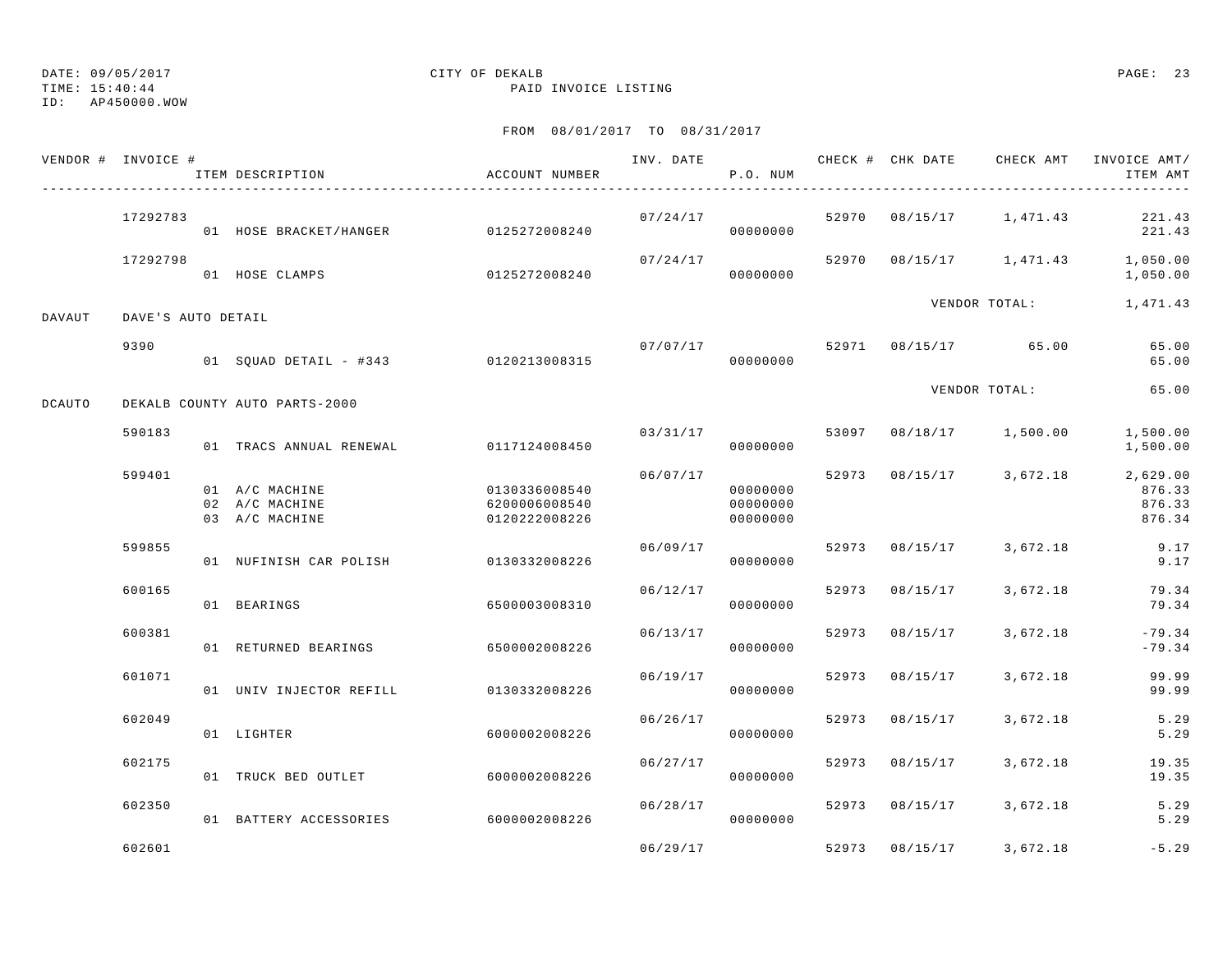TIME: 15:40:44 PAID INVOICE LISTING

ID: AP450000.WOW

|               | VENDOR # INVOICE # | ACCOUNT NUMBER<br>ITEM DESCRIPTION                 |                                                 | INV. DATE | P.O. NUM                         |       | CHECK # CHK DATE                   | CHECK AMT     | INVOICE AMT/<br>ITEM AMT                 |
|---------------|--------------------|----------------------------------------------------|-------------------------------------------------|-----------|----------------------------------|-------|------------------------------------|---------------|------------------------------------------|
|               | 17292783           | 01 HOSE BRACKET/HANGER 0125272008240               |                                                 | 07/24/17  | 00000000                         |       | 52970 08/15/17 1,471.43            |               | 221.43<br>221.43                         |
|               | 17292798           | 01 HOSE CLAMPS                                     | 0125272008240                                   | 07/24/17  | 00000000                         | 52970 |                                    |               | 08/15/17  1,471.43  1,050.00<br>1,050.00 |
| DAVAUT        | DAVE'S AUTO DETAIL |                                                    |                                                 |           |                                  |       |                                    |               | VENDOR TOTAL: 1,471.43                   |
|               | 9390               | 01 SQUAD DETAIL - #343 0120213008315               |                                                 |           | 07/07/17<br>00000000             |       | 52971 08/15/17 65.00               |               | 65.00<br>65.00                           |
| <b>DCAUTO</b> |                    | DEKALB COUNTY AUTO PARTS-2000                      |                                                 |           |                                  |       |                                    | VENDOR TOTAL: | 65.00                                    |
|               | 590183             | 01 TRACS ANNUAL RENEWAL 0117124008450              |                                                 |           | 00000000                         |       | $03/31/17$ 53097 08/18/17 1,500.00 |               | 1,500.00<br>1,500.00                     |
|               | 599401             | 01 A/C MACHINE<br>02 A/C MACHINE<br>03 A/C MACHINE | 0130336008540<br>6200006008540<br>0120222008226 | 06/07/17  | 00000000<br>00000000<br>00000000 |       | 52973 08/15/17 3,672.18            |               | 2,629.00<br>876.33<br>876.33<br>876.34   |
|               | 599855             | 01 NUFINISH CAR POLISH                             | 0130332008226                                   | 06/09/17  | 00000000                         | 52973 | $08/15/17$ 3,672.18                |               | 9.17<br>9.17                             |
|               | 600165             | 01 BEARINGS                                        | 6500003008310                                   | 06/12/17  | 00000000                         | 52973 | 08/15/17                           | 3,672.18      | 79.34<br>79.34                           |
|               | 600381             | 01 RETURNED BEARINGS                               | 6500002008226                                   | 06/13/17  | 00000000                         | 52973 | 08/15/17                           | 3,672.18      | $-79.34$<br>$-79.34$                     |
|               | 601071             | 01 UNIV INJECTOR REFILL 0130332008226              |                                                 | 06/19/17  | 00000000                         | 52973 | 08/15/17                           | 3,672.18      | 99.99<br>99.99                           |
|               | 602049             | 01 LIGHTER                                         | 6000002008226                                   | 06/26/17  | 00000000                         | 52973 | 08/15/17                           | 3,672.18      | 5.29<br>5.29                             |
|               | 602175             | 01 TRUCK BED OUTLET 6000002008226                  |                                                 | 06/27/17  | 00000000                         | 52973 | 08/15/17                           | 3,672.18      | 19.35<br>19.35                           |
|               | 602350             | 01 BATTERY ACCESSORIES                             | 6000002008226                                   | 06/28/17  | 00000000                         |       | 52973 08/15/17 3,672.18            |               | 5.29<br>5.29                             |
|               | 602601             |                                                    |                                                 | 06/29/17  |                                  |       | 52973 08/15/17                     | 3,672.18      | $-5.29$                                  |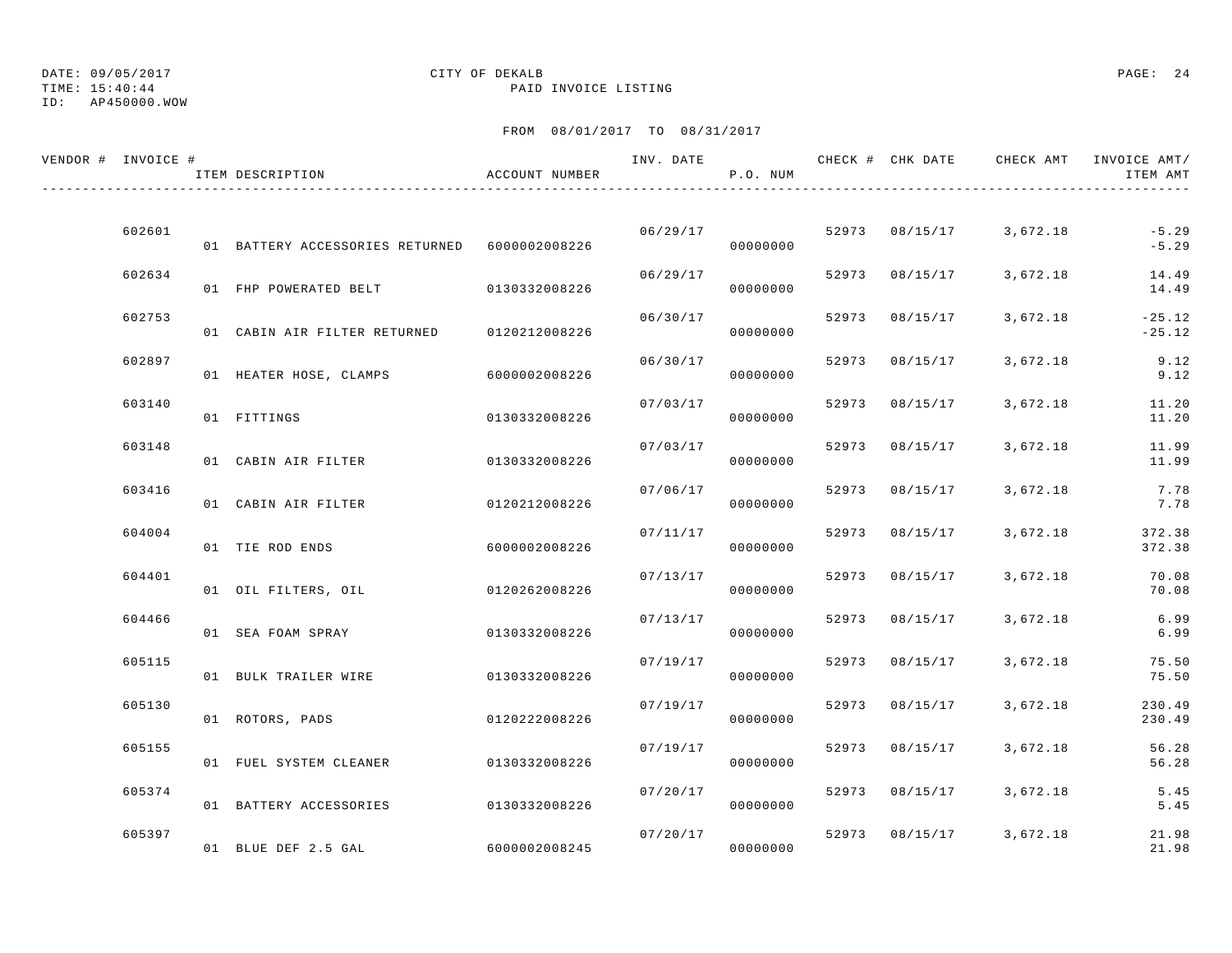# TIME: 15:40:44 PAID INVOICE LISTING

## ID: AP450000.WOW

# DATE: 09/05/2017 CITY OF DEKALB PAGE: 24

| VENDOR # INVOICE # | ITEM DESCRIPTION                              | ACCOUNT NUMBER | INV. DATE | P.O. NUM |       |                | CHECK # CHK DATE CHECK AMT INVOICE AMT/ | ITEM AMT             |
|--------------------|-----------------------------------------------|----------------|-----------|----------|-------|----------------|-----------------------------------------|----------------------|
|                    |                                               |                |           |          |       |                |                                         |                      |
| 602601             | 01 BATTERY ACCESSORIES RETURNED 6000002008226 |                | 06/29/17  | 00000000 |       |                | 52973 08/15/17 3,672.18                 | $-5.29$<br>$-5.29$   |
| 602634             | 01 FHP POWERATED BELT 0130332008226           |                | 06/29/17  | 00000000 |       | 52973 08/15/17 | 3,672.18                                | 14.49<br>14.49       |
| 602753             | 01 CABIN AIR FILTER RETURNED                  | 0120212008226  | 06/30/17  | 00000000 |       | 52973 08/15/17 | 3,672.18                                | $-25.12$<br>$-25.12$ |
| 602897             | 01 HEATER HOSE, CLAMPS                        | 6000002008226  | 06/30/17  | 00000000 |       | 52973 08/15/17 | 3,672.18                                | 9.12<br>9.12         |
| 603140             | 01 FITTINGS                                   | 0130332008226  | 07/03/17  | 00000000 | 52973 | 08/15/17       | 3,672.18                                | 11.20<br>11.20       |
| 603148             | 01 CABIN AIR FILTER                           | 0130332008226  | 07/03/17  | 00000000 | 52973 | 08/15/17       | 3,672.18                                | 11.99<br>11.99       |
| 603416             | 01 CABIN AIR FILTER                           | 0120212008226  | 07/06/17  | 00000000 |       | 52973 08/15/17 | 3,672.18                                | 7.78<br>7.78         |
| 604004             | 01 TIE ROD ENDS                               | 6000002008226  | 07/11/17  | 00000000 |       | 52973 08/15/17 | 3,672.18                                | 372.38<br>372.38     |
| 604401             | 01 OIL FILTERS, OIL                           | 0120262008226  | 07/13/17  | 00000000 |       | 52973 08/15/17 | 3,672.18                                | 70.08<br>70.08       |
| 604466             | 01 SEA FOAM SPRAY                             | 0130332008226  | 07/13/17  | 00000000 |       | 52973 08/15/17 | 3,672.18                                | 6.99<br>6.99         |
| 605115             | 01 BULK TRAILER WIRE                          | 0130332008226  | 07/19/17  | 00000000 |       | 52973 08/15/17 | 3,672.18                                | 75.50<br>75.50       |
| 605130             |                                               |                | 07/19/17  | 00000000 |       | 52973 08/15/17 | 3,672.18                                | 230.49<br>230.49     |
| 605155             | 01 ROTORS, PADS                               | 0120222008226  | 07/19/17  |          |       | 52973 08/15/17 | 3,672.18                                | 56.28                |
| 605374             | 01 FUEL SYSTEM CLEANER                        | 0130332008226  | 07/20/17  | 00000000 |       | 52973 08/15/17 | 3,672.18                                | 56.28<br>5.45        |
|                    | 01 BATTERY ACCESSORIES                        | 0130332008226  |           | 00000000 |       |                |                                         | 5.45                 |
| 605397             | 01 BLUE DEF 2.5 GAL                           | 6000002008245  | 07/20/17  | 00000000 |       |                | 52973 08/15/17 3,672.18                 | 21.98<br>21.98       |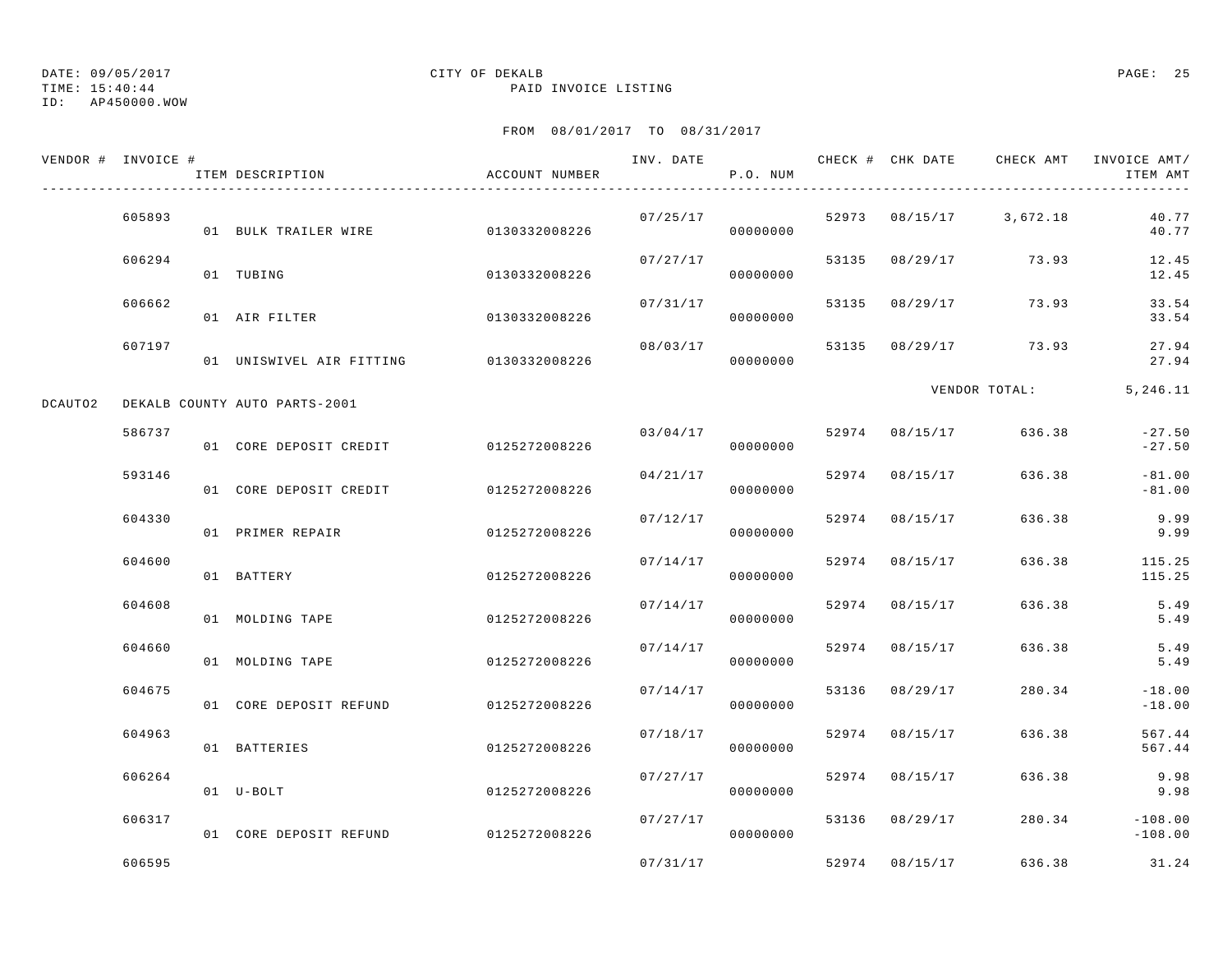TIME: 15:40:44 PAID INVOICE LISTING

ID: AP450000.WOW

|         | VENDOR # INVOICE # | ITEM DESCRIPTION                       | ACCOUNT NUMBER | INV. DATE | P.O. NUM |       | CHECK # CHK DATE | CHECK AMT     | INVOICE AMT/<br>ITEM AMT |
|---------|--------------------|----------------------------------------|----------------|-----------|----------|-------|------------------|---------------|--------------------------|
|         | 605893             | 01 BULK TRAILER WIRE                   | 0130332008226  | 07/25/17  | 00000000 |       | 52973 08/15/17   | 3,672.18      | 40.77<br>40.77           |
|         | 606294             | 01 TUBING                              | 0130332008226  | 07/27/17  | 00000000 | 53135 | 08/29/17         | 73.93         | 12.45<br>12.45           |
|         | 606662             | 01 AIR FILTER                          | 0130332008226  | 07/31/17  | 00000000 | 53135 | 08/29/17         | 73.93         | 33.54<br>33.54           |
|         | 607197             | 01 UNISWIVEL AIR FITTING 0130332008226 |                | 08/03/17  | 00000000 | 53135 | 08/29/17         | 73.93         | 27.94<br>27.94           |
| DCAUTO2 |                    | DEKALB COUNTY AUTO PARTS-2001          |                |           |          |       |                  | VENDOR TOTAL: | 5,246.11                 |
|         | 586737             | 01 CORE DEPOSIT CREDIT                 | 0125272008226  | 03/04/17  | 00000000 |       | 52974 08/15/17   | 636.38        | $-27.50$<br>$-27.50$     |
|         | 593146             | 01 CORE DEPOSIT CREDIT                 | 0125272008226  | 04/21/17  | 00000000 |       | 52974 08/15/17   | 636.38        | $-81.00$<br>$-81.00$     |
|         | 604330             | 01 PRIMER REPAIR                       | 0125272008226  | 07/12/17  | 00000000 | 52974 | 08/15/17         | 636.38        | 9.99<br>9.99             |
|         | 604600             | 01 BATTERY                             | 0125272008226  | 07/14/17  | 00000000 | 52974 | 08/15/17         | 636.38        | 115.25<br>115.25         |
|         | 604608             | 01 MOLDING TAPE                        | 0125272008226  | 07/14/17  | 00000000 | 52974 | 08/15/17         | 636.38        | 5.49<br>5.49             |
|         | 604660             | 01 MOLDING TAPE                        | 0125272008226  | 07/14/17  | 00000000 | 52974 | 08/15/17         | 636.38        | 5.49<br>5.49             |
|         | 604675             | 01 CORE DEPOSIT REFUND                 | 0125272008226  | 07/14/17  | 00000000 | 53136 | 08/29/17         | 280.34        | $-18.00$<br>$-18.00$     |
|         | 604963             | 01 BATTERIES                           | 0125272008226  | 07/18/17  | 00000000 | 52974 | 08/15/17         | 636.38        | 567.44<br>567.44         |
|         | 606264             | 01 U-BOLT                              | 0125272008226  | 07/27/17  | 00000000 | 52974 | 08/15/17         | 636.38        | 9.98<br>9.98             |
|         | 606317             | 01 CORE DEPOSIT REFUND                 | 0125272008226  | 07/27/17  | 00000000 |       | 53136 08/29/17   | 280.34        | $-108.00$<br>$-108.00$   |
|         | 606595             |                                        |                | 07/31/17  |          |       | 52974 08/15/17   | 636.38        | 31.24                    |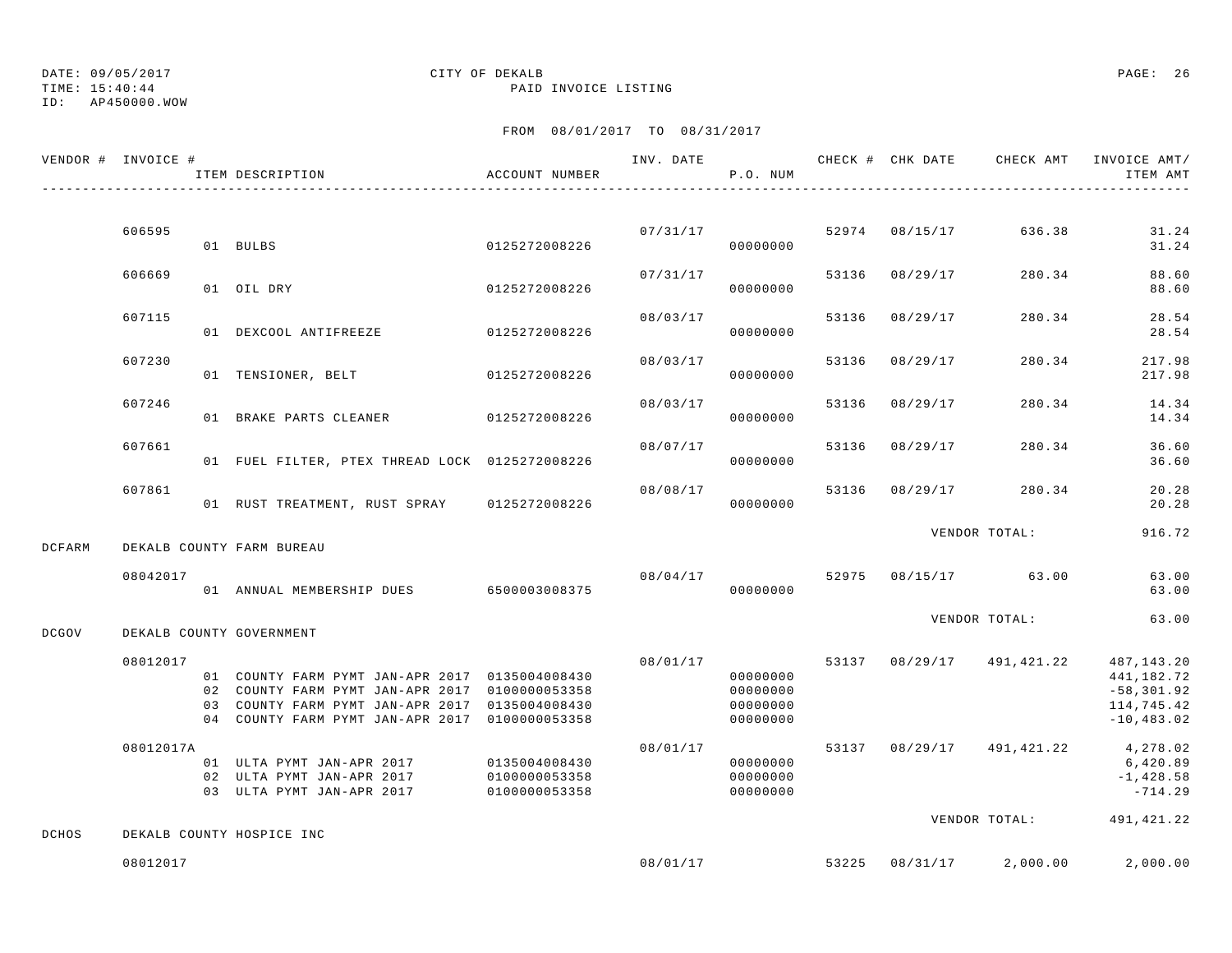TIME: 15:40:44 PAID INVOICE LISTING

ID: AP450000.WOW

|              | VENDOR # INVOICE # | ITEM DESCRIPTION                                                                                                                                                                                     | ACCOUNT NUMBER                                  |          | P.O. NUM                                     |       |                | INV. DATE 6 CHECK # CHK DATE CHECK AMT INVOICE AMT/ | ITEM AMT                                                                 |
|--------------|--------------------|------------------------------------------------------------------------------------------------------------------------------------------------------------------------------------------------------|-------------------------------------------------|----------|----------------------------------------------|-------|----------------|-----------------------------------------------------|--------------------------------------------------------------------------|
|              |                    |                                                                                                                                                                                                      |                                                 |          |                                              |       |                |                                                     |                                                                          |
|              | 606595             | 01 BULBS                                                                                                                                                                                             | 0125272008226                                   |          | 07/31/17<br>00000000                         |       | 52974 08/15/17 | 636.38                                              | 31.24<br>31.24                                                           |
|              | 606669             | 01 OIL DRY                                                                                                                                                                                           | 0125272008226                                   | 07/31/17 | 00000000                                     | 53136 | 08/29/17       | 280.34                                              | 88.60<br>88.60                                                           |
|              | 607115             | 01 DEXCOOL ANTIFREEZE                                                                                                                                                                                | 0125272008226                                   | 08/03/17 | 00000000                                     | 53136 | 08/29/17       | 280.34                                              | 28.54<br>28.54                                                           |
|              | 607230             | 01 TENSIONER, BELT                                                                                                                                                                                   | 0125272008226                                   | 08/03/17 | 00000000                                     | 53136 | 08/29/17       | 280.34                                              | 217.98<br>217.98                                                         |
|              | 607246             | 01 BRAKE PARTS CLEANER                                                                                                                                                                               | 0125272008226                                   | 08/03/17 | 00000000                                     | 53136 | 08/29/17       | 280.34                                              | 14.34<br>14.34                                                           |
|              | 607661             | 01 FUEL FILTER, PTEX THREAD LOCK 0125272008226                                                                                                                                                       |                                                 | 08/07/17 | 00000000                                     | 53136 | 08/29/17       | 280.34                                              | 36.60<br>36.60                                                           |
|              | 607861             | 01 RUST TREATMENT, RUST SPRAY 0125272008226                                                                                                                                                          |                                                 | 08/08/17 | 00000000                                     |       | 53136 08/29/17 | 280.34                                              | 20.28<br>20.28                                                           |
| DCFARM       |                    | DEKALB COUNTY FARM BUREAU                                                                                                                                                                            |                                                 |          |                                              |       |                | VENDOR TOTAL:                                       | 916.72                                                                   |
|              | 08042017           |                                                                                                                                                                                                      |                                                 |          | 08/04/17                                     |       |                | 52975 08/15/17 63.00                                | 63.00                                                                    |
|              |                    | 01 ANNUAL MEMBERSHIP DUES 6500003008375                                                                                                                                                              |                                                 |          | 00000000                                     |       |                |                                                     | 63.00                                                                    |
| DCGOV        |                    | DEKALB COUNTY GOVERNMENT                                                                                                                                                                             |                                                 |          |                                              |       |                | VENDOR TOTAL:                                       | 63.00                                                                    |
|              | 08012017           | 01 COUNTY FARM PYMT JAN-APR 2017 0135004008430<br>02 COUNTY FARM PYMT JAN-APR 2017 0100000053358<br>03 COUNTY FARM PYMT JAN-APR 2017 0135004008430<br>04 COUNTY FARM PYMT JAN-APR 2017 0100000053358 |                                                 | 08/01/17 | 00000000<br>00000000<br>00000000<br>00000000 |       |                | 53137 08/29/17 491,421.22                           | 487,143.20<br>441,182.72<br>$-58, 301.92$<br>114,745.42<br>$-10, 483.02$ |
|              | 08012017A          | 01 ULTA PYMT JAN-APR 2017<br>02 ULTA PYMT JAN-APR 2017<br>03 ULTA PYMT JAN-APR 2017                                                                                                                  | 0135004008430<br>0100000053358<br>0100000053358 | 08/01/17 | 00000000<br>00000000<br>00000000             |       |                | 53137 08/29/17 491, 421.22 4, 278.02                | 6,420.89<br>$-1,428.58$<br>$-714.29$                                     |
| <b>DCHOS</b> |                    | DEKALB COUNTY HOSPICE INC                                                                                                                                                                            |                                                 |          |                                              |       |                | VENDOR TOTAL:                                       | 491,421.22                                                               |
|              | 08012017           |                                                                                                                                                                                                      |                                                 | 08/01/17 |                                              | 53225 | 08/31/17       | 2,000.00                                            | 2,000.00                                                                 |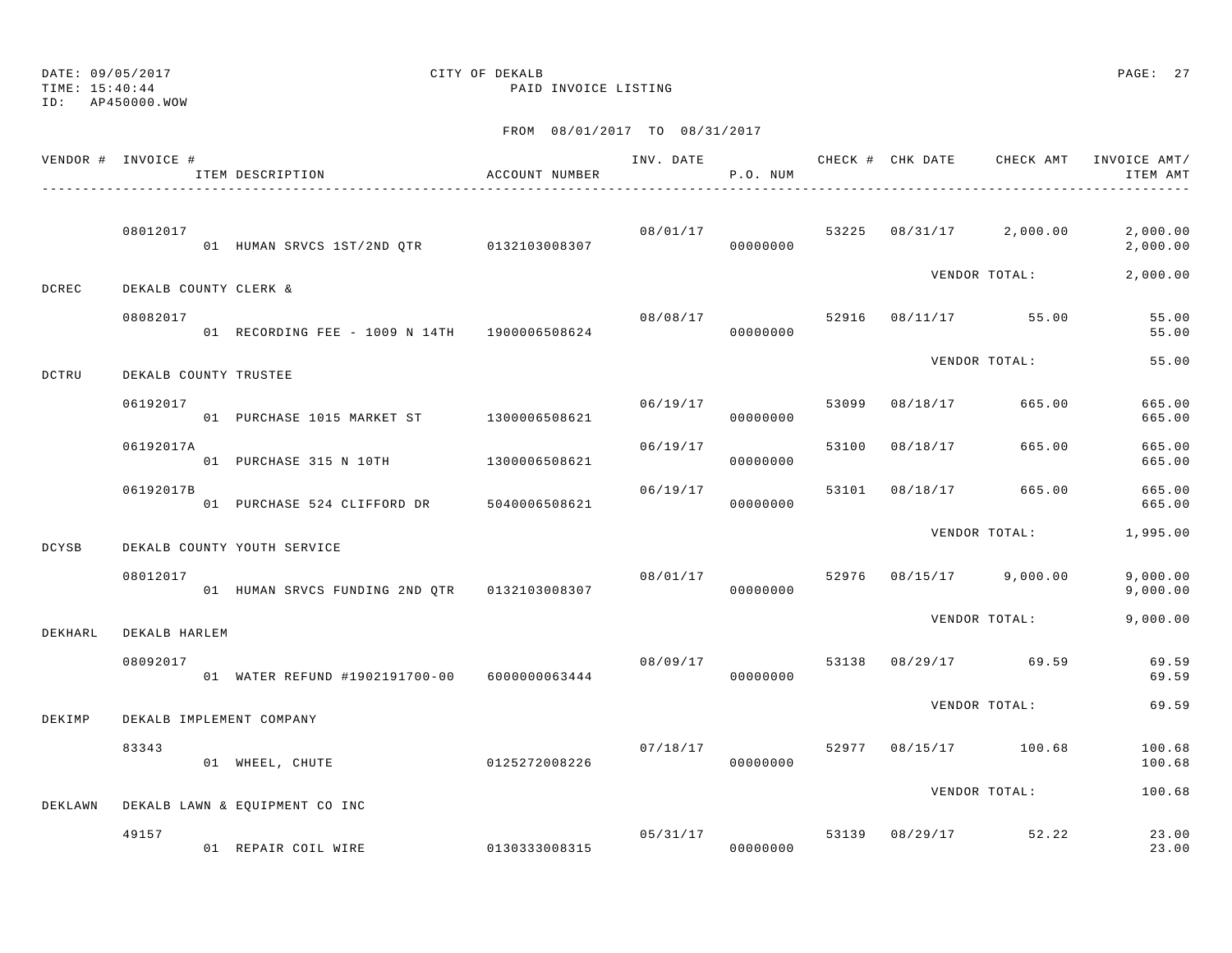ID: AP450000.WOW

# DATE: 09/05/2017 CITY OF DEKALB PAGE: 27

TIME: 15:40:44 PAID INVOICE LISTING

|              | VENDOR # INVOICE #    | ITEM DESCRIPTION<br>----------------------------------- | ACCOUNT NUMBER |          | P.O. NUM             |       |          | INV. DATE 6 CHECK # CHK DATE CHECK AMT   | INVOICE AMT/<br>ITEM AMT |
|--------------|-----------------------|---------------------------------------------------------|----------------|----------|----------------------|-------|----------|------------------------------------------|--------------------------|
|              | 08012017              | 01 HUMAN SRVCS 1ST/2ND QTR 0132103008307                |                |          | 00000000             |       |          | $08/01/17$ $53225$ $08/31/17$ $2,000.00$ | 2,000.00<br>2,000.00     |
| DCREC        | DEKALB COUNTY CLERK & |                                                         |                |          |                      |       |          | VENDOR TOTAL:                            | 2,000.00                 |
|              | 08082017              | 01 RECORDING FEE - 1009 N 14TH 1900006508624            |                | 08/08/17 | 00000000             | 52916 |          | 08/11/17 55.00                           | 55.00<br>55.00           |
| DCTRU        | DEKALB COUNTY TRUSTEE |                                                         |                |          |                      |       |          | VENDOR TOTAL:                            | 55.00                    |
|              | 06192017              | 01 PURCHASE 1015 MARKET ST 1300006508621                |                | 06/19/17 | 00000000             | 53099 | 08/18/17 | 665.00                                   | 665.00<br>665.00         |
|              | 06192017A             | 01 PURCHASE 315 N 10TH 1300006508621                    |                | 06/19/17 | 00000000             | 53100 | 08/18/17 | 665.00                                   | 665.00<br>665.00         |
|              | 06192017B             | 01 PURCHASE 524 CLIFFORD DR 5040006508621               |                | 06/19/17 | 00000000             | 53101 | 08/18/17 | 665.00                                   | 665.00<br>665.00         |
| <b>DCYSB</b> |                       | DEKALB COUNTY YOUTH SERVICE                             |                |          |                      |       |          | VENDOR TOTAL:                            | 1,995.00                 |
|              | 08012017              | 01 HUMAN SRVCS FUNDING 2ND QTR 0132103008307            |                | 08/01/17 | 00000000             |       |          | 52976 08/15/17 9,000.00                  | 9,000.00<br>9,000.00     |
| DEKHARL      | DEKALB HARLEM         |                                                         |                |          |                      |       |          | VENDOR TOTAL:                            | 9,000.00                 |
|              | 08092017              | 01 WATER REFUND #1902191700-00 6000000063444            |                | 08/09/17 | 00000000             | 53138 |          | 08/29/17 69.59                           | 69.59<br>69.59           |
| DEKIMP       |                       | DEKALB IMPLEMENT COMPANY                                |                |          |                      |       |          | VENDOR TOTAL:                            | 69.59                    |
|              | 83343                 | 01 WHEEL, CHUTE                                         | 0125272008226  | 07/18/17 | 00000000             |       |          | 52977 08/15/17 100.68                    | 100.68<br>100.68         |
| DEKLAWN      |                       | DEKALB LAWN & EQUIPMENT CO INC                          |                |          |                      |       |          | VENDOR TOTAL:                            | 100.68                   |
|              | 49157                 | 01 REPAIR COIL WIRE                                     | 0130333008315  |          | 05/31/17<br>00000000 | 53139 |          | 08/29/17 52.22                           | 23.00<br>23.00           |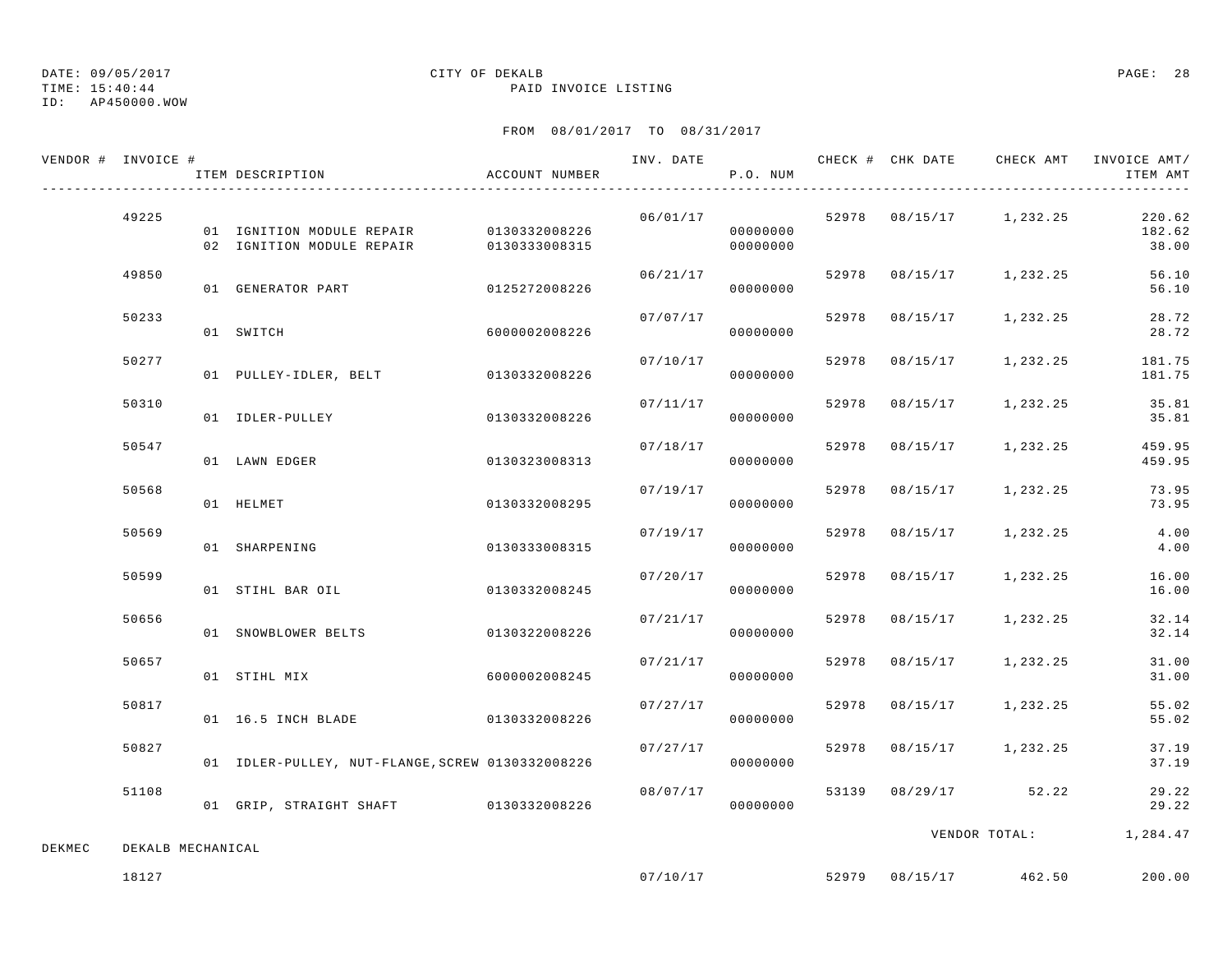TIME: 15:40:44 PAID INVOICE LISTING

## ID: AP450000.WOW

# DATE: 09/05/2017 CITY OF DEKALB PAGE: 28

|        | VENDOR # INVOICE # | ITEM DESCRIPTION                                                                   | ACCOUNT NUMBER | INV. DATE | P.O. NUM             |       | CHECK # CHK DATE | CHECK AMT               | INVOICE AMT/<br>ITEM AMT  |
|--------|--------------------|------------------------------------------------------------------------------------|----------------|-----------|----------------------|-------|------------------|-------------------------|---------------------------|
|        | 49225              | 01 IGNITION MODULE REPAIR 0130332008226<br>02 IGNITION MODULE REPAIR 0130333008315 |                | 06/01/17  | 00000000<br>00000000 |       |                  | 52978 08/15/17 1,232.25 | 220.62<br>182.62<br>38.00 |
|        | 49850              | 01 GENERATOR PART                                                                  | 0125272008226  | 06/21/17  | 00000000             |       |                  | 52978 08/15/17 1,232.25 | 56.10<br>56.10            |
|        | 50233              | 01 SWITCH                                                                          | 6000002008226  | 07/07/17  | 00000000             |       | 52978 08/15/17   | 1,232.25                | 28.72<br>28.72            |
|        | 50277              | 01 PULLEY-IDLER, BELT                                                              | 0130332008226  | 07/10/17  | 00000000             | 52978 | 08/15/17         | 1,232.25                | 181.75<br>181.75          |
|        | 50310              | 01 IDLER-PULLEY                                                                    | 0130332008226  | 07/11/17  | 00000000             | 52978 | 08/15/17         | 1,232.25                | 35.81<br>35.81            |
|        | 50547              | 01 LAWN EDGER                                                                      | 0130323008313  | 07/18/17  | 00000000             | 52978 | 08/15/17         | 1,232.25                | 459.95<br>459.95          |
|        | 50568              | 01 HELMET                                                                          | 0130332008295  | 07/19/17  | 00000000             | 52978 | 08/15/17         | 1,232.25                | 73.95<br>73.95            |
|        | 50569              | 01 SHARPENING                                                                      | 0130333008315  | 07/19/17  | 00000000             | 52978 | 08/15/17         | 1,232.25                | 4.00<br>4.00              |
|        | 50599              | 01 STIHL BAR OIL                                                                   | 0130332008245  | 07/20/17  | 00000000             |       | 52978 08/15/17   | 1,232.25                | 16.00<br>16.00            |
|        | 50656              | 01 SNOWBLOWER BELTS                                                                | 0130322008226  | 07/21/17  | 00000000             |       | 52978 08/15/17   | 1,232.25                | 32.14<br>32.14            |
|        | 50657              | 01 STIHL MIX                                                                       | 6000002008245  | 07/21/17  | 00000000             |       | 52978 08/15/17   | 1,232.25                | 31.00<br>31.00            |
|        | 50817              | 01 16.5 INCH BLADE                                                                 | 0130332008226  | 07/27/17  | 00000000             | 52978 | 08/15/17         | 1,232.25                | 55.02<br>55.02            |
|        | 50827              | 01 IDLER-PULLEY, NUT-FLANGE, SCREW 0130332008226                                   |                | 07/27/17  | 00000000             |       |                  | 52978 08/15/17 1,232.25 | 37.19<br>37.19            |
|        | 51108              | 01 GRIP, STRAIGHT SHAFT 0130332008226                                              |                | 08/07/17  | 00000000             |       |                  | 53139 08/29/17 52.22    | 29.22<br>29.22            |
| DEKMEC | DEKALB MECHANICAL  |                                                                                    |                |           |                      |       |                  | VENDOR TOTAL:           | 1,284.47                  |
|        | 18127              |                                                                                    |                | 07/10/17  |                      |       |                  | 52979 08/15/17 462.50   | 200.00                    |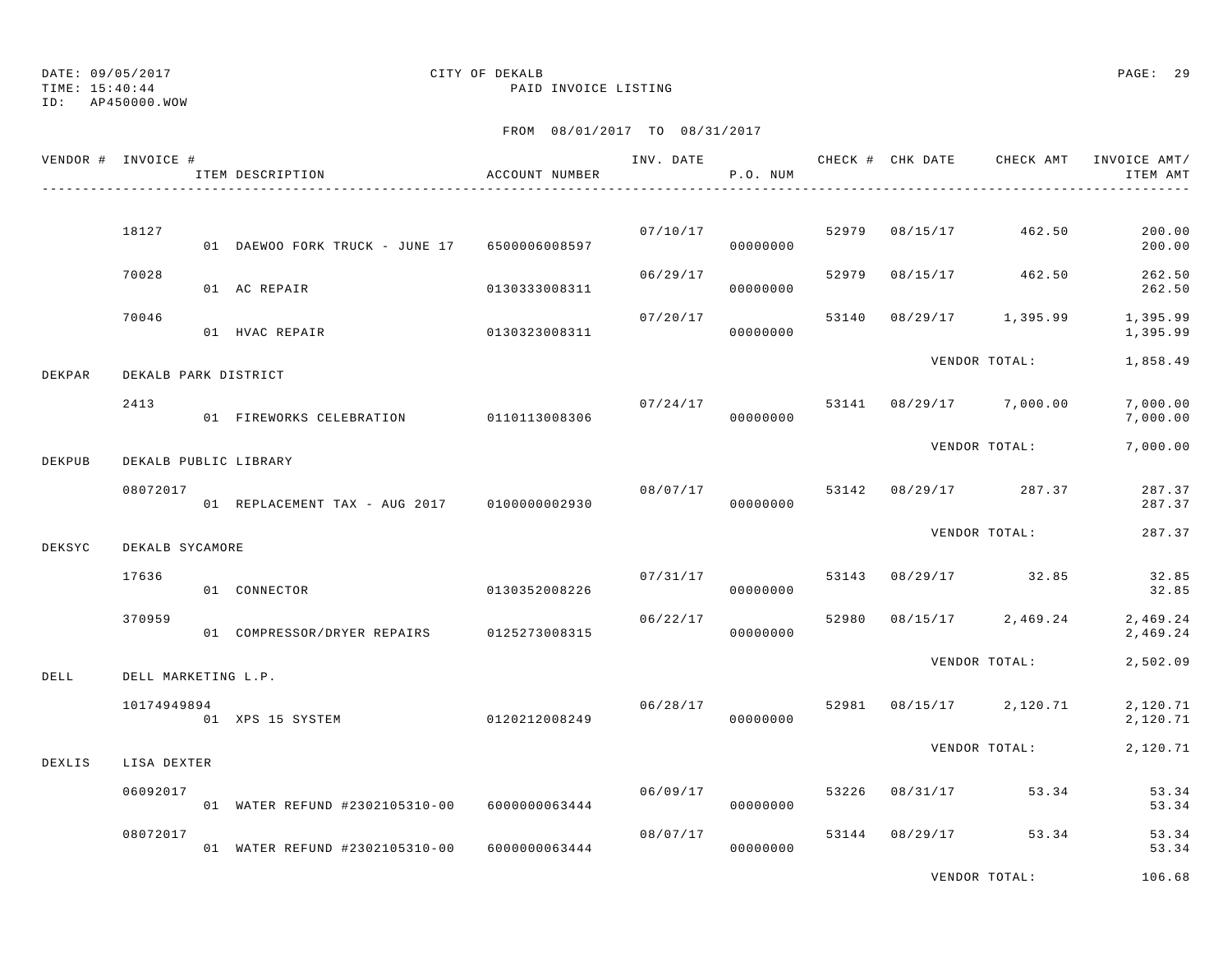TIME: 15:40:44 PAID INVOICE LISTING

ID: AP450000.WOW

## FROM 08/01/2017 TO 08/31/2017

|        | VENDOR # INVOICE #   | ITEM DESCRIPTION                                | ACCOUNT NUMBER |          | P.O. NUM             |       | INV. DATE 6 CHECK # CHK DATE CHECK AMT INVOICE AMT/ | ITEM AMT             |
|--------|----------------------|-------------------------------------------------|----------------|----------|----------------------|-------|-----------------------------------------------------|----------------------|
|        |                      |                                                 |                |          |                      |       |                                                     |                      |
|        | 18127                | 01 DAEWOO FORK TRUCK - JUNE 17 6500006008597    |                | 07/10/17 | 00000000             | 52979 | 08/15/17 462.50                                     | 200.00<br>200.00     |
|        | 70028                | 01 AC REPAIR                                    | 0130333008311  | 06/29/17 | 00000000             | 52979 | 08/15/17 462.50                                     | 262.50<br>262.50     |
|        | 70046                | 01 HVAC REPAIR                                  | 0130323008311  | 07/20/17 | 00000000             | 53140 | 08/29/17 1,395.99                                   | 1,395.99<br>1,395.99 |
| DEKPAR | DEKALB PARK DISTRICT |                                                 |                |          |                      |       | VENDOR TOTAL:                                       | 1,858.49             |
|        | 2413                 | 01 FIREWORKS CELEBRATION 0110113008306          |                |          | 07/24/17<br>00000000 |       | 53141 08/29/17 7,000.00                             | 7,000.00<br>7,000.00 |
| DEKPUB |                      | DEKALB PUBLIC LIBRARY                           |                |          |                      |       | VENDOR TOTAL:                                       | 7,000.00             |
|        | 08072017             | 01 REPLACEMENT TAX - AUG 2017 0100000002930     |                | 08/07/17 | 00000000             |       | 53142 08/29/17 287.37                               | 287.37<br>287.37     |
|        |                      |                                                 |                |          |                      |       | VENDOR TOTAL:                                       | 287.37               |
| DEKSYC | DEKALB SYCAMORE      |                                                 |                |          |                      |       |                                                     |                      |
|        | 17636                | 01 CONNECTOR                                    | 0130352008226  | 07/31/17 | 00000000             | 53143 | 08/29/17 32.85                                      | 32.85<br>32.85       |
|        | 370959               | 01 COMPRESSOR/DRYER REPAIRS 0125273008315       |                | 06/22/17 | 00000000             | 52980 | $08/15/17$ 2,469.24                                 | 2,469.24<br>2,469.24 |
| DELL   | DELL MARKETING L.P.  |                                                 |                |          |                      |       | VENDOR TOTAL:                                       | 2,502.09             |
|        | 10174949894          | 01 XPS 15 SYSTEM                                | 0120212008249  | 06/28/17 | 00000000             |       | 52981 08/15/17 2,120.71                             | 2,120.71<br>2,120.71 |
| DEXLIS | LISA DEXTER          |                                                 |                |          |                      |       | VENDOR TOTAL:                                       | 2,120.71             |
|        | 06092017             | 01 WATER REFUND #2302105310-00    6000000063444 |                | 06/09/17 | 00000000             | 53226 | 08/31/17 53.34                                      | 53.34<br>53.34       |
|        | 08072017             | 01 WATER REFUND #2302105310-00 6000000063444    |                |          | 08/07/17<br>00000000 |       | 53144 08/29/17 53.34                                | 53.34<br>53.34       |
|        |                      |                                                 |                |          |                      |       |                                                     |                      |

VENDOR TOTAL: 106.68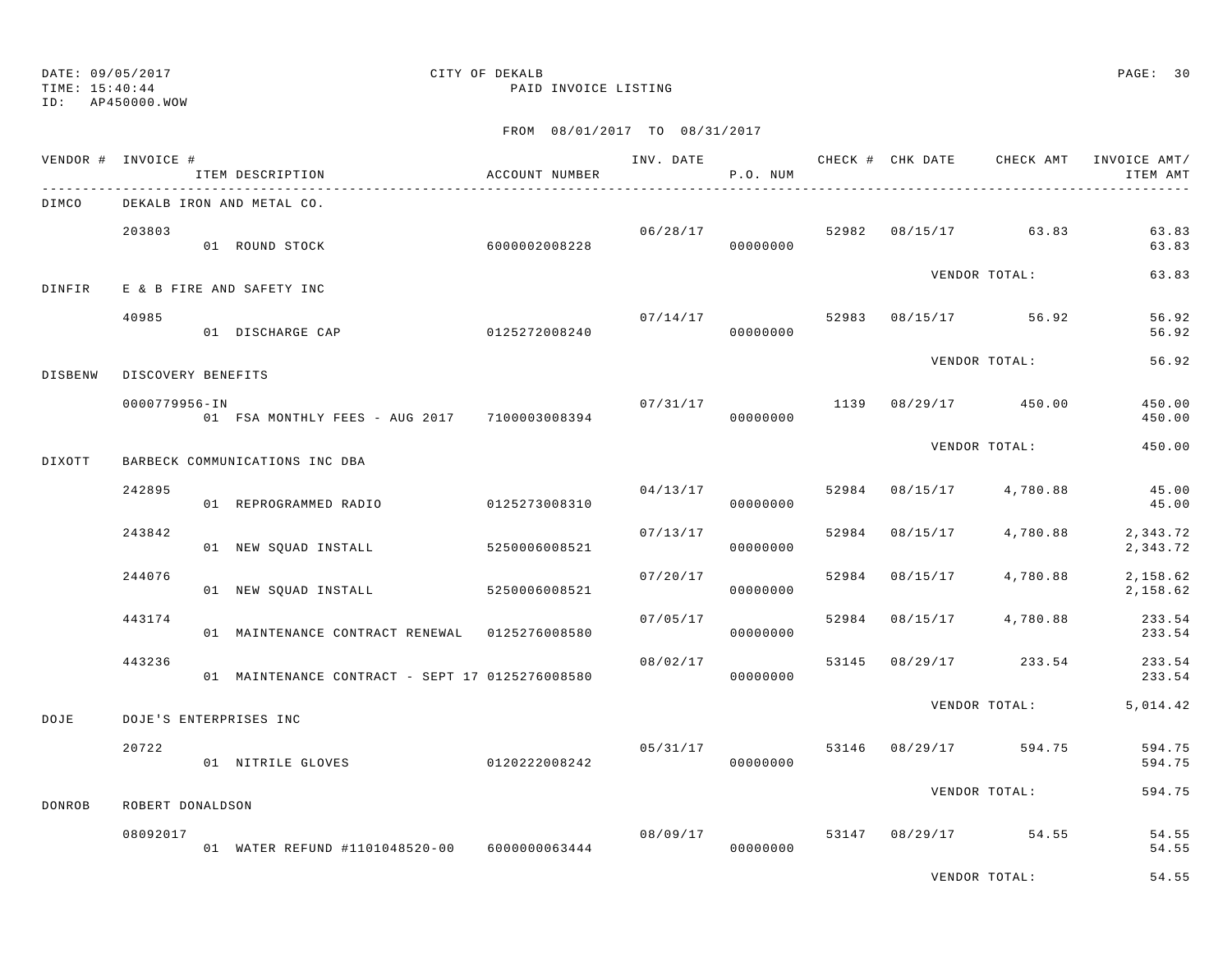ID: AP450000.WOW

TIME: 15:40:44 PAID INVOICE LISTING

|                | VENDOR # INVOICE # | ITEM DESCRIPTION                                | ACCOUNT NUMBER | INV. DATE | P.O. NUM             |       |                | CHECK # CHK DATE CHECK AMT | INVOICE AMT/<br>ITEM AMT |
|----------------|--------------------|-------------------------------------------------|----------------|-----------|----------------------|-------|----------------|----------------------------|--------------------------|
| DIMCO          |                    | DEKALB IRON AND METAL CO.                       |                |           |                      |       |                |                            |                          |
|                | 203803             | 01 ROUND STOCK                                  | 6000002008228  |           | 06/28/17<br>00000000 | 52982 |                | 08/15/17 63.83             | 63.83<br>63.83           |
| DINFIR         |                    | E & B FIRE AND SAFETY INC                       |                |           |                      |       |                | VENDOR TOTAL:              | 63.83                    |
|                | 40985              | 01 DISCHARGE CAP                                | 0125272008240  | 07/14/17  | 00000000             |       |                | 52983 08/15/17 56.92       | 56.92<br>56.92           |
| <b>DISBENW</b> | DISCOVERY BENEFITS |                                                 |                |           |                      |       |                | VENDOR TOTAL:              | 56.92                    |
|                | 0000779956-IN      | 01 FSA MONTHLY FEES - AUG 2017 7100003008394    |                | 07/31/17  | 00000000             | 1139  |                | 08/29/17 450.00            | 450.00<br>450.00         |
| DIXOTT         |                    | BARBECK COMMUNICATIONS INC DBA                  |                |           |                      |       |                | VENDOR TOTAL:              | 450.00                   |
|                | 242895             | 01 REPROGRAMMED RADIO                           | 0125273008310  |           | 04/13/17<br>00000000 | 52984 | 08/15/17       | 4,780.88                   | 45.00<br>45.00           |
|                | 243842             | 01 NEW SQUAD INSTALL                            | 5250006008521  | 07/13/17  | 00000000             | 52984 | 08/15/17       | 4,780.88                   | 2,343.72<br>2,343.72     |
|                | 244076             | 01 NEW SQUAD INSTALL                            | 5250006008521  | 07/20/17  | 00000000             | 52984 | 08/15/17       | 4,780.88                   | 2,158.62<br>2,158.62     |
|                | 443174             | 01 MAINTENANCE CONTRACT RENEWAL 0125276008580   |                | 07/05/17  | 00000000             | 52984 | 08/15/17       | 4,780.88                   | 233.54<br>233.54         |
|                | 443236             | 01 MAINTENANCE CONTRACT - SEPT 17 0125276008580 |                | 08/02/17  | 00000000             | 53145 | 08/29/17       | 233.54                     | 233.54<br>233.54         |
| DOJE           |                    | DOJE'S ENTERPRISES INC                          |                |           |                      |       |                | VENDOR TOTAL:              | 5,014.42                 |
|                | 20722              | 01 NITRILE GLOVES                               | 0120222008242  | 05/31/17  | 00000000             |       | 53146 08/29/17 | 594.75                     | 594.75<br>594.75         |
| DONROB         | ROBERT DONALDSON   |                                                 |                |           |                      |       |                | VENDOR TOTAL:              | 594.75                   |
|                | 08092017           | 01 WATER REFUND #1101048520-00 6000000063444    |                |           | 08/09/17<br>00000000 | 53147 |                | 08/29/17 54.55             | 54.55<br>54.55           |
|                |                    |                                                 |                |           |                      |       |                | VENDOR TOTAL:              | 54.55                    |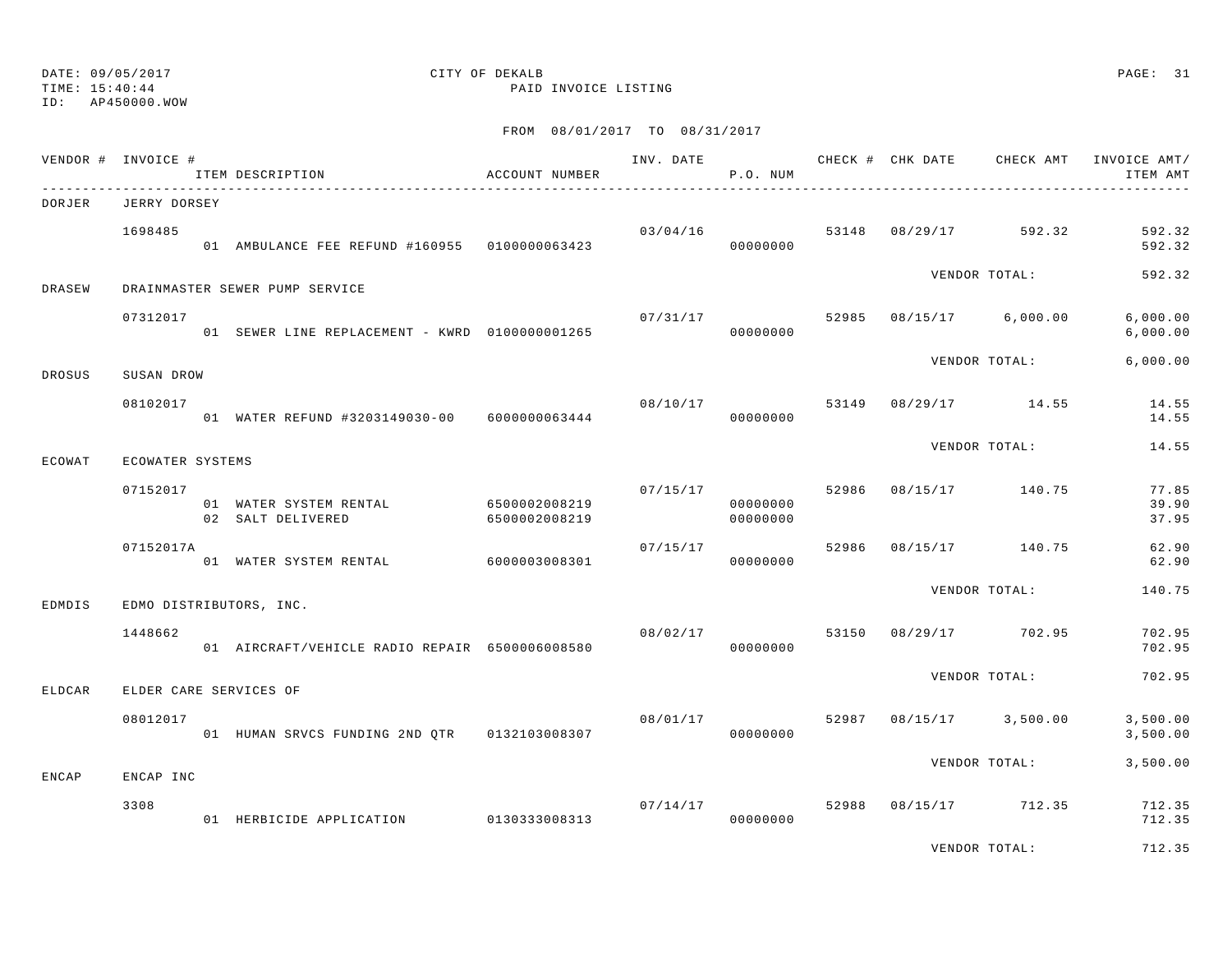TIME: 15:40:44 PAID INVOICE LISTING

ID: AP450000.WOW

| VENDOR # INVOICE # |                  | ITEM DESCRIPTION                                          | ACCOUNT NUMBER | INV. DATE | P.O. NUM                   |       | CHECK # CHK DATE | CHECK AMT           | INVOICE AMT/<br>ITEM AMT |
|--------------------|------------------|-----------------------------------------------------------|----------------|-----------|----------------------------|-------|------------------|---------------------|--------------------------|
| DORJER             | JERRY DORSEY     |                                                           |                |           |                            |       |                  |                     |                          |
|                    | 1698485          | 01 AMBULANCE FEE REFUND #160955 0100000063423             |                | 03/04/16  | 00000000                   | 53148 |                  | 08/29/17 592.32     | 592.32<br>592.32         |
| DRASEW             |                  | DRAINMASTER SEWER PUMP SERVICE                            |                |           |                            |       |                  | VENDOR TOTAL:       | 592.32                   |
|                    | 07312017         | 01 SEWER LINE REPLACEMENT - KWRD 01000000001265           |                | 07/31/17  | 00000000                   | 52985 |                  | 08/15/17 6,000.00   | 6,000.00<br>6,000.00     |
| <b>DROSUS</b>      | SUSAN DROW       |                                                           |                |           |                            |       |                  | VENDOR TOTAL:       | 6.000.00                 |
|                    | 08102017         | 01 WATER REFUND #3203149030-00 6000000063444              |                |           | 08/10/17 53149<br>00000000 |       |                  | $08/29/17$ 14.55    | 14.55<br>14.55           |
| ECOWAT             | ECOWATER SYSTEMS |                                                           |                |           |                            |       |                  | VENDOR TOTAL:       | 14.55                    |
|                    | 07152017         | 01 WATER SYSTEM RENTAL 6500002008219<br>02 SALT DELIVERED | 6500002008219  | 07/15/17  | 00000000<br>00000000       | 52986 |                  | 08/15/17 140.75     | 77.85<br>39.90<br>37.95  |
|                    | 07152017A        | 01 WATER SYSTEM RENTAL                                    | 6000003008301  | 07/15/17  | 00000000                   | 52986 |                  | 08/15/17 140.75     | 62.90<br>62.90           |
| EDMDIS             |                  | EDMO DISTRIBUTORS, INC.                                   |                |           |                            |       |                  | VENDOR TOTAL:       | 140.75                   |
|                    | 1448662          | 01 AIRCRAFT/VEHICLE RADIO REPAIR 6500006008580            |                | 08/02/17  | 00000000                   | 53150 |                  | 08/29/17 702.95     | 702.95<br>702.95         |
| <b>ELDCAR</b>      |                  | ELDER CARE SERVICES OF                                    |                |           |                            |       |                  | VENDOR TOTAL:       | 702.95                   |
|                    | 08012017         |                                                           |                |           | 08/01/17<br>00000000       | 52987 |                  | $08/15/17$ 3,500.00 | 3,500.00<br>3,500.00     |
| <b>ENCAP</b>       | ENCAP INC        |                                                           |                |           |                            |       |                  | VENDOR TOTAL:       | 3,500.00                 |
|                    | 3308             | 01 HERBICIDE APPLICATION                                  | 0130333008313  | 07/14/17  | 00000000                   | 52988 |                  | 08/15/17 712.35     | 712.35<br>712.35         |
|                    |                  |                                                           |                |           |                            |       |                  | VENDOR TOTAL:       | 712.35                   |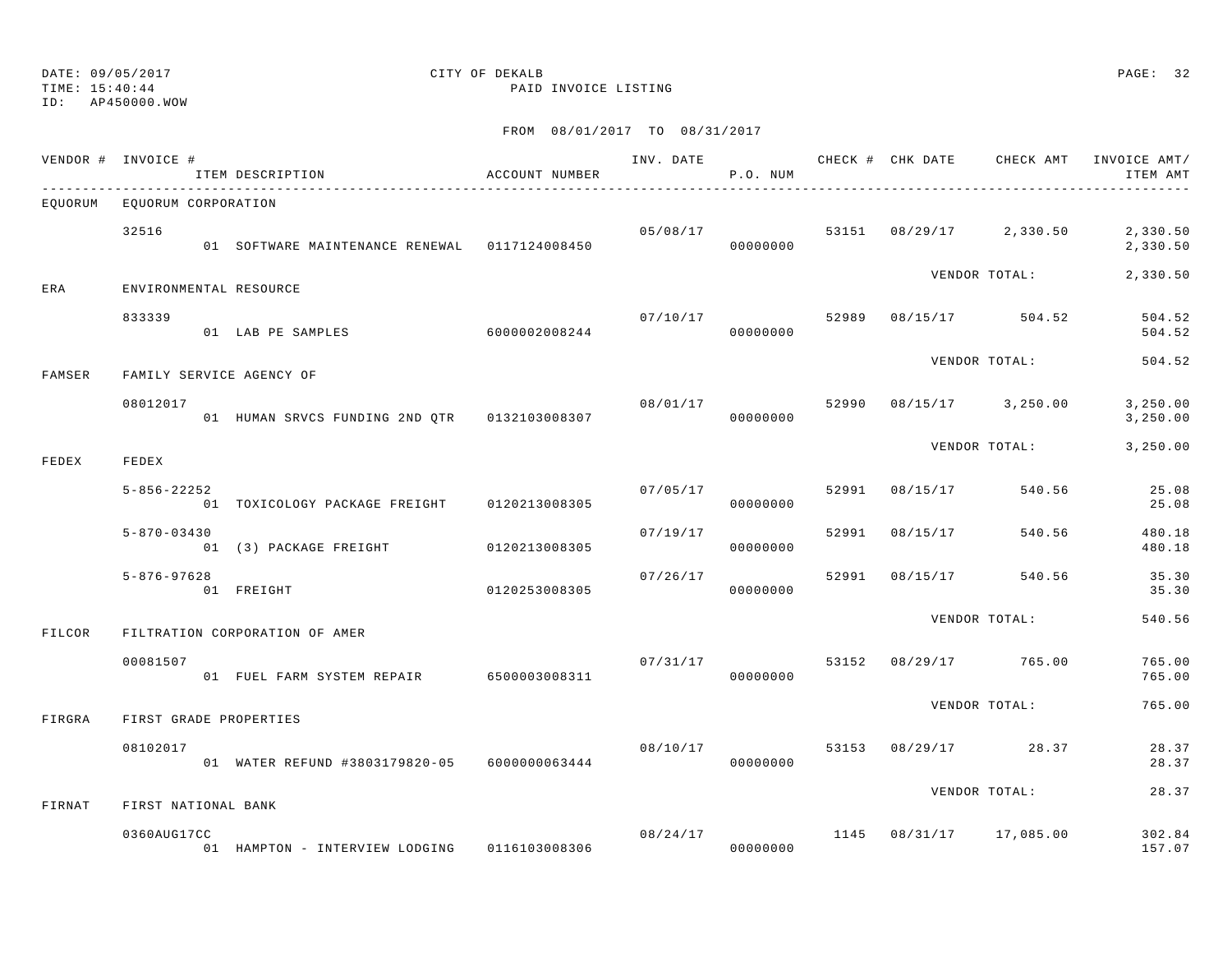TIME: 15:40:44 PAID INVOICE LISTING

ID: AP450000.WOW

|        | VENDOR # INVOICE #          | ITEM DESCRIPTION                              | ACCOUNT NUMBER |                       | P.O. NUM             |       |                |                                      | INV. DATE 6 CHECK # CHK DATE CHECK AMT INVOICE AMT/<br>ITEM AMT |
|--------|-----------------------------|-----------------------------------------------|----------------|-----------------------|----------------------|-------|----------------|--------------------------------------|-----------------------------------------------------------------|
|        | EOUORUM EOUORUM CORPORATION |                                               |                |                       |                      |       |                |                                      |                                                                 |
|        | 32516                       | 01 SOFTWARE MAINTENANCE RENEWAL 0117124008450 |                | 05/08/17              | 00000000             |       |                | 53151 08/29/17 2,330.50              | 2,330.50<br>2,330.50                                            |
| ERA    | ENVIRONMENTAL RESOURCE      |                                               |                |                       |                      |       |                | VENDOR TOTAL:                        | 2,330.50                                                        |
|        | 833339                      | 01 LAB PE SAMPLES 6000002008244               |                |                       | 07/10/17<br>00000000 |       |                | 52989 08/15/17 504.52                | 504.52<br>504.52                                                |
| FAMSER |                             | FAMILY SERVICE AGENCY OF                      |                |                       |                      |       |                | VENDOR TOTAL:                        | 504.52                                                          |
|        | 08012017                    | 01 HUMAN SRVCS FUNDING 2ND QTR 0132103008307  |                | 08/01/17              | 00000000             | 52990 |                | $08/15/17$ 3, 250.00                 | 3,250.00<br>3,250.00                                            |
| FEDEX  | FEDEX                       |                                               |                |                       |                      |       |                | VENDOR TOTAL:                        | 3,250.00                                                        |
|        | $5 - 856 - 22252$           | 01 TOXICOLOGY PACKAGE FREIGHT 0120213008305   |                | 07/05/17              | 00000000             | 52991 | 08/15/17       | 540.56                               | 25.08<br>25.08                                                  |
|        | $5 - 870 - 03430$           | 01 (3) PACKAGE FREIGHT 0120213008305          |                | 07/19/17              | 00000000             | 52991 | 08/15/17       | 540.56                               | 480.18<br>480.18                                                |
|        | $5 - 876 - 97628$           | 01 FREIGHT                                    | 0120253008305  | 07/26/17              | 00000000             |       | 52991 08/15/17 | 540.56                               | 35.30<br>35.30                                                  |
| FILCOR |                             | FILTRATION CORPORATION OF AMER                |                |                       |                      |       |                | VENDOR TOTAL:                        | 540.56                                                          |
|        | 00081507                    | 01 FUEL FARM SYSTEM REPAIR 6500003008311      |                | 07/31/17<br>000000000 |                      |       |                | 53152 08/29/17 765.00                | 765.00<br>765.00                                                |
| FIRGRA | FIRST GRADE PROPERTIES      |                                               |                |                       |                      |       |                | VENDOR TOTAL:                        | 765.00                                                          |
|        | 08102017                    | 01 WATER REFUND #3803179820-05 6000000063444  |                | 08/10/17              | 00000000             |       |                | 53153 08/29/17 28.37                 | 28.37<br>28.37                                                  |
| FIRNAT | FIRST NATIONAL BANK         |                                               |                |                       |                      |       |                | VENDOR TOTAL:                        | 28.37                                                           |
|        | 0360AUG17CC                 | 01 HAMPTON - INTERVIEW LODGING 0116103008306  |                | 000000000             |                      |       |                | $08/24/17$ 1145 $08/31/17$ 17,085.00 | 302.84<br>157.07                                                |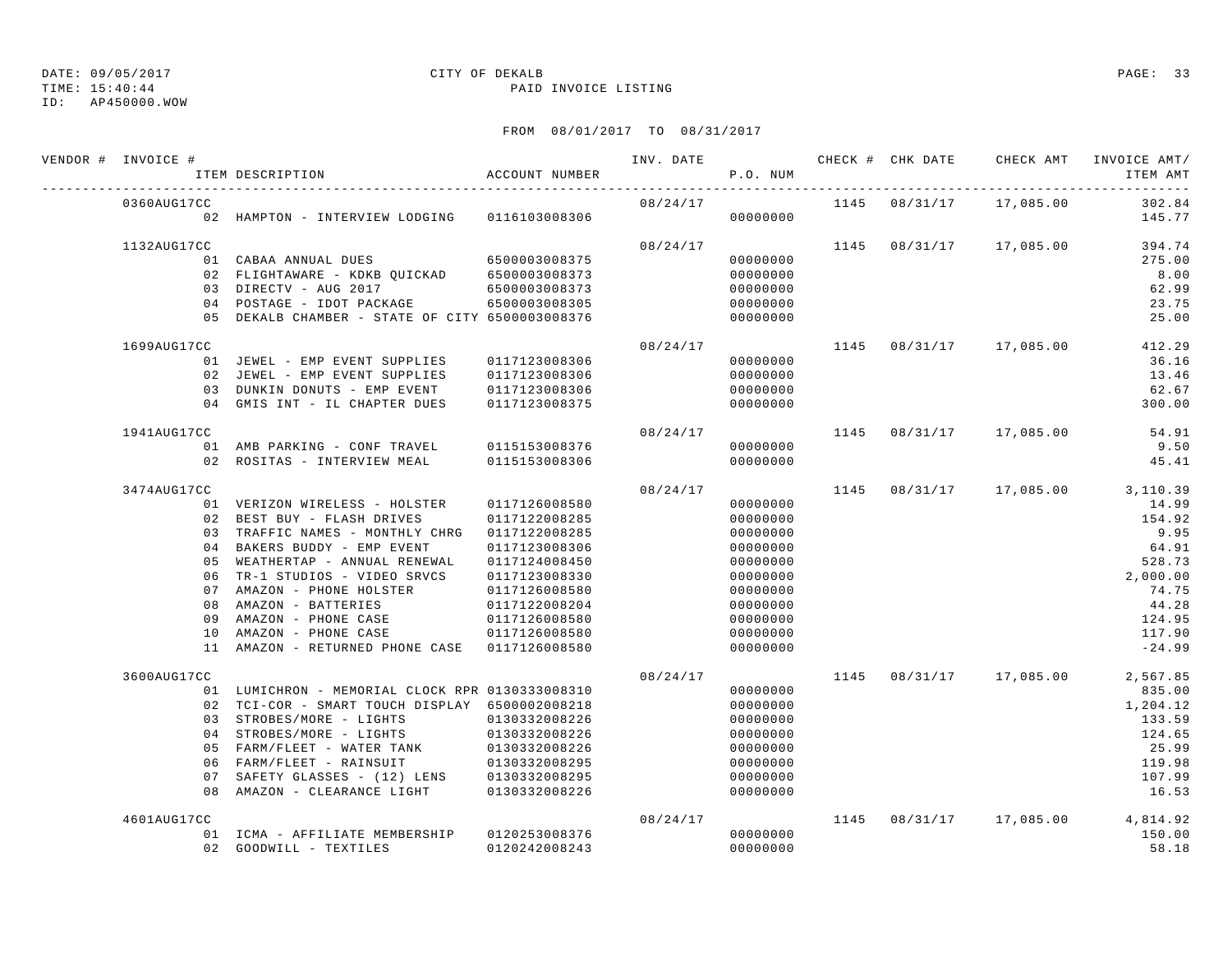TIME: 15:40:44 PAID INVOICE LISTING

ID: AP450000.WOW

| VENDOR # INVOICE # | ITEM DESCRIPTION                                | ACCOUNT NUMBER | INV. DATE | P.O. NUM | CHECK # CHK DATE | CHECK AMT               | INVOICE AMT/<br>ITEM AMT                    |
|--------------------|-------------------------------------------------|----------------|-----------|----------|------------------|-------------------------|---------------------------------------------|
| 0360AUG17CC        |                                                 |                | 08/24/17  |          |                  | 1145 08/31/17 17,085.00 | 302.84                                      |
|                    | 02 HAMPTON - INTERVIEW LODGING 0116103008306    |                |           | 00000000 |                  |                         | 145.77                                      |
| 1132AUG17CC        |                                                 |                |           |          |                  |                         | $08/24/17$ 1145 $08/31/17$ 17,085.00 394.74 |
|                    | 01 CABAA ANNUAL DUES 6500003008375              |                |           | 00000000 |                  |                         | 275.00                                      |
|                    | 02 FLIGHTAWARE - KDKB QUICKAD 6500003008373     |                |           | 00000000 |                  |                         | 8.00                                        |
|                    | 03 DIRECTV - AUG 2017                           | 6500003008373  |           | 00000000 |                  |                         | 62.99                                       |
|                    | 04 POSTAGE - IDOT PACKAGE 6500003008305         |                |           | 00000000 |                  |                         | 23.75                                       |
|                    | 05 DEKALB CHAMBER - STATE OF CITY 6500003008376 |                |           | 00000000 |                  |                         | 25.00                                       |
| 1699AUG17CC        |                                                 |                | 08/24/17  |          |                  | 1145 08/31/17 17,085.00 | 412.29                                      |
|                    | 01 JEWEL - EMP EVENT SUPPLIES                   | 0117123008306  |           | 00000000 |                  |                         | 36.16                                       |
|                    | 02 JEWEL - EMP EVENT SUPPLIES                   | 0117123008306  |           | 00000000 |                  |                         | 13.46                                       |
|                    | 03 DUNKIN DONUTS - EMP EVENT                    | 0117123008306  |           | 00000000 |                  |                         | 62.67                                       |
|                    | 04 GMIS INT - IL CHAPTER DUES                   | 0117123008375  |           | 00000000 |                  |                         | 300.00                                      |
| 1941AUG17CC        |                                                 |                | 08/24/17  |          |                  | 1145 08/31/17 17,085.00 | 54.91                                       |
|                    | 01 AMB PARKING - CONF TRAVEL 0115153008376      |                |           | 00000000 |                  |                         | 9.50                                        |
|                    | 02 ROSITAS - INTERVIEW MEAL                     | 0115153008306  |           | 00000000 |                  |                         | 45.41                                       |
| 3474AUG17CC        |                                                 |                | 08/24/17  |          |                  |                         | 1145 08/31/17 17,085.00 3,110.39            |
|                    | 01 VERIZON WIRELESS - HOLSTER                   | 0117126008580  |           | 00000000 |                  |                         | 14.99                                       |
|                    | 02 BEST BUY - FLASH DRIVES                      | 0117122008285  |           | 00000000 |                  |                         | 154.92                                      |
|                    | 03 TRAFFIC NAMES - MONTHLY CHRG 0117122008285   |                |           | 00000000 |                  |                         | 9.95                                        |
|                    | 04 BAKERS BUDDY - EMP EVENT                     | 0117123008306  |           | 00000000 |                  |                         | 64.91                                       |
|                    | 05 WEATHERTAP - ANNUAL RENEWAL                  | 0117124008450  |           | 00000000 |                  |                         | 528.73                                      |
|                    | 06 TR-1 STUDIOS - VIDEO SRVCS                   | 0117123008330  |           | 00000000 |                  |                         | 2,000.00                                    |
|                    | 07 AMAZON - PHONE HOLSTER                       | 0117126008580  |           | 00000000 |                  |                         | 74.75                                       |
|                    | 08 AMAZON - BATTERIES                           | 0117122008204  |           | 00000000 |                  |                         | 44.28                                       |
|                    | 09 AMAZON - PHONE CASE                          | 0117126008580  |           | 00000000 |                  |                         | 124.95                                      |
|                    | 10 AMAZON - PHONE CASE                          | 0117126008580  |           | 00000000 |                  |                         | 117.90                                      |
|                    | 11 AMAZON - RETURNED PHONE CASE 0117126008580   |                |           | 00000000 |                  |                         | $-24.99$                                    |
| 3600AUG17CC        |                                                 |                | 08/24/17  |          |                  | 1145 08/31/17 17,085.00 | 2,567.85                                    |
|                    | 01 LUMICHRON - MEMORIAL CLOCK RPR 0130333008310 |                |           | 00000000 |                  |                         | 835.00                                      |
|                    | 02 TCI-COR - SMART TOUCH DISPLAY 6500002008218  |                |           | 00000000 |                  |                         | 1,204.12                                    |
|                    | 03 STROBES/MORE - LIGHTS                        | 0130332008226  |           | 00000000 |                  |                         | 133.59                                      |
|                    | 04 STROBES/MORE - LIGHTS                        | 0130332008226  |           | 00000000 |                  |                         | 124.65                                      |
|                    | 05 FARM/FLEET - WATER TANK                      | 0130332008226  |           | 00000000 |                  |                         | 25.99                                       |
|                    | 06 FARM/FLEET - RAINSUIT                        | 0130332008295  |           | 00000000 |                  |                         | 119.98                                      |
|                    | 07 SAFETY GLASSES - (12) LENS 0130332008295     |                |           | 00000000 |                  |                         | 107.99                                      |
|                    | 08 AMAZON - CLEARANCE LIGHT 0130332008226       |                |           | 00000000 |                  |                         | 16.53                                       |
| 4601AUG17CC        |                                                 |                | 08/24/17  |          |                  | 1145 08/31/17 17,085.00 | 4,814.92                                    |
|                    | 01 ICMA - AFFILIATE MEMBERSHIP 0120253008376    |                |           | 00000000 |                  |                         | 150.00                                      |
|                    | 02 GOODWILL - TEXTILES                          | 0120242008243  |           | 00000000 |                  |                         | 58.18                                       |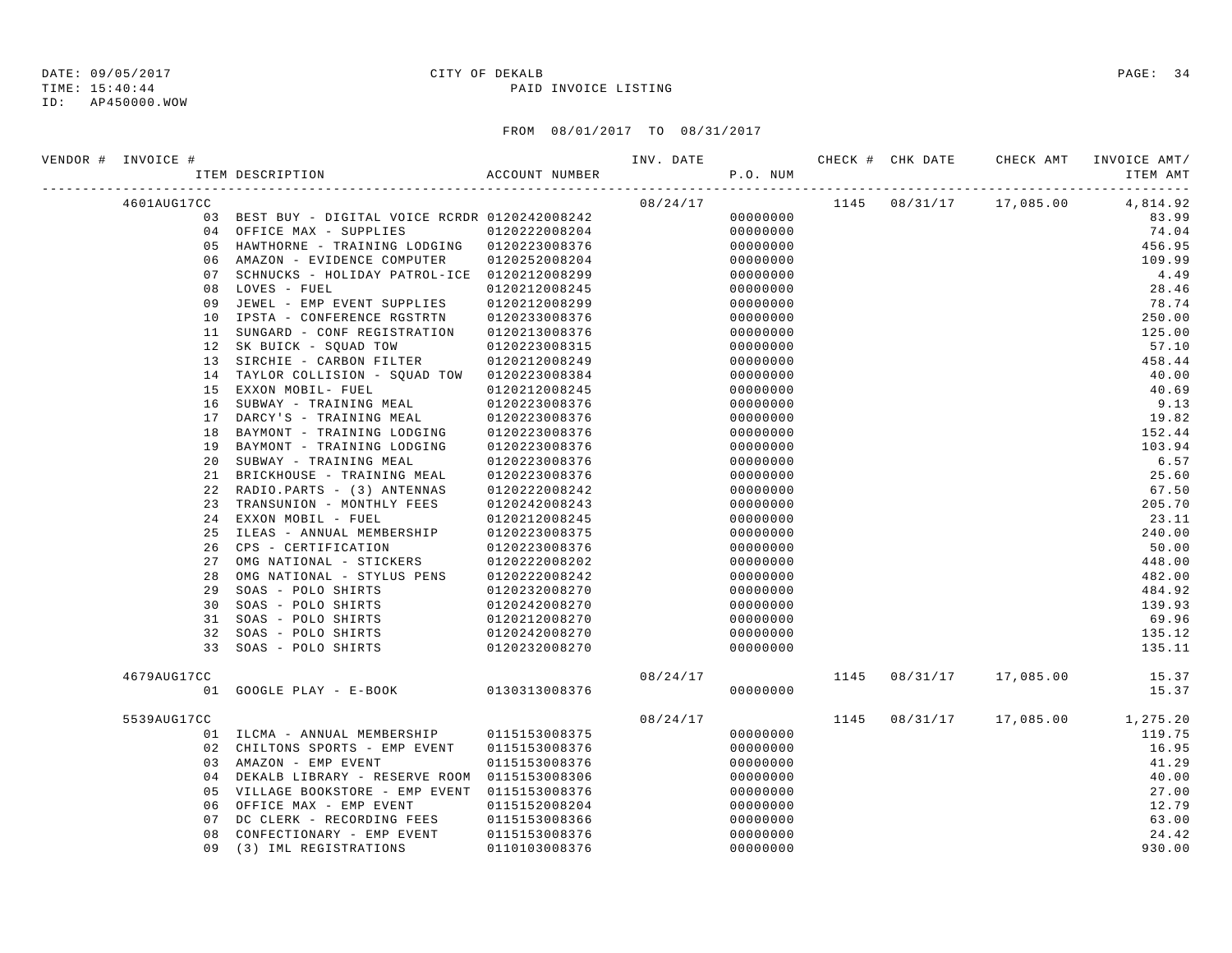### ID: AP450000.WOW

## DATE: 09/05/2017 CITY OF DEKALB PAGE: 34

TIME: 15:40:44 PAID INVOICE LISTING

| VENDOR # INVOICE # |     |                                                 |               | INV. DATE<br>P.O. NUM |          |      |          | CHECK # CHK DATE CHECK AMT | INVOICE AMT/<br>ITEM AMT |
|--------------------|-----|-------------------------------------------------|---------------|-----------------------|----------|------|----------|----------------------------|--------------------------|
| 4601AUG17CC        |     |                                                 |               | 08/24/17              |          |      |          | 1145 08/31/17 17,085.00    | 4,814.92                 |
|                    |     | 03 BEST BUY - DIGITAL VOICE RCRDR 0120242008242 |               |                       | 00000000 |      |          |                            | 83.99                    |
|                    |     | 04 OFFICE MAX - SUPPLIES                        | 0120222008204 |                       | 00000000 |      |          |                            | 74.04                    |
|                    |     | 05 HAWTHORNE - TRAINING LODGING 0120223008376   |               |                       | 00000000 |      |          |                            | 456.95                   |
|                    |     | 06 AMAZON - EVIDENCE COMPUTER                   | 0120252008204 |                       | 00000000 |      |          |                            | 109.99                   |
|                    | 0.7 | SCHNUCKS - HOLIDAY PATROL-ICE 0120212008299     |               |                       | 00000000 |      |          |                            | 4.49                     |
|                    | 08  | LOVES - FUEL                                    | 0120212008245 |                       | 00000000 |      |          |                            | 28.46                    |
|                    | 09  | JEWEL - EMP EVENT SUPPLIES 0120212008299        |               |                       | 00000000 |      |          |                            | 78.74                    |
|                    | 10  | IPSTA - CONFERENCE RGSTRTN                      | 0120233008376 |                       | 00000000 |      |          |                            | 250.00                   |
|                    | 11  | SUNGARD - CONF REGISTRATION                     | 0120213008376 |                       | 00000000 |      |          |                            | 125.00                   |
|                    | 12  | SK BUICK - SOUAD TOW                            | 0120223008315 |                       | 00000000 |      |          |                            | 57.10                    |
|                    | 13  | SIRCHIE - CARBON FILTER                         | 0120212008249 |                       | 00000000 |      |          |                            | 458.44                   |
|                    | 14  | TAYLOR COLLISION - SQUAD TOW 0120223008384      |               |                       | 00000000 |      |          |                            | 40.00                    |
|                    | 15  | EXXON MOBIL- FUEL                               | 0120212008245 |                       | 00000000 |      |          |                            | 40.69                    |
|                    | 16  | SUBWAY - TRAINING MEAL                          | 0120223008376 |                       | 00000000 |      |          |                            | 9.13                     |
|                    | 17  | DARCY'S - TRAINING MEAL                         | 0120223008376 |                       | 00000000 |      |          |                            | 19.82                    |
|                    | 18  | BAYMONT - TRAINING LODGING                      | 0120223008376 |                       | 00000000 |      |          |                            | 152.44                   |
|                    | 19  | BAYMONT - TRAINING LODGING                      | 0120223008376 |                       | 00000000 |      |          |                            | 103.94                   |
|                    | 20  | SUBWAY - TRAINING MEAL                          | 0120223008376 |                       | 00000000 |      |          |                            | 6.57                     |
|                    | 21  | BRICKHOUSE - TRAINING MEAL                      | 0120223008376 |                       | 00000000 |      |          |                            | 25.60                    |
|                    | 22  | RADIO.PARTS - (3) ANTENNAS                      | 0120222008242 |                       | 00000000 |      |          |                            | 67.50                    |
|                    | 23  | TRANSUNION - MONTHLY FEES                       | 0120242008243 |                       | 00000000 |      |          |                            | 205.70                   |
|                    | 24  | EXXON MOBIL - FUEL                              | 0120212008245 |                       | 00000000 |      |          |                            | 23.11                    |
|                    | 25  | ILEAS - ANNUAL MEMBERSHIP 0120223008375         |               |                       | 00000000 |      |          |                            | 240.00                   |
|                    | 26  | CPS - CERTIFICATION                             | 0120223008376 |                       | 00000000 |      |          |                            | 50.00                    |
|                    | 27  | OMG NATIONAL - STICKERS                         | 0120222008202 |                       | 00000000 |      |          |                            | 448.00                   |
|                    | 28  | OMG NATIONAL - STYLUS PENS                      | 0120222008242 |                       | 00000000 |      |          |                            | 482.00                   |
|                    | 29  | SOAS - POLO SHIRTS                              | 0120232008270 |                       | 00000000 |      |          |                            | 484.92                   |
|                    | 30  | SOAS - POLO SHIRTS                              | 0120242008270 |                       | 00000000 |      |          |                            | 139.93                   |
|                    | 31  | SOAS - POLO SHIRTS                              | 0120212008270 |                       | 00000000 |      |          |                            | 69.96                    |
|                    | 32  | SOAS - POLO SHIRTS                              | 0120242008270 |                       | 00000000 |      |          |                            | 135.12                   |
|                    | 33  | SOAS - POLO SHIRTS                              | 0120232008270 |                       | 00000000 |      |          |                            | 135.11                   |
| 4679AUG17CC        |     |                                                 |               | 08/24/17              |          | 1145 | 08/31/17 | 17,085.00                  | 15.37                    |
|                    | 01  | GOOGLE PLAY - E-BOOK 0130313008376              |               |                       | 00000000 |      |          |                            | 15.37                    |
| 5539AUG17CC        |     |                                                 |               | 08/24/17              |          | 1145 | 08/31/17 |                            | 17,085.00 1,275.20       |
|                    |     | 01 ILCMA - ANNUAL MEMBERSHIP                    | 0115153008375 |                       | 00000000 |      |          |                            | 119.75                   |
|                    |     | 02 CHILTONS SPORTS - EMP EVENT                  | 0115153008376 |                       | 00000000 |      |          |                            | 16.95                    |
|                    |     | 03 AMAZON - EMP EVENT                           | 0115153008376 |                       | 00000000 |      |          |                            | 41.29                    |
|                    |     | 04 DEKALB LIBRARY - RESERVE ROOM 0115153008306  |               |                       | 00000000 |      |          |                            | 40.00                    |
|                    | 05  | VILLAGE BOOKSTORE - EMP EVENT 0115153008376     |               |                       | 00000000 |      |          |                            | 27.00                    |
|                    | 06  | OFFICE MAX - EMP EVENT                          | 0115152008204 |                       | 00000000 |      |          |                            | 12.79                    |
|                    | 07  | DC CLERK - RECORDING FEES                       | 0115153008366 |                       | 00000000 |      |          |                            | 63.00                    |
|                    | 08  | CONFECTIONARY - EMP EVENT                       | 0115153008376 |                       | 00000000 |      |          |                            | 24.42                    |
|                    |     | 09 (3) IML REGISTRATIONS                        | 0110103008376 |                       | 00000000 |      |          |                            | 930.00                   |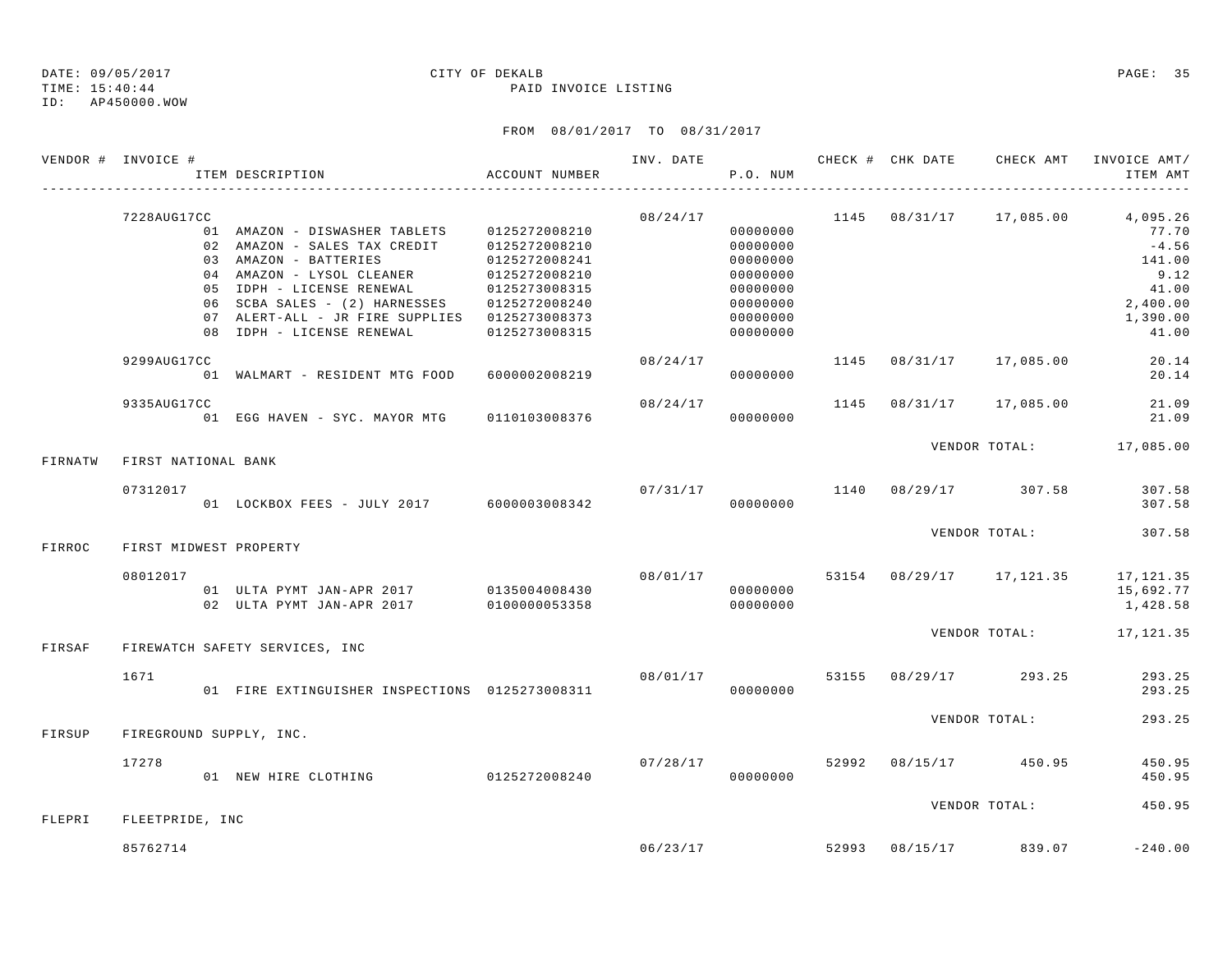TIME: 15:40:44 PAID INVOICE LISTING

ID: AP450000.WOW

| VENDOR # INVOICE # |                     | ION ACCOUNT NUMBER<br>ITEM DESCRIPTION                                                                                                                                                                                                                                                                    |                                                                  |          | P.O. NUM                                                                                     |          | INV. DATE CHECK # CHK DATE CHECK AMT   | INVOICE AMT/<br>ITEM AMT                                                                                                 |
|--------------------|---------------------|-----------------------------------------------------------------------------------------------------------------------------------------------------------------------------------------------------------------------------------------------------------------------------------------------------------|------------------------------------------------------------------|----------|----------------------------------------------------------------------------------------------|----------|----------------------------------------|--------------------------------------------------------------------------------------------------------------------------|
|                    | 7228AUG17CC         | 01 AMAZON - DISWASHER TABLETS 0125272008210<br>02 AMAZON - SALES TAX CREDIT 0125272008210<br>03 AMAZON - BATTERIES<br>04 AMAZON - LYSOL CLEANER<br>05 IDPH - LICENSE RENEWAL<br>06 SCBA SALES - (2) HARNESSES 0125272008240<br>07 ALERT-ALL - JR FIRE SUPPLIES 0125273008373<br>08 IDPH - LICENSE RENEWAL | 0125272008241<br>0125272008210<br>0125273008315<br>0125273008315 | 08/24/17 | 00000000<br>00000000<br>00000000<br>00000000<br>00000000<br>00000000<br>00000000<br>00000000 |          |                                        | $1145$ $08/31/17$ $17,085.00$ $4,095.26$<br>77.70<br>$-4.56$<br>141.00<br>9.12<br>41.00<br>2,400.00<br>1,390.00<br>41.00 |
|                    | 9299AUG17CC         | 01 WALMART - RESIDENT MTG FOOD 6000002008219                                                                                                                                                                                                                                                              |                                                                  | 08/24/17 | 00000000                                                                                     |          | 1145 08/31/17 17,085.00                | 20.14<br>20.14                                                                                                           |
|                    | 9335AUG17CC         | 01 EGG HAVEN - SYC. MAYOR MTG 0110103008376                                                                                                                                                                                                                                                               |                                                                  | 08/24/17 | 1145<br>00000000                                                                             | 08/31/17 | 17,085.00                              | 21.09<br>21.09                                                                                                           |
| FIRNATW            | FIRST NATIONAL BANK |                                                                                                                                                                                                                                                                                                           |                                                                  |          |                                                                                              |          |                                        | VENDOR TOTAL: 17,085.00                                                                                                  |
|                    | 07312017            |                                                                                                                                                                                                                                                                                                           |                                                                  |          |                                                                                              |          | $07/31/17$ 1140 $08/29/17$ 307.58      | 307.58<br>307.58                                                                                                         |
| FIRROC             |                     | FIRST MIDWEST PROPERTY                                                                                                                                                                                                                                                                                    |                                                                  |          |                                                                                              |          | VENDOR TOTAL:                          | 307.58                                                                                                                   |
|                    | 08012017            | 01 ULTA PYMT JAN-APR 2017 0135004008430<br>02 ULTA PYMT JAN-APR 2017                                                                                                                                                                                                                                      | 0100000053358                                                    |          | 00000000<br>00000000                                                                         |          |                                        | 08/01/17 53154 08/29/17 17,121.35 17,121.35<br>15,692.77<br>1,428.58                                                     |
| FIRSAF             |                     | FIREWATCH SAFETY SERVICES, INC                                                                                                                                                                                                                                                                            |                                                                  |          |                                                                                              |          |                                        | VENDOR TOTAL: 17, 121.35                                                                                                 |
|                    | 1671                | 01 FIRE EXTINGUISHER INSPECTIONS  0125273008311  0000000000                                                                                                                                                                                                                                               |                                                                  |          |                                                                                              |          | $08/01/17$ 53155 08/29/17 293.25       | 293.25<br>293.25                                                                                                         |
| FIRSUP             |                     | FIREGROUND SUPPLY, INC.                                                                                                                                                                                                                                                                                   |                                                                  |          |                                                                                              |          | VENDOR TOTAL:                          | 293.25                                                                                                                   |
|                    | 17278               | 01 NEW HIRE CLOTHING 0125272008240                                                                                                                                                                                                                                                                        |                                                                  |          | 00000000                                                                                     |          | $07/28/17$ $52992$ $08/15/17$ $450.95$ | 450.95<br>450.95                                                                                                         |
| FLEPRI             | FLEETPRIDE, INC     |                                                                                                                                                                                                                                                                                                           |                                                                  |          |                                                                                              |          | VENDOR TOTAL:                          | 450.95                                                                                                                   |
|                    | 85762714            |                                                                                                                                                                                                                                                                                                           |                                                                  |          | 06/23/17                                                                                     |          | 52993 08/15/17 839.07                  | $-240.00$                                                                                                                |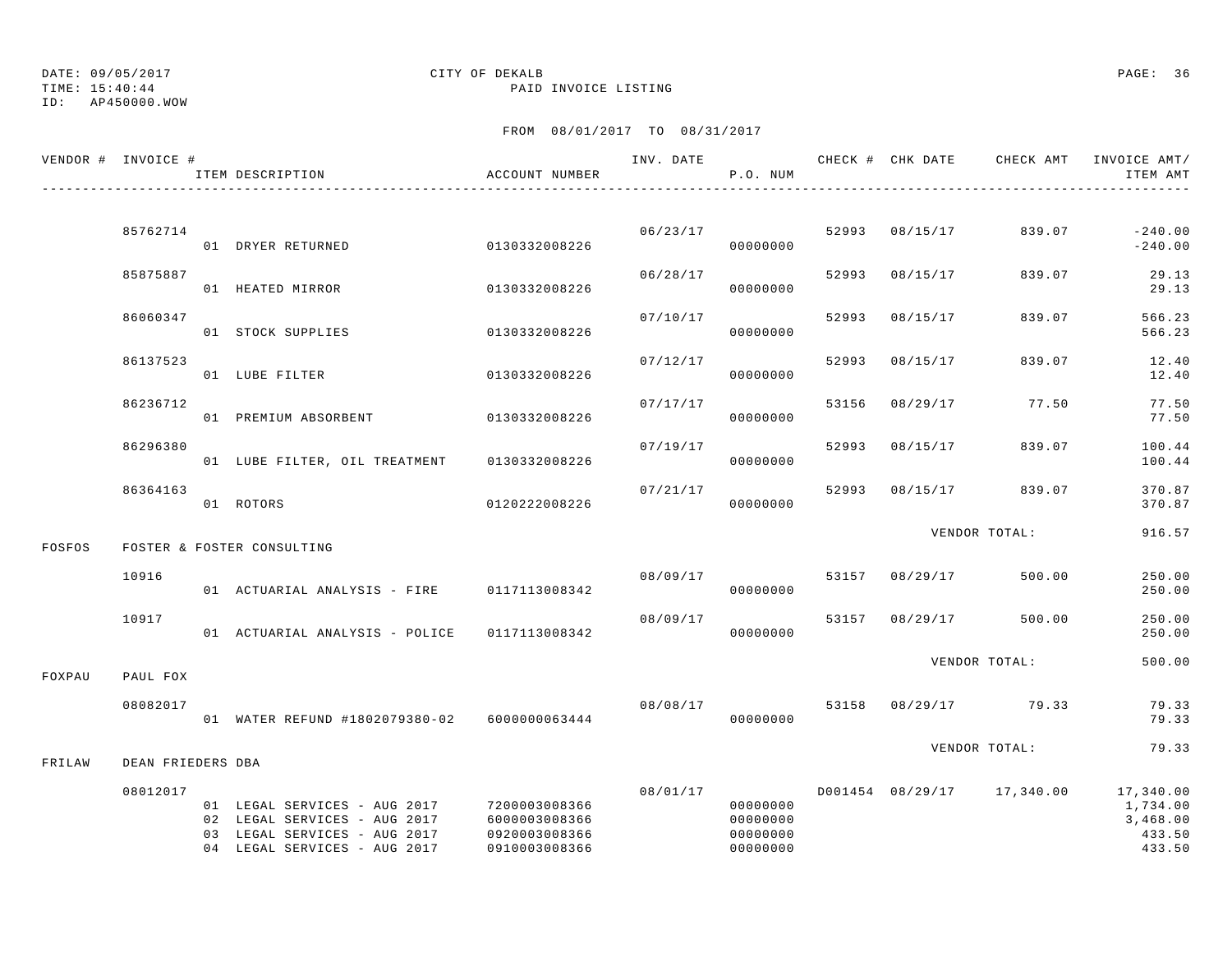ID: AP450000.WOW

### TIME: 15:40:44 PAID INVOICE LISTING

|        | VENDOR # INVOICE # | ITEM DESCRIPTION                                                                                                                           | ACCOUNT NUMBER                                  | INV. DATE | P.O. NUM                                                 |       |                | CHECK # CHK DATE 6 CHECK AMT INVOICE AMT/ | ITEM AMT                                              |
|--------|--------------------|--------------------------------------------------------------------------------------------------------------------------------------------|-------------------------------------------------|-----------|----------------------------------------------------------|-------|----------------|-------------------------------------------|-------------------------------------------------------|
|        |                    |                                                                                                                                            |                                                 |           |                                                          |       |                |                                           |                                                       |
|        | 85762714           | 01 DRYER RETURNED                                                                                                                          | 0130332008226                                   |           | 06/23/17<br>00000000                                     |       | 52993 08/15/17 | 839.07                                    | $-240.00$<br>$-240.00$                                |
|        | 85875887           | 01 HEATED MIRROR                                                                                                                           | 0130332008226                                   | 06/28/17  | 00000000                                                 | 52993 | 08/15/17       | 839.07                                    | 29.13<br>29.13                                        |
|        | 86060347           | 01 STOCK SUPPLIES                                                                                                                          | 0130332008226                                   | 07/10/17  | 00000000                                                 | 52993 | 08/15/17       | 839.07                                    | 566.23<br>566.23                                      |
|        | 86137523           | 01 LUBE FILTER                                                                                                                             | 0130332008226                                   | 07/12/17  | 00000000                                                 | 52993 | 08/15/17       | 839.07                                    | 12.40<br>12.40                                        |
|        | 86236712           | 01 PREMIUM ABSORBENT                                                                                                                       | 0130332008226                                   | 07/17/17  | 00000000                                                 | 53156 | 08/29/17       | 77.50                                     | 77.50<br>77.50                                        |
|        | 86296380           | 01 LUBE FILTER, OIL TREATMENT 0130332008226                                                                                                |                                                 | 07/19/17  | 00000000                                                 | 52993 | 08/15/17       | 839.07                                    | 100.44<br>100.44                                      |
|        | 86364163           | 01 ROTORS                                                                                                                                  | 0120222008226                                   | 07/21/17  | 00000000                                                 | 52993 | 08/15/17       | 839.07                                    | 370.87<br>370.87                                      |
|        |                    |                                                                                                                                            |                                                 |           |                                                          |       |                | VENDOR TOTAL:                             | 916.57                                                |
| FOSFOS |                    | FOSTER & FOSTER CONSULTING                                                                                                                 |                                                 |           |                                                          |       |                |                                           |                                                       |
|        | 10916              | 01 ACTUARIAL ANALYSIS - FIRE 0117113008342                                                                                                 |                                                 | 08/09/17  | 00000000                                                 |       | 53157 08/29/17 | 500.00                                    | 250.00<br>250.00                                      |
|        | 10917              | 01 ACTUARIAL ANALYSIS - POLICE 0117113008342                                                                                               |                                                 | 08/09/17  | 00000000                                                 |       | 53157 08/29/17 | 500.00                                    | 250.00<br>250.00                                      |
| FOXPAU | PAUL FOX           |                                                                                                                                            |                                                 |           |                                                          |       |                | VENDOR TOTAL:                             | 500.00                                                |
|        | 08082017           | 01 WATER REFUND #1802079380-02 6000000063444                                                                                               |                                                 | 08/08/17  | 00000000                                                 |       |                | 53158 08/29/17 79.33                      | 79.33<br>79.33                                        |
| FRILAW | DEAN FRIEDERS DBA  |                                                                                                                                            |                                                 |           |                                                          |       |                | VENDOR TOTAL:                             | 79.33                                                 |
|        |                    |                                                                                                                                            |                                                 |           |                                                          |       |                |                                           |                                                       |
|        | 08012017           | 01 LEGAL SERVICES - AUG 2017 7200003008366<br>02 LEGAL SERVICES - AUG 2017<br>03 LEGAL SERVICES - AUG 2017<br>04 LEGAL SERVICES - AUG 2017 | 6000003008366<br>0920003008366<br>0910003008366 |           | 08/01/17<br>00000000<br>00000000<br>00000000<br>00000000 |       |                | D001454 08/29/17 17,340.00                | 17,340.00<br>1,734.00<br>3,468.00<br>433.50<br>433.50 |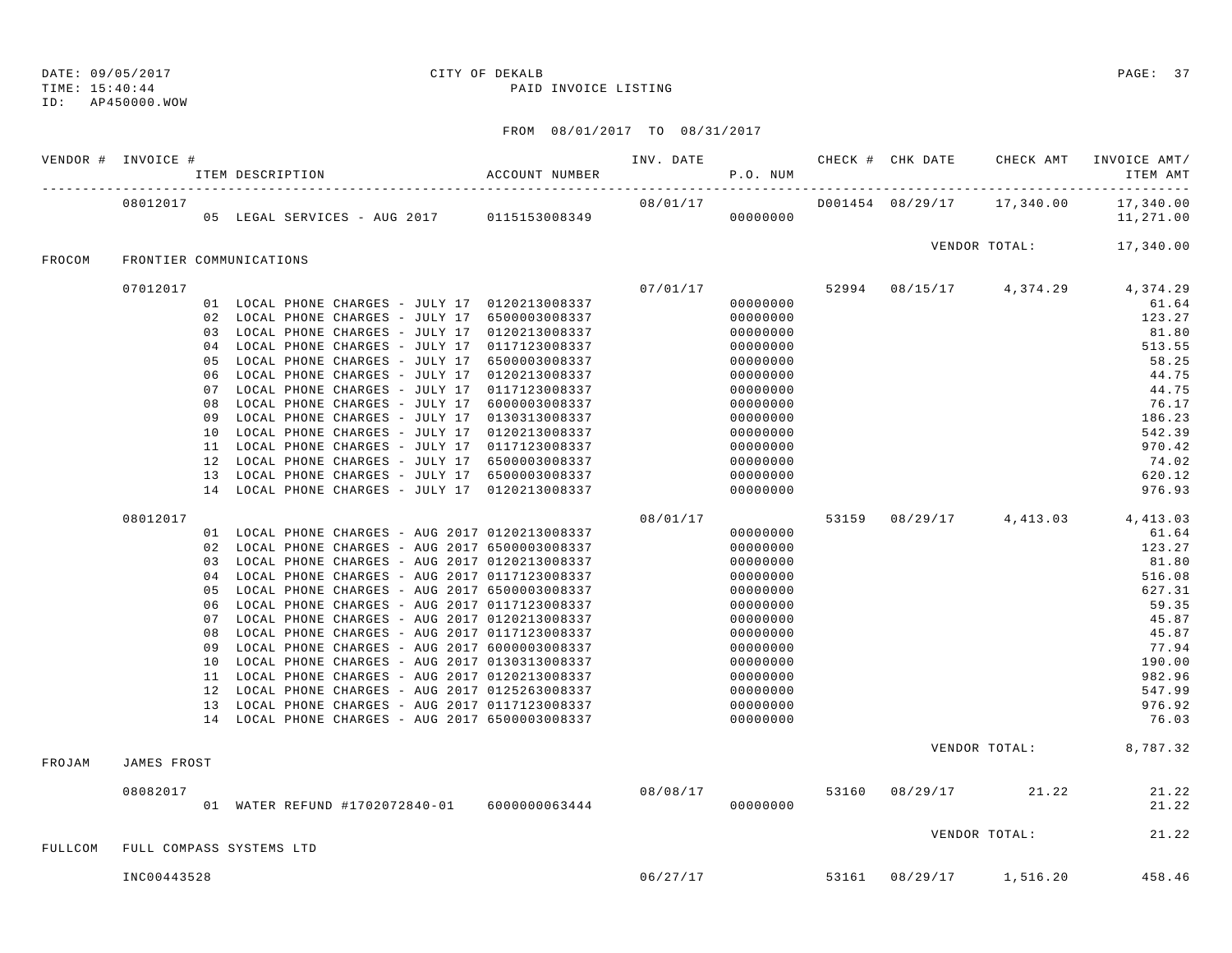## ID: AP450000.WOW

## DATE: 09/05/2017 CITY OF DEKALB PAGE: 37

TIME: 15:40:44 PAID INVOICE LISTING

|         | VENDOR # INVOICE #      | ACCOUNT NUMBER<br>ITEM DESCRIPTION                                                                 | INV. DATE <b>CHECK # CHK DATE</b> CHECK AMT<br>P.O. NUM |                      |       |                                    | INVOICE AMT/<br>ITEM AMT                  |
|---------|-------------------------|----------------------------------------------------------------------------------------------------|---------------------------------------------------------|----------------------|-------|------------------------------------|-------------------------------------------|
|         | 08012017                |                                                                                                    |                                                         |                      |       |                                    | 17,340.00<br>11,271.00                    |
| FROCOM  | FRONTIER COMMUNICATIONS |                                                                                                    |                                                         |                      |       |                                    | VENDOR TOTAL: 17,340.00                   |
|         |                         |                                                                                                    |                                                         |                      |       |                                    |                                           |
|         | 07012017                | 01 LOCAL PHONE CHARGES - JULY 17 0120213008337                                                     | 07/01/17                                                | 00000000             |       |                                    | 52994 08/15/17 4,374.29 4,374.29<br>61.64 |
|         |                         | 02 LOCAL PHONE CHARGES - JULY 17 6500003008337                                                     |                                                         | 00000000             |       |                                    | 123.27                                    |
|         |                         | 03 LOCAL PHONE CHARGES - JULY 17 0120213008337                                                     |                                                         | 00000000             |       |                                    | 81.80                                     |
|         |                         | 04 LOCAL PHONE CHARGES - JULY 17 0117123008337                                                     |                                                         | 00000000             |       |                                    | 513.55                                    |
|         |                         | 05 LOCAL PHONE CHARGES - JULY 17 6500003008337                                                     |                                                         | 00000000             |       |                                    | 58.25                                     |
|         |                         | 06 LOCAL PHONE CHARGES - JULY 17 0120213008337                                                     |                                                         | 00000000             |       |                                    | 44.75                                     |
|         |                         | 07 LOCAL PHONE CHARGES - JULY 17 0117123008337                                                     |                                                         | 00000000             |       |                                    | 44.75                                     |
|         | 08                      | LOCAL PHONE CHARGES - JULY 17 6000003008337                                                        |                                                         | 00000000             |       |                                    | 76.17                                     |
|         | 09                      | LOCAL PHONE CHARGES - JULY 17 0130313008337                                                        |                                                         | 00000000             |       |                                    | 186.23                                    |
|         |                         | 10 LOCAL PHONE CHARGES - JULY 17 0120213008337                                                     |                                                         | 00000000             |       |                                    | 542.39                                    |
|         |                         | 11 LOCAL PHONE CHARGES - JULY 17 0117123008337                                                     |                                                         | 00000000             |       |                                    | 970.42                                    |
|         | 12                      | LOCAL PHONE CHARGES - JULY 17 6500003008337                                                        |                                                         | 00000000             |       |                                    | 74.02                                     |
|         |                         | 13 LOCAL PHONE CHARGES - JULY 17 6500003008337                                                     |                                                         | 00000000             |       |                                    | 620.12                                    |
|         |                         | 14 LOCAL PHONE CHARGES - JULY 17 0120213008337                                                     |                                                         | 00000000             |       |                                    | 976.93                                    |
|         | 08012017                |                                                                                                    | 08/01/17                                                |                      | 53159 |                                    | 08/29/17 4,413.03 4,413.03                |
|         |                         | 01 LOCAL PHONE CHARGES - AUG 2017 0120213008337                                                    |                                                         | 00000000             |       |                                    | 61.64                                     |
|         |                         | 02 LOCAL PHONE CHARGES - AUG 2017 6500003008337                                                    |                                                         | 00000000             |       |                                    | 123.27                                    |
|         |                         | 03 LOCAL PHONE CHARGES - AUG 2017 0120213008337                                                    |                                                         | 00000000             |       |                                    | 81.80                                     |
|         |                         | 04 LOCAL PHONE CHARGES - AUG 2017 0117123008337                                                    |                                                         | 00000000             |       |                                    | 516.08                                    |
|         | 05                      | LOCAL PHONE CHARGES - AUG 2017 6500003008337                                                       |                                                         | 00000000             |       |                                    | 627.31                                    |
|         | 06                      | LOCAL PHONE CHARGES - AUG 2017 0117123008337                                                       |                                                         | 00000000             |       |                                    | 59.35                                     |
|         |                         | 07 LOCAL PHONE CHARGES - AUG 2017 0120213008337                                                    |                                                         | 00000000             |       |                                    | 45.87                                     |
|         | 08                      | LOCAL PHONE CHARGES - AUG 2017 0117123008337                                                       |                                                         | 00000000             |       |                                    | 45.87                                     |
|         | 09                      | LOCAL PHONE CHARGES - AUG 2017 6000003008337                                                       |                                                         | 00000000             |       |                                    | 77.94                                     |
|         | 10                      | LOCAL PHONE CHARGES - AUG 2017 0130313008337                                                       |                                                         | 00000000             |       |                                    | 190.00                                    |
|         |                         | 11 LOCAL PHONE CHARGES - AUG 2017 0120213008337                                                    |                                                         | 00000000             |       |                                    | 982.96                                    |
|         | 12                      | LOCAL PHONE CHARGES - AUG 2017 0125263008337                                                       |                                                         | 00000000             |       |                                    | 547.99                                    |
|         |                         | 13 LOCAL PHONE CHARGES - AUG 2017 0117123008337<br>14 LOCAL PHONE CHARGES - AUG 2017 6500003008337 |                                                         | 00000000<br>00000000 |       |                                    | 976.92<br>76.03                           |
|         |                         |                                                                                                    |                                                         |                      |       |                                    |                                           |
| FROJAM  | JAMES FROST             |                                                                                                    |                                                         |                      |       |                                    | VENDOR TOTAL: 8,787.32                    |
|         |                         |                                                                                                    |                                                         |                      |       |                                    |                                           |
|         | 08082017                |                                                                                                    | 08/08/17                                                |                      |       | 53160 08/29/17 21.22               | 21.22                                     |
|         |                         | 01 WATER REFUND #1702072840-01 6000000063444                                                       |                                                         | 00000000             |       |                                    | 21.22                                     |
| FULLCOM |                         | FULL COMPASS SYSTEMS LTD                                                                           |                                                         |                      |       | VENDOR TOTAL:                      | 21.22                                     |
|         |                         |                                                                                                    |                                                         |                      |       |                                    |                                           |
|         | INC00443528             |                                                                                                    |                                                         |                      |       | $06/27/17$ 53161 08/29/17 1,516.20 | 458.46                                    |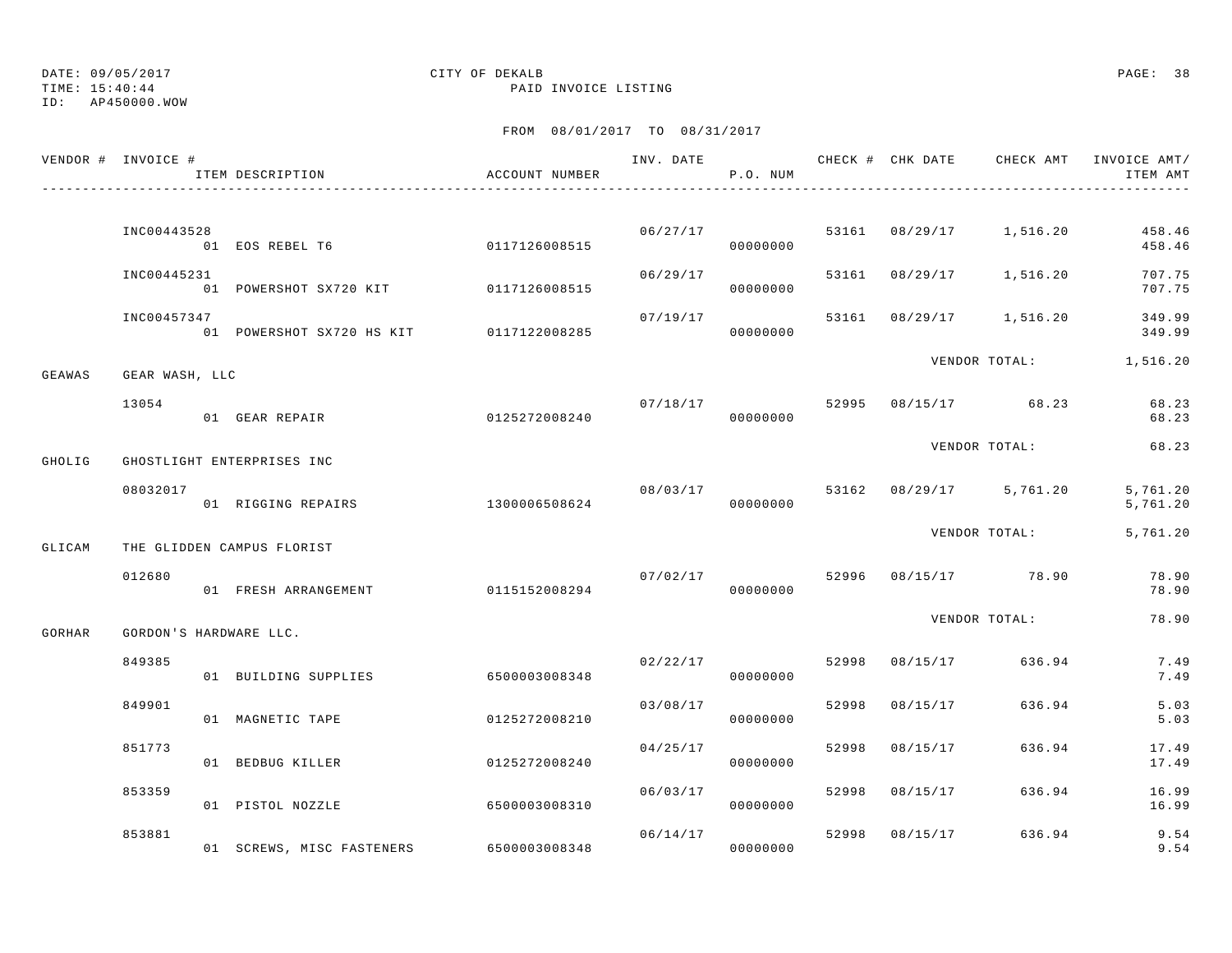ID: AP450000.WOW

### TIME: 15:40:44 PAID INVOICE LISTING

|        | VENDOR # INVOICE #     | ITEM DESCRIPTION                        | ACCOUNT NUMBER |                | P.O. NUM             |       |                |                                 | INV. DATE 6 CHECK # CHK DATE CHECK AMT INVOICE AMT/<br>ITEM AMT |
|--------|------------------------|-----------------------------------------|----------------|----------------|----------------------|-------|----------------|---------------------------------|-----------------------------------------------------------------|
|        |                        |                                         |                |                |                      |       |                |                                 |                                                                 |
|        | INC00443528            | 01 EOS REBEL T6                         | 0117126008515  |                | 06/27/17<br>00000000 |       |                | 53161 08/29/17 1,516.20         | 458.46<br>458.46                                                |
|        | INC00445231            | 01 POWERSHOT SX720 KIT                  | 0117126008515  | 06/29/17       | 00000000             | 53161 | 08/29/17       | 1,516.20                        | 707.75<br>707.75                                                |
|        | INC00457347            | 01 POWERSHOT SX720 HS KIT 0117122008285 |                | 07/19/17       | 00000000             |       |                | 53161 08/29/17 1,516.20         | 349.99<br>349.99                                                |
| GEAWAS | GEAR WASH, LLC         |                                         |                |                |                      |       |                | VENDOR TOTAL:                   | 1,516.20                                                        |
|        | 13054                  | 01 GEAR REPAIR                          | 0125272008240  | 07/18/17 52995 | 00000000             |       |                | 08/15/17 68.23                  | 68.23<br>68.23                                                  |
| GHOLIG |                        | GHOSTLIGHT ENTERPRISES INC              |                |                |                      |       |                | VENDOR TOTAL:                   | 68.23                                                           |
|        | 08032017               | 01 RIGGING REPAIRS                      | 1300006508624  | 08/03/17       | 00000000             |       |                | 53162 08/29/17 5,761.20         | 5,761.20<br>5,761.20                                            |
| GLICAM |                        | THE GLIDDEN CAMPUS FLORIST              |                |                |                      |       |                | VENDOR TOTAL:                   | 5,761.20                                                        |
|        | 012680                 | 01 FRESH ARRANGEMENT                    | 0115152008294  |                | 00000000             |       |                | $07/02/17$ 52996 08/15/17 78.90 | 78.90<br>78.90                                                  |
| GORHAR | GORDON'S HARDWARE LLC. |                                         |                |                |                      |       |                | VENDOR TOTAL:                   | 78.90                                                           |
|        | 849385                 | 01 BUILDING SUPPLIES                    | 6500003008348  |                | 02/22/17<br>00000000 | 52998 | 08/15/17       | 636.94                          | 7.49<br>7.49                                                    |
|        | 849901                 | 01 MAGNETIC TAPE                        | 0125272008210  | 03/08/17       | 00000000             | 52998 | 08/15/17       | 636.94                          | 5.03<br>5.03                                                    |
|        | 851773                 | 01 BEDBUG KILLER                        | 0125272008240  | 04/25/17       | 00000000             | 52998 | 08/15/17       | 636.94                          | 17.49<br>17.49                                                  |
|        | 853359                 | 01 PISTOL NOZZLE                        | 6500003008310  | 06/03/17       | 00000000             | 52998 | 08/15/17       | 636.94                          | 16.99<br>16.99                                                  |
|        | 853881                 | 01 SCREWS, MISC FASTENERS               | 6500003008348  | 06/14/17       | 00000000             |       | 52998 08/15/17 | 636.94                          | 9.54<br>9.54                                                    |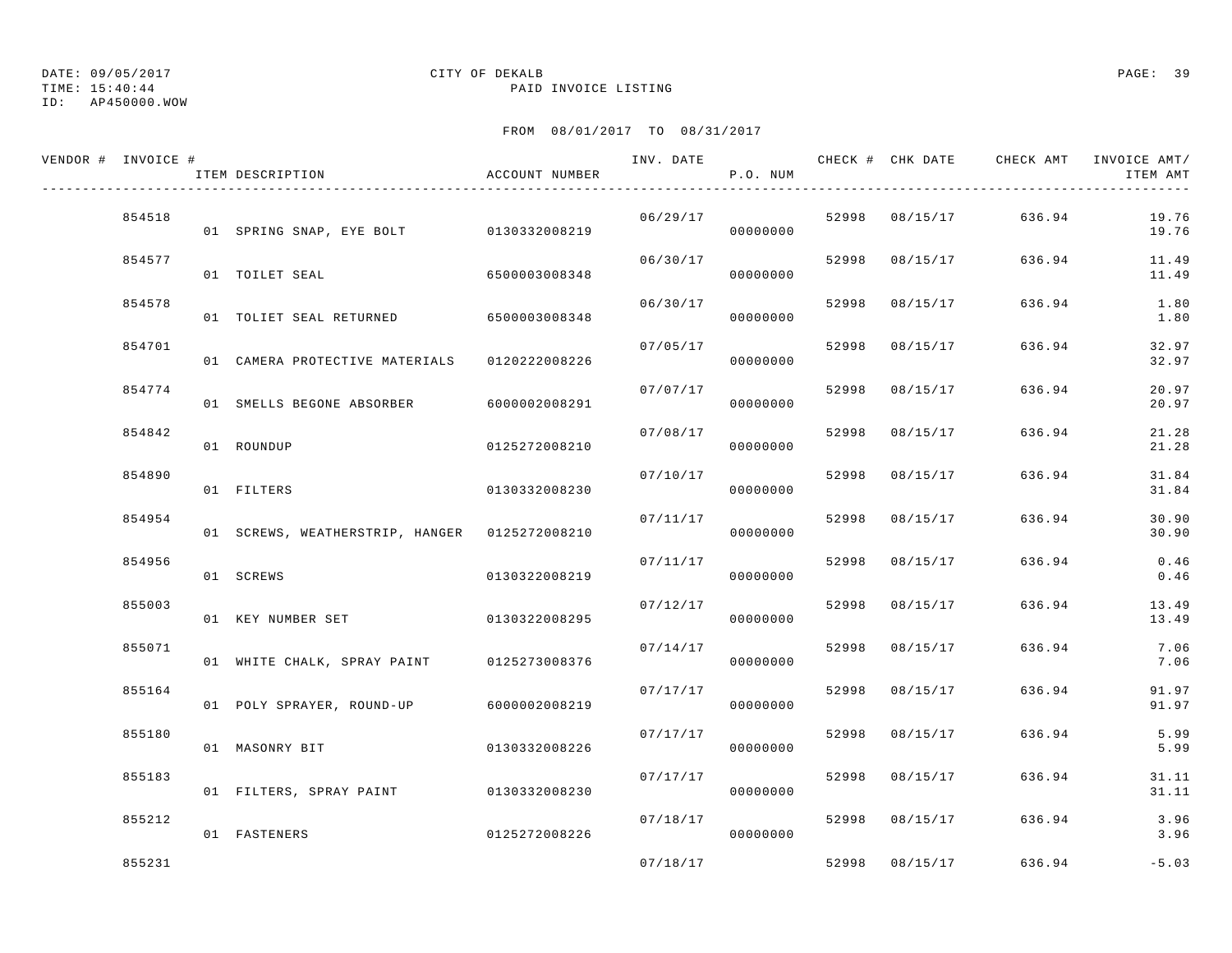## ID: AP450000.WOW

## DATE: 09/05/2017 CITY OF DEKALB PAGE: 39

TIME: 15:40:44 PAID INVOICE LISTING

| VENDOR # INVOICE # | ITEM DESCRIPTION                              | ACCOUNT NUMBER | INV. DATE | P.O. NUM |       | CHECK # CHK DATE | CHECK AMT | INVOICE AMT/<br>ITEM AMT |
|--------------------|-----------------------------------------------|----------------|-----------|----------|-------|------------------|-----------|--------------------------|
| 854518             | 01 SPRING SNAP, EYE BOLT 0130332008219        |                | 06/29/17  | 00000000 |       | 52998 08/15/17   | 636.94    | 19.76<br>19.76           |
| 854577             | 01 TOILET SEAL                                | 6500003008348  | 06/30/17  | 00000000 |       | 52998 08/15/17   | 636.94    | 11.49<br>11.49           |
| 854578             | 01 TOLIET SEAL RETURNED 6500003008348         |                | 06/30/17  | 00000000 | 52998 | 08/15/17         | 636.94    | 1.80<br>1.80             |
| 854701             | 01 CAMERA PROTECTIVE MATERIALS 0120222008226  |                | 07/05/17  | 00000000 | 52998 | 08/15/17         | 636.94    | 32.97<br>32.97           |
| 854774             | 01 SMELLS BEGONE ABSORBER                     | 6000002008291  | 07/07/17  | 00000000 | 52998 | 08/15/17         | 636.94    | 20.97<br>20.97           |
| 854842             | 01 ROUNDUP                                    | 0125272008210  | 07/08/17  | 00000000 | 52998 | 08/15/17         | 636.94    | 21.28<br>21.28           |
| 854890             | 01 FILTERS                                    | 0130332008230  | 07/10/17  | 00000000 | 52998 | 08/15/17         | 636.94    | 31.84<br>31.84           |
| 854954             | 01 SCREWS, WEATHERSTRIP, HANGER 0125272008210 |                | 07/11/17  | 00000000 | 52998 | 08/15/17         | 636.94    | 30.90<br>30.90           |
| 854956             | 01 SCREWS                                     | 0130322008219  | 07/11/17  | 00000000 | 52998 | 08/15/17         | 636.94    | 0.46<br>0.46             |
| 855003             | 01 KEY NUMBER SET                             | 0130322008295  | 07/12/17  | 00000000 | 52998 | 08/15/17         | 636.94    | 13.49<br>13.49           |
| 855071             | 01 WHITE CHALK, SPRAY PAINT 0125273008376     |                | 07/14/17  | 00000000 | 52998 | 08/15/17         | 636.94    | 7.06<br>7.06             |
| 855164             | 01 POLY SPRAYER, ROUND-UP                     | 6000002008219  | 07/17/17  | 00000000 | 52998 | 08/15/17         | 636.94    | 91.97<br>91.97           |
| 855180             | 01 MASONRY BIT                                | 0130332008226  | 07/17/17  | 00000000 | 52998 | 08/15/17         | 636.94    | 5.99<br>5.99             |
| 855183             | 01 FILTERS, SPRAY PAINT 0130332008230         |                | 07/17/17  | 00000000 | 52998 | 08/15/17         | 636.94    | 31.11<br>31.11           |
| 855212             | 01 FASTENERS                                  | 0125272008226  | 07/18/17  | 00000000 |       | 52998 08/15/17   | 636.94    | 3.96<br>3.96             |
| 855231             |                                               |                | 07/18/17  |          |       | 52998 08/15/17   | 636.94    | $-5.03$                  |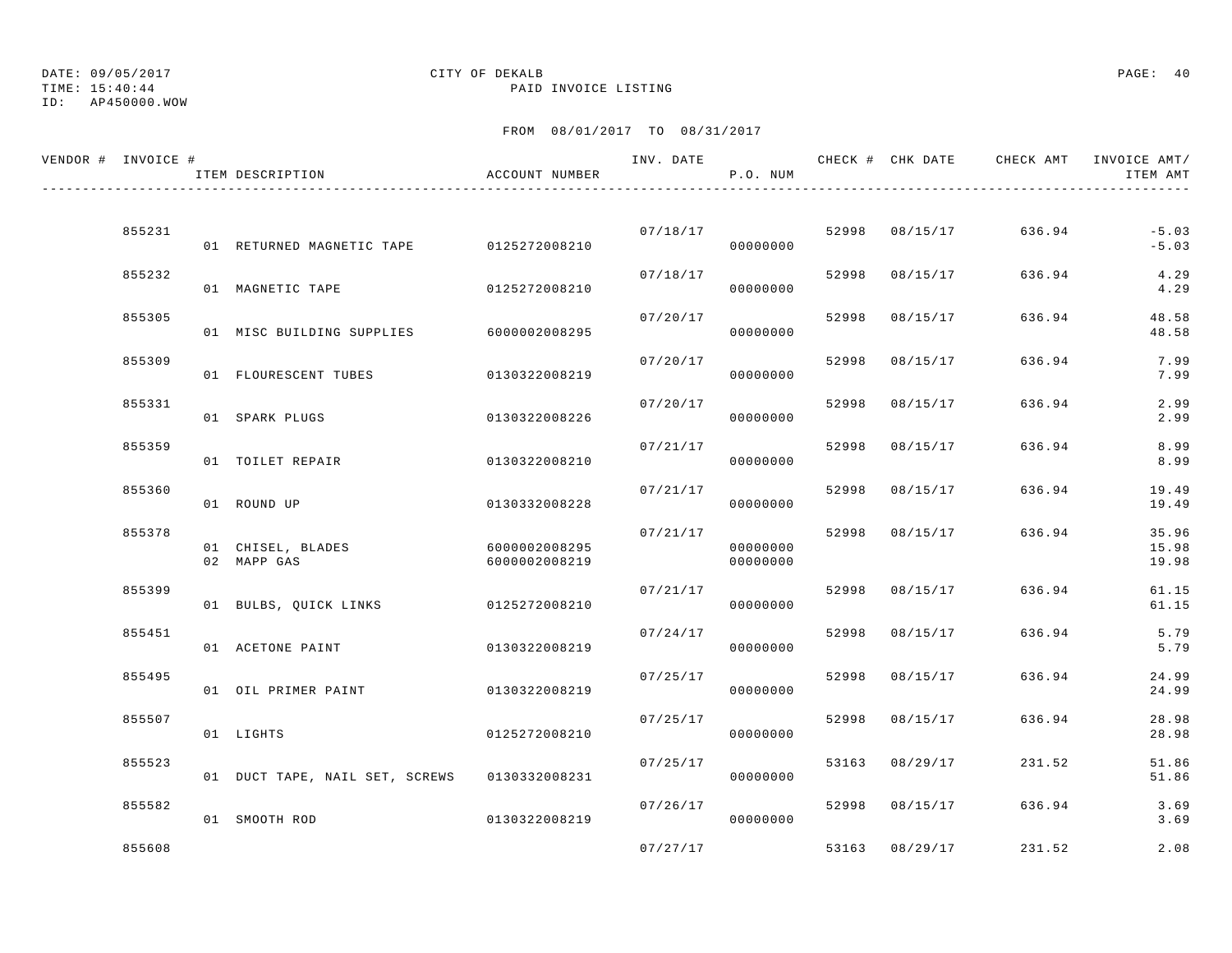# TIME: 15:40:44 PAID INVOICE LISTING

## ID: AP450000.WOW

## DATE: 09/05/2017 CITY OF DEKALB PAGE: 40

| VENDOR # INVOICE # | ITEM DESCRIPTION                             | ACCOUNT NUMBER                 | INV. DATE | P.O. NUM             |       |                | CHECK # CHK DATE CHECK AMT | INVOICE AMT/<br>ITEM AMT |
|--------------------|----------------------------------------------|--------------------------------|-----------|----------------------|-------|----------------|----------------------------|--------------------------|
|                    |                                              |                                |           |                      |       |                |                            |                          |
| 855231             | 01 RETURNED MAGNETIC TAPE 0125272008210      |                                |           | 07/18/17<br>00000000 |       | 52998 08/15/17 | 636.94                     | $-5.03$<br>$-5.03$       |
| 855232             | 01 MAGNETIC TAPE                             | 0125272008210                  | 07/18/17  | 00000000             | 52998 | 08/15/17       | 636.94                     | 4.29<br>4.29             |
| 855305             | 01 MISC BUILDING SUPPLIES                    | 6000002008295                  | 07/20/17  | 00000000             | 52998 | 08/15/17       | 636.94                     | 48.58<br>48.58           |
| 855309             | 01 FLOURESCENT TUBES                         | 0130322008219                  | 07/20/17  | 00000000             | 52998 | 08/15/17       | 636.94                     | 7.99<br>7.99             |
| 855331             | 01 SPARK PLUGS                               | 0130322008226                  | 07/20/17  | 00000000             | 52998 | 08/15/17       | 636.94                     | 2.99<br>2.99             |
| 855359             | 01 TOILET REPAIR                             | 0130322008210                  | 07/21/17  | 00000000             | 52998 | 08/15/17       | 636.94                     | 8.99<br>8.99             |
| 855360             | 01 ROUND UP                                  | 0130332008228                  | 07/21/17  | 00000000             | 52998 | 08/15/17       | 636.94                     | 19.49<br>19.49           |
| 855378             | 01 CHISEL, BLADES<br>02 MAPP GAS             | 6000002008295<br>6000002008219 | 07/21/17  | 00000000<br>00000000 | 52998 | 08/15/17       | 636.94                     | 35.96<br>15.98<br>19.98  |
| 855399             | 01 BULBS, QUICK LINKS                        | 0125272008210                  | 07/21/17  | 00000000             | 52998 | 08/15/17       | 636.94                     | 61.15<br>61.15           |
| 855451             | 01 ACETONE PAINT                             | 0130322008219                  | 07/24/17  | 00000000             | 52998 | 08/15/17       | 636.94                     | 5.79<br>5.79             |
| 855495             | 01 OIL PRIMER PAINT                          | 0130322008219                  | 07/25/17  | 00000000             | 52998 | 08/15/17       | 636.94                     | 24.99<br>24.99           |
| 855507             | 01 LIGHTS                                    | 0125272008210                  | 07/25/17  | 00000000             | 52998 | 08/15/17       | 636.94                     | 28.98<br>28.98           |
| 855523             | 01 DUCT TAPE, NAIL SET, SCREWS 0130332008231 |                                | 07/25/17  | 00000000             |       | 53163 08/29/17 | 231.52                     | 51.86<br>51.86           |
| 855582             | 01 SMOOTH ROD                                | 0130322008219                  | 07/26/17  | 00000000             |       | 52998 08/15/17 | 636.94                     | 3.69<br>3.69             |
| 855608             |                                              |                                |           | 07/27/17             |       | 53163 08/29/17 | 231.52                     | 2.08                     |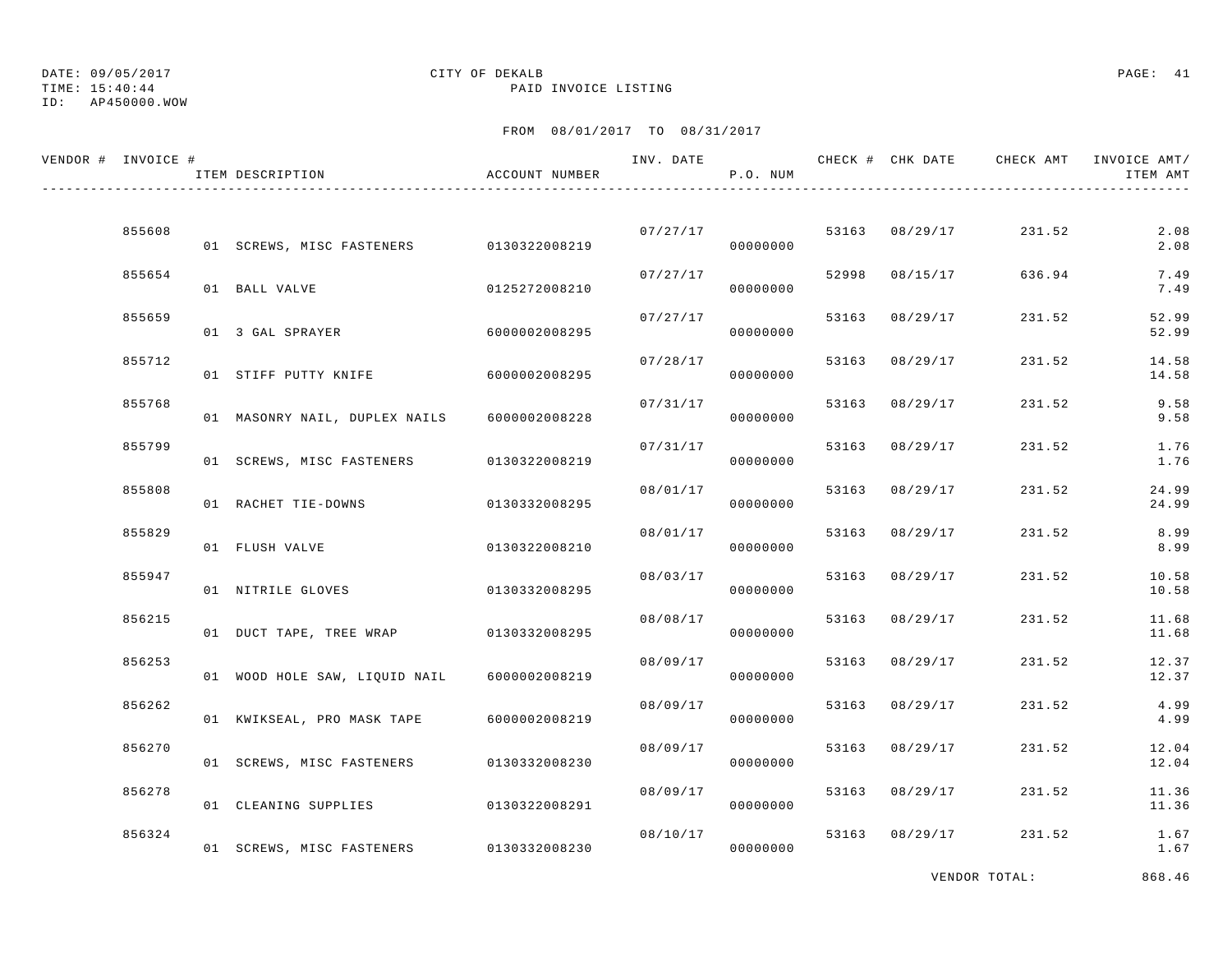# TIME: 15:40:44 PAID INVOICE LISTING

## ID: AP450000.WOW

## DATE: 09/05/2017 CITY OF DEKALB PAGE: 41

## FROM 08/01/2017 TO 08/31/2017

| VENDOR # INVOICE # |        | ITEM DESCRIPTION                        | ACCOUNT NUMBER | INV. DATE | P.O. NUM             |       |                | CHECK # CHK DATE CHECK AMT INVOICE AMT/ | ITEM AMT       |
|--------------------|--------|-----------------------------------------|----------------|-----------|----------------------|-------|----------------|-----------------------------------------|----------------|
|                    |        |                                         |                |           |                      |       |                |                                         |                |
|                    | 855608 | 01 SCREWS, MISC FASTENERS 0130322008219 |                |           | 07/27/17<br>00000000 |       | 53163 08/29/17 | 231.52                                  | 2.08<br>2.08   |
|                    | 855654 | 01 BALL VALVE                           | 0125272008210  | 07/27/17  | 00000000             | 52998 | 08/15/17       | 636.94                                  | 7.49<br>7.49   |
|                    | 855659 | 01 3 GAL SPRAYER                        | 6000002008295  | 07/27/17  | 00000000             |       | 53163 08/29/17 | 231.52                                  | 52.99<br>52.99 |
|                    | 855712 | 01 STIFF PUTTY KNIFE                    | 6000002008295  | 07/28/17  | 00000000             |       | 53163 08/29/17 | 231.52                                  | 14.58<br>14.58 |
|                    | 855768 | 01 MASONRY NAIL, DUPLEX NAILS           | 6000002008228  | 07/31/17  | 00000000             | 53163 | 08/29/17       | 231.52                                  | 9.58<br>9.58   |
|                    | 855799 | 01 SCREWS, MISC FASTENERS               | 0130322008219  | 07/31/17  | 00000000             | 53163 | 08/29/17       | 231.52                                  | 1.76<br>1.76   |
|                    | 855808 | 01 RACHET TIE-DOWNS                     | 0130332008295  | 08/01/17  | 00000000             |       | 53163 08/29/17 | 231.52                                  | 24.99<br>24.99 |
|                    | 855829 | 01 FLUSH VALVE                          | 0130322008210  | 08/01/17  | 00000000             |       | 53163 08/29/17 | 231.52                                  | 8.99<br>8.99   |
|                    | 855947 |                                         |                | 08/03/17  |                      |       | 53163 08/29/17 | 231.52                                  | 10.58          |
|                    | 856215 | 01 NITRILE GLOVES                       | 0130332008295  | 08/08/17  | 00000000             |       | 53163 08/29/17 | 231.52                                  | 10.58<br>11.68 |
|                    |        | 01 DUCT TAPE, TREE WRAP                 | 0130332008295  |           | 00000000             |       |                |                                         | 11.68          |
|                    | 856253 | 01 WOOD HOLE SAW, LIQUID NAIL           | 6000002008219  | 08/09/17  | 00000000             |       | 53163 08/29/17 | 231.52                                  | 12.37<br>12.37 |
|                    | 856262 | 01 KWIKSEAL, PRO MASK TAPE              | 6000002008219  | 08/09/17  | 00000000             | 53163 | 08/29/17       | 231.52                                  | 4.99<br>4.99   |
|                    | 856270 | 01 SCREWS, MISC FASTENERS               | 0130332008230  | 08/09/17  | 00000000             |       | 53163 08/29/17 | 231.52                                  | 12.04<br>12.04 |
|                    | 856278 | 01 CLEANING SUPPLIES                    | 0130322008291  | 08/09/17  | 00000000             |       | 53163 08/29/17 | 231.52                                  | 11.36<br>11.36 |
|                    | 856324 | 01 SCREWS, MISC FASTENERS 0130332008230 |                | 08/10/17  | 00000000             |       | 53163 08/29/17 | 231.52                                  | 1.67<br>1.67   |

VENDOR TOTAL: 868.46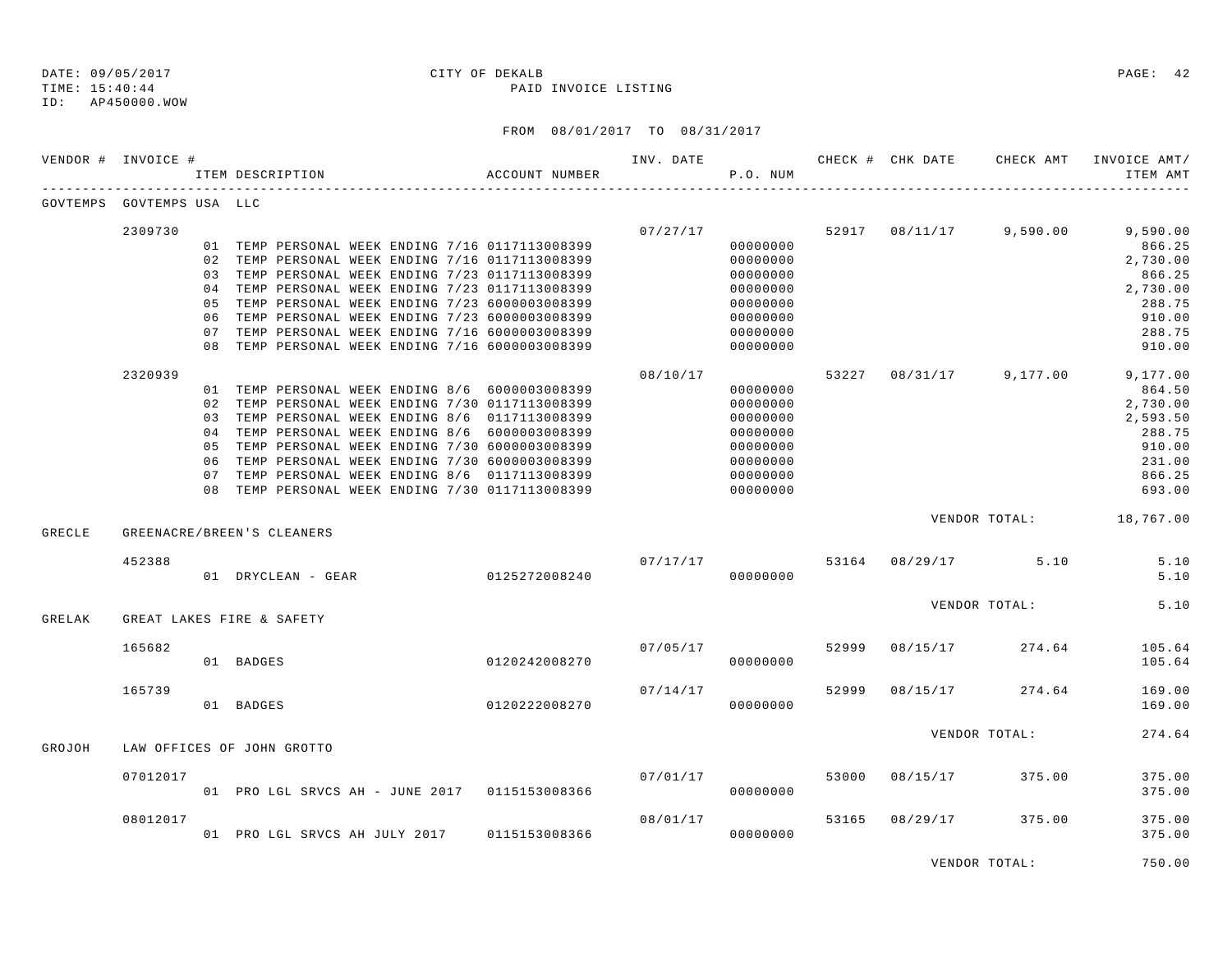TIME: 15:40:44 PAID INVOICE LISTING

ID: AP450000.WOW

## FROM 08/01/2017 TO 08/31/2017

|        | VENDOR # INVOICE #        |     | ACCOUNT NUMBER<br>ITEM DESCRIPTION                                                                 |               | INV. DATE <b>CHECK # CHK DATE</b> CHECK AMT<br>P.O. NUM |          |       |                 |                                | INVOICE AMT/<br>ITEM AMT                    |
|--------|---------------------------|-----|----------------------------------------------------------------------------------------------------|---------------|---------------------------------------------------------|----------|-------|-----------------|--------------------------------|---------------------------------------------|
|        | GOVTEMPS GOVTEMPS USA LLC |     |                                                                                                    |               |                                                         |          |       |                 |                                |                                             |
|        | 2309730                   |     |                                                                                                    |               |                                                         |          |       |                 |                                | $07/27/17$ 52917 08/11/17 9,590.00 9,590.00 |
|        |                           |     | 01 TEMP PERSONAL WEEK ENDING 7/16 0117113008399<br>02 TEMP PERSONAL WEEK ENDING 7/16 0117113008399 |               |                                                         | 00000000 |       |                 |                                | 866.25                                      |
|        |                           |     |                                                                                                    |               |                                                         | 00000000 |       |                 |                                | 2,730.00                                    |
|        |                           |     | 03 TEMP PERSONAL WEEK ENDING 7/23 0117113008399                                                    |               |                                                         | 00000000 |       |                 |                                | 866.25                                      |
|        |                           |     | 04 TEMP PERSONAL WEEK ENDING 7/23 0117113008399                                                    |               |                                                         | 00000000 |       |                 |                                | 2,730.00                                    |
|        |                           |     | 05 TEMP PERSONAL WEEK ENDING 7/23 6000003008399                                                    |               |                                                         | 00000000 |       |                 |                                | 288.75                                      |
|        |                           | 06  | TEMP PERSONAL WEEK ENDING 7/23 6000003008399                                                       |               |                                                         | 00000000 |       |                 |                                | 910.00                                      |
|        |                           | 07  | TEMP PERSONAL WEEK ENDING 7/16 6000003008399                                                       |               |                                                         | 00000000 |       |                 |                                | 288.75                                      |
|        |                           |     | 08 TEMP PERSONAL WEEK ENDING 7/16 6000003008399                                                    |               |                                                         | 00000000 |       |                 |                                | 910.00                                      |
|        | 2320939                   |     |                                                                                                    |               | 08/10/17                                                |          |       |                 |                                | 53227 08/31/17 9,177.00 9,177.00            |
|        |                           |     | 01 TEMP PERSONAL WEEK ENDING 8/6 6000003008399                                                     |               |                                                         | 00000000 |       |                 |                                | 864.50                                      |
|        |                           | 02  | TEMP PERSONAL WEEK ENDING 7/30 0117113008399                                                       |               |                                                         | 00000000 |       |                 |                                | 2,730.00                                    |
|        |                           | 03  | TEMP PERSONAL WEEK ENDING 8/6 0117113008399                                                        |               |                                                         | 00000000 |       |                 |                                | 2,593.50                                    |
|        |                           | 04  | TEMP PERSONAL WEEK ENDING 8/6 6000003008399                                                        |               |                                                         | 00000000 |       |                 |                                | 288.75                                      |
|        |                           | 0.5 | TEMP PERSONAL WEEK ENDING 7/30 6000003008399                                                       |               |                                                         | 00000000 |       |                 |                                | 910.00                                      |
|        |                           |     | 06 TEMP PERSONAL WEEK ENDING 7/30 6000003008399                                                    |               |                                                         | 00000000 |       |                 |                                | 231.00                                      |
|        |                           | 07  | TEMP PERSONAL WEEK ENDING 8/6 0117113008399                                                        |               |                                                         | 00000000 |       |                 |                                | 866.25                                      |
|        |                           |     | 08 TEMP PERSONAL WEEK ENDING 7/30 0117113008399                                                    |               |                                                         | 00000000 |       |                 |                                | 693.00                                      |
| GRECLE |                           |     | GREENACRE/BREEN'S CLEANERS                                                                         |               |                                                         |          |       |                 |                                | VENDOR TOTAL: 18,767.00                     |
|        |                           |     |                                                                                                    |               |                                                         |          |       |                 |                                |                                             |
|        | 452388                    |     | 07/17/17<br>01 DRYCLEAN - GEAR 0125272008240                                                       |               |                                                         | 00000000 |       |                 | $07/17/17$ 53164 08/29/17 5.10 | 5.10<br>5.10                                |
|        |                           |     |                                                                                                    |               |                                                         |          |       |                 | VENDOR TOTAL:                  | 5.10                                        |
| GRELAK |                           |     | GREAT LAKES FIRE & SAFETY                                                                          |               |                                                         |          |       |                 |                                |                                             |
|        | 165682                    |     |                                                                                                    |               | 07/05/17                                                |          | 52999 |                 | 08/15/17 274.64                | 105.64                                      |
|        |                           |     | 01 BADGES                                                                                          | 0120242008270 |                                                         | 00000000 |       |                 |                                | 105.64                                      |
|        | 165739                    |     |                                                                                                    |               | 07/14/17                                                |          | 52999 |                 | 08/15/17 274.64                | 169.00                                      |
|        |                           |     | 01 BADGES                                                                                          | 0120222008270 |                                                         | 00000000 |       |                 |                                | 169.00                                      |
|        |                           |     |                                                                                                    |               |                                                         |          |       |                 | VENDOR TOTAL:                  | 274.64                                      |
| GROJOH |                           |     | LAW OFFICES OF JOHN GROTTO                                                                         |               |                                                         |          |       |                 |                                |                                             |
|        | 07012017                  |     |                                                                                                    |               | 07/01/17                                                |          | 53000 | 08/15/17 375.00 |                                | 375.00                                      |
|        |                           |     | 01 PRO LGL SRVCS AH - JUNE 2017 0115153008366                                                      |               |                                                         | 00000000 |       |                 |                                | 375.00                                      |
|        | 08012017                  |     |                                                                                                    |               | 08/01/17                                                |          | 53165 | 08/29/17        | 375.00                         | 375.00                                      |
|        |                           |     | 01 PRO LGL SRVCS AH JULY 2017 0115153008366                                                        |               |                                                         | 00000000 |       |                 |                                | 375.00                                      |
|        |                           |     |                                                                                                    |               |                                                         |          |       |                 |                                |                                             |

VENDOR TOTAL: 750.00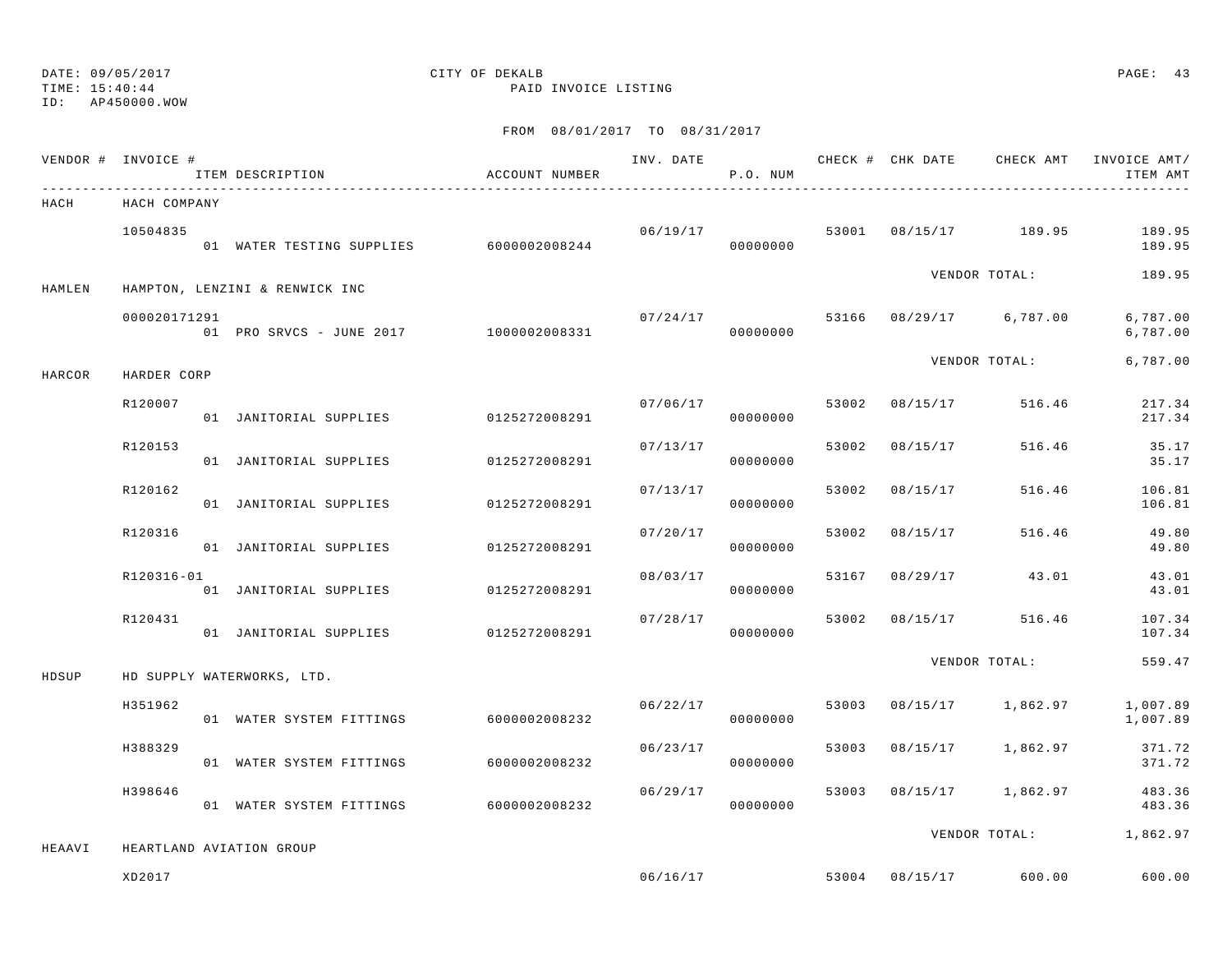## ID: AP450000.WOW

## DATE: 09/05/2017 CITY OF DEKALB PAGE: 43

TIME: 15:40:44 PAID INVOICE LISTING

|        | VENDOR # INVOICE # | ITEM DESCRIPTION                        | ACCOUNT NUMBER |          | P.O. NUM |       |                |                         | ITEM AMT               |
|--------|--------------------|-----------------------------------------|----------------|----------|----------|-------|----------------|-------------------------|------------------------|
| HACH   | HACH COMPANY       |                                         |                |          |          |       |                |                         |                        |
|        | 10504835           | 01 WATER TESTING SUPPLIES 6000002008244 |                | 06/19/17 | 00000000 |       |                | 53001 08/15/17 189.95   | 189.95<br>189.95       |
| HAMLEN |                    | HAMPTON, LENZINI & RENWICK INC          |                |          |          |       |                | VENDOR TOTAL:           | 189.95                 |
|        | 000020171291       | 01 PRO SRVCS - JUNE 2017 1000002008331  |                | 07/24/17 | 00000000 |       |                | 53166 08/29/17 6,787.00 | 6,787.00<br>6,787.00   |
| HARCOR | HARDER CORP        |                                         |                |          |          |       |                | VENDOR TOTAL:           | 6,787.00               |
|        | R120007            | 01 JANITORIAL SUPPLIES 0125272008291    |                | 07/06/17 | 00000000 |       | 53002 08/15/17 | 516.46                  | 217.34<br>217.34       |
|        | R120153            | 01 JANITORIAL SUPPLIES 0125272008291    |                | 07/13/17 | 00000000 | 53002 | 08/15/17       | 516.46                  | 35.17<br>35.17         |
|        | R120162            | 01 JANITORIAL SUPPLIES                  | 0125272008291  | 07/13/17 | 00000000 | 53002 | 08/15/17       | 516.46                  | 106.81<br>106.81       |
|        | R120316            | 01 JANITORIAL SUPPLIES                  | 0125272008291  | 07/20/17 | 00000000 | 53002 | 08/15/17       | 516.46                  | 49.80<br>49.80         |
|        | R120316-01         | 01 JANITORIAL SUPPLIES 0125272008291    |                | 08/03/17 | 00000000 |       | 53167 08/29/17 | 43.01                   | 43.01<br>43.01         |
|        | R120431            | 01 JANITORIAL SUPPLIES 0125272008291    |                | 07/28/17 | 00000000 | 53002 | 08/15/17       | 516.46                  | 107.34<br>107.34       |
| HDSUP  |                    | HD SUPPLY WATERWORKS, LTD.              |                |          |          |       |                | VENDOR TOTAL:           | 559.47                 |
|        | H351962            | 01 WATER SYSTEM FITTINGS                | 6000002008232  | 06/22/17 | 00000000 | 53003 |                | 08/15/17 1,862.97       | 1,007.89<br>1,007.89   |
|        | H388329            | 01 WATER SYSTEM FITTINGS                | 6000002008232  | 06/23/17 | 00000000 |       |                | 53003 08/15/17 1,862.97 | 371.72<br>371.72       |
|        | H398646            | 01 WATER SYSTEM FITTINGS 6000002008232  |                | 06/29/17 | 00000000 |       |                | 53003 08/15/17 1,862.97 | 483.36<br>483.36       |
| HEAAVI |                    | HEARTLAND AVIATION GROUP                |                |          |          |       |                |                         | VENDOR TOTAL: 1,862.97 |
|        | XD2017             |                                         |                |          | 06/16/17 |       | 53004 08/15/17 | 600.00                  | 600.00                 |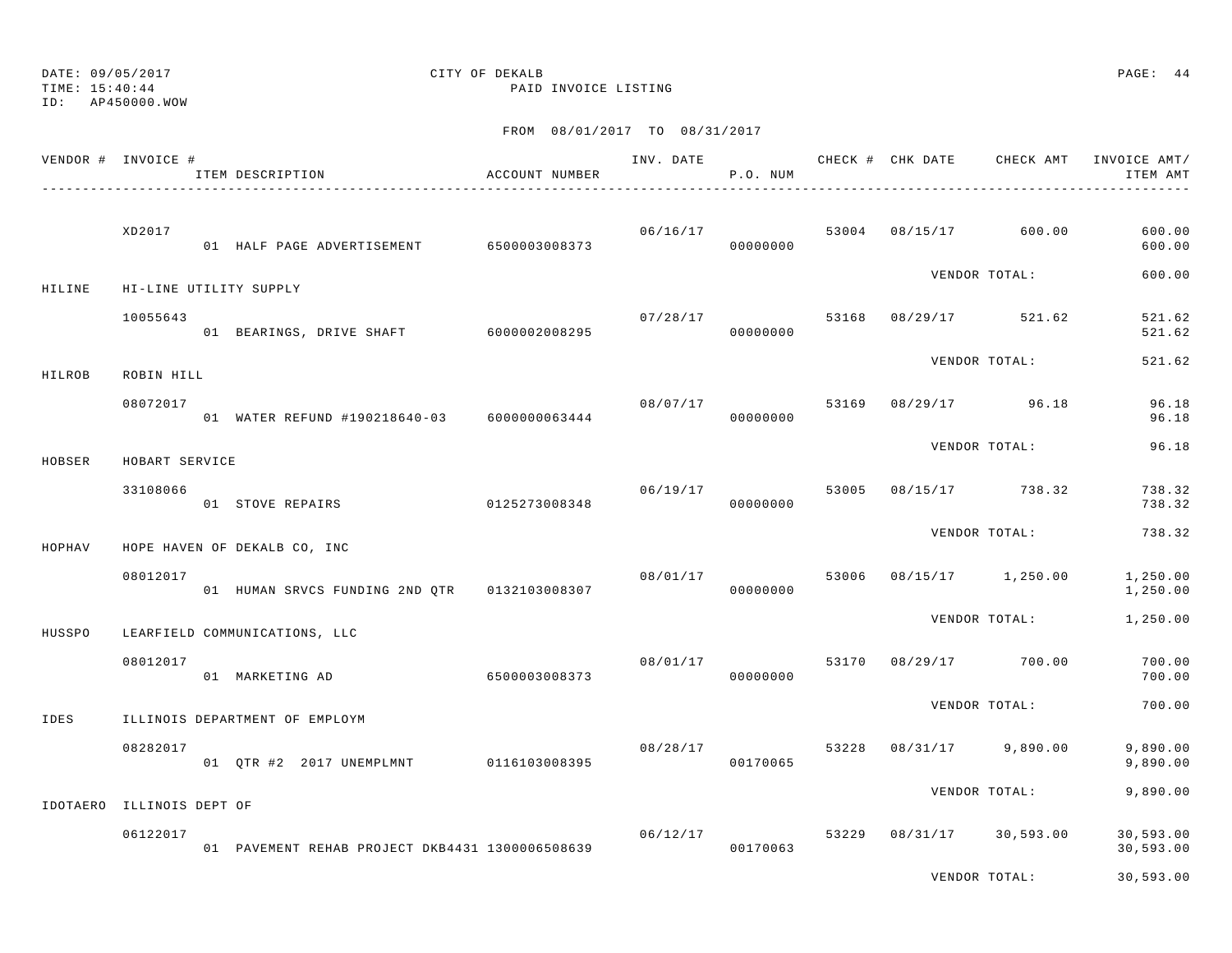DATE: 09/05/2017 CITY OF DEKALB PAGE: 44 TIME: 15:40:44 PAID INVOICE LISTING

ID: AP450000.WOW

|        | VENDOR # INVOICE #        | ITEM DESCRIPTION                                | ACCOUNT NUMBER | INV. DATE | P.O. NUM             |       | CHECK # CHK DATE | CHECK AMT       | INVOICE AMT/<br>ITEM AMT |
|--------|---------------------------|-------------------------------------------------|----------------|-----------|----------------------|-------|------------------|-----------------|--------------------------|
|        | XD2017                    | 01 HALF PAGE ADVERTISEMENT                      | 6500003008373  | 06/16/17  | 00000000             | 53004 | 08/15/17         | 600.00          | 600.00<br>600.00         |
| HILINE |                           | HI-LINE UTILITY SUPPLY                          |                |           |                      |       |                  | VENDOR TOTAL:   | 600.00                   |
|        | 10055643                  | 01 BEARINGS, DRIVE SHAFT 6000002008295          |                | 07/28/17  | 00000000             | 53168 | 08/29/17         | 521.62          | 521.62<br>521.62         |
| HILROB | ROBIN HILL                |                                                 |                |           |                      |       |                  | VENDOR TOTAL:   | 521.62                   |
|        | 08072017                  | 01 WATER REFUND #190218640-03 6000000063444     |                | 08/07/17  | 00000000             | 53169 | 08/29/17         | 96.18           | 96.18<br>96.18           |
| HOBSER | HOBART SERVICE            |                                                 |                |           |                      |       |                  | VENDOR TOTAL:   | 96.18                    |
|        | 33108066                  | 01 STOVE REPAIRS                                | 0125273008348  | 06/19/17  | 00000000             | 53005 |                  | 08/15/17 738.32 | 738.32<br>738.32         |
| HOPHAV |                           | HOPE HAVEN OF DEKALB CO, INC                    |                |           |                      |       |                  | VENDOR TOTAL:   | 738.32                   |
|        | 08012017                  | 01 HUMAN SRVCS FUNDING 2ND OTR 0132103008307    |                | 08/01/17  | 00000000             | 53006 | 08/15/17         | 1,250.00        | 1,250.00<br>1,250.00     |
| HUSSPO |                           | LEARFIELD COMMUNICATIONS, LLC                   |                |           |                      |       |                  | VENDOR TOTAL:   | 1,250.00                 |
|        | 08012017                  | 01 MARKETING AD                                 | 6500003008373  | 08/01/17  | 00000000             | 53170 |                  | 08/29/17 700.00 | 700.00<br>700.00         |
| IDES   |                           | ILLINOIS DEPARTMENT OF EMPLOYM                  |                |           |                      |       |                  | VENDOR TOTAL:   | 700.00                   |
|        | 08282017                  | 01 OTR #2 2017 UNEMPLMNT                        | 0116103008395  | 08/28/17  | 00170065             | 53228 | 08/31/17         | 9,890.00        | 9,890.00<br>9,890.00     |
|        | IDOTAERO ILLINOIS DEPT OF |                                                 |                |           |                      |       |                  | VENDOR TOTAL:   | 9,890.00                 |
|        | 06122017                  | 01 PAVEMENT REHAB PROJECT DKB4431 1300006508639 |                |           | 06/12/17<br>00170063 | 53229 | 08/31/17         | 30,593.00       | 30,593.00<br>30,593.00   |
|        |                           |                                                 |                |           |                      |       |                  | VENDOR TOTAL:   | 30,593.00                |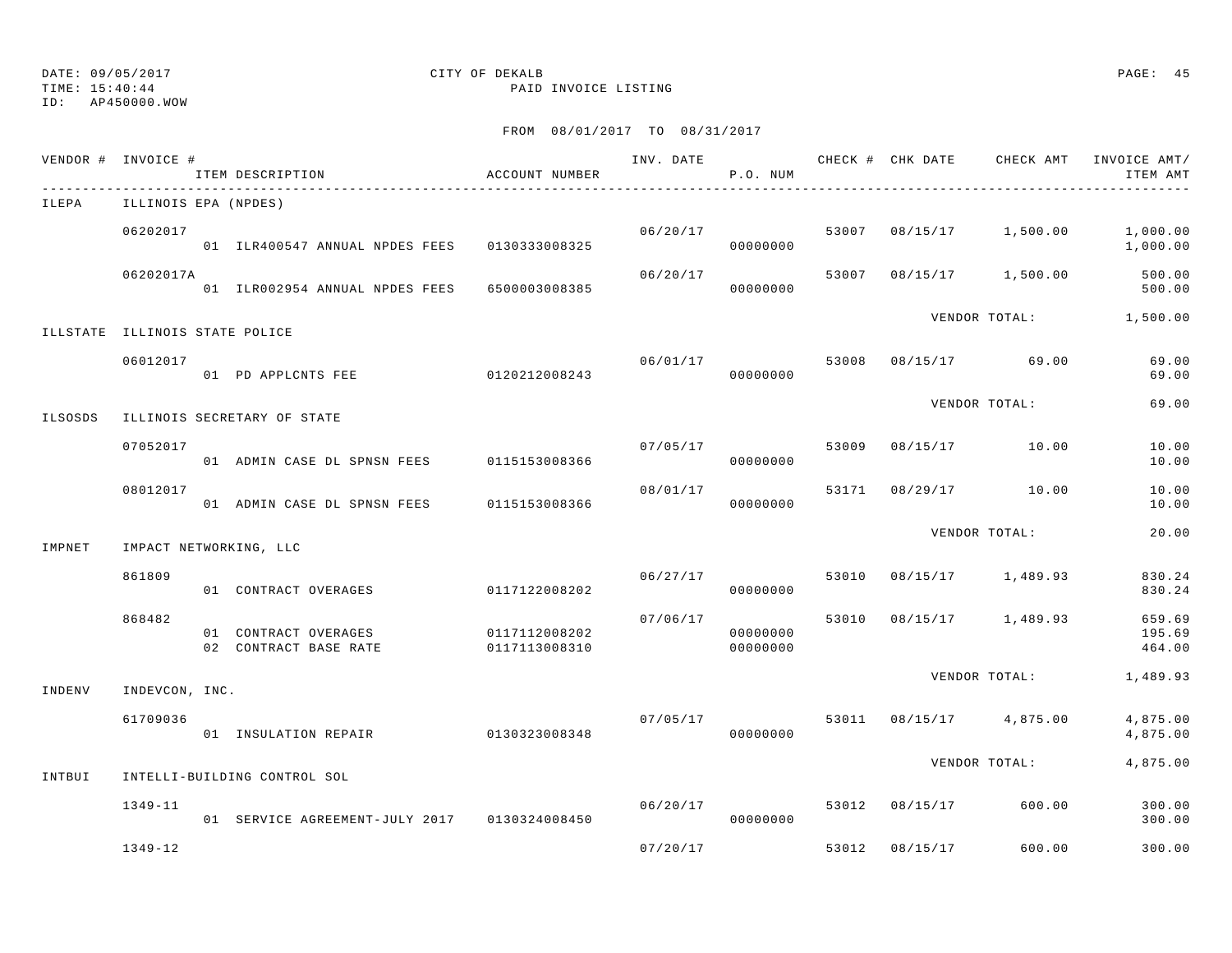# ID: AP450000.WOW

## DATE: 09/05/2017 CITY OF DEKALB PAGE: 45

TIME: 15:40:44 PAID INVOICE LISTING

|         | VENDOR # INVOICE #             | ITEM DESCRIPTION                              | ACCOUNT NUMBER                 |          | P.O. NUM             |       |                |                         | INV. DATE 6 1999 CHECK # CHK DATE 6 CHECK AMT INVOICE AMT<br>ITEM AMT |
|---------|--------------------------------|-----------------------------------------------|--------------------------------|----------|----------------------|-------|----------------|-------------------------|-----------------------------------------------------------------------|
| ILEPA   | ILLINOIS EPA (NPDES)           |                                               |                                |          |                      |       |                |                         |                                                                       |
|         | 06202017                       | 01 ILR400547 ANNUAL NPDES FEES 0130333008325  |                                |          | 06/20/17<br>00000000 |       |                | 53007 08/15/17 1,500.00 | 1,000.00<br>1,000.00                                                  |
|         | 06202017A                      | 01 ILR002954 ANNUAL NPDES FEES                | 6500003008385                  | 06/20/17 | 00000000             |       |                | 53007 08/15/17 1,500.00 | 500.00<br>500.00                                                      |
|         | ILLSTATE ILLINOIS STATE POLICE |                                               |                                |          |                      |       |                |                         | VENDOR TOTAL: 1,500.00                                                |
|         | 06012017                       | 01 PD APPLCNTS FEE                            | 0120212008243                  |          | 06/01/17<br>00000000 | 53008 |                | 08/15/17 69.00          | 69.00<br>69.00                                                        |
| ILSOSDS |                                | ILLINOIS SECRETARY OF STATE                   |                                |          |                      |       |                | VENDOR TOTAL:           | 69.00                                                                 |
|         | 07052017                       | 01 ADMIN CASE DL SPNSN FEES 0115153008366     |                                |          | 07/05/17<br>00000000 |       |                | 53009 08/15/17 10.00    | 10.00<br>10.00                                                        |
|         | 08012017                       | 01 ADMIN CASE DL SPNSN FEES                   | 0115153008366                  | 08/01/17 | 00000000             | 53171 |                | 08/29/17 10.00          | 10.00<br>10.00                                                        |
| IMPNET  |                                | IMPACT NETWORKING, LLC                        |                                |          |                      |       |                | VENDOR TOTAL:           | 20.00                                                                 |
|         | 861809                         | 01 CONTRACT OVERAGES                          | 0117122008202                  | 06/27/17 | 00000000             | 53010 |                | 08/15/17 1,489.93       | 830.24<br>830.24                                                      |
|         | 868482                         | 01 CONTRACT OVERAGES<br>02 CONTRACT BASE RATE | 0117112008202<br>0117113008310 | 07/06/17 | 00000000<br>00000000 |       |                | 53010 08/15/17 1,489.93 | 659.69<br>195.69<br>464.00                                            |
| INDENV  | INDEVCON, INC.                 |                                               |                                |          |                      |       |                | VENDOR TOTAL:           | 1,489.93                                                              |
|         | 61709036                       | 01 INSULATION REPAIR 0130323008348            |                                |          | 07/05/17<br>00000000 | 53011 |                | 08/15/17 4,875.00       | 4,875.00<br>4,875.00                                                  |
| INTBUI  |                                | INTELLI-BUILDING CONTROL SOL                  |                                |          |                      |       |                | VENDOR TOTAL:           | 4,875.00                                                              |
|         | $1349 - 11$                    | 01 SERVICE AGREEMENT-JULY 2017 0130324008450  |                                | 06/20/17 | 00000000             |       | 53012 08/15/17 | 600.00                  | 300.00<br>300.00                                                      |
|         | $1349 - 12$                    |                                               |                                | 07/20/17 |                      | 53012 | 08/15/17       | 600.00                  | 300.00                                                                |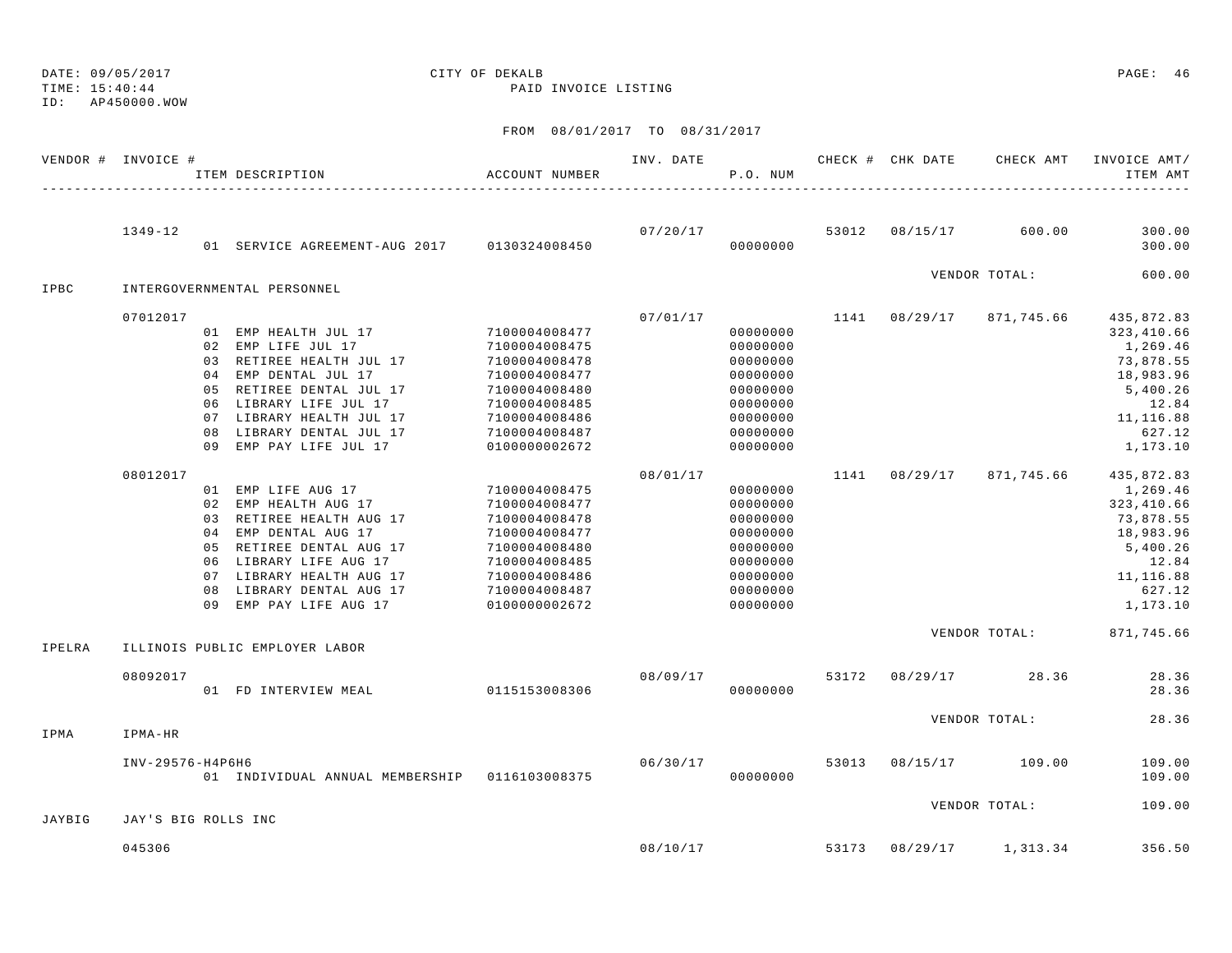TIME: 15:40:44 PAID INVOICE LISTING ID: AP450000.WOWFROM 08/01/2017 TO 08/31/2017 VENDOR # INVOICE # THE SAMPLE FOR THE CHECK AND THE CHECK AND CHECK FOR CHECK AMT INVOICE AMT/ ITEM DESCRIPTION ACCOUNT NUMBER P.O. NUM ITEM AMT---------------------------------------------------------------------------------------------------------------------------------------------- 1349-12 07/20/17 53012 08/15/17 600.00 300.00 01 SERVICE AGREEMENT-AUG 2017 0130324008450 00000000 300.00VENDOR TOTAL: 600.00 IPBC INTERGOVERNMENTAL PERSONNEL $07/01/17$   $07/01/17$   $1141$   $08/29/17$   $871,745.66$   $435,872.83$ 01 EMP HEALTH JUL 17 7100004008477 000000000 0000000 323,410.66 02 EMP LIFE JUL 17 269.46 2100004008475 00000000 0000000 1,269.46 03 RETIREE HEALTH JUL 17 7100004008478 00000000 0000000 73,878.55 04 EMP DENTAL JUL 17 7100004008477 00000000 0000000 18,983.96 05 RETIREE DENTAL JUL 17 7100004008480 00000000 5,400.26 06 LIBRARY LIFE JUL 17 7100004008485 00000000 12.8407 LIBRARY HEALTH JUL 17 7100004008486 00000000 0000000 11,116.88 08 LIBRARY DENTAL JUL 17 7100004008487 00000000 0000000 627.12 09 EMP PAY LIFE JUL 17 0100000002672 00000000 0000000 1,173.10 08012017 08/01/17 1141 08/29/17 871,745.66 435,872.83 01 EMP LIFE AUG 17 7100004008475 000000000 1,269.46 02 EMP HEALTH AUG 17 **7100004008477** 00000000 0000000 323,410.66 03 RETIREE HEALTH AUG 17 7100004008478 00000000 0000000 73,878.55 04 EMP DENTAL AUG 17 2100004008477 00000000 0000000 18,983.96 05 RETIREE DENTAL AUG 17 7100004008480 00000000 0000000 5,400.26 06 LIBRARY LIFE AUG 17 7100004008485 00000000 12.8407 LIBRARY HEALTH AUG 17 7100004008486 00000000 0000000 11,116.88 08 LIBRARY DENTAL AUG 17 7100004008487 00000000 0000000 627.12 09 EMP PAY LIFE AUG 17 0100000002672 000000000 0000000 1,173.10 VENDOR TOTAL: 871,745.66 IPELRA ILLINOIS PUBLIC EMPLOYER LABOR 08092017 08/09/17 53172 08/29/17 28.36 28.36 01 FD INTERVIEW MEAL 0115153008306 00000000 28.36VENDOR TOTAL: 28.36IPMA IPMA-HR INV-29576-H4P6H6 06/30/17 53013 08/15/17 109.00 109.00 01 INDIVIDUAL ANNUAL MEMBERSHIP 0116103008375 00000000 109.00

DATE: 09/05/2017 CITY OF DEKALB PAGE: 46

VENDOR TOTAL: 109.00JAYBIG JAY'S BIG ROLLS INC045306 08/10/17 53173 08/29/17 1,313.34 356.50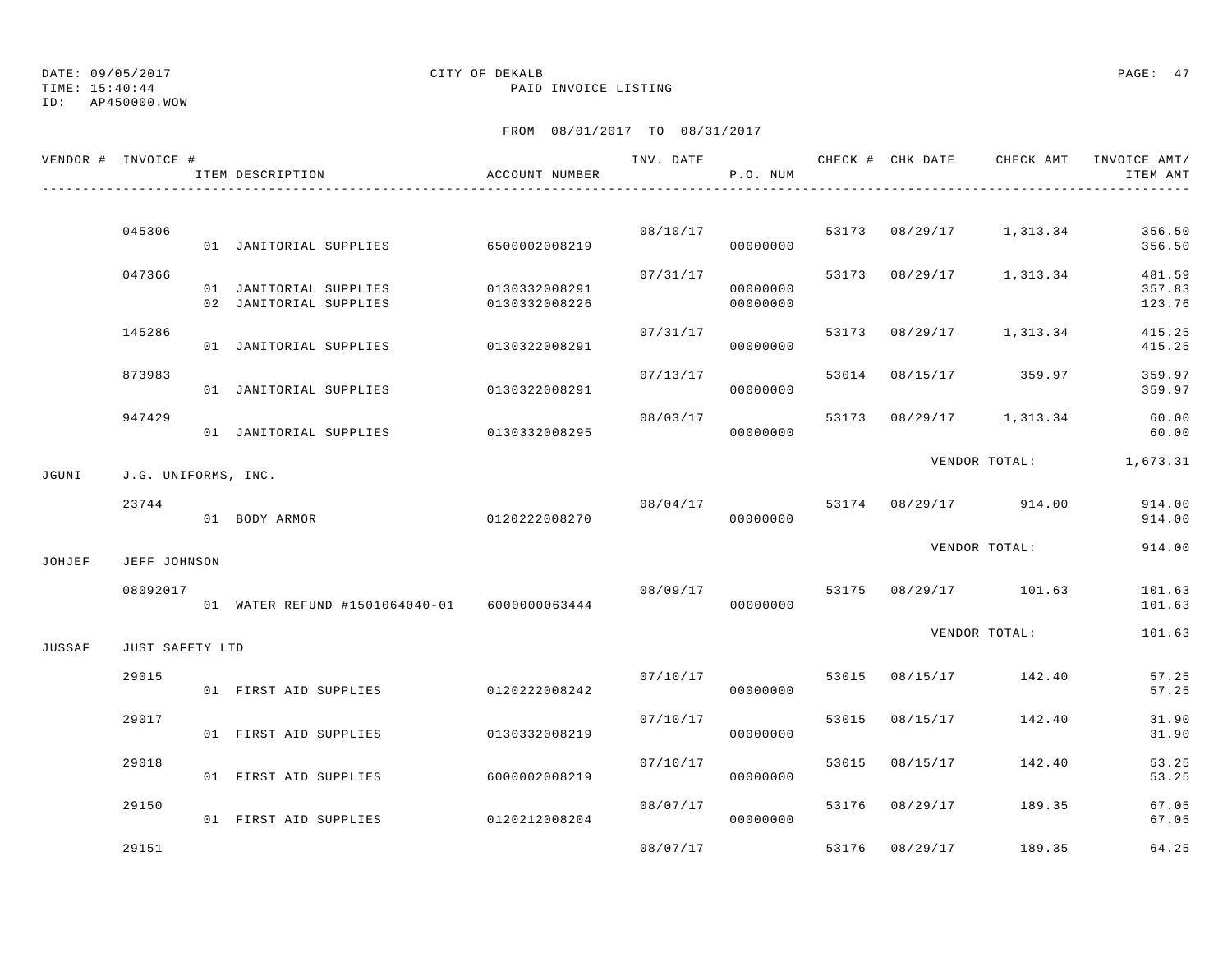ID: AP450000.WOW

### TIME: 15:40:44 PAID INVOICE LISTING

|        | VENDOR # INVOICE #  | ITEM DESCRIPTION                                 | ACCOUNT NUMBER                 |          | P.O. NUM             |       |                |                                        | INV. DATE 6 7 200 CHECK # CHK DATE 6 CHECK AMT INVOICE AMT<br>ITEM AMT |
|--------|---------------------|--------------------------------------------------|--------------------------------|----------|----------------------|-------|----------------|----------------------------------------|------------------------------------------------------------------------|
|        |                     |                                                  |                                |          |                      |       |                |                                        |                                                                        |
|        | 045306              | 01 JANITORIAL SUPPLIES 6500002008219             |                                |          | 08/10/17<br>00000000 |       |                | 53173 08/29/17 1,313.34                | 356.50<br>356.50                                                       |
|        | 047366              | 01 JANITORIAL SUPPLIES<br>02 JANITORIAL SUPPLIES | 0130332008291<br>0130332008226 | 07/31/17 | 00000000<br>00000000 |       |                | 53173 08/29/17 1,313.34                | 481.59<br>357.83<br>123.76                                             |
|        | 145286              | 01 JANITORIAL SUPPLIES                           | 0130322008291                  | 07/31/17 | 00000000             |       |                | 53173 08/29/17 1,313.34                | 415.25<br>415.25                                                       |
|        | 873983              | 01 JANITORIAL SUPPLIES                           | 0130322008291                  | 07/13/17 | 00000000             |       |                | 53014 08/15/17 359.97                  | 359.97<br>359.97                                                       |
|        | 947429              | 01 JANITORIAL SUPPLIES 0130332008295             |                                | 08/03/17 | 00000000             |       |                | 53173 08/29/17 1,313.34                | 60.00<br>60.00                                                         |
| JGUNI  | J.G. UNIFORMS, INC. |                                                  |                                |          |                      |       |                |                                        | VENDOR TOTAL: 1,673.31                                                 |
|        | 23744               | 01 BODY ARMOR                                    | 0120222008270                  |          | 00000000             |       |                | $08/04/17$ $53174$ $08/29/17$ $914.00$ | 914.00<br>914.00                                                       |
| JOHJEF | JEFF JOHNSON        |                                                  |                                |          |                      |       |                | VENDOR TOTAL:                          | 914.00                                                                 |
|        | 08092017            | 01 WATER REFUND #1501064040-01 6000000063444     |                                |          | 00000000             |       |                | 08/09/17 53175 08/29/17 101.63         | 101.63<br>101.63                                                       |
| JUSSAF | JUST SAFETY LTD     |                                                  |                                |          |                      |       |                | VENDOR TOTAL:                          | 101.63                                                                 |
|        | 29015               | 01 FIRST AID SUPPLIES                            | 0120222008242                  | 07/10/17 | 00000000             |       |                | 53015 08/15/17 142.40                  | 57.25<br>57.25                                                         |
|        | 29017               | 01 FIRST AID SUPPLIES                            | 0130332008219                  |          | 07/10/17<br>00000000 | 53015 | 08/15/17       | 142.40                                 | 31.90<br>31.90                                                         |
|        | 29018               | 01 FIRST AID SUPPLIES                            | 6000002008219                  | 07/10/17 | 00000000             | 53015 | 08/15/17       | 142.40                                 | 53.25<br>53.25                                                         |
|        | 29150               | 01 FIRST AID SUPPLIES                            | 0120212008204                  | 08/07/17 | 00000000             |       |                | 53176 08/29/17 189.35                  | 67.05<br>67.05                                                         |
|        | 29151               |                                                  |                                | 08/07/17 |                      |       | 53176 08/29/17 | 189.35                                 | 64.25                                                                  |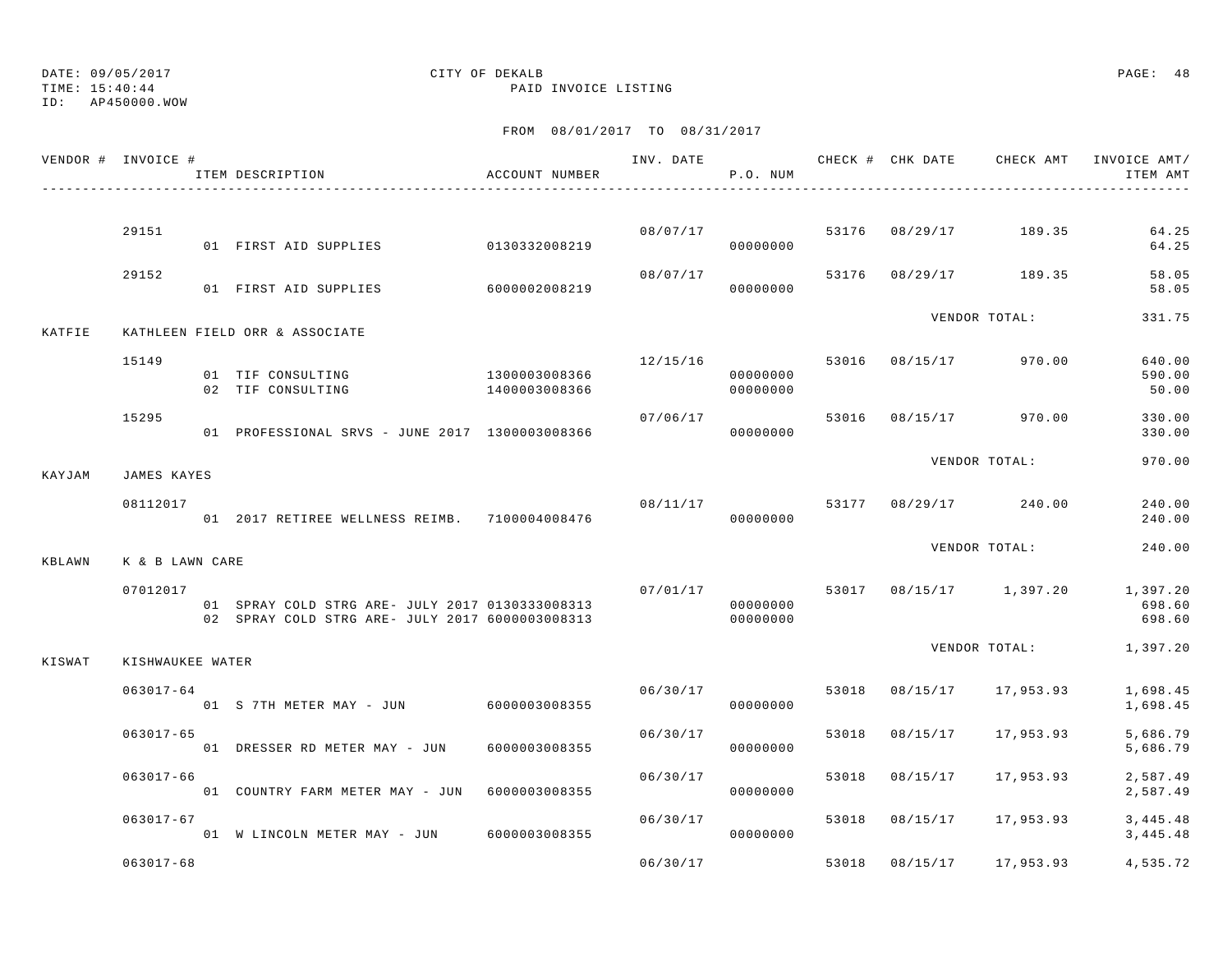TIME: 15:40:44 PAID INVOICE LISTING

ID: AP450000.WOW

|        | VENDOR # INVOICE # | ITEM DESCRIPTION                                                                                   | ACCOUNT NUMBER                 | INV. DATE | P.O. NUM             |       | CHECK # CHK DATE | CHECK AMT               | INVOICE AMT/<br>ITEM AMT     |
|--------|--------------------|----------------------------------------------------------------------------------------------------|--------------------------------|-----------|----------------------|-------|------------------|-------------------------|------------------------------|
|        |                    |                                                                                                    |                                |           |                      |       |                  |                         |                              |
|        | 29151              | 01 FIRST AID SUPPLIES                                                                              | 0130332008219                  |           | 08/07/17<br>00000000 |       |                  | 53176 08/29/17 189.35   | 64.25<br>64.25               |
|        | 29152              | 01 FIRST AID SUPPLIES                                                                              | 6000002008219                  | 08/07/17  | 00000000             | 53176 |                  | 08/29/17 189.35         | 58.05<br>58.05               |
| KATFIE |                    | KATHLEEN FIELD ORR & ASSOCIATE                                                                     |                                |           |                      |       |                  | VENDOR TOTAL:           | 331.75                       |
|        | 15149              | 01 TIF CONSULTING<br>02 TIF CONSULTING                                                             | 1300003008366<br>1400003008366 | 12/15/16  | 00000000<br>00000000 |       |                  | 53016 08/15/17 970.00   | 640.00<br>590.00<br>50.00    |
|        | 15295              | 01 PROFESSIONAL SRVS - JUNE 2017 1300003008366                                                     |                                | 07/06/17  | 00000000             |       |                  | 53016 08/15/17 970.00   | 330.00<br>330.00             |
| KAYJAM | <b>JAMES KAYES</b> |                                                                                                    |                                |           |                      |       |                  | VENDOR TOTAL:           | 970.00                       |
|        | 08112017           | 01  2017 RETIREE WELLNESS REIMB.  7100004008476                                                    |                                | 08/11/17  | 00000000             |       |                  | 53177 08/29/17 240.00   | 240.00<br>240.00             |
| KBLAWN | K & B LAWN CARE    |                                                                                                    |                                |           |                      |       |                  | VENDOR TOTAL:           | 240.00                       |
|        | 07012017           | 01 SPRAY COLD STRG ARE- JULY 2017 0130333008313<br>02 SPRAY COLD STRG ARE- JULY 2017 6000003008313 |                                | 07/01/17  | 00000000<br>00000000 |       |                  | 53017 08/15/17 1,397.20 | 1,397.20<br>698.60<br>698.60 |
| KISWAT | KISHWAUKEE WATER   |                                                                                                    |                                |           |                      |       |                  | VENDOR TOTAL:           | 1,397.20                     |
|        | $063017 - 64$      | 01 S 7TH METER MAY - JUN                                                                           | 6000003008355                  | 06/30/17  | 00000000             | 53018 | 08/15/17         | 17,953.93               | 1,698.45<br>1,698.45         |
|        | $063017 - 65$      | 01 DRESSER RD METER MAY - JUN                                                                      | 6000003008355                  | 06/30/17  | 00000000             | 53018 | 08/15/17         | 17,953.93               | 5,686.79<br>5,686.79         |
|        | 063017-66          | 01 COUNTRY FARM METER MAY - JUN                                                                    | 6000003008355                  | 06/30/17  | 00000000             | 53018 | 08/15/17         | 17,953.93               | 2,587.49<br>2,587.49         |
|        | $063017 - 67$      | 01 W LINCOLN METER MAY - JUN 6000003008355                                                         |                                | 06/30/17  | 00000000             | 53018 | 08/15/17         | 17,953.93               | 3, 445.48<br>3,445.48        |
|        | $063017 - 68$      |                                                                                                    |                                | 06/30/17  |                      | 53018 | 08/15/17         | 17,953.93               | 4,535.72                     |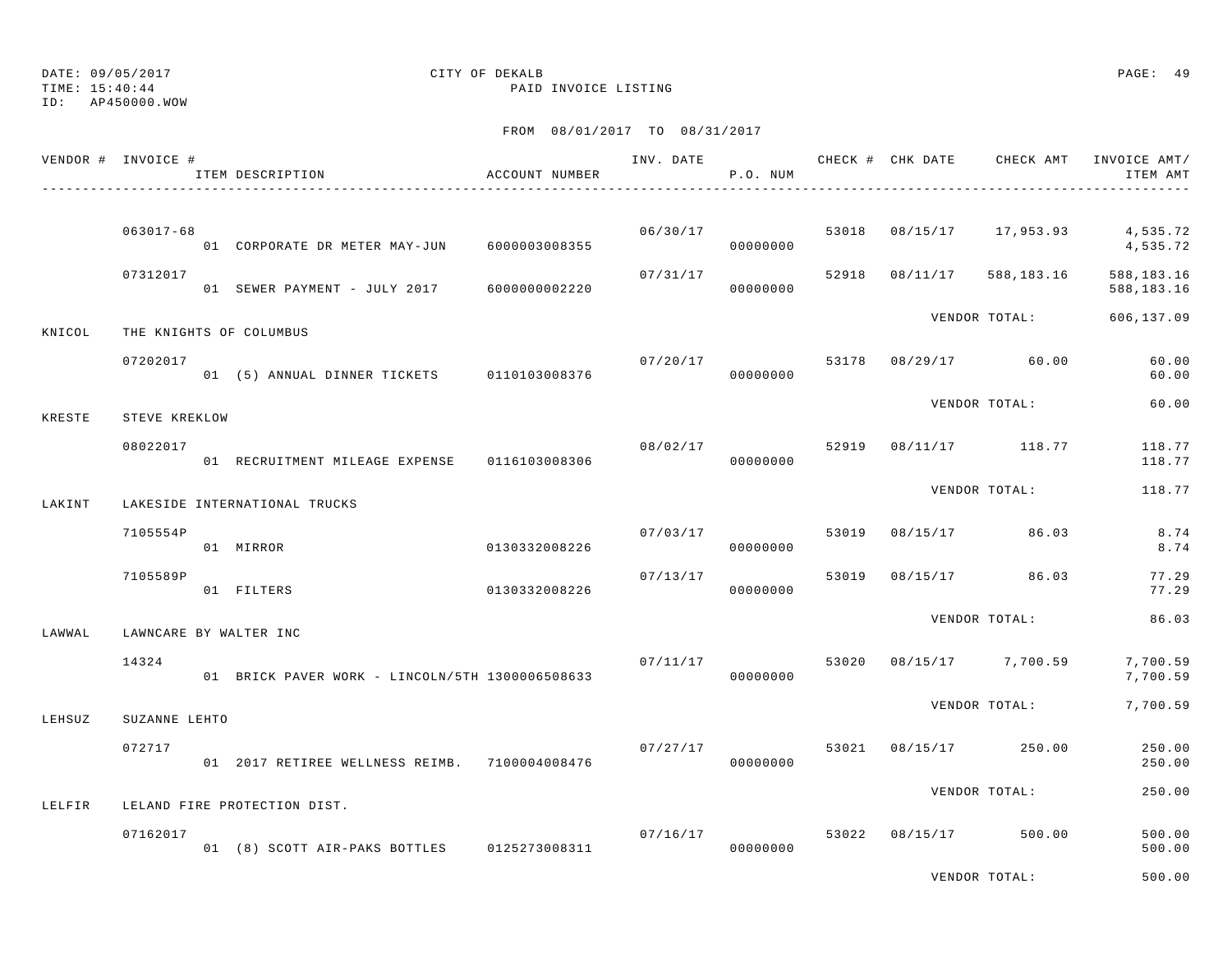TIME: 15:40:44 PAID INVOICE LISTING

ID: AP450000.WOW

## FROM 08/01/2017 TO 08/31/2017

| VENDOR # INVOICE # |               | ITEM DESCRIPTION                                | ACCOUNT NUMBER |                      | P.O. NUM             |       | ------------------------------------ |                         | INV. DATE 6 CHECK # CHK DATE CHECK AMT INVOICE AMT/<br>ITEM AMT |
|--------------------|---------------|-------------------------------------------------|----------------|----------------------|----------------------|-------|--------------------------------------|-------------------------|-----------------------------------------------------------------|
|                    |               |                                                 |                |                      |                      |       |                                      |                         |                                                                 |
|                    | $063017 - 68$ | 01 CORPORATE DR METER MAY-JUN 6000003008355     |                |                      | 06/30/17<br>00000000 | 53018 |                                      |                         | 08/15/17 17,953.93 4,535.72<br>4,535.72                         |
|                    | 07312017      | 01 SEWER PAYMENT - JULY 2017 6000000002220      |                | 07/31/17             | 00000000             |       | 52918 08/11/17                       | 588,183.16              | 588,183.16<br>588,183.16                                        |
| KNICOL             |               | THE KNIGHTS OF COLUMBUS                         |                |                      |                      |       |                                      | VENDOR TOTAL:           | 606,137.09                                                      |
|                    | 07202017      | 01 (5) ANNUAL DINNER TICKETS 0110103008376      |                | 07/20/17             | 00000000             |       |                                      | 53178 08/29/17 60.00    | 60.00<br>60.00                                                  |
| KRESTE             | STEVE KREKLOW |                                                 |                |                      |                      |       |                                      | VENDOR TOTAL:           | 60.00                                                           |
|                    | 08022017      |                                                 |                | 08/02/17 52919       | 00000000             |       |                                      | 08/11/17 118.77         | 118.77<br>118.77                                                |
| LAKINT             |               | LAKESIDE INTERNATIONAL TRUCKS                   |                |                      |                      |       |                                      | VENDOR TOTAL:           | 118.77                                                          |
|                    | 7105554P      | 01 MIRROR                                       | 0130332008226  | 07/03/17             | 00000000             |       |                                      | 53019 08/15/17 86.03    | 8.74<br>8.74                                                    |
|                    | 7105589P      | 01 FILTERS                                      | 0130332008226  |                      | 07/13/17<br>00000000 | 53019 |                                      | 08/15/17 86.03          | 77.29<br>77.29                                                  |
| LAWWAL             |               | LAWNCARE BY WALTER INC                          |                |                      |                      |       |                                      | VENDOR TOTAL:           | 86.03                                                           |
|                    | 14324         | 01 BRICK PAVER WORK - LINCOLN/5TH 1300006508633 |                | 07/11/17             | 00000000             |       |                                      | 53020 08/15/17 7,700.59 | 7,700.59<br>7,700.59                                            |
| LEHSUZ             | SUZANNE LEHTO |                                                 |                |                      |                      |       |                                      | VENDOR TOTAL:           | 7,700.59                                                        |
|                    | 072717        | 01  2017 RETIREE WELLNESS REIMB.  7100004008476 |                | 07/27/17<br>00000000 |                      | 53021 |                                      | 08/15/17 250.00         | 250.00<br>250.00                                                |
| LELFIR             |               | LELAND FIRE PROTECTION DIST.                    |                |                      |                      |       |                                      | VENDOR TOTAL:           | 250.00                                                          |
|                    | 07162017      | 01 (8) SCOTT AIR-PAKS BOTTLES 0125273008311     |                |                      | 07/16/17<br>00000000 |       | 53022 08/15/17                       | 500.00                  | 500.00<br>500.00                                                |

VENDOR TOTAL: 500.00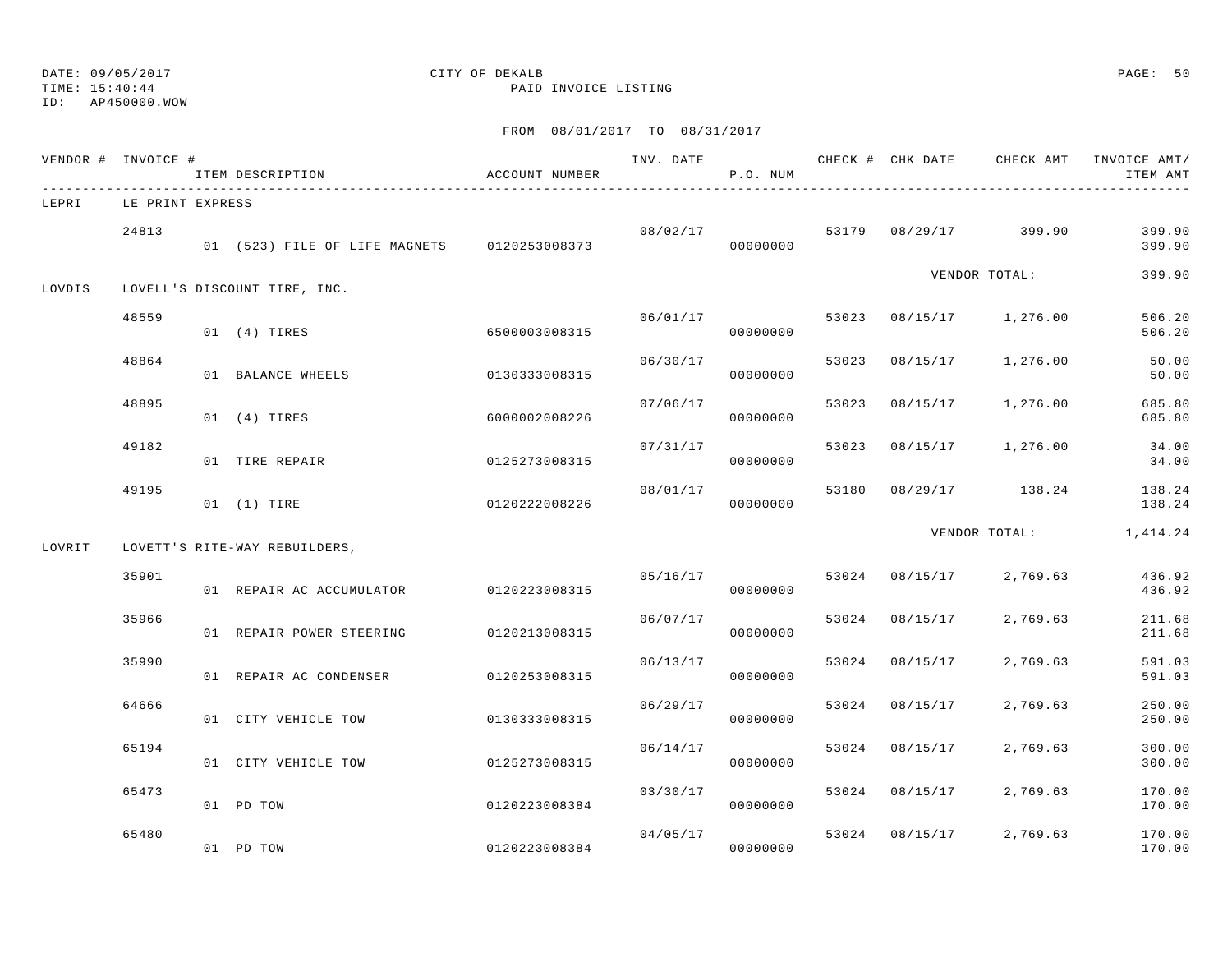### TIME: 15:40:44 PAID INVOICE LISTING ID: AP450000.WOW

## DATE: 09/05/2017 CITY OF DEKALB PAGE: 50

|        | VENDOR # INVOICE # | ITEM DESCRIPTION                            | ACCOUNT NUMBER | INV. DATE | P.O. NUM |       | CHECK # CHK DATE |                         | CHECK AMT INVOICE AMT/<br>ITEM AMT |
|--------|--------------------|---------------------------------------------|----------------|-----------|----------|-------|------------------|-------------------------|------------------------------------|
| LEPRI  | LE PRINT EXPRESS   |                                             |                |           |          |       |                  |                         |                                    |
|        | 24813              | 01 (523) FILE OF LIFE MAGNETS 0120253008373 |                | 08/02/17  | 00000000 |       | 53179 08/29/17   | 399.90                  | 399.90<br>399.90                   |
| LOVDIS |                    | LOVELL'S DISCOUNT TIRE, INC.                |                |           |          |       |                  | VENDOR TOTAL:           | 399.90                             |
|        | 48559              | 01 (4) TIRES                                | 6500003008315  | 06/01/17  | 00000000 |       |                  | 53023 08/15/17 1,276.00 | 506.20<br>506.20                   |
|        | 48864              | 01 BALANCE WHEELS                           | 0130333008315  | 06/30/17  | 00000000 | 53023 | 08/15/17         | 1,276.00                | 50.00<br>50.00                     |
|        | 48895              | $01$ $(4)$ TIRES                            | 6000002008226  | 07/06/17  | 00000000 | 53023 | 08/15/17         | 1,276.00                | 685.80<br>685.80                   |
|        | 49182              | 01 TIRE REPAIR                              | 0125273008315  | 07/31/17  | 00000000 | 53023 | 08/15/17         | 1,276.00                | 34.00<br>34.00                     |
|        | 49195              | 01 (1) TIRE                                 | 0120222008226  | 08/01/17  | 00000000 | 53180 |                  | 08/29/17 138.24         | 138.24<br>138.24                   |
| LOVRIT |                    | LOVETT'S RITE-WAY REBUILDERS,               |                |           |          |       |                  | VENDOR TOTAL:           | 1,414.24                           |
|        | 35901              | 01 REPAIR AC ACCUMULATOR                    | 0120223008315  | 05/16/17  | 00000000 |       | 53024 08/15/17   | 2,769.63                | 436.92<br>436.92                   |
|        | 35966              | 01 REPAIR POWER STEERING                    | 0120213008315  | 06/07/17  | 00000000 |       | 53024 08/15/17   | 2,769.63                | 211.68<br>211.68                   |
|        | 35990              | 01 REPAIR AC CONDENSER                      | 0120253008315  | 06/13/17  | 00000000 | 53024 | 08/15/17         | 2,769.63                | 591.03<br>591.03                   |
|        | 64666              | 01 CITY VEHICLE TOW                         | 0130333008315  | 06/29/17  | 00000000 | 53024 | 08/15/17         | 2,769.63                | 250.00<br>250.00                   |
|        | 65194              | 01 CITY VEHICLE TOW                         | 0125273008315  | 06/14/17  | 00000000 | 53024 | 08/15/17         | 2,769.63                | 300.00<br>300.00                   |
|        | 65473              | 01 PD TOW                                   | 0120223008384  | 03/30/17  | 00000000 | 53024 | 08/15/17         | 2,769.63                | 170.00<br>170.00                   |
|        | 65480              | 01 PD TOW                                   | 0120223008384  | 04/05/17  | 00000000 |       | 53024 08/15/17   | 2,769.63                | 170.00<br>170.00                   |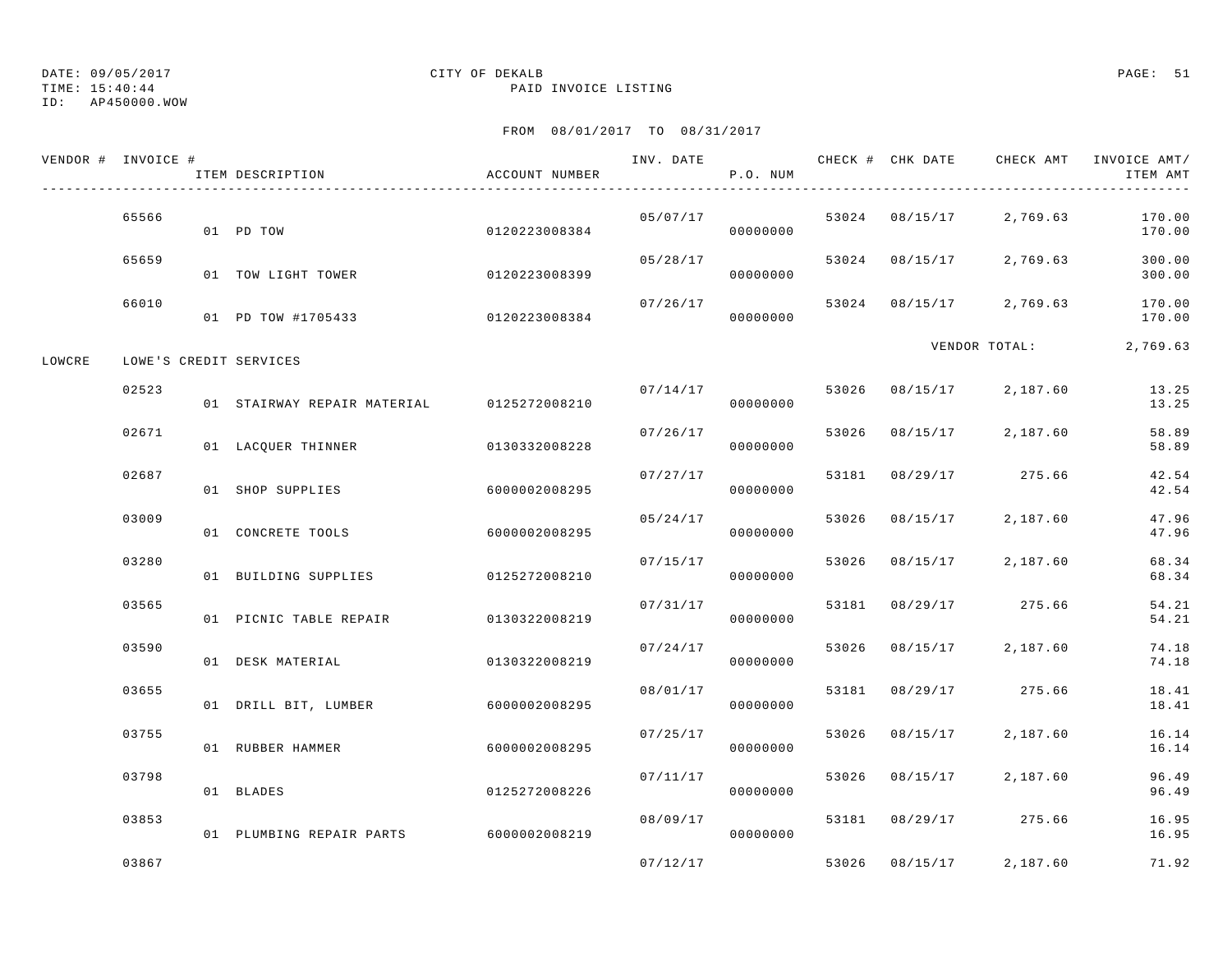TIME: 15:40:44 PAID INVOICE LISTING

ID: AP450000.WOW

|        | VENDOR # INVOICE # | ITEM DESCRIPTION            | ACCOUNT NUMBER | INV. DATE | P.O. NUM |       | CHECK # CHK DATE | CHECK AMT         | INVOICE AMT/<br>ITEM AMT |
|--------|--------------------|-----------------------------|----------------|-----------|----------|-------|------------------|-------------------|--------------------------|
|        | 65566              | 01 PD TOW                   | 0120223008384  | 05/07/17  | 00000000 |       | 53024 08/15/17   | 2,769.63          | 170.00<br>170.00         |
|        | 65659              | 01 TOW LIGHT TOWER          | 0120223008399  | 05/28/17  | 00000000 | 53024 | 08/15/17         | 2,769.63          | 300.00<br>300.00         |
|        | 66010              | 01 PD TOW #1705433          | 0120223008384  | 07/26/17  | 00000000 | 53024 | 08/15/17         | 2,769.63          | 170.00<br>170.00         |
| LOWCRE |                    | LOWE'S CREDIT SERVICES      |                |           |          |       |                  | VENDOR TOTAL:     | 2,769.63                 |
|        | 02523              | 01 STAIRWAY REPAIR MATERIAL | 0125272008210  | 07/14/17  | 00000000 | 53026 | 08/15/17         | 2,187.60          | 13.25<br>13.25           |
|        | 02671              | 01 LACQUER THINNER          | 0130332008228  | 07/26/17  | 00000000 | 53026 | 08/15/17         | 2,187.60          | 58.89<br>58.89           |
|        | 02687              | 01 SHOP SUPPLIES            | 6000002008295  | 07/27/17  | 00000000 | 53181 | 08/29/17         | 275.66            | 42.54<br>42.54           |
|        | 03009              | 01 CONCRETE TOOLS           | 6000002008295  | 05/24/17  | 00000000 | 53026 | 08/15/17         | 2,187.60          | 47.96<br>47.96           |
|        | 03280              | 01 BUILDING SUPPLIES        | 0125272008210  | 07/15/17  | 00000000 | 53026 | 08/15/17         | 2,187.60          | 68.34<br>68.34           |
|        | 03565              | 01 PICNIC TABLE REPAIR      | 0130322008219  | 07/31/17  | 00000000 | 53181 | 08/29/17         | 275.66            | 54.21<br>54.21           |
|        | 03590              | 01 DESK MATERIAL            | 0130322008219  | 07/24/17  | 00000000 | 53026 | 08/15/17         | 2,187.60          | 74.18<br>74.18           |
|        | 03655              | 01 DRILL BIT, LUMBER        | 6000002008295  | 08/01/17  | 00000000 | 53181 | 08/29/17         | 275.66            | 18.41<br>18.41           |
|        | 03755              | 01 RUBBER HAMMER            | 6000002008295  | 07/25/17  | 00000000 | 53026 | 08/15/17         | 2,187.60          | 16.14<br>16.14           |
|        | 03798              | 01 BLADES                   | 0125272008226  | 07/11/17  | 00000000 | 53026 | 08/15/17         | 2,187.60          | 96.49<br>96.49           |
|        | 03853              | 01 PLUMBING REPAIR PARTS    | 6000002008219  | 08/09/17  | 00000000 | 53181 | 08/29/17         | 275.66            | 16.95<br>16.95           |
|        | 03867              |                             |                | 07/12/17  |          | 53026 |                  | 08/15/17 2.187.60 | 71.92                    |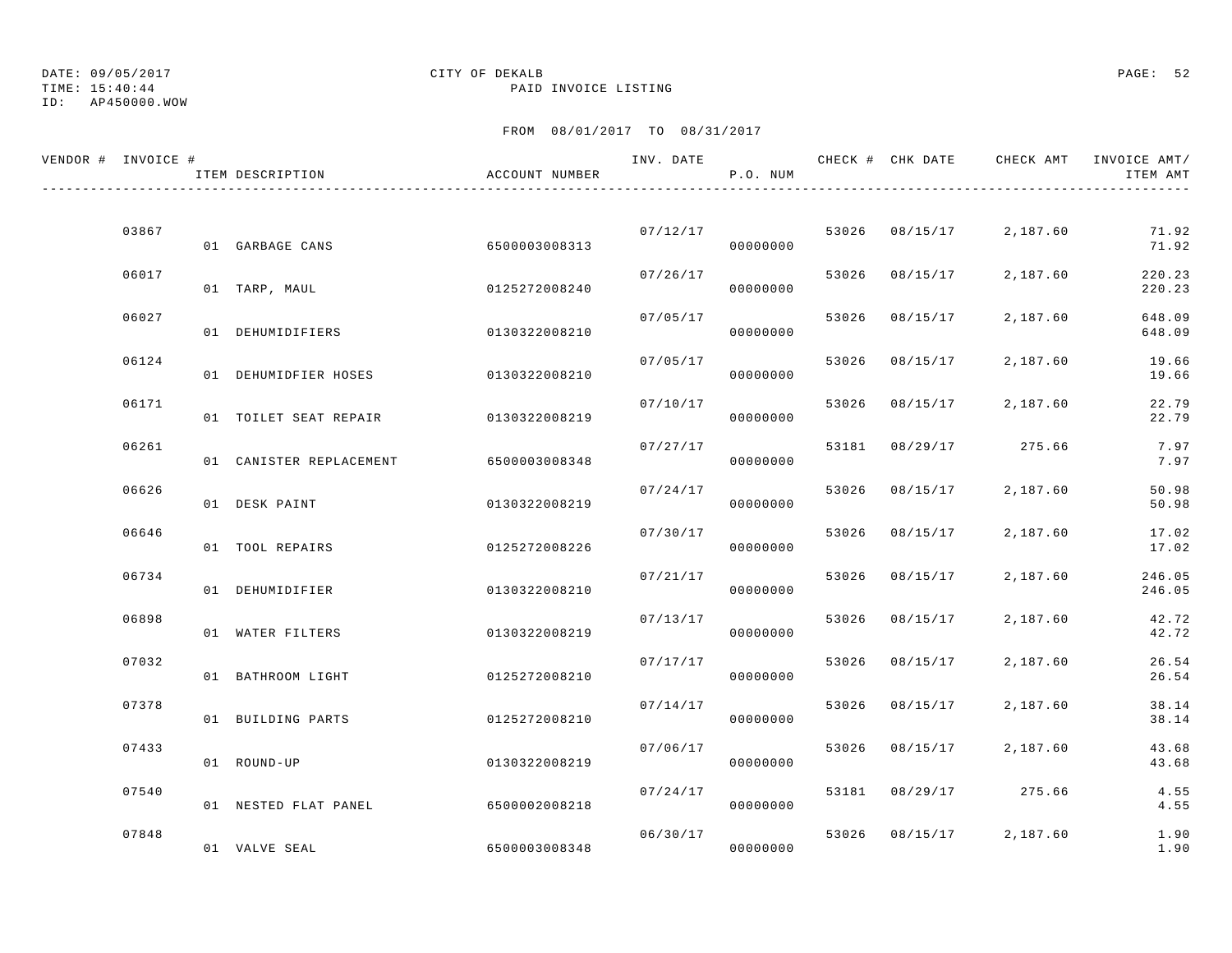# TIME: 15:40:44 PAID INVOICE LISTING

## ID: AP450000.WOW

## DATE: 09/05/2017 CITY OF DEKALB PAGE: 52

| VENDOR # INVOICE # |       | ITEM DESCRIPTION        | ACCOUNT NUMBER | INV. DATE | P.O. NUM |       |                | CHECK # CHK DATE     CHECK AMT   INVOICE AMT/ | ITEM AMT         |
|--------------------|-------|-------------------------|----------------|-----------|----------|-------|----------------|-----------------------------------------------|------------------|
|                    |       |                         |                |           |          |       |                |                                               |                  |
|                    | 03867 | 01 GARBAGE CANS         | 6500003008313  | 07/12/17  | 00000000 |       | 53026 08/15/17 | 2,187.60                                      | 71.92<br>71.92   |
|                    | 06017 | 01 TARP, MAUL           | 0125272008240  | 07/26/17  | 00000000 |       | 53026 08/15/17 | 2,187.60                                      | 220.23<br>220.23 |
|                    | 06027 | 01 DEHUMIDIFIERS        | 0130322008210  | 07/05/17  | 00000000 | 53026 | 08/15/17       | 2,187.60                                      | 648.09<br>648.09 |
|                    | 06124 | 01 DEHUMIDFIER HOSES    | 0130322008210  | 07/05/17  | 00000000 | 53026 | 08/15/17       | 2,187.60                                      | 19.66<br>19.66   |
|                    | 06171 | 01 TOILET SEAT REPAIR   | 0130322008219  | 07/10/17  | 00000000 | 53026 | 08/15/17       | 2,187.60                                      | 22.79<br>22.79   |
|                    | 06261 | 01 CANISTER REPLACEMENT | 6500003008348  | 07/27/17  | 00000000 | 53181 | 08/29/17       | 275.66                                        | 7.97<br>7.97     |
|                    | 06626 | 01 DESK PAINT           | 0130322008219  | 07/24/17  | 00000000 |       | 53026 08/15/17 | 2,187.60                                      | 50.98<br>50.98   |
|                    | 06646 | 01 TOOL REPAIRS         | 0125272008226  | 07/30/17  | 00000000 | 53026 | 08/15/17       | 2,187.60                                      | 17.02<br>17.02   |
|                    | 06734 |                         |                | 07/21/17  |          | 53026 | 08/15/17       | 2,187.60                                      | 246.05           |
|                    | 06898 | 01 DEHUMIDIFIER         | 0130322008210  | 07/13/17  | 00000000 |       | 53026 08/15/17 | 2,187.60                                      | 246.05<br>42.72  |
|                    |       | 01 WATER FILTERS        | 0130322008219  |           | 00000000 |       |                |                                               | 42.72            |
|                    | 07032 | 01 BATHROOM LIGHT       | 0125272008210  | 07/17/17  | 00000000 | 53026 | 08/15/17       | 2,187.60                                      | 26.54<br>26.54   |
|                    | 07378 | 01 BUILDING PARTS       | 0125272008210  | 07/14/17  | 00000000 |       | 53026 08/15/17 | 2,187.60                                      | 38.14<br>38.14   |
|                    | 07433 | 01 ROUND-UP             | 0130322008219  | 07/06/17  | 00000000 |       | 53026 08/15/17 | 2,187.60                                      | 43.68<br>43.68   |
|                    | 07540 | 01 NESTED FLAT PANEL    | 6500002008218  | 07/24/17  | 00000000 | 53181 |                | 08/29/17 275.66                               | 4.55<br>4.55     |
|                    | 07848 | 01 VALVE SEAL           | 6500003008348  | 06/30/17  | 00000000 |       | 53026 08/15/17 | 2,187.60                                      | 1.90<br>1.90     |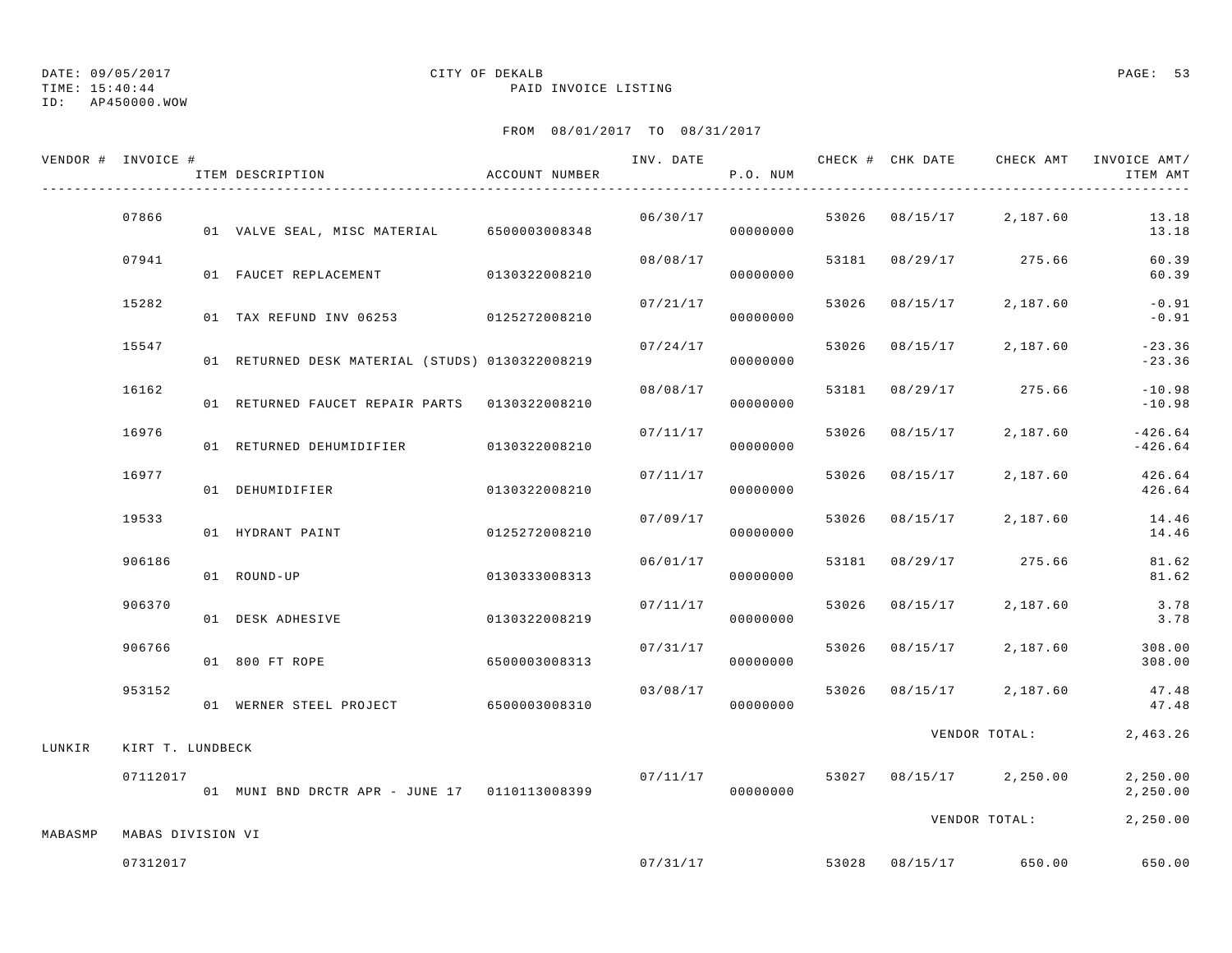TIME: 15:40:44 PAID INVOICE LISTING

ID: AP450000.WOW

| VENDOR # INVOICE # |                   | ITEM DESCRIPTION                                | ACCOUNT NUMBER | INV. DATE | P.O. NUM |       |                |                         | CHECK # CHK DATE CHECK AMT INVOICE AMT/<br>ITEM AMT |
|--------------------|-------------------|-------------------------------------------------|----------------|-----------|----------|-------|----------------|-------------------------|-----------------------------------------------------|
|                    | 07866             | 01 VALVE SEAL, MISC MATERIAL 6500003008348      |                | 06/30/17  | 00000000 |       |                | 53026 08/15/17 2,187.60 | 13.18<br>13.18                                      |
|                    | 07941             | 01 FAUCET REPLACEMENT                           | 0130322008210  | 08/08/17  | 00000000 |       |                | 53181 08/29/17 275.66   | 60.39<br>60.39                                      |
|                    | 15282             | 01 TAX REFUND INV 06253 0125272008210           |                | 07/21/17  | 00000000 |       | 53026 08/15/17 | 2,187.60                | $-0.91$<br>$-0.91$                                  |
|                    | 15547             | 01 RETURNED DESK MATERIAL (STUDS) 0130322008219 |                | 07/24/17  | 00000000 | 53026 | 08/15/17       | 2,187.60                | $-23.36$<br>$-23.36$                                |
|                    | 16162             | 01 RETURNED FAUCET REPAIR PARTS 0130322008210   |                | 08/08/17  | 00000000 | 53181 |                | 08/29/17 275.66         | $-10.98$<br>$-10.98$                                |
|                    | 16976             | 01 RETURNED DEHUMIDIFIER 0130322008210          |                | 07/11/17  | 00000000 | 53026 | 08/15/17       | 2,187.60                | $-426.64$<br>$-426.64$                              |
|                    | 16977             | 01 DEHUMIDIFIER                                 | 0130322008210  | 07/11/17  | 00000000 |       | 53026 08/15/17 | 2,187.60                | 426.64<br>426.64                                    |
|                    | 19533             | 01 HYDRANT PAINT                                | 0125272008210  | 07/09/17  | 00000000 | 53026 | 08/15/17       | 2,187.60                | 14.46<br>14.46                                      |
|                    | 906186            | 01 ROUND-UP                                     | 0130333008313  | 06/01/17  | 00000000 | 53181 |                | 08/29/17 275.66         | 81.62<br>81.62                                      |
|                    | 906370            | 01 DESK ADHESIVE                                | 0130322008219  | 07/11/17  | 00000000 |       | 53026 08/15/17 | 2,187.60                | 3.78<br>3.78                                        |
|                    | 906766            | 01 800 FT ROPE                                  | 6500003008313  | 07/31/17  | 00000000 |       | 53026 08/15/17 | 2,187.60                | 308.00<br>308.00                                    |
|                    | 953152            | 01 WERNER STEEL PROJECT 6500003008310           |                | 03/08/17  | 00000000 |       |                | 53026 08/15/17 2,187.60 | 47.48<br>47.48                                      |
| LUNKIR             | KIRT T. LUNDBECK  |                                                 |                |           |          |       |                | VENDOR TOTAL:           | 2,463.26                                            |
|                    | 07112017          | 01 MUNI BND DRCTR APR - JUNE 17 0110113008399   |                | 07/11/17  | 00000000 |       |                | 53027 08/15/17 2,250.00 | 2,250.00<br>2,250.00                                |
| MABASMP            | MABAS DIVISION VI |                                                 |                |           |          |       |                | VENDOR TOTAL:           | 2,250.00                                            |
|                    | 07312017          |                                                 |                |           | 07/31/17 |       | 53028 08/15/17 | 650.00                  | 650.00                                              |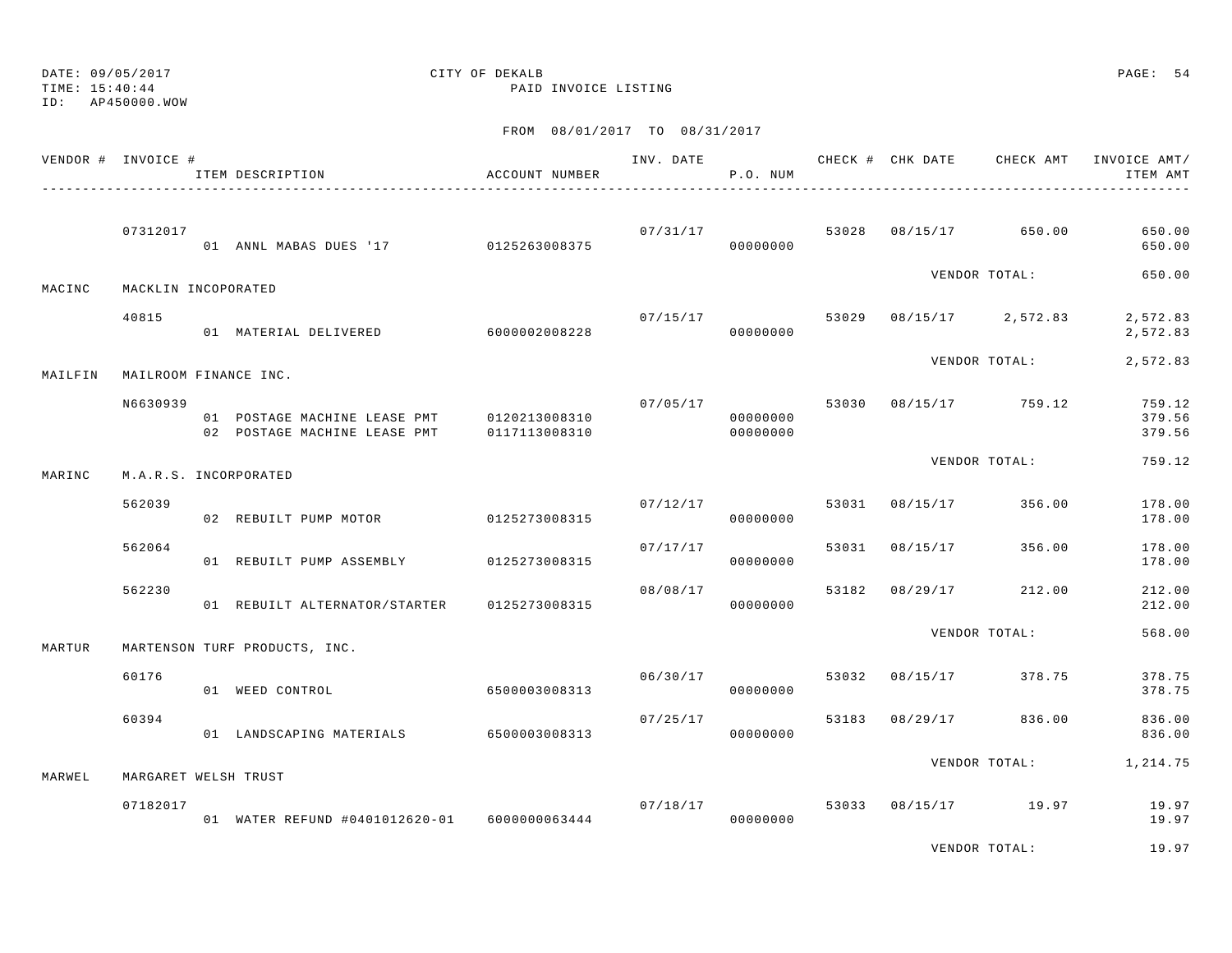TIME: 15:40:44 PAID INVOICE LISTING

ID: AP450000.WOW

|         | VENDOR # INVOICE #    | ITEM DESCRIPTION<br>---------------------------------        | ACCOUNT NUMBER                 | INV. DATE | P.O. NUM                               |       | CHECK # CHK DATE | CHECK AMT             | INVOICE AMT/<br>ITEM AMT   |
|---------|-----------------------|--------------------------------------------------------------|--------------------------------|-----------|----------------------------------------|-------|------------------|-----------------------|----------------------------|
|         | 07312017              | 01 ANNL MABAS DUES '17 0125263008375                         |                                |           | 07/31/17<br>00000000                   |       |                  | 53028 08/15/17 650.00 | 650.00<br>650.00           |
| MACINC  | MACKLIN INCOPORATED   |                                                              |                                |           |                                        |       |                  | VENDOR TOTAL:         | 650.00                     |
|         | 40815                 | 01 MATERIAL DELIVERED 6000002008228                          |                                |           | 07/15/17<br>00000000                   | 53029 |                  | $08/15/17$ 2,572.83   | 2,572.83<br>2,572.83       |
| MAILFIN | MAILROOM FINANCE INC. |                                                              |                                |           |                                        |       |                  | VENDOR TOTAL:         | 2,572.83                   |
|         | N6630939              | 01 POSTAGE MACHINE LEASE PMT<br>02 POSTAGE MACHINE LEASE PMT | 0120213008310<br>0117113008310 |           | 07/05/17 53030<br>00000000<br>00000000 |       |                  | 08/15/17 759.12       | 759.12<br>379.56<br>379.56 |
| MARINC  | M.A.R.S. INCORPORATED |                                                              |                                |           |                                        |       |                  | VENDOR TOTAL:         | 759.12                     |
|         | 562039                | 02 REBUILT PUMP MOTOR 0125273008315                          |                                | 07/12/17  | 00000000                               | 53031 | 08/15/17         | 356.00                | 178.00<br>178.00           |
|         | 562064                | 01 REBUILT PUMP ASSEMBLY 0125273008315                       |                                | 07/17/17  | 00000000                               | 53031 | 08/15/17         | 356.00                | 178.00<br>178.00           |
|         | 562230                | 01 REBUILT ALTERNATOR/STARTER                                | 0125273008315                  | 08/08/17  | 00000000                               | 53182 | 08/29/17         | 212.00                | 212.00<br>212.00           |
| MARTUR  |                       | MARTENSON TURF PRODUCTS, INC.                                |                                |           |                                        |       |                  | VENDOR TOTAL:         | 568.00                     |
|         | 60176                 | 01 WEED CONTROL                                              | 6500003008313                  |           | 06/30/17<br>00000000                   | 53032 |                  | 08/15/17 378.75       | 378.75<br>378.75           |
|         | 60394                 | 01 LANDSCAPING MATERIALS 6500003008313                       |                                |           | 07/25/17<br>00000000                   | 53183 | 08/29/17         | 836.00                | 836.00<br>836.00           |
| MARWEL  | MARGARET WELSH TRUST  |                                                              |                                |           |                                        |       |                  | VENDOR TOTAL:         | 1,214.75                   |
|         | 07182017              | 01 WATER REFUND #0401012620-01 6000000063444                 |                                |           | 07/18/17<br>00000000                   | 53033 |                  | 08/15/17 19.97        | 19.97<br>19.97             |
|         |                       |                                                              |                                |           |                                        |       |                  | VENDOR TOTAL:         | 19.97                      |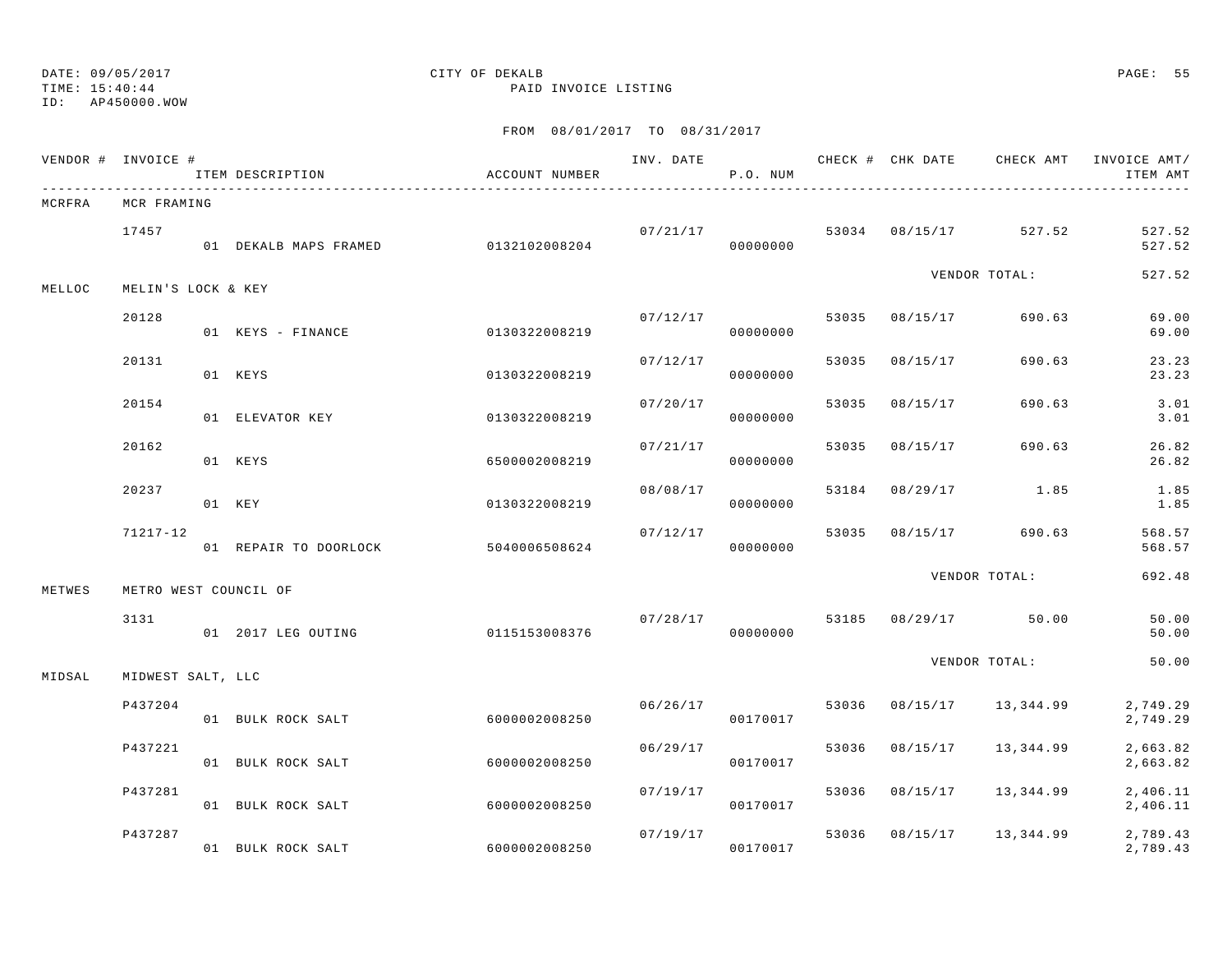TIME: 15:40:44 PAID INVOICE LISTING

ID: AP450000.WOW

|        | VENDOR # INVOICE #    | ITEM DESCRIPTION      | ACCOUNT NUMBER |          | P.O. NUM             |       |                | INV. DATE 6 CHECK # CHK DATE CHECK AMT | INVOICE AMT/<br>ITEM AMT |
|--------|-----------------------|-----------------------|----------------|----------|----------------------|-------|----------------|----------------------------------------|--------------------------|
| MCRFRA | MCR FRAMING           |                       |                |          |                      |       |                |                                        |                          |
|        | 17457                 | 01 DEKALB MAPS FRAMED | 0132102008204  |          | 07/21/17<br>00000000 |       | 53034 08/15/17 | 527.52                                 | 527.52<br>527.52         |
| MELLOC | MELIN'S LOCK & KEY    |                       |                |          |                      |       |                | VENDOR TOTAL:                          | 527.52                   |
|        | 20128                 | 01 KEYS - FINANCE     | 0130322008219  | 07/12/17 | 00000000             |       | 53035 08/15/17 | 690.63                                 | 69.00<br>69.00           |
|        | 20131                 | 01 KEYS               | 0130322008219  | 07/12/17 | 00000000             | 53035 | 08/15/17       | 690.63                                 | 23.23<br>23.23           |
|        | 20154                 | 01 ELEVATOR KEY       | 0130322008219  | 07/20/17 | 00000000             | 53035 | 08/15/17       | 690.63                                 | 3.01<br>3.01             |
|        | 20162                 | 01 KEYS               | 6500002008219  | 07/21/17 | 00000000             | 53035 | 08/15/17       | 690.63                                 | 26.82<br>26.82           |
|        | 20237                 | 01 KEY                | 0130322008219  | 08/08/17 | 00000000             | 53184 | 08/29/17       | 1.85                                   | 1.85<br>1.85             |
|        | $71217 - 12$          | 01 REPAIR TO DOORLOCK | 5040006508624  | 07/12/17 | 00000000             | 53035 |                | 08/15/17 690.63                        | 568.57<br>568.57         |
| METWES | METRO WEST COUNCIL OF |                       |                |          |                      |       |                | VENDOR TOTAL:                          | 692.48                   |
|        | 3131                  | 01 2017 LEG OUTING    | 0115153008376  |          | 07/28/17<br>00000000 |       |                | 53185 08/29/17 50.00                   | 50.00<br>50.00           |
| MIDSAL | MIDWEST SALT, LLC     |                       |                |          |                      |       |                | VENDOR TOTAL:                          | 50.00                    |
|        | P437204               | 01 BULK ROCK SALT     | 6000002008250  | 06/26/17 | 00170017             | 53036 | 08/15/17       | 13,344.99                              | 2,749.29<br>2,749.29     |
|        | P437221               | 01 BULK ROCK SALT     | 6000002008250  | 06/29/17 | 00170017             | 53036 | 08/15/17       | 13,344.99                              | 2,663.82<br>2,663.82     |
|        | P437281               | 01 BULK ROCK SALT     | 6000002008250  | 07/19/17 | 00170017             | 53036 | 08/15/17       | 13,344.99                              | 2,406.11<br>2,406.11     |
|        | P437287               | 01 BULK ROCK SALT     | 6000002008250  | 07/19/17 | 00170017             | 53036 | 08/15/17       | 13,344.99                              | 2,789.43<br>2,789.43     |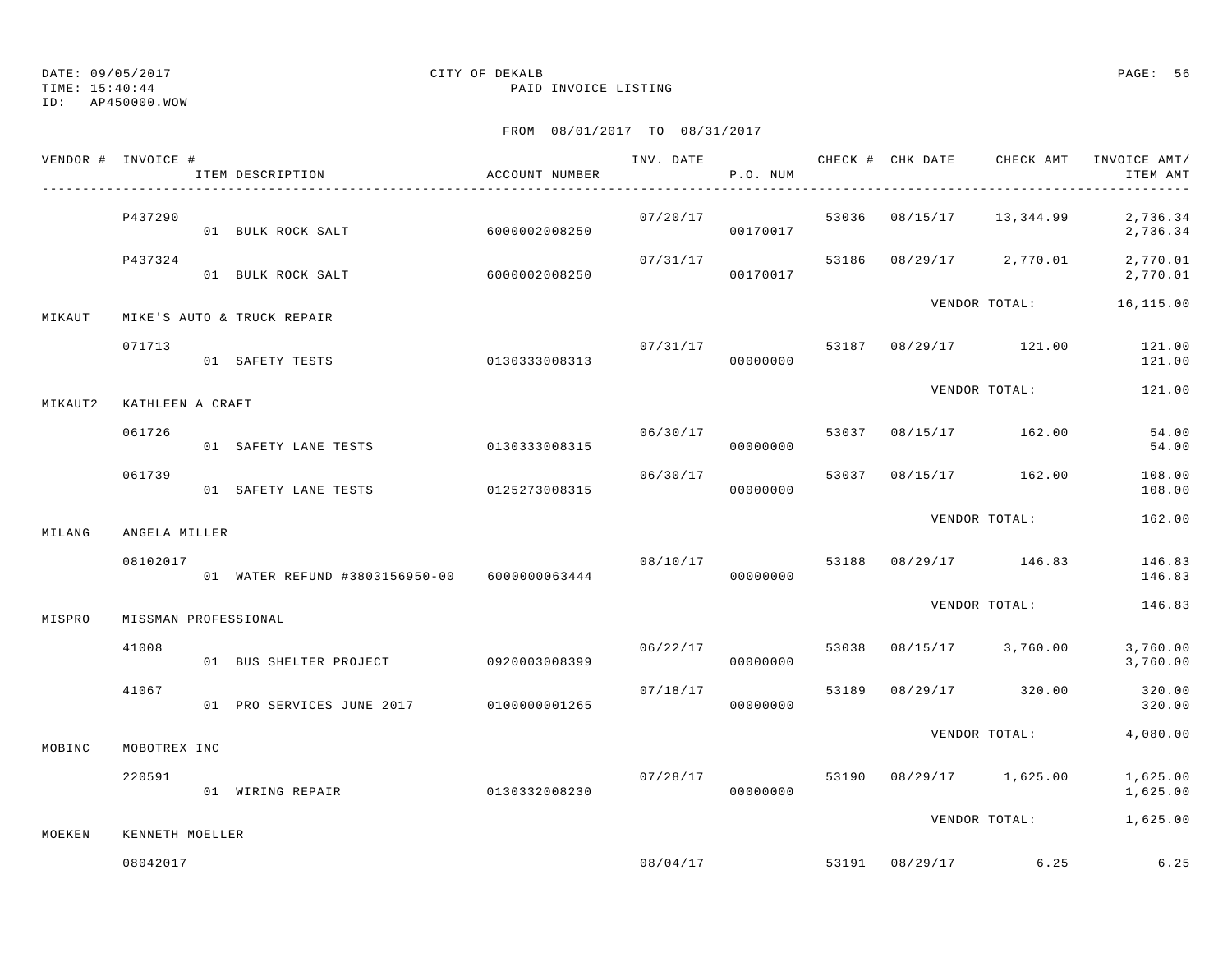TIME: 15:40:44 PAID INVOICE LISTING

ID: AP450000.WOW

|         | VENDOR # INVOICE #   | ITEM DESCRIPTION                             | ACCOUNT NUMBER |                      | P.O. NUM             |       |                                | ITEM AMT                                        |
|---------|----------------------|----------------------------------------------|----------------|----------------------|----------------------|-------|--------------------------------|-------------------------------------------------|
|         | P437290              | 01 BULK ROCK SALT                            | 60000002008250 |                      | 07/20/17<br>00170017 |       |                                | 53036 08/15/17 13,344.99 2,736.34<br>2,736.34   |
|         | P437324              | 01 BULK ROCK SALT                            | 6000002008250  | 07/31/17<br>00170017 |                      |       | 53186 08/29/17 2,770.01        | 2,770.01<br>2,770.01                            |
| MIKAUT  |                      | MIKE'S AUTO & TRUCK REPAIR                   |                |                      |                      |       | VENDOR TOTAL:                  | 16,115.00                                       |
|         | 071713               | 01 SAFETY TESTS                              | 0130333008313  | 07/31/17             | 00000000             |       | 53187 08/29/17 121.00          | 121.00<br>121.00                                |
| MIKAUT2 | KATHLEEN A CRAFT     |                                              |                |                      |                      |       | VENDOR TOTAL:                  | 121.00                                          |
|         | 061726               | 01 SAFETY LANE TESTS 0130333008315           |                | 06/30/17             | 00000000             |       | 53037 08/15/17 162.00          | 54.00<br>54.00                                  |
|         | 061739               | 01 SAFETY LANE TESTS 0125273008315           |                | 06/30/17             | 00000000             |       | 53037 08/15/17 162.00          | 108.00<br>108.00                                |
| MILANG  | ANGELA MILLER        |                                              |                |                      |                      |       | VENDOR TOTAL:                  | 162.00                                          |
|         | 08102017             | 01 WATER REFUND #3803156950-00 6000000063444 |                | 08/10/17             | 00000000             |       | 53188 08/29/17 146.83          | 146.83<br>146.83                                |
| MISPRO  | MISSMAN PROFESSIONAL |                                              |                |                      |                      |       | VENDOR TOTAL:                  | 146.83                                          |
|         | 41008                | 01 BUS SHELTER PROJECT 0920003008399         |                | 06/22/17             | 00000000             |       |                                | 53038  08/15/17  3,760.00  3,760.00<br>3,760.00 |
|         | 41067                | 01 PRO SERVICES JUNE 2017 010000001265       |                | 07/18/17             | 00000000             | 53189 | 08/29/17 320.00                | 320.00<br>320.00                                |
| MOBINC  | MOBOTREX INC         |                                              |                |                      |                      |       | VENDOR TOTAL:                  | 4,080.00                                        |
|         | 220591               | 01 WIRING REPAIR                             | 0130332008230  |                      | 07/28/17<br>00000000 |       | 53190 08/29/17 1,625.00        | 1,625.00<br>1,625.00                            |
| MOEKEN  | KENNETH MOELLER      |                                              |                |                      |                      |       |                                | VENDOR TOTAL: 1,625.00                          |
|         | 08042017             |                                              |                |                      |                      |       | $08/04/17$ 53191 08/29/17 6.25 | 6.25                                            |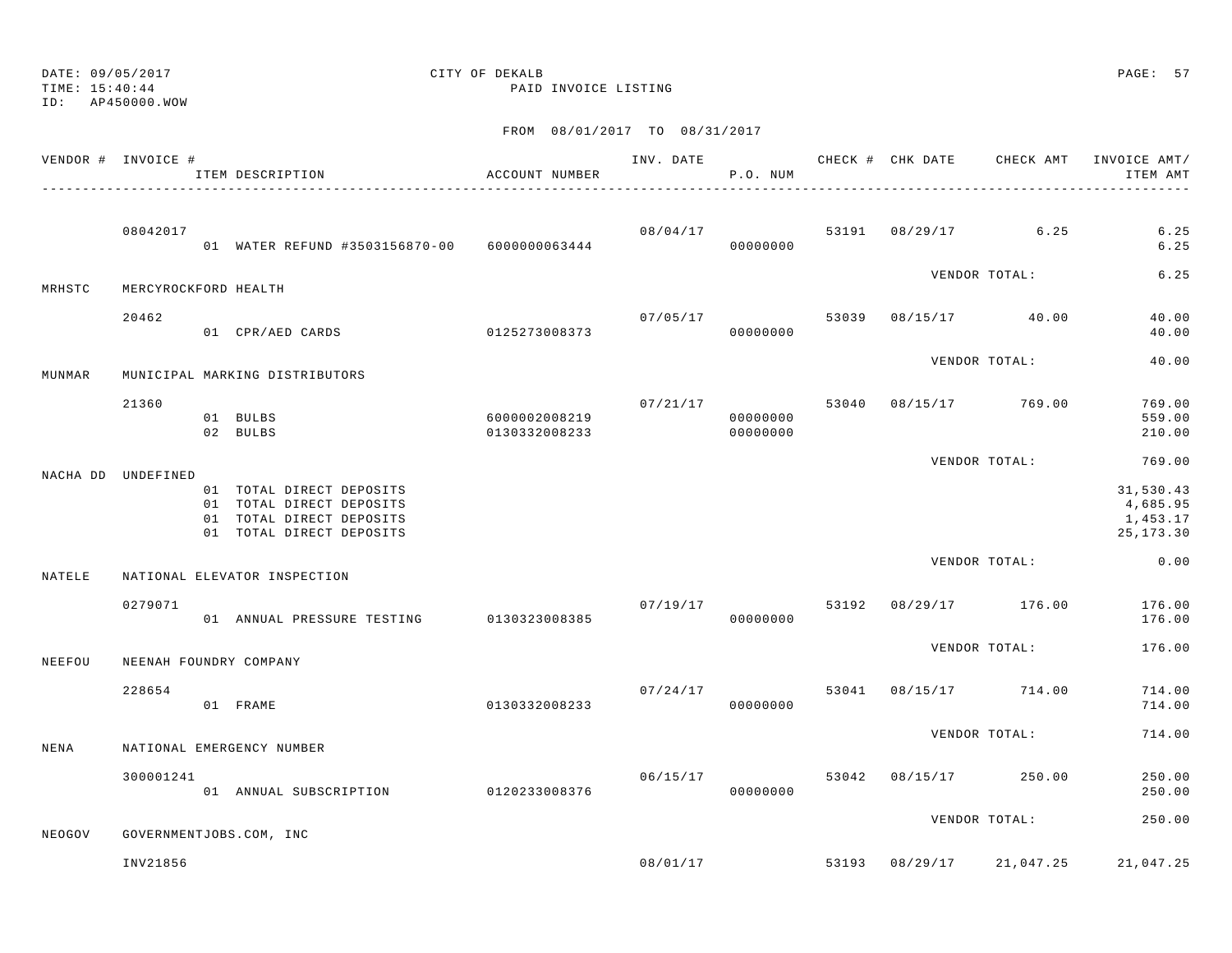TIME: 15:40:44 PAID INVOICE LISTING ID: AP450000.WOWFROM 08/01/2017 TO 08/31/2017 VENDOR # INVOICE # INVOICE # INV. DATE CHECK # CHK DATE CHECK AMT INVOICE AMT/ ITEM DESCRIPTION ACCOUNT NUMBER P.O. NUM ITEM AMT---------------------------------------------------------------------------------------------------------------------------------------------- 08042017 08/04/17 53191 08/29/17 6.25 6.25 01 WATER REFUND #3503156870-00 6000000063444 00000000 6.25VENDOR TOTAL: 6.25 $6.25$ MRHSTC MERCYROCKFORD HEALTH 20462 07/05/17 53039 08/15/17 40.00 40.00 01 CPR/AED CARDS 0125273008373 00000000 40.00 VENDOR TOTAL: 40.00 MUNMAR MUNICIPAL MARKING DISTRIBUTORS 21360 07/21/17 53040 08/15/17 769.00 769.00 01 BULBS 6000002008219 00000000 559.00 02 BULBS 0130332008233 00000000 210.00VENDOR TOTAL: 769.00 NACHA DD UNDEFINED 01 TOTAL DIRECT DEPOSITS 31,530.43 01 TOTAL DIRECT DEPOSITS 4,685.95 01 TOTAL DIRECT DEPOSITS 1,453.17 01 TOTAL DIRECT DEPOSITS 25,173.30 VENDOR TOTAL: 0.00 NATELE NATIONAL ELEVATOR INSPECTION $07/19/17$   $07/19/17$   $08/29/17$   $176.00$   $176.00$ 01 ANNUAL PRESSURE TESTING 0130323008385 00000000 00000000 176.00 VENDOR TOTAL: 176.00NEEFOU NEENAH FOUNDRY COMPANY $07/24/17$   $08/15/17$   $08/15/17$   $714.00$   $714.00$  01 FRAME 0130332008233 00000000 714.00VENDOR TOTAL: 714.00NENA NATIONAL EMERGENCY NUMBER 300001241 06/15/17 53042 08/15/17 250.00 250.00 01 ANNUAL SUBSCRIPTION 0120233008376 00000000 250.00VENDOR TOTAL: 250.00NEOGOV GOVERNMENTJOBS.COM, INC

INV21856 08/01/17 53193 08/29/17 21,047.25 21,047.25

DATE: 09/05/2017 CITY OF DEKALB PAGE: 57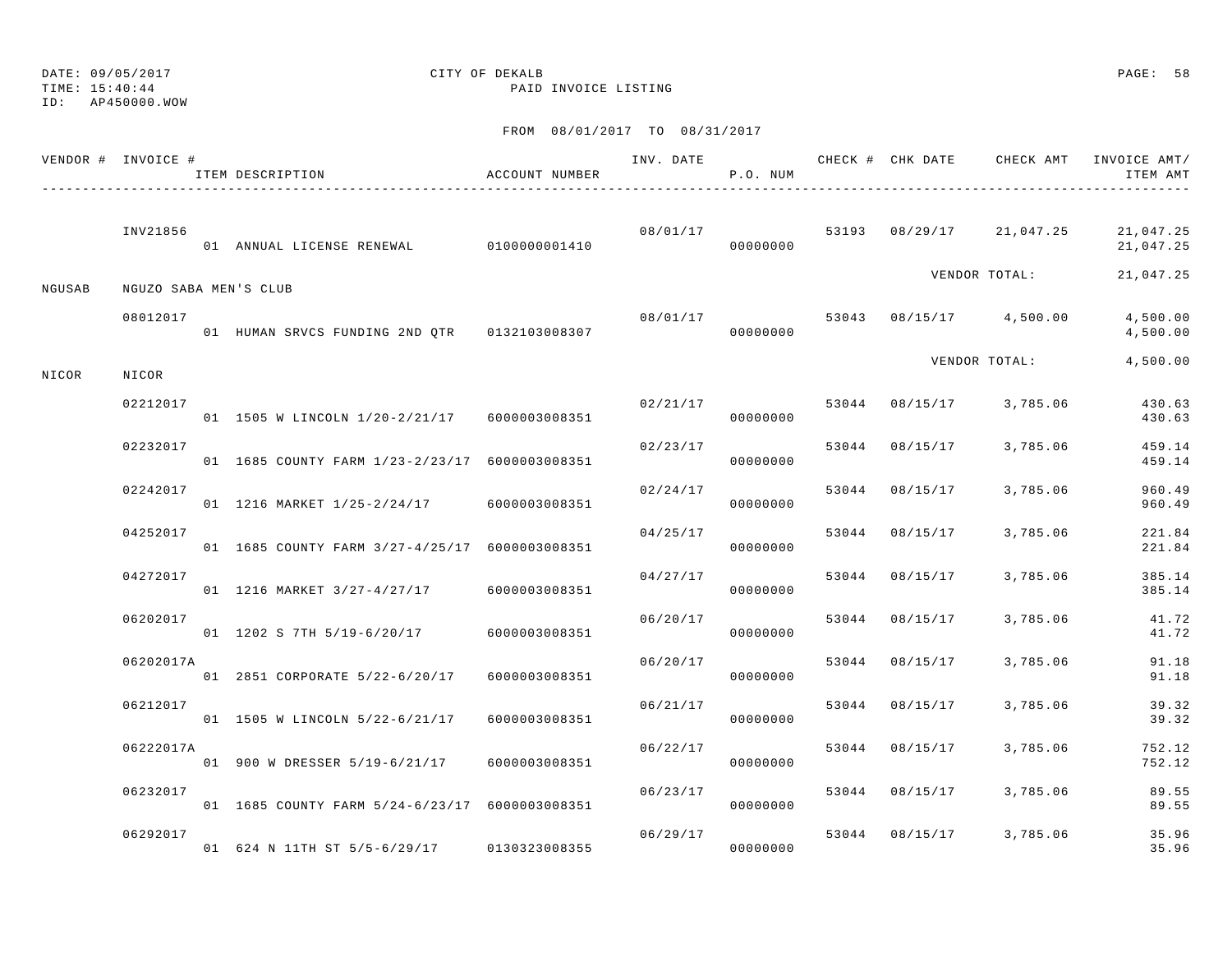TIME: 15:40:44 PAID INVOICE LISTING

ID: AP450000.WOW

|        | VENDOR # INVOICE #    | ITEM DESCRIPTION                                 | ACCOUNT NUMBER |          | P.O. NUM |       |                |                          | INV. DATE 6 1999 CHECK # CHK DATE 6 CHECK AMT INVOICE AMT<br>ITEM AMT |
|--------|-----------------------|--------------------------------------------------|----------------|----------|----------|-------|----------------|--------------------------|-----------------------------------------------------------------------|
|        | INV21856              | 01 ANNUAL LICENSE RENEWAL 0100000001410          |                | 08/01/17 | 00000000 |       |                | 53193 08/29/17 21,047.25 | 21,047.25<br>21,047.25                                                |
| NGUSAB | NGUZO SABA MEN'S CLUB |                                                  |                |          |          |       |                | VENDOR TOTAL:            | 21,047.25                                                             |
|        | 08012017              | 01 HUMAN SRVCS FUNDING 2ND QTR 0132103008307     |                | 08/01/17 | 00000000 |       |                | 53043 08/15/17 4,500.00  | 4,500.00<br>4,500.00                                                  |
| NICOR  | NICOR                 |                                                  |                |          |          |       |                | VENDOR TOTAL:            | 4,500.00                                                              |
|        | 02212017              | 01 1505 W LINCOLN 1/20-2/21/17 6000003008351     |                | 02/21/17 | 00000000 |       |                | 53044 08/15/17 3,785.06  | 430.63<br>430.63                                                      |
|        | 02232017              | 01 1685 COUNTY FARM 1/23-2/23/17 6000003008351   |                | 02/23/17 | 00000000 |       | 53044 08/15/17 | 3,785.06                 | 459.14<br>459.14                                                      |
|        | 02242017              | 01 1216 MARKET 1/25-2/24/17 6000003008351        |                | 02/24/17 | 00000000 | 53044 | 08/15/17       | 3,785.06                 | 960.49<br>960.49                                                      |
|        | 04252017              | 01 1685 COUNTY FARM 3/27-4/25/17 6000003008351   |                | 04/25/17 | 00000000 | 53044 | 08/15/17       | 3,785.06                 | 221.84<br>221.84                                                      |
|        | 04272017              | 01 1216 MARKET 3/27-4/27/17 6000003008351        |                | 04/27/17 | 00000000 | 53044 | 08/15/17       | 3,785.06                 | 385.14<br>385.14                                                      |
|        | 06202017              | 01 1202 S 7TH 5/19-6/20/17 6000003008351         |                | 06/20/17 | 00000000 | 53044 | 08/15/17       | 3,785.06                 | 41.72<br>41.72                                                        |
|        | 06202017A             | 01  2851  CORPORATE  5/22-6/20/17  6000003008351 |                | 06/20/17 | 00000000 | 53044 | 08/15/17       | 3,785.06                 | 91.18<br>91.18                                                        |
|        | 06212017              | 01 1505 W LINCOLN 5/22-6/21/17                   | 6000003008351  | 06/21/17 | 00000000 | 53044 | 08/15/17       | 3,785.06                 | 39.32<br>39.32                                                        |
|        | 06222017A             | 01 900 W DRESSER 5/19-6/21/17 6000003008351      |                | 06/22/17 | 00000000 |       | 53044 08/15/17 | 3,785.06                 | 752.12<br>752.12                                                      |
|        | 06232017              | 01 1685 COUNTY FARM 5/24-6/23/17 6000003008351   |                | 06/23/17 | 00000000 | 53044 | 08/15/17       | 3,785.06                 | 89.55<br>89.55                                                        |
|        | 06292017              | 01 624 N 11TH ST 5/5-6/29/17                     | 0130323008355  | 06/29/17 | 00000000 |       |                | 53044 08/15/17 3,785.06  | 35.96<br>35.96                                                        |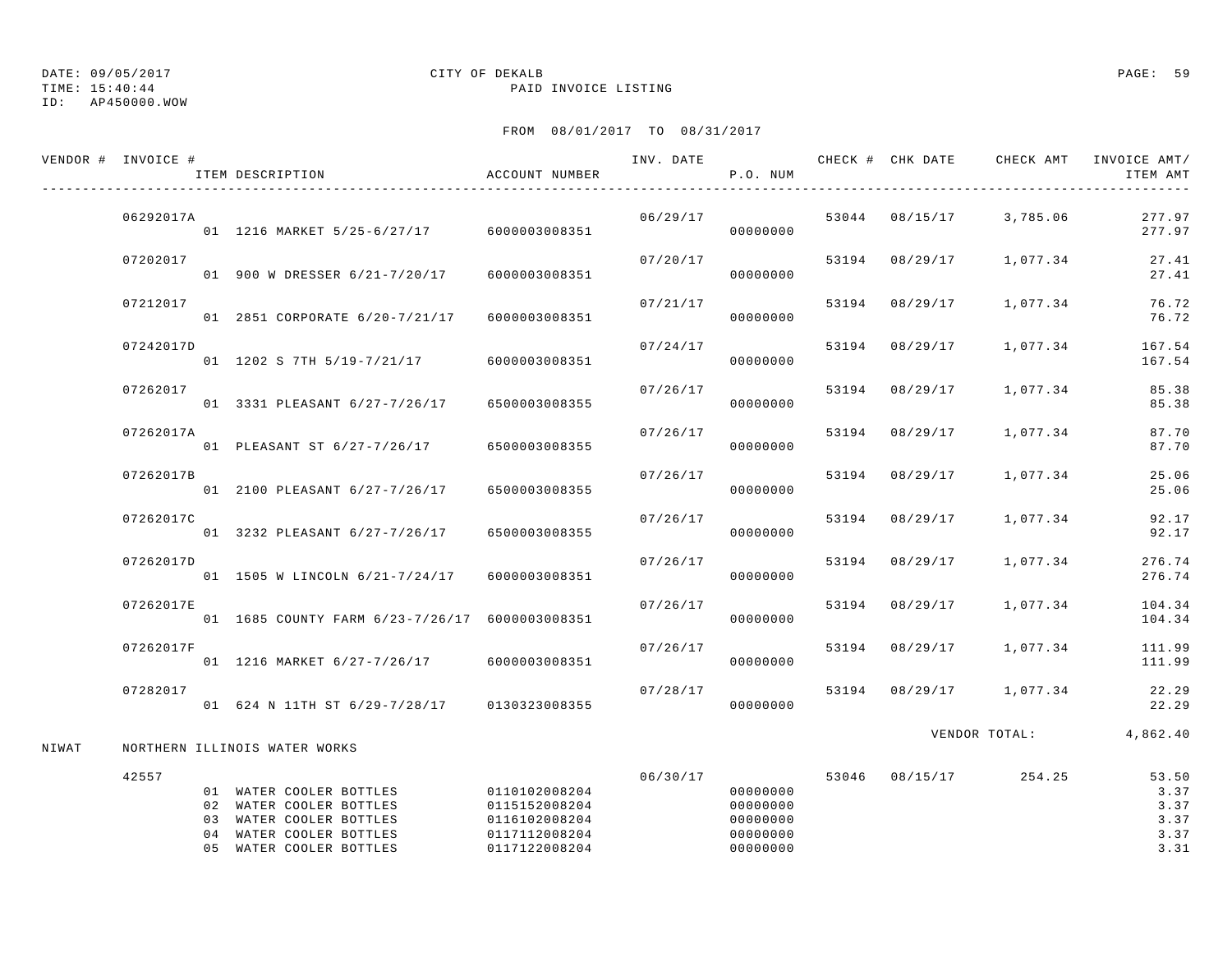TIME: 15:40:44 PAID INVOICE LISTING

## ID: AP450000.WOW

## DATE: 09/05/2017 CITY OF DEKALB PAGE: 59

|       | VENDOR # INVOICE # | ITEM DESCRIPTION                                                                                                                    | ACCOUNT NUMBER                                                                    | INV. DATE | P.O. NUM                                                 |                | CHECK # CHK DATE CHECK AMT INVOICE AMT/ | ITEM AMT                                      |
|-------|--------------------|-------------------------------------------------------------------------------------------------------------------------------------|-----------------------------------------------------------------------------------|-----------|----------------------------------------------------------|----------------|-----------------------------------------|-----------------------------------------------|
|       | 06292017A          | 01 1216 MARKET 5/25-6/27/17 6000003008351                                                                                           |                                                                                   | 06/29/17  | 00000000                                                 |                | 53044 08/15/17 3,785.06                 | 277.97<br>277.97                              |
|       | 07202017           | 01 900 W DRESSER 6/21-7/20/17                                                                                                       | 6000003008351                                                                     | 07/20/17  | 00000000                                                 | 53194 08/29/17 | 1,077.34                                | 27.41<br>27.41                                |
|       | 07212017           | 01 2851 CORPORATE 6/20-7/21/17                                                                                                      | 6000003008351                                                                     | 07/21/17  | 00000000                                                 | 53194 08/29/17 | 1,077.34                                | 76.72<br>76.72                                |
|       | 07242017D          | 01 1202 S 7TH 5/19-7/21/17                                                                                                          | 6000003008351                                                                     | 07/24/17  | 00000000                                                 | 53194 08/29/17 | 1,077.34                                | 167.54<br>167.54                              |
|       | 07262017           | 01 3331 PLEASANT 6/27-7/26/17                                                                                                       | 6500003008355                                                                     | 07/26/17  | 00000000                                                 | 53194 08/29/17 | 1,077.34                                | 85.38<br>85.38                                |
|       | 07262017A          | 01 PLEASANT ST 6/27-7/26/17 6500003008355                                                                                           |                                                                                   | 07/26/17  | 00000000                                                 | 53194 08/29/17 | 1,077.34                                | 87.70<br>87.70                                |
|       | 07262017B          | 01 2100 PLEASANT 6/27-7/26/17                                                                                                       | 6500003008355                                                                     | 07/26/17  | 00000000                                                 | 53194 08/29/17 | 1,077.34                                | 25.06<br>25.06                                |
|       | 07262017C          | 01 3232 PLEASANT 6/27-7/26/17                                                                                                       | 6500003008355                                                                     | 07/26/17  | 00000000                                                 | 53194 08/29/17 | 1,077.34                                | 92.17<br>92.17                                |
|       | 07262017D          | 01 1505 W LINCOLN 6/21-7/24/17                                                                                                      | 6000003008351                                                                     | 07/26/17  | 00000000                                                 | 53194 08/29/17 | 1,077.34                                | 276.74<br>276.74                              |
|       | 07262017E          | 01 1685 COUNTY FARM 6/23-7/26/17 6000003008351                                                                                      |                                                                                   | 07/26/17  | 00000000                                                 | 53194 08/29/17 | 1,077.34                                | 104.34<br>104.34                              |
|       | 07262017F          | 01 1216 MARKET 6/27-7/26/17 6000003008351                                                                                           |                                                                                   | 07/26/17  | 00000000                                                 | 53194 08/29/17 | 1,077.34                                | 111.99<br>111.99                              |
|       | 07282017           | 01 624 N 11TH ST 6/29-7/28/17                                                                                                       | 0130323008355                                                                     | 07/28/17  | 00000000                                                 |                | 53194 08/29/17 1,077.34                 | 22.29<br>22.29                                |
| NIWAT |                    | NORTHERN ILLINOIS WATER WORKS                                                                                                       |                                                                                   |           |                                                          |                | VENDOR TOTAL:                           | 4,862.40                                      |
|       | 42557              | 01 WATER COOLER BOTTLES<br>02 WATER COOLER BOTTLES<br>03 WATER COOLER BOTTLES<br>04 WATER COOLER BOTTLES<br>05 WATER COOLER BOTTLES | 0110102008204<br>0115152008204<br>0116102008204<br>0117112008204<br>0117122008204 | 06/30/17  | 00000000<br>00000000<br>00000000<br>00000000<br>00000000 |                | 53046 08/15/17 254.25                   | 53.50<br>3.37<br>3.37<br>3.37<br>3.37<br>3.31 |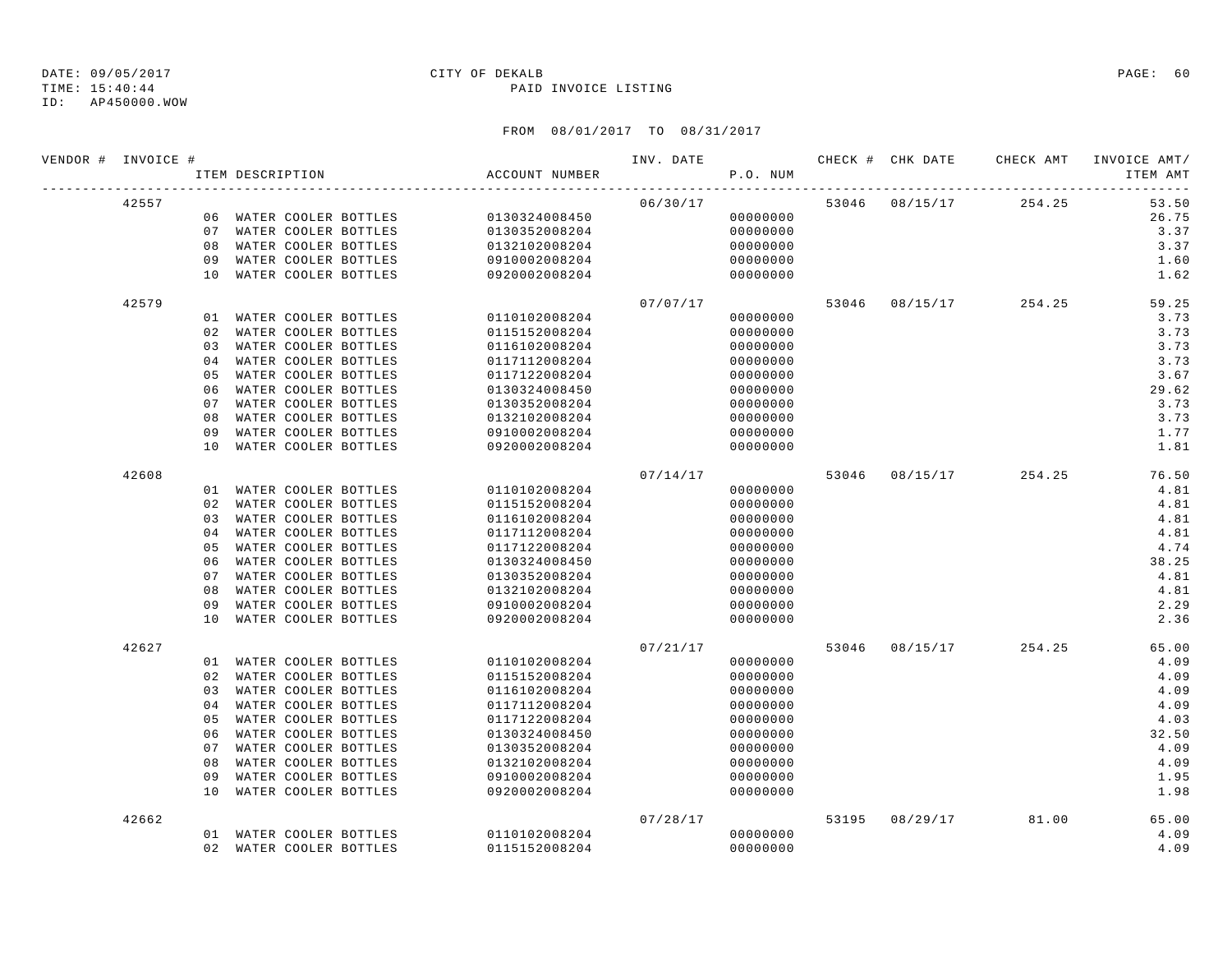ID: AP450000.WOW

### TIME: 15:40:44 PAID INVOICE LISTING

| VENDOR # INVOICE # |       |    | ITEM DESCRIPTION |                         | ACCOUNT NUMBER |          | P.O. NUM |  |                       | INVOICE AMT/<br>ITEM AMT |
|--------------------|-------|----|------------------|-------------------------|----------------|----------|----------|--|-----------------------|--------------------------|
|                    | 42557 |    |                  |                         |                | 06/30/17 |          |  | 53046 08/15/17 254.25 | 53.50                    |
|                    |       |    |                  | 06 WATER COOLER BOTTLES | 0130324008450  |          | 00000000 |  |                       | 26.75                    |
|                    |       |    |                  | 07 WATER COOLER BOTTLES | 0130352008204  |          | 00000000 |  |                       | 3.37                     |
|                    |       | 08 |                  | WATER COOLER BOTTLES    | 0132102008204  |          | 00000000 |  |                       | 3.37                     |
|                    |       | 09 |                  | WATER COOLER BOTTLES    | 0910002008204  |          | 00000000 |  |                       | 1.60                     |
|                    |       |    |                  | 10 WATER COOLER BOTTLES | 0920002008204  |          | 00000000 |  |                       | 1.62                     |
|                    | 42579 |    |                  |                         |                | 07/07/17 |          |  | 53046 08/15/17 254.25 | 59.25                    |
|                    |       |    |                  | 01 WATER COOLER BOTTLES | 0110102008204  |          | 00000000 |  |                       | 3.73                     |
|                    |       | 02 |                  | WATER COOLER BOTTLES    | 0115152008204  |          | 00000000 |  |                       | 3.73                     |
|                    |       | 03 |                  | WATER COOLER BOTTLES    | 0116102008204  |          | 00000000 |  |                       | 3.73                     |
|                    |       | 04 |                  | WATER COOLER BOTTLES    | 0117112008204  |          | 00000000 |  |                       | 3.73                     |
|                    |       | 05 |                  | WATER COOLER BOTTLES    | 0117122008204  |          | 00000000 |  |                       | 3.67                     |
|                    |       | 06 |                  | WATER COOLER BOTTLES    | 0130324008450  |          | 00000000 |  |                       | 29.62                    |
|                    |       | 07 |                  | WATER COOLER BOTTLES    | 0130352008204  |          | 00000000 |  |                       | 3.73                     |
|                    |       | 08 |                  | WATER COOLER BOTTLES    | 0132102008204  |          | 00000000 |  |                       | 3.73                     |
|                    |       | 09 |                  | WATER COOLER BOTTLES    | 0910002008204  |          | 00000000 |  |                       | 1.77                     |
|                    |       | 10 |                  | WATER COOLER BOTTLES    | 0920002008204  |          | 00000000 |  |                       | 1.81                     |
|                    | 42608 |    |                  |                         |                | 07/14/17 |          |  | 53046 08/15/17 254.25 | 76.50                    |
|                    |       |    |                  | 01 WATER COOLER BOTTLES | 0110102008204  |          | 00000000 |  |                       | 4.81                     |
|                    |       |    |                  | 02 WATER COOLER BOTTLES | 0115152008204  |          | 00000000 |  |                       | 4.81                     |
|                    |       | 03 |                  | WATER COOLER BOTTLES    | 0116102008204  |          | 00000000 |  |                       | 4.81                     |
|                    |       | 04 |                  | WATER COOLER BOTTLES    | 0117112008204  |          | 00000000 |  |                       | 4.81                     |
|                    |       | 05 |                  | WATER COOLER BOTTLES    | 0117122008204  |          | 00000000 |  |                       | 4.74                     |
|                    |       | 06 |                  | WATER COOLER BOTTLES    | 0130324008450  |          | 00000000 |  |                       | 38.25                    |
|                    |       | 07 |                  | WATER COOLER BOTTLES    | 0130352008204  |          | 00000000 |  |                       | 4.81                     |
|                    |       | 08 |                  | WATER COOLER BOTTLES    | 0132102008204  |          | 00000000 |  |                       | 4.81                     |
|                    |       | 09 |                  | WATER COOLER BOTTLES    | 0910002008204  |          | 00000000 |  |                       | 2.29                     |
|                    |       | 10 |                  | WATER COOLER BOTTLES    | 0920002008204  |          | 00000000 |  |                       | 2.36                     |
|                    | 42627 |    |                  |                         |                | 07/21/17 |          |  | 53046 08/15/17 254.25 | 65.00                    |
|                    |       |    |                  | 01 WATER COOLER BOTTLES | 0110102008204  |          | 00000000 |  |                       | 4.09                     |
|                    |       |    |                  | 02 WATER COOLER BOTTLES | 0115152008204  |          | 00000000 |  |                       | 4.09                     |
|                    |       |    |                  | 03 WATER COOLER BOTTLES | 0116102008204  |          | 00000000 |  |                       | 4.09                     |
|                    |       | 04 |                  | WATER COOLER BOTTLES    | 0117112008204  |          | 00000000 |  |                       | 4.09                     |
|                    |       | 05 |                  | WATER COOLER BOTTLES    | 0117122008204  |          | 00000000 |  |                       | 4.03                     |
|                    |       | 06 |                  | WATER COOLER BOTTLES    | 0130324008450  |          | 00000000 |  |                       | 32.50                    |
|                    |       | 07 |                  | WATER COOLER BOTTLES    | 0130352008204  |          | 00000000 |  |                       | 4.09                     |
|                    |       | 08 |                  | WATER COOLER BOTTLES    | 0132102008204  |          | 00000000 |  |                       | 4.09                     |
|                    |       | 09 |                  | WATER COOLER BOTTLES    | 0910002008204  |          | 00000000 |  |                       | 1.95                     |
|                    |       | 10 |                  | WATER COOLER BOTTLES    | 0920002008204  |          | 00000000 |  |                       | 1.98                     |
|                    | 42662 |    |                  |                         |                | 07/28/17 |          |  | 53195 08/29/17 81.00  | 65.00                    |
|                    |       |    |                  | 01 WATER COOLER BOTTLES | 0110102008204  |          | 00000000 |  |                       | 4.09                     |
|                    |       |    |                  | 02 WATER COOLER BOTTLES | 0115152008204  |          | 00000000 |  |                       | 4.09                     |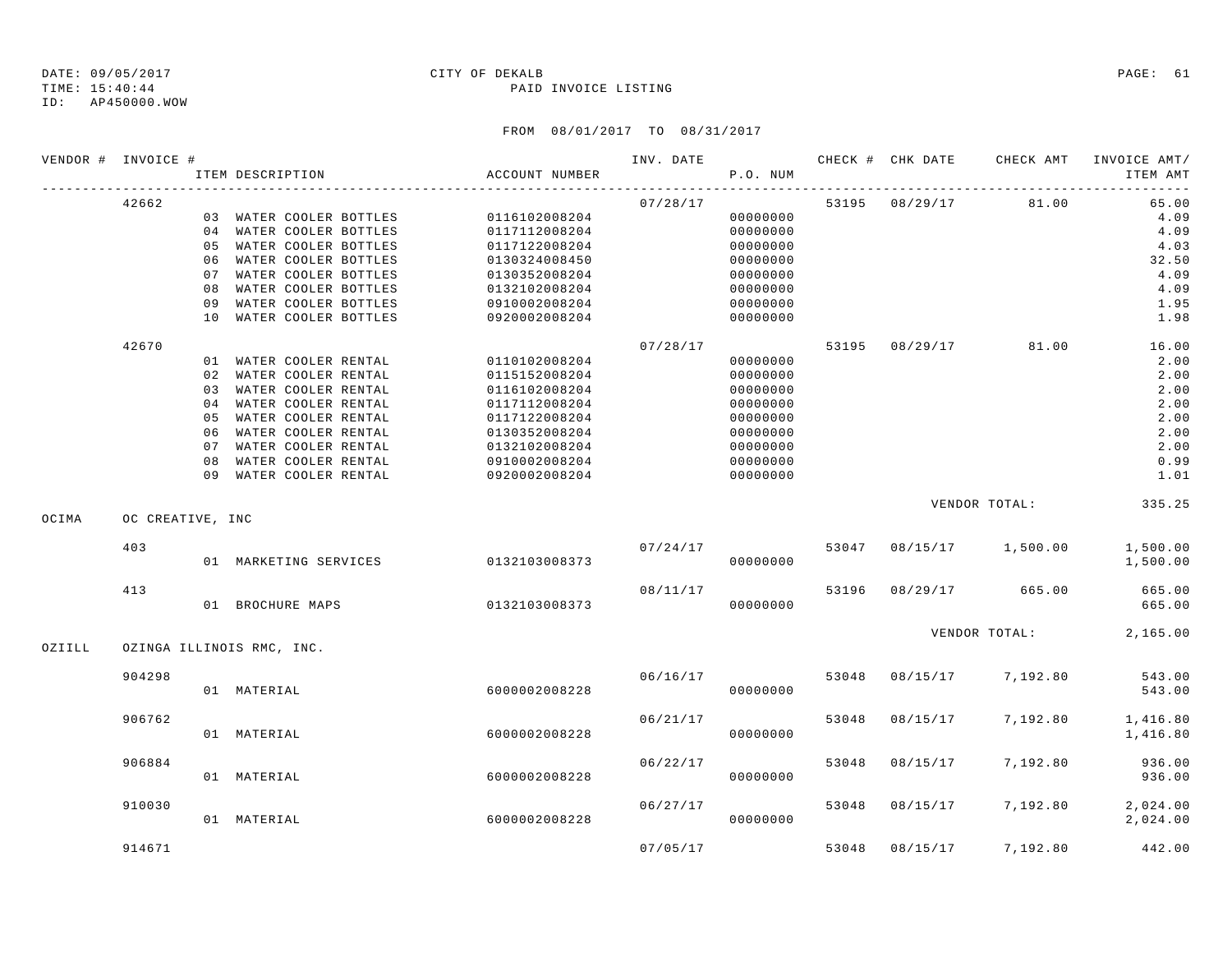### TIME: 15:40:44 PAID INVOICE LISTING

|        | VENDOR # INVOICE # |          | ITEM DESCRIPTION                              | ACCOUNT NUMBER                 | INV. DATE | P.O. NUM             |       |                | CHECK # CHK DATE CHECK AMT | INVOICE AMT/<br>ITEM AMT |
|--------|--------------------|----------|-----------------------------------------------|--------------------------------|-----------|----------------------|-------|----------------|----------------------------|--------------------------|
|        | 42662              |          |                                               |                                | 07/28/17  |                      |       | 53195 08/29/17 | 81.00                      | 65.00                    |
|        |                    |          | 03 WATER COOLER BOTTLES                       | 0116102008204                  |           | 00000000             |       |                |                            | 4.09                     |
|        |                    |          | 04 WATER COOLER BOTTLES                       | 0117112008204                  |           | 00000000             |       |                |                            | 4.09                     |
|        |                    |          | 05 WATER COOLER BOTTLES                       | 0117122008204                  |           | 00000000             |       |                |                            | 4.03                     |
|        |                    |          | 06 WATER COOLER BOTTLES                       | 0130324008450                  |           | 00000000             |       |                |                            | 32.50                    |
|        |                    | 07       | WATER COOLER BOTTLES                          | 0130352008204                  |           | 00000000             |       |                |                            | 4.09                     |
|        |                    | 08<br>09 | WATER COOLER BOTTLES<br>WATER COOLER BOTTLES  | 0132102008204<br>0910002008204 |           | 00000000<br>00000000 |       |                |                            | 4.09<br>1.95             |
|        |                    | 10       | WATER COOLER BOTTLES                          | 0920002008204                  |           | 00000000             |       |                |                            | 1.98                     |
|        | 42670              |          |                                               |                                | 07/28/17  |                      | 53195 | 08/29/17       | 81.00                      | 16.00                    |
|        |                    |          | 01 WATER COOLER RENTAL                        | 0110102008204                  |           | 00000000             |       |                |                            | 2.00                     |
|        |                    |          | 02 WATER COOLER RENTAL                        | 0115152008204                  |           | 00000000             |       |                |                            | 2.00                     |
|        |                    |          | 03 WATER COOLER RENTAL                        | 0116102008204                  |           | 00000000             |       |                |                            | 2.00                     |
|        |                    | 04       | WATER COOLER RENTAL                           | 0117112008204                  |           | 00000000             |       |                |                            | 2.00                     |
|        |                    | 05       | WATER COOLER RENTAL                           | 0117122008204                  |           | 00000000             |       |                |                            | 2.00                     |
|        |                    | 06       | WATER COOLER RENTAL                           | 0130352008204                  |           | 00000000             |       |                |                            | 2.00                     |
|        |                    | 07       | WATER COOLER RENTAL                           | 0132102008204                  |           | 00000000             |       |                |                            | 2.00                     |
|        |                    | 08       | WATER COOLER RENTAL<br>09 WATER COOLER RENTAL | 0910002008204                  |           | 00000000             |       |                |                            | 0.99                     |
|        |                    |          |                                               | 0920002008204                  |           | 00000000             |       |                |                            | 1.01                     |
| OCIMA  | OC CREATIVE, INC   |          |                                               |                                |           |                      |       |                | VENDOR TOTAL:              | 335.25                   |
|        | 403                |          |                                               |                                |           | 07/24/17             | 53047 |                | 08/15/17 1,500.00          | 1,500.00                 |
|        |                    |          | 01 MARKETING SERVICES                         | 0132103008373                  |           | 00000000             |       |                |                            | 1,500.00                 |
|        | 413                |          |                                               |                                | 08/11/17  |                      | 53196 |                | 08/29/17 665.00            | 665.00                   |
|        |                    |          | 01 BROCHURE MAPS                              | 0132103008373                  |           | 00000000             |       |                |                            | 665.00                   |
| OZIILL |                    |          | OZINGA ILLINOIS RMC, INC.                     |                                |           |                      |       |                |                            | VENDOR TOTAL: 2,165.00   |
|        |                    |          |                                               |                                |           |                      |       |                |                            |                          |
|        | 904298             |          | 01 MATERIAL                                   | 6000002008228                  | 06/16/17  | 00000000             | 53048 |                | 08/15/17 7,192.80          | 543.00<br>543.00         |
|        | 906762             |          |                                               |                                | 06/21/17  |                      | 53048 | 08/15/17       | 7,192.80                   | 1,416.80                 |
|        |                    |          | 01 MATERIAL                                   | 6000002008228                  |           | 00000000             |       |                |                            | 1,416.80                 |
|        | 906884             |          |                                               |                                | 06/22/17  |                      | 53048 | 08/15/17       | 7,192.80                   | 936.00                   |
|        |                    |          | 01 MATERIAL                                   | 6000002008228                  |           | 00000000             |       |                |                            | 936.00                   |
|        | 910030             |          |                                               |                                | 06/27/17  |                      | 53048 |                | 08/15/17 7,192.80          | 2,024.00                 |
|        |                    |          | 01 MATERIAL                                   | 6000002008228                  |           | 00000000             |       |                |                            | 2,024.00                 |
|        | 914671             |          |                                               |                                | 07/05/17  |                      | 53048 | 08/15/17       | 7,192.80                   | 442.00                   |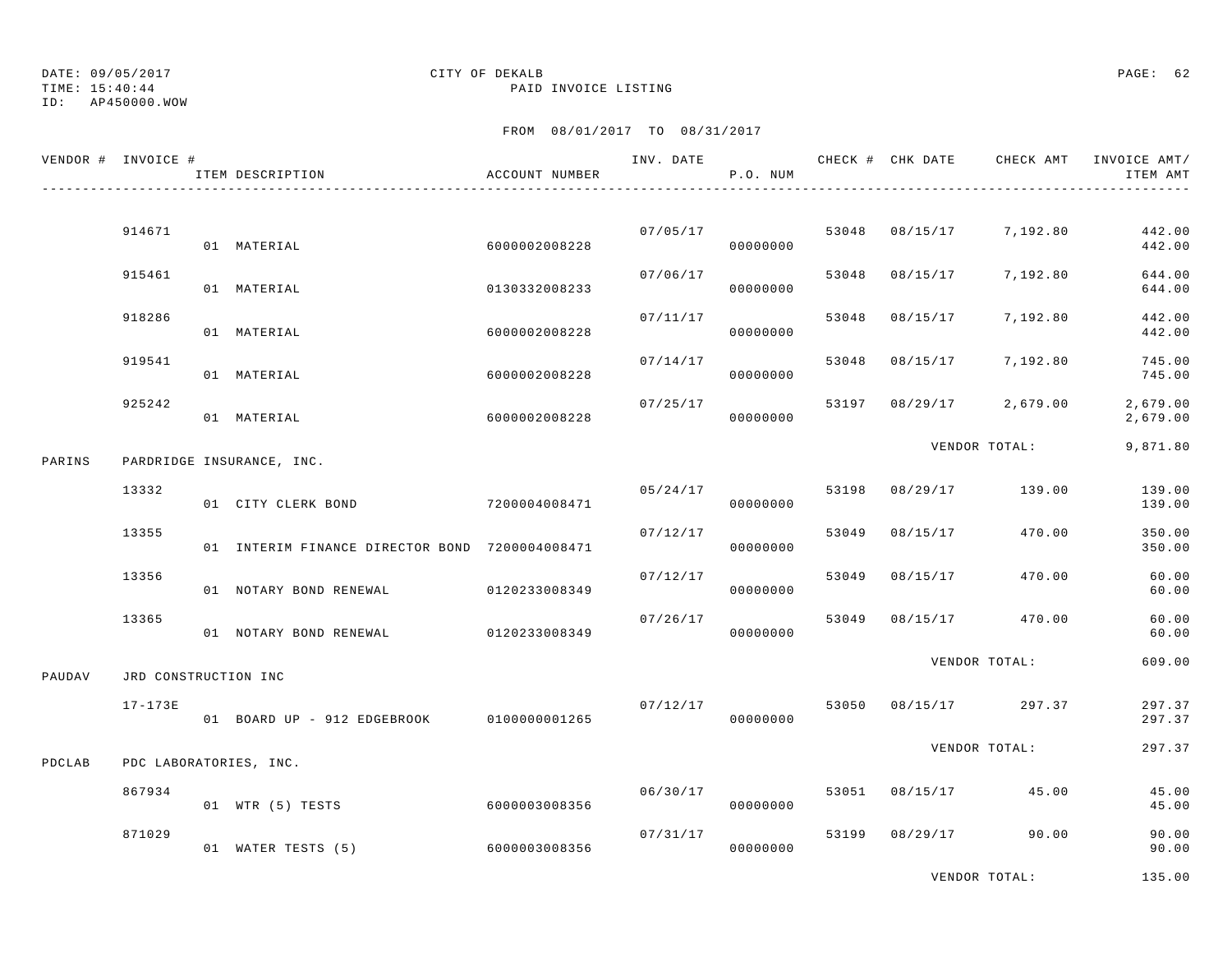TIME: 15:40:44 PAID INVOICE LISTING

ID: AP450000.WOW

## FROM 08/01/2017 TO 08/31/2017

|        | VENDOR # INVOICE #   | ITEM DESCRIPTION                               | ACCOUNT NUMBER |          | P.O. NUM |       |                | INV. DATE 6 1999 CHECK # CHK DATE 6 CHECK AMT INVOICE AMT | ITEM AMT             |
|--------|----------------------|------------------------------------------------|----------------|----------|----------|-------|----------------|-----------------------------------------------------------|----------------------|
|        |                      |                                                |                |          |          |       |                |                                                           |                      |
|        | 914671               | 01 MATERIAL                                    | 6000002008228  | 07/05/17 | 00000000 | 53048 | 08/15/17       | 7,192.80                                                  | 442.00<br>442.00     |
|        | 915461               | 01 MATERIAL                                    | 0130332008233  | 07/06/17 | 00000000 | 53048 | 08/15/17       | 7,192.80                                                  | 644.00<br>644.00     |
|        | 918286               | 01 MATERIAL                                    | 6000002008228  | 07/11/17 | 00000000 | 53048 | 08/15/17       | 7,192.80                                                  | 442.00<br>442.00     |
|        | 919541               | 01 MATERIAL                                    | 6000002008228  | 07/14/17 | 00000000 | 53048 |                | 08/15/17 7,192.80                                         | 745.00<br>745.00     |
|        | 925242               | 01 MATERIAL                                    | 6000002008228  | 07/25/17 | 00000000 | 53197 |                | $08/29/17$ 2,679.00                                       | 2,679.00<br>2,679.00 |
| PARINS |                      | PARDRIDGE INSURANCE, INC.                      |                |          |          |       |                | VENDOR TOTAL:                                             | 9,871.80             |
|        | 13332                | 01 CITY CLERK BOND                             | 7200004008471  | 05/24/17 | 00000000 |       | 53198 08/29/17 | 139.00                                                    | 139.00<br>139.00     |
|        | 13355                | 01 INTERIM FINANCE DIRECTOR BOND 7200004008471 |                | 07/12/17 | 00000000 | 53049 | 08/15/17       | 470.00                                                    | 350.00<br>350.00     |
|        | 13356                | 01 NOTARY BOND RENEWAL                         | 0120233008349  | 07/12/17 | 00000000 | 53049 | 08/15/17       | 470.00                                                    | 60.00<br>60.00       |
|        | 13365                | 01 NOTARY BOND RENEWAL                         | 0120233008349  | 07/26/17 | 00000000 | 53049 | 08/15/17       | 470.00                                                    | 60.00<br>60.00       |
| PAUDAV | JRD CONSTRUCTION INC |                                                |                |          |          |       |                | VENDOR TOTAL:                                             | 609.00               |
|        | $17 - 173E$          | 01 BOARD UP - 912 EDGEBROOK 0100000001265      |                | 07/12/17 | 00000000 |       |                | 53050 08/15/17 297.37                                     | 297.37<br>297.37     |
| PDCLAB |                      | PDC LABORATORIES, INC.                         |                |          |          |       |                | VENDOR TOTAL:                                             | 297.37               |
|        | 867934               | 01 WTR (5) TESTS                               | 6000003008356  | 06/30/17 | 00000000 | 53051 |                | 08/15/17 45.00                                            | 45.00<br>45.00       |
|        | 871029               | 01 WATER TESTS (5)                             | 6000003008356  | 07/31/17 | 00000000 | 53199 |                | 08/29/17 90.00                                            | 90.00<br>90.00       |
|        |                      |                                                |                |          |          |       |                |                                                           |                      |

VENDOR TOTAL: 135.00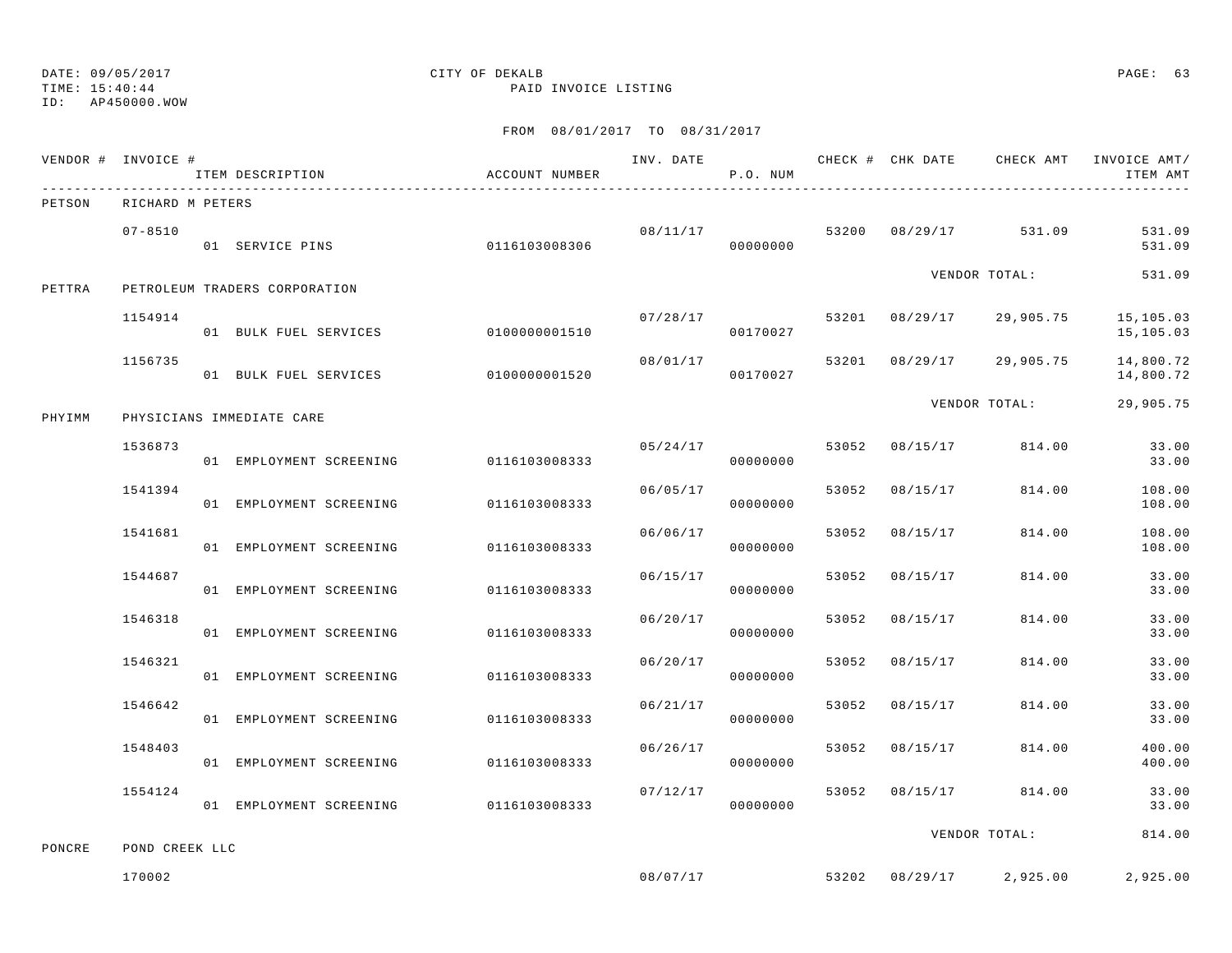TIME: 15:40:44 PAID INVOICE LISTING

ID: AP450000.WOW

|        | VENDOR # INVOICE # | ITEM DESCRIPTION              | ACCOUNT NUMBER |          | P.O. NUM |       |                |                          | ITEM AMT               |
|--------|--------------------|-------------------------------|----------------|----------|----------|-------|----------------|--------------------------|------------------------|
| PETSON | RICHARD M PETERS   |                               |                |          |          |       |                |                          |                        |
|        | $07 - 8510$        | 01 SERVICE PINS               | 0116103008306  | 08/11/17 | 00000000 |       |                | 53200 08/29/17 531.09    | 531.09<br>531.09       |
| PETTRA |                    | PETROLEUM TRADERS CORPORATION |                |          |          |       |                | VENDOR TOTAL:            | 531.09                 |
|        | 1154914            | 01 BULK FUEL SERVICES         | 0100000001510  | 07/28/17 | 00170027 |       |                | 53201 08/29/17 29,905.75 | 15,105.03<br>15,105.03 |
|        | 1156735            | 01 BULK FUEL SERVICES         | 0100000001520  | 08/01/17 | 00170027 |       |                | 53201 08/29/17 29,905.75 | 14,800.72<br>14,800.72 |
| PHYIMM |                    | PHYSICIANS IMMEDIATE CARE     |                |          |          |       |                | VENDOR TOTAL:            | 29,905.75              |
|        | 1536873            | 01 EMPLOYMENT SCREENING       | 0116103008333  | 05/24/17 | 00000000 | 53052 | 08/15/17       | 814.00                   | 33.00<br>33.00         |
|        | 1541394            | 01 EMPLOYMENT SCREENING       | 0116103008333  | 06/05/17 | 00000000 | 53052 | 08/15/17       | 814.00                   | 108.00<br>108.00       |
|        | 1541681            | 01 EMPLOYMENT SCREENING       | 0116103008333  | 06/06/17 | 00000000 | 53052 | 08/15/17       | 814.00                   | 108.00<br>108.00       |
|        | 1544687            | 01 EMPLOYMENT SCREENING       | 0116103008333  | 06/15/17 | 00000000 | 53052 | 08/15/17       | 814.00                   | 33.00<br>33.00         |
|        | 1546318            | 01 EMPLOYMENT SCREENING       | 0116103008333  | 06/20/17 | 00000000 | 53052 | 08/15/17       | 814.00                   | 33.00<br>33.00         |
|        | 1546321            | 01 EMPLOYMENT SCREENING       | 0116103008333  | 06/20/17 | 00000000 | 53052 | 08/15/17       | 814.00                   | 33.00<br>33.00         |
|        | 1546642            | 01 EMPLOYMENT SCREENING       | 0116103008333  | 06/21/17 | 00000000 | 53052 | 08/15/17       | 814.00                   | 33.00<br>33.00         |
|        | 1548403            | 01 EMPLOYMENT SCREENING       | 0116103008333  | 06/26/17 | 00000000 | 53052 | 08/15/17       | 814.00                   | 400.00<br>400.00       |
|        | 1554124            | 01 EMPLOYMENT SCREENING       | 0116103008333  | 07/12/17 | 00000000 | 53052 | 08/15/17       | 814.00                   | 33.00<br>33.00         |
| PONCRE | POND CREEK LLC     |                               |                |          |          |       |                | VENDOR TOTAL:            | 814.00                 |
|        | 170002             |                               |                |          | 08/07/17 |       | 53202 08/29/17 | 2,925.00                 | 2,925.00               |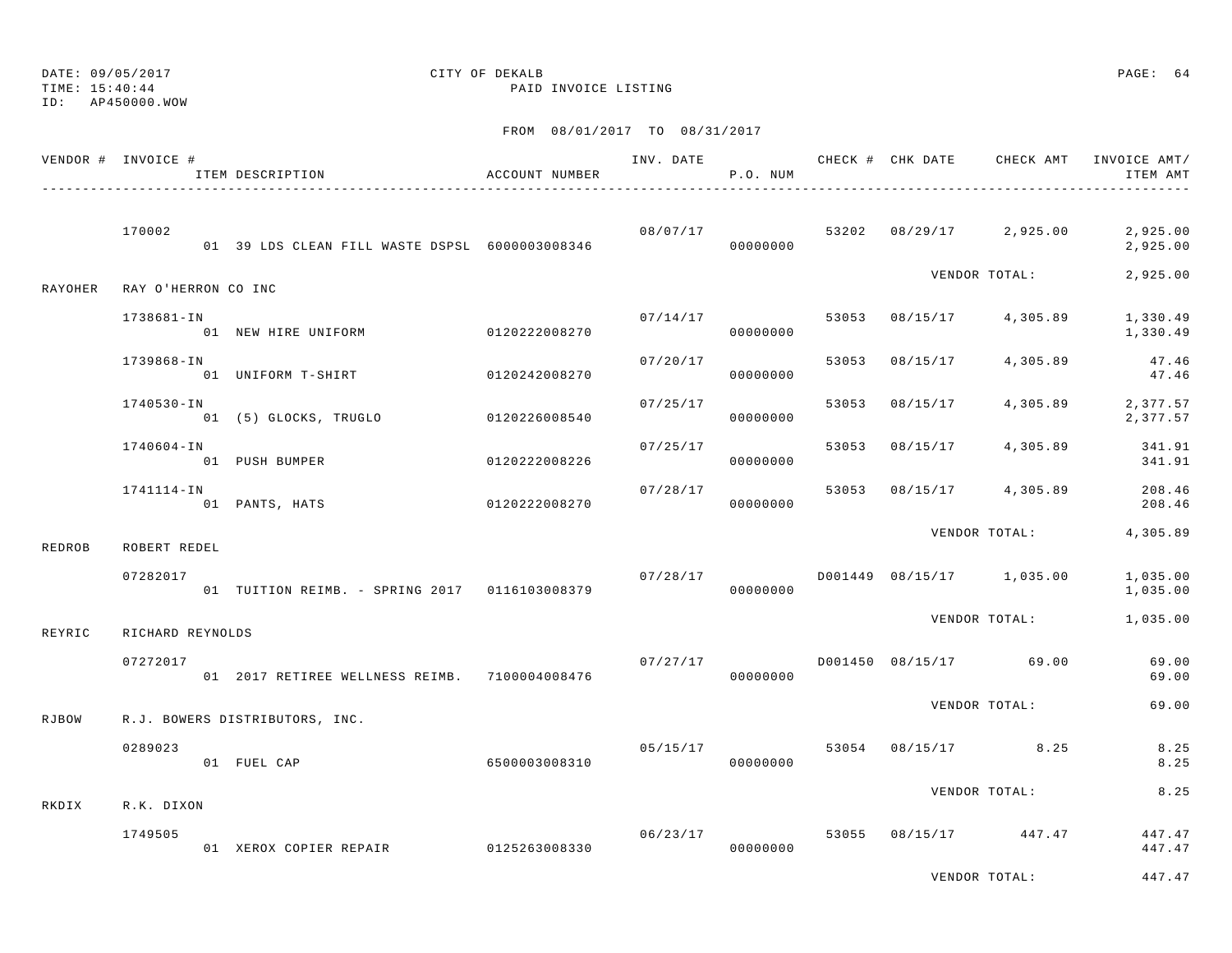TIME: 15:40:44 PAID INVOICE LISTING

ID: AP450000.WOW

|               | VENDOR # INVOICE #  | ITEM DESCRIPTION                                | ACCOUNT NUMBER |          | P.O. NUM                   |       |          | INV. DATE 6 CHECK # CHK DATE CHECK AMT   | INVOICE AMT/<br>ITEM AMT                 |
|---------------|---------------------|-------------------------------------------------|----------------|----------|----------------------------|-------|----------|------------------------------------------|------------------------------------------|
|               | 170002              | 01 39 LDS CLEAN FILL WASTE DSPSL 6000003008346  |                | 00000000 |                            |       |          | $08/07/17$ $53202$ $08/29/17$ $2,925.00$ | 2,925.00<br>2,925.00                     |
| RAYOHER       | RAY O'HERRON CO INC |                                                 |                |          |                            |       |          | VENDOR TOTAL:                            | 2,925.00                                 |
|               | 1738681-IN          | 01 NEW HIRE UNIFORM                             | 0120222008270  |          | 07/14/17 53053<br>00000000 |       |          | 08/15/17 4,305.89                        | 1,330.49<br>1,330.49                     |
|               | 1739868-IN          | 01 UNIFORM T-SHIRT 0120242008270                |                | 07/20/17 | 00000000                   | 53053 | 08/15/17 | 4,305.89                                 | 47.46<br>47.46                           |
|               | 1740530-IN          | 01 (5) GLOCKS, TRUGLO 60120226008540            |                | 07/25/17 | 00000000                   | 53053 | 08/15/17 |                                          | 4,305.89 2,377.57<br>2,377.57            |
|               | 1740604-IN          | 01 PUSH BUMPER                                  | 0120222008226  | 07/25/17 | 00000000                   | 53053 | 08/15/17 | 4,305.89                                 | 341.91<br>341.91                         |
|               | 1741114-IN          | 01 PANTS, HATS                                  | 0120222008270  |          | 07/28/17<br>00000000       |       |          |                                          | 53053 08/15/17 4,305.89 208.46<br>208.46 |
| <b>REDROB</b> | ROBERT REDEL        |                                                 |                |          |                            |       |          | VENDOR TOTAL:                            | 4,305.89                                 |
|               | 07282017            | 01 TUITION REIMB. - SPRING 2017 0116103008379   |                | 07/28/17 | 00000000                   |       |          | D001449 08/15/17 1,035.00                | 1,035.00<br>1,035.00                     |
| REYRIC        | RICHARD REYNOLDS    |                                                 |                |          |                            |       |          | VENDOR TOTAL:                            | 1,035.00                                 |
|               | 07272017            | 01  2017 RETIREE WELLNESS REIMB.  7100004008476 |                |          | 00000000                   |       |          | $07/27/17$ D001450 08/15/17 69.00        | 69.00<br>69.00                           |
| RJBOW         |                     | R.J. BOWERS DISTRIBUTORS, INC.                  |                |          |                            |       |          | VENDOR TOTAL:                            | 69.00                                    |
|               | 0289023             | 01 FUEL CAP 6500003008310                       |                | 05/15/17 | 00000000                   |       |          | 53054 08/15/17 8.25                      | 8.25<br>8.25                             |
| RKDIX         | R.K. DIXON          |                                                 |                |          |                            |       |          | VENDOR TOTAL:                            | 8.25                                     |
|               | 1749505             | 01 XEROX COPIER REPAIR 0125263008330            |                |          | 06/23/17<br>00000000       |       |          | 53055 08/15/17 447.47                    | 447.47<br>447.47                         |
|               |                     |                                                 |                |          |                            |       |          | VENDOR TOTAL:                            | 447.47                                   |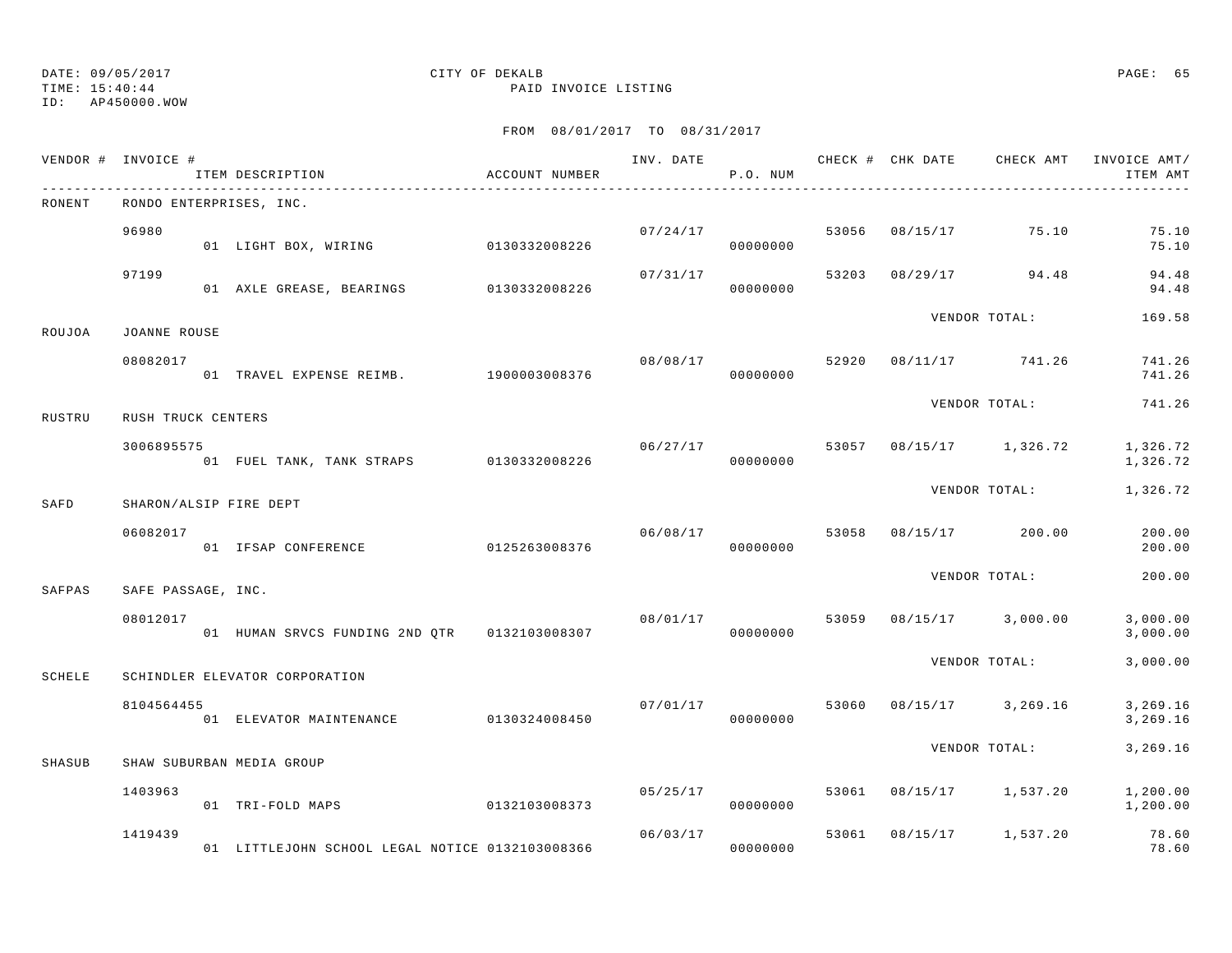TIME: 15:40:44 PAID INVOICE LISTING

ID: AP450000.WOW

|        | VENDOR # INVOICE # | ITEM DESCRIPTION                                | ACCOUNT NUMBER |          | P.O. NUM             |       |          | INV. DATE 6 CHECK # CHK DATE CHECK AMT | INVOICE AMT/<br>ITEM AMT |
|--------|--------------------|-------------------------------------------------|----------------|----------|----------------------|-------|----------|----------------------------------------|--------------------------|
| RONENT |                    | RONDO ENTERPRISES, INC.                         |                |          |                      |       |          |                                        |                          |
|        | 96980              | 01 LIGHT BOX, WIRING 0130332008226              |                |          | 07/24/17<br>00000000 | 53056 |          | 08/15/17 75.10                         | 75.10<br>75.10           |
|        | 97199              | 01 AXLE GREASE, BEARINGS 0130332008226          |                | 07/31/17 | 00000000             | 53203 |          | 08/29/17 94.48                         | 94.48<br>94.48           |
| ROUJOA | JOANNE ROUSE       |                                                 |                |          |                      |       |          | VENDOR TOTAL:                          | 169.58                   |
|        | 08082017           | 01 TRAVEL EXPENSE REIMB. 1900003008376          |                | 08/08/17 | 00000000             | 52920 |          | 08/11/17 741.26                        | 741.26<br>741.26         |
| RUSTRU | RUSH TRUCK CENTERS |                                                 |                |          |                      |       |          | VENDOR TOTAL:                          | 741.26                   |
|        | 3006895575         | 01 FUEL TANK, TANK STRAPS 0130332008226         |                |          | 06/27/17<br>00000000 |       |          | 53057 08/15/17 1,326.72                | 1,326.72<br>1,326.72     |
| SAFD   |                    | SHARON/ALSIP FIRE DEPT                          |                |          |                      |       |          | VENDOR TOTAL:                          | 1,326.72                 |
|        | 06082017           | 01 IFSAP CONFERENCE                             | 0125263008376  |          | 06/08/17<br>00000000 | 53058 |          | 08/15/17 200.00                        | 200.00<br>200.00         |
| SAFPAS | SAFE PASSAGE, INC. |                                                 |                |          |                      |       |          | VENDOR TOTAL:                          | 200.00                   |
|        | 08012017           | 01 HUMAN SRVCS FUNDING 2ND QTR 0132103008307    |                | 08/01/17 | 00000000             | 53059 |          | $08/15/17$ 3,000.00                    | 3,000.00<br>3,000.00     |
| SCHELE |                    | SCHINDLER ELEVATOR CORPORATION                  |                |          |                      |       |          | VENDOR TOTAL:                          | 3,000.00                 |
|        | 8104564455         | 01 ELEVATOR MAINTENANCE                         | 0130324008450  | 07/01/17 | 00000000             | 53060 |          | 08/15/17 3,269.16                      | 3,269.16<br>3,269.16     |
| SHASUB |                    | SHAW SUBURBAN MEDIA GROUP                       |                |          |                      |       |          | VENDOR TOTAL:                          | 3,269.16                 |
|        | 1403963            | 01 TRI-FOLD MAPS                                | 0132103008373  | 05/25/17 | 00000000             | 53061 |          | 08/15/17 1,537.20                      | 1,200.00<br>1,200.00     |
|        | 1419439            | 01 LITTLEJOHN SCHOOL LEGAL NOTICE 0132103008366 |                |          | 06/03/17<br>00000000 | 53061 | 08/15/17 | 1,537.20                               | 78.60<br>78.60           |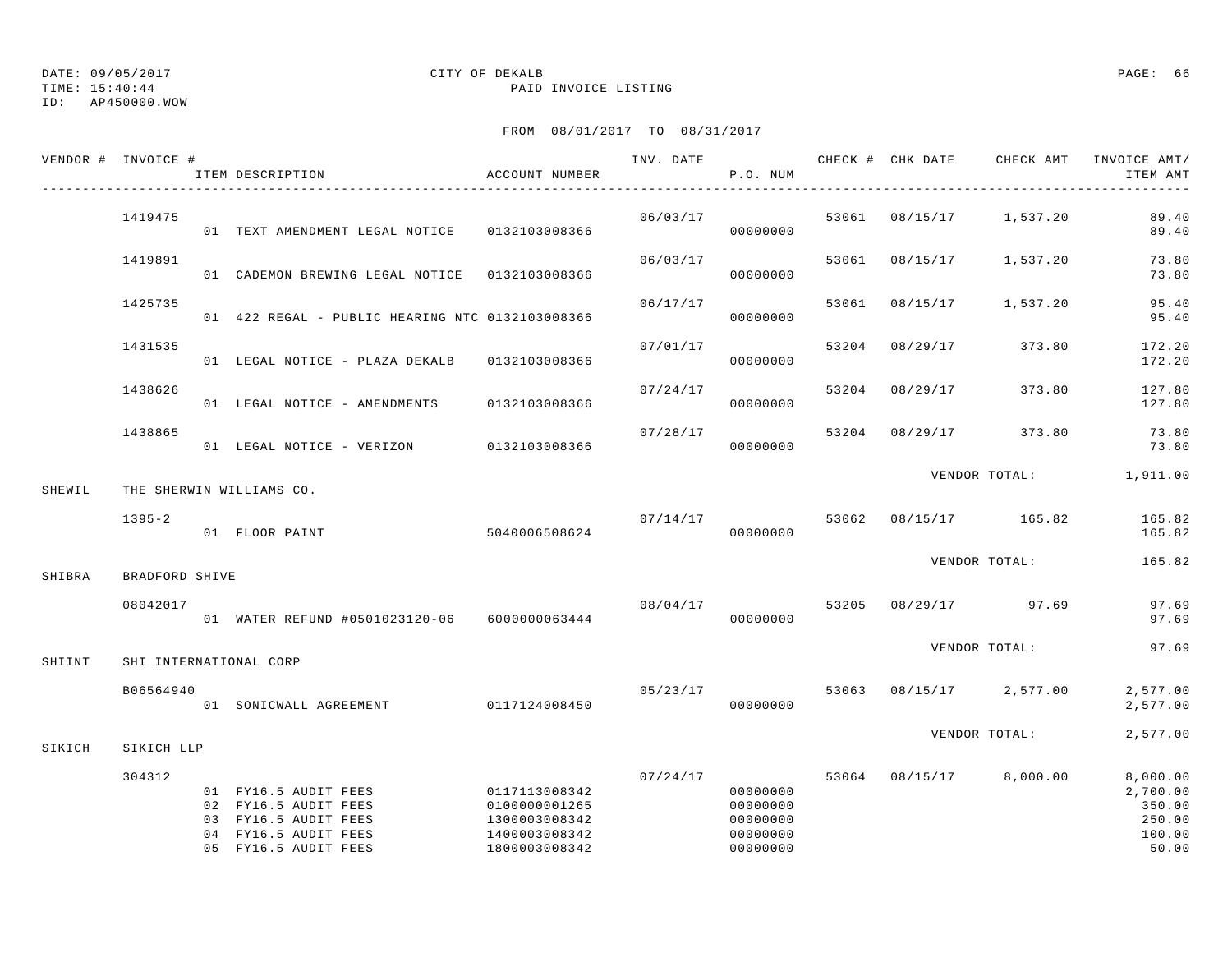## ID: AP450000.WOW

## DATE: 09/05/2017 CITY OF DEKALB PAGE: 66

TIME: 15:40:44 PAID INVOICE LISTING

|        | VENDOR # INVOICE # | ITEM DESCRIPTION                                                                                                     | ACCOUNT NUMBER                                                                    |          | P.O. NUM                                                             |       |                |                         | INV. DATE 6 7 CHECK # CHK DATE CHECK AMT INVOICE AMT/<br>ITEM AMT |
|--------|--------------------|----------------------------------------------------------------------------------------------------------------------|-----------------------------------------------------------------------------------|----------|----------------------------------------------------------------------|-------|----------------|-------------------------|-------------------------------------------------------------------|
|        | 1419475            | 01 TEXT AMENDMENT LEGAL NOTICE 0132103008366                                                                         |                                                                                   | 06/03/17 | 00000000                                                             |       |                | 53061 08/15/17 1,537.20 | 89.40<br>89.40                                                    |
|        | 1419891            | 01 CADEMON BREWING LEGAL NOTICE  0132103008366                                                                       |                                                                                   | 06/03/17 | 00000000                                                             |       |                | 53061 08/15/17 1,537.20 | 73.80<br>73.80                                                    |
|        | 1425735            | 01 422 REGAL - PUBLIC HEARING NTC 0132103008366                                                                      |                                                                                   | 06/17/17 | 00000000                                                             | 53061 | 08/15/17       | 1,537.20                | 95.40<br>95.40                                                    |
|        | 1431535            | 01 LEGAL NOTICE - PLAZA DEKALB 0132103008366                                                                         |                                                                                   | 07/01/17 | 00000000                                                             |       |                | 53204 08/29/17 373.80   | 172.20<br>172.20                                                  |
|        | 1438626            | 01 LEGAL NOTICE - AMENDMENTS                                                                                         | 0132103008366                                                                     | 07/24/17 | 00000000                                                             |       | 53204 08/29/17 | 373.80                  | 127.80<br>127.80                                                  |
|        | 1438865            | 01 LEGAL NOTICE - VERIZON 0132103008366                                                                              |                                                                                   | 07/28/17 | 00000000                                                             |       |                | 53204 08/29/17 373.80   | 73.80<br>73.80                                                    |
| SHEWIL |                    | THE SHERWIN WILLIAMS CO.                                                                                             |                                                                                   |          |                                                                      |       |                |                         | VENDOR TOTAL: 1,911.00                                            |
|        | $1395 - 2$         | 01 FLOOR PAINT                                                                                                       | 5040006508624                                                                     | 07/14/17 | 00000000                                                             |       |                | 53062 08/15/17 165.82   | 165.82<br>165.82                                                  |
| SHIBRA | BRADFORD SHIVE     |                                                                                                                      |                                                                                   |          |                                                                      |       |                | VENDOR TOTAL:           | 165.82                                                            |
|        | 08042017           | 01 WATER REFUND #0501023120-06  6000000063444                                                                        |                                                                                   | 08/04/17 | 00000000                                                             | 53205 |                | 08/29/17 97.69          | 97.69<br>97.69                                                    |
| SHIINT |                    | SHI INTERNATIONAL CORP                                                                                               |                                                                                   |          |                                                                      |       |                | VENDOR TOTAL:           | 97.69                                                             |
|        | B06564940          | 01 SONICWALL AGREEMENT 0117124008450                                                                                 |                                                                                   |          | 05/23/17<br>00000000                                                 |       |                | 53063 08/15/17 2,577.00 | 2,577.00<br>2,577.00                                              |
| SIKICH | SIKICH LLP         |                                                                                                                      |                                                                                   |          |                                                                      |       |                | VENDOR TOTAL:           | 2,577.00                                                          |
|        | 304312             | 01 FY16.5 AUDIT FEES<br>02 FY16.5 AUDIT FEES<br>03 FY16.5 AUDIT FEES<br>04 FY16.5 AUDIT FEES<br>05 FY16.5 AUDIT FEES | 0117113008342<br>0100000001265<br>1300003008342<br>1400003008342<br>1800003008342 |          | 07/24/17<br>00000000<br>00000000<br>00000000<br>00000000<br>00000000 |       |                | 53064 08/15/17 8,000.00 | 8,000.00<br>2,700.00<br>350.00<br>250.00<br>100.00<br>50.00       |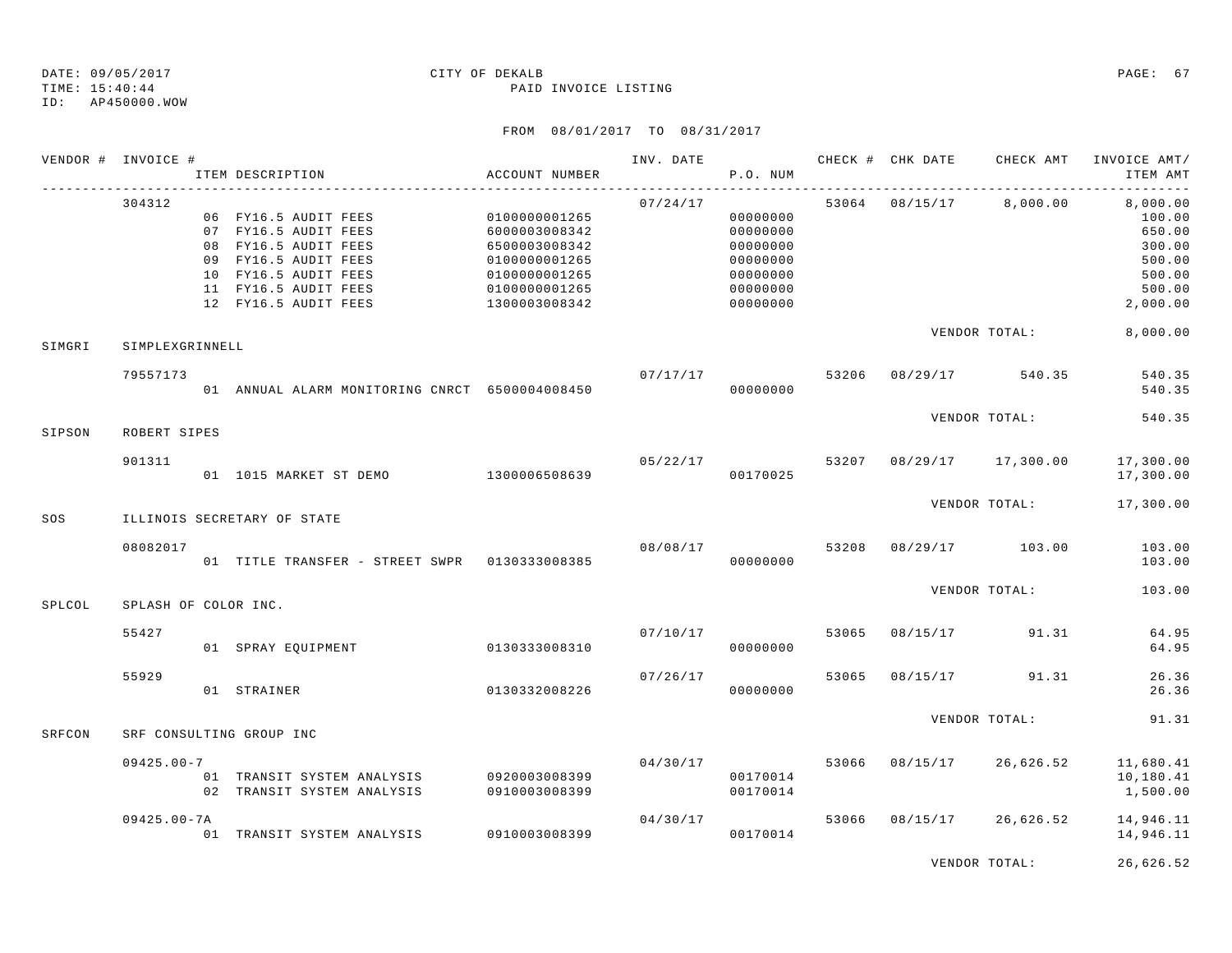### TIME: 15:40:44 PAID INVOICE LISTING ID: AP450000.WOW

|        | VENDOR # INVOICE #   | ITEM DESCRIPTION                                                                                                                                                     | <b>ACCOUNT NUMBER</b>                                                                                               | INV. DATE | P.O. NUM                                                                         |       | CHECK # CHK DATE | CHECK AMT          | INVOICE AMT/<br>ITEM AMT<br>كالماليات كالماليات                                  |
|--------|----------------------|----------------------------------------------------------------------------------------------------------------------------------------------------------------------|---------------------------------------------------------------------------------------------------------------------|-----------|----------------------------------------------------------------------------------|-------|------------------|--------------------|----------------------------------------------------------------------------------|
|        | 304312               | 06 FY16.5 AUDIT FEES<br>07 FY16.5 AUDIT FEES<br>08 FY16.5 AUDIT FEES<br>09 FY16.5 AUDIT FEES<br>10 FY16.5 AUDIT FEES<br>11 FY16.5 AUDIT FEES<br>12 FY16.5 AUDIT FEES | 0100000001265<br>6000003008342<br>6500003008342<br>0100000001265<br>0100000001265<br>0100000001265<br>1300003008342 | 07/24/17  | 00000000<br>00000000<br>00000000<br>00000000<br>00000000<br>00000000<br>00000000 |       | 53064 08/15/17   | 8,000.00           | 8,000.00<br>100.00<br>650.00<br>300.00<br>500.00<br>500.00<br>500.00<br>2,000.00 |
| SIMGRI | SIMPLEXGRINNELL      |                                                                                                                                                                      |                                                                                                                     |           |                                                                                  |       |                  | VENDOR TOTAL:      | 8,000.00                                                                         |
|        | 79557173             | 01 ANNUAL ALARM MONITORING CNRCT 6500004008450                                                                                                                       |                                                                                                                     | 07/17/17  | 00000000                                                                         | 53206 |                  | 08/29/17 540.35    | 540.35<br>540.35                                                                 |
| SIPSON | ROBERT SIPES         |                                                                                                                                                                      |                                                                                                                     |           |                                                                                  |       |                  | VENDOR TOTAL:      | 540.35                                                                           |
|        | 901311               | 01  1015 MARKET ST DEMO   1300006508639                                                                                                                              |                                                                                                                     |           | 05/22/17<br>00170025                                                             | 53207 |                  | 08/29/17 17,300.00 | 17,300.00<br>17,300.00                                                           |
| SOS    |                      | ILLINOIS SECRETARY OF STATE                                                                                                                                          |                                                                                                                     |           |                                                                                  |       |                  | VENDOR TOTAL:      | 17,300.00                                                                        |
|        | 08082017             | 01 TITLE TRANSFER - STREET SWPR 0130333008385                                                                                                                        |                                                                                                                     | 08/08/17  | 00000000                                                                         | 53208 |                  | 08/29/17 103.00    | 103.00<br>103.00                                                                 |
| SPLCOL | SPLASH OF COLOR INC. |                                                                                                                                                                      |                                                                                                                     |           |                                                                                  |       |                  | VENDOR TOTAL:      | 103.00                                                                           |
|        | 55427                | 01 SPRAY EQUIPMENT                                                                                                                                                   | 0130333008310                                                                                                       | 07/10/17  | 00000000                                                                         | 53065 | 08/15/17         | 91.31              | 64.95<br>64.95                                                                   |
|        | 55929                | 01 STRAINER                                                                                                                                                          | 0130332008226                                                                                                       | 07/26/17  | 00000000                                                                         | 53065 | 08/15/17         | 91.31              | 26.36<br>26.36                                                                   |
| SRFCON |                      | SRF CONSULTING GROUP INC                                                                                                                                             |                                                                                                                     |           |                                                                                  |       |                  | VENDOR TOTAL:      | 91.31                                                                            |
|        | $09425.00 - 7$       | 01 TRANSIT SYSTEM ANALYSIS<br>02 TRANSIT SYSTEM ANALYSIS                                                                                                             | 0920003008399<br>0910003008399                                                                                      | 04/30/17  | 00170014<br>00170014                                                             | 53066 | 08/15/17         | 26,626.52          | 11,680.41<br>10,180.41<br>1,500.00                                               |
|        | $09425.00 - 7A$      | 01 TRANSIT SYSTEM ANALYSIS                                                                                                                                           | 0910003008399                                                                                                       | 04/30/17  | 00170014                                                                         | 53066 | 08/15/17         | 26,626.52          | 14,946.11<br>14,946.11                                                           |
|        |                      |                                                                                                                                                                      |                                                                                                                     |           |                                                                                  |       |                  | VENDOR TOTAL:      | 26,626.52                                                                        |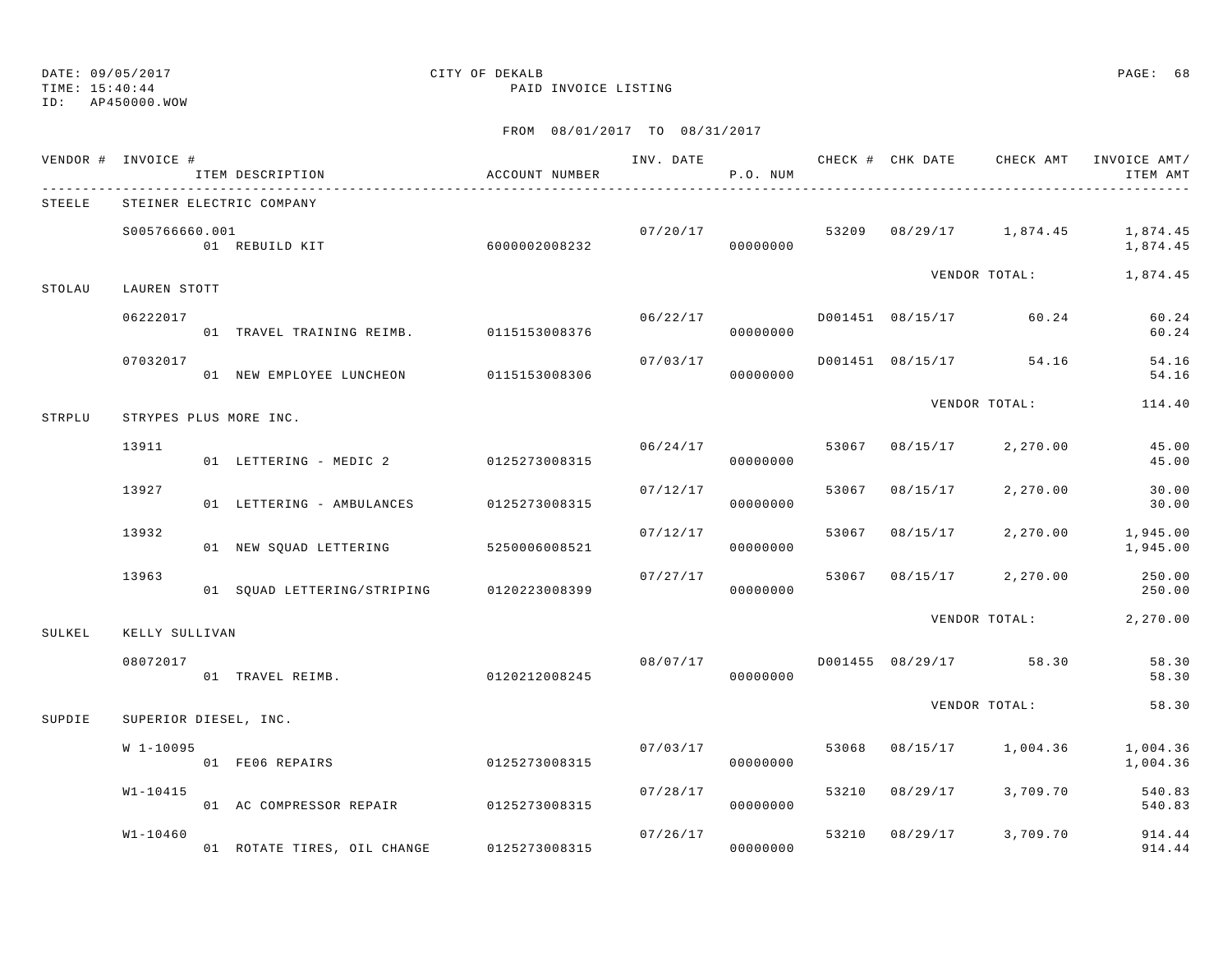TIME: 15:40:44 PAID INVOICE LISTING

ID: AP450000.WOW

|        | VENDOR # INVOICE #    | ITEM DESCRIPTION                          | ACCOUNT NUMBER |          | P.O. NUM             |       |                |                         | INV. DATE 6 CHECK # CHK DATE CHECK AMT INVOICE AMT/<br>ITEM AMT |
|--------|-----------------------|-------------------------------------------|----------------|----------|----------------------|-------|----------------|-------------------------|-----------------------------------------------------------------|
| STEELE |                       | STEINER ELECTRIC COMPANY                  |                |          |                      |       |                |                         |                                                                 |
|        | S005766660.001        | 01 REBUILD KIT                            | 6000002008232  | 07/20/17 | 00000000             |       |                |                         | 53209 08/29/17 1,874.45 1,874.45<br>1,874.45                    |
| STOLAU | LAUREN STOTT          |                                           |                |          |                      |       |                | VENDOR TOTAL:           | 1,874.45                                                        |
|        | 06222017              | 01 TRAVEL TRAINING REIMB. 0115153008376   |                | 06/22/17 | 00000000             |       |                | D001451 08/15/17 60.24  | 60.24<br>60.24                                                  |
|        | 07032017              | 01 NEW EMPLOYEE LUNCHEON 0115153008306    |                | 07/03/17 | 00000000             |       |                | D001451 08/15/17 54.16  | 54.16<br>54.16                                                  |
| STRPLU |                       | STRYPES PLUS MORE INC.                    |                |          |                      |       |                | VENDOR TOTAL:           | 114.40                                                          |
|        | 13911                 | 01 LETTERING - MEDIC 2 0125273008315      |                | 06/24/17 | 00000000             |       | 53067 08/15/17 | 2,270.00                | 45.00<br>45.00                                                  |
|        | 13927                 | 01 LETTERING - AMBULANCES                 | 0125273008315  | 07/12/17 | 00000000             | 53067 | 08/15/17       | 2,270.00                | 30.00<br>30.00                                                  |
|        | 13932                 | 01 NEW SQUAD LETTERING 5250006008521      |                | 07/12/17 | 00000000             | 53067 | 08/15/17       | 2,270.00                | 1,945.00<br>1,945.00                                            |
|        | 13963                 | 01 SQUAD LETTERING/STRIPING 0120223008399 |                | 07/27/17 | 00000000             | 53067 |                | 08/15/17 2,270.00       | 250.00<br>250.00                                                |
| SULKEL | KELLY SULLIVAN        |                                           |                |          |                      |       |                | VENDOR TOTAL:           | 2,270.00                                                        |
|        | 08072017              | 01 TRAVEL REIMB.                          | 0120212008245  |          | 08/07/17<br>00000000 |       |                | D001455 08/29/17 58.30  | 58.30<br>58.30                                                  |
| SUPDIE | SUPERIOR DIESEL, INC. |                                           |                |          |                      |       |                | VENDOR TOTAL:           | 58.30                                                           |
|        | W 1-10095             | 01 FE06 REPAIRS                           | 0125273008315  | 07/03/17 | 00000000             |       |                | 53068 08/15/17 1,004.36 | 1,004.36<br>1,004.36                                            |
|        | $W1 - 10415$          | 01 AC COMPRESSOR REPAIR 0125273008315     |                |          | 07/28/17<br>00000000 | 53210 |                | 08/29/17 3,709.70       | 540.83<br>540.83                                                |
|        | $W1 - 10460$          | 01 ROTATE TIRES, OIL CHANGE               | 0125273008315  | 07/26/17 | 00000000             |       |                | 53210 08/29/17 3,709.70 | 914.44<br>914.44                                                |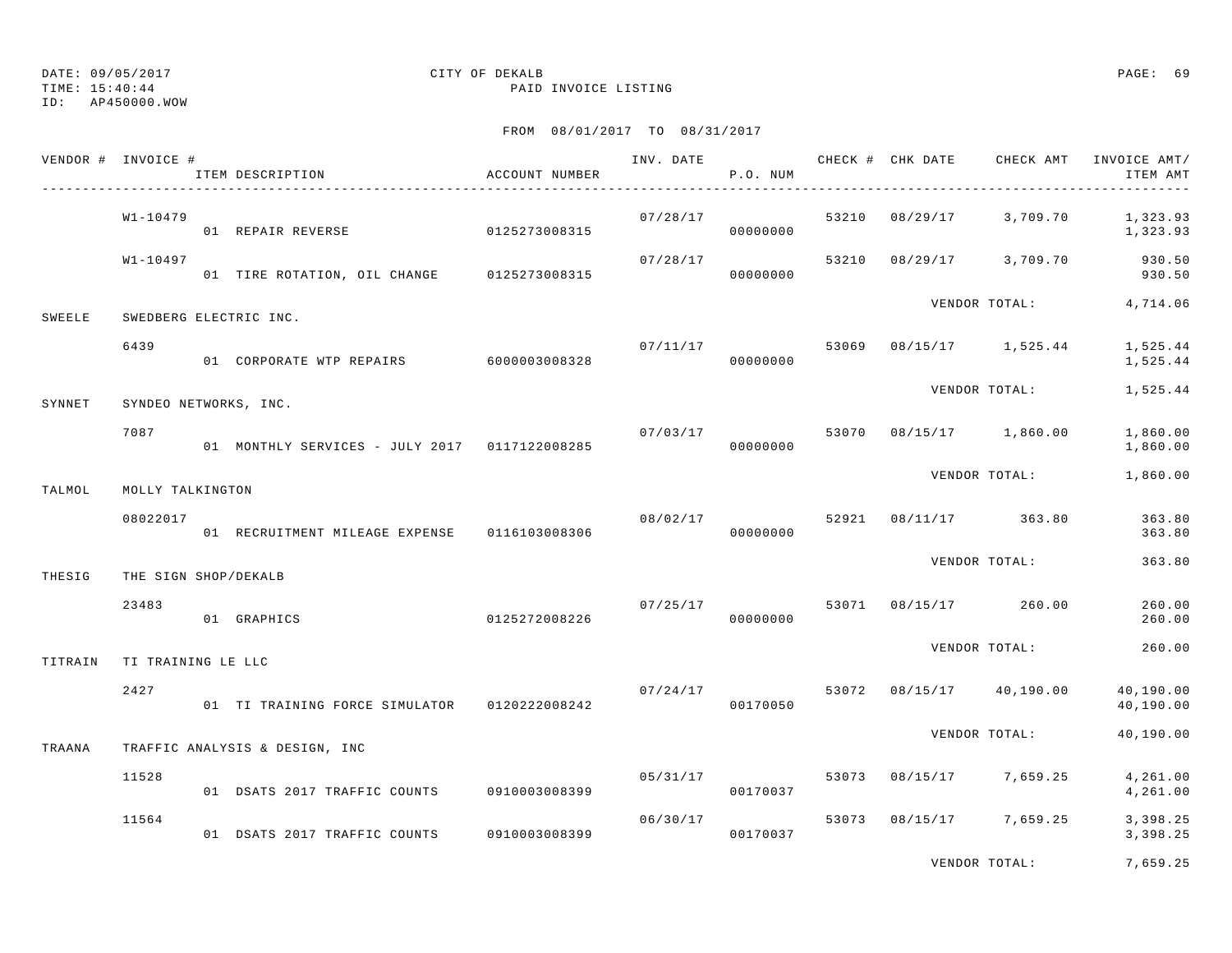TIME: 15:40:44 PAID INVOICE LISTING

ID: AP450000.WOW

## FROM 08/01/2017 TO 08/31/2017

|         | VENDOR # INVOICE #    | ITEM DESCRIPTION                              | ACCOUNT NUMBER | INV. DATE 6 CHECK # CHK DATE CHECK AMT | P.O. NUM             |       |          |                                  | INVOICE AMT/<br>ITEM AMT |
|---------|-----------------------|-----------------------------------------------|----------------|----------------------------------------|----------------------|-------|----------|----------------------------------|--------------------------|
|         | W1-10479              | 01 REPAIR REVERSE 6125273008315               |                | 07/28/17                               | 00000000             |       |          | 53210 08/29/17 3,709.70          | 1,323.93<br>1,323.93     |
|         | W1-10497              | 01 TIRE ROTATION, OIL CHANGE 0125273008315    |                | 07/28/17                               | 00000000             |       |          | 53210 08/29/17 3,709.70          | 930.50<br>930.50         |
| SWEELE  |                       | SWEDBERG ELECTRIC INC.                        |                |                                        |                      |       |          | VENDOR TOTAL:                    | 4,714.06                 |
|         | 6439                  | 01 CORPORATE WTP REPAIRS 6000003008328        |                | 07/11/17                               | 00000000             | 53069 |          | 08/15/17 1,525.44                | 1,525.44<br>1,525.44     |
| SYNNET  | SYNDEO NETWORKS, INC. |                                               |                |                                        |                      |       |          | VENDOR TOTAL:                    | 1,525.44                 |
|         | 7087                  | 01 MONTHLY SERVICES - JULY 2017 0117122008285 |                | 07/03/17                               | 00000000             |       |          | 53070 08/15/17 1,860.00          | 1,860.00<br>1,860.00     |
| TALMOL  | MOLLY TALKINGTON      |                                               |                |                                        |                      |       |          | VENDOR TOTAL:                    | 1,860.00                 |
|         | 08022017              | 01 RECRUITMENT MILEAGE EXPENSE 0116103008306  |                | 08/02/17                               | 00000000             |       |          | 52921 08/11/17 363.80            | 363.80<br>363.80         |
| THESIG  | THE SIGN SHOP/DEKALB  |                                               |                |                                        |                      |       |          | VENDOR TOTAL:                    | 363.80                   |
|         | 23483                 | 01 GRAPHICS                                   | 0125272008226  |                                        | 00000000             |       |          | $07/25/17$ 53071 08/15/17 260.00 | 260.00<br>260.00         |
| TITRAIN | TI TRAINING LE LLC    |                                               |                |                                        |                      |       |          | VENDOR TOTAL:                    | 260.00                   |
|         | 2427                  | 01 TI TRAINING FORCE SIMULATOR 0120222008242  |                |                                        | 07/24/17<br>00170050 |       |          | 53072 08/15/17 40,190.00         | 40,190.00<br>40,190.00   |
| TRAANA  |                       | TRAFFIC ANALYSIS & DESIGN, INC                |                |                                        |                      |       |          | VENDOR TOTAL:                    | 40,190.00                |
|         | 11528                 | 01 DSATS 2017 TRAFFIC COUNTS                  | 0910003008399  | 05/31/17                               | 00170037             | 53073 | 08/15/17 | 7,659.25                         | 4,261.00<br>4,261.00     |
|         | 11564                 | 01 DSATS 2017 TRAFFIC COUNTS                  | 0910003008399  | 06/30/17                               | 00170037             |       |          | 53073 08/15/17 7,659.25          | 3,398.25<br>3,398.25     |

VENDOR TOTAL: 7,659.25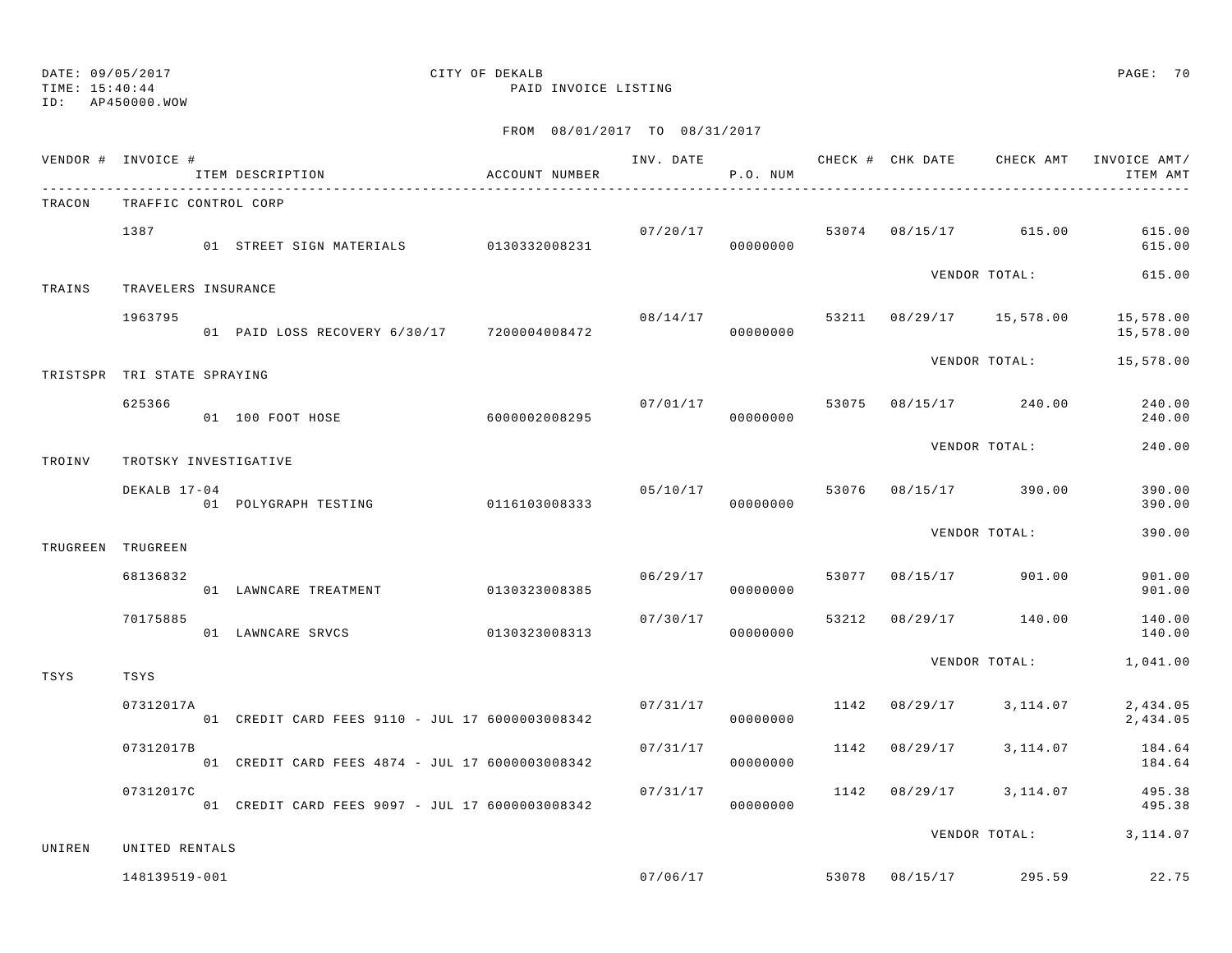TIME: 15:40:44 PAID INVOICE LISTING

ID: AP450000.WOW

|          | VENDOR # INVOICE #          | ITEM DESCRIPTION                                | ACCOUNT NUMBER |          | P.O. NUM                   |               | INV. DATE 6 CHECK # CHK DATE CHECK AMT                                                                                                                                                                                                                                                                                                                                | INVOICE AMT/<br>ITEM AMT |
|----------|-----------------------------|-------------------------------------------------|----------------|----------|----------------------------|---------------|-----------------------------------------------------------------------------------------------------------------------------------------------------------------------------------------------------------------------------------------------------------------------------------------------------------------------------------------------------------------------|--------------------------|
| TRACON   | TRAFFIC CONTROL CORP        |                                                 |                |          |                            |               |                                                                                                                                                                                                                                                                                                                                                                       |                          |
|          | 1387                        | 01 STREET SIGN MATERIALS 0130332008231          |                |          | 07/20/17<br>00000000       |               |                                                                                                                                                                                                                                                                                                                                                                       | 615.00<br>615.00         |
| TRAINS   | TRAVELERS INSURANCE         |                                                 |                |          |                            |               |                                                                                                                                                                                                                                                                                                                                                                       | 615.00                   |
|          | 1963795                     | 01 PAID LOSS RECOVERY 6/30/17 7200004008472     |                |          | 00000000                   |               |                                                                                                                                                                                                                                                                                                                                                                       | 15,578.00<br>15,578.00   |
|          | TRISTSPR TRI STATE SPRAYING |                                                 |                |          |                            |               |                                                                                                                                                                                                                                                                                                                                                                       | 15,578.00                |
|          | 625366                      | 01 100 FOOT HOSE 6000002008295                  |                |          | 07/01/17<br>00000000       |               |                                                                                                                                                                                                                                                                                                                                                                       | 240.00<br>240.00         |
| TROINV   | TROTSKY INVESTIGATIVE       |                                                 |                |          |                            |               | 53074 08/15/17 615.00<br>VENDOR TOTAL:<br>$08/14/17$ 53211 $08/29/17$ 15,578.00<br>VENDOR TOTAL:<br>53075 08/15/17 240.00<br>VENDOR TOTAL:<br>08/15/17 390.00<br>VENDOR TOTAL:<br>53077 08/15/17 901.00<br>53212 08/29/17 140.00<br>VENDOR TOTAL:<br>1142 08/29/17 3,114.07<br>3,114.07<br>1142 08/29/17 3,114.07<br>VENDOR TOTAL: 3, 114.07<br>53078 08/15/17 295.59 | 240.00                   |
|          | DEKALB 17-04                | 01 POLYGRAPH TESTING 0116103008333              |                |          | 05/10/17 53076<br>00000000 |               |                                                                                                                                                                                                                                                                                                                                                                       | 390.00<br>390.00         |
| TRUGREEN | TRUGREEN                    |                                                 |                |          |                            |               |                                                                                                                                                                                                                                                                                                                                                                       | 390.00                   |
|          | 68136832                    | 01 LAWNCARE TREATMENT 0130323008385             |                |          | 06/29/17<br>00000000       |               |                                                                                                                                                                                                                                                                                                                                                                       | 901.00<br>901.00         |
|          | 70175885                    | 01 LAWNCARE SRVCS                               | 0130323008313  | 07/30/17 | 00000000                   |               |                                                                                                                                                                                                                                                                                                                                                                       | 140.00<br>140.00         |
| TSYS     | TSYS                        |                                                 |                |          |                            |               |                                                                                                                                                                                                                                                                                                                                                                       | 1,041.00                 |
|          | 07312017A                   | 01 CREDIT CARD FEES 9110 - JUL 17 6000003008342 |                |          | 07/31/17<br>00000000       |               |                                                                                                                                                                                                                                                                                                                                                                       | 2,434.05<br>2,434.05     |
|          | 07312017B                   | 01 CREDIT CARD FEES 4874 - JUL 17 6000003008342 |                | 07/31/17 | 00000000                   | 1142 08/29/17 |                                                                                                                                                                                                                                                                                                                                                                       | 184.64<br>184.64         |
|          | 07312017C                   | 01 CREDIT CARD FEES 9097 - JUL 17 6000003008342 |                | 07/31/17 | 00000000                   |               |                                                                                                                                                                                                                                                                                                                                                                       | 495.38<br>495.38         |
| UNIREN   | UNITED RENTALS              |                                                 |                |          |                            |               |                                                                                                                                                                                                                                                                                                                                                                       |                          |
|          | 148139519-001               |                                                 |                |          | 07/06/17                   |               |                                                                                                                                                                                                                                                                                                                                                                       | 22.75                    |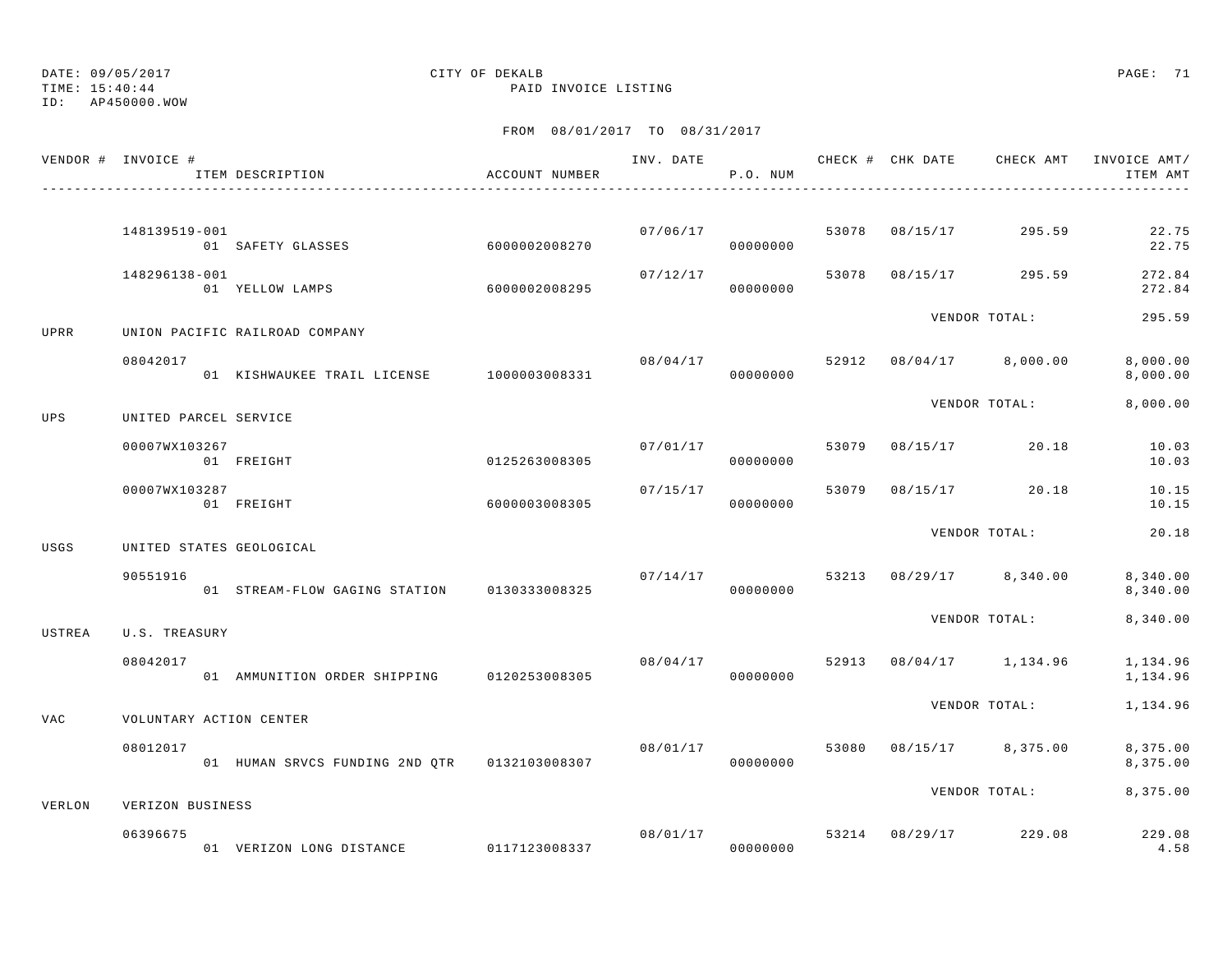TIME: 15:40:44 PAID INVOICE LISTING

ID: AP450000.WOW

|        | VENDOR # INVOICE #       | ITEM DESCRIPTION                             | ACCOUNT NUMBER |          | P.O. NUM             |       |          | INV. DATE 6 CHECK # CHK DATE CHECK AMT INVOICE AMT/ | ITEM AMT             |
|--------|--------------------------|----------------------------------------------|----------------|----------|----------------------|-------|----------|-----------------------------------------------------|----------------------|
|        | 148139519-001            |                                              |                |          | 07/06/17             | 53078 |          | 08/15/17 295.59                                     | 22.75                |
|        |                          | 01 SAFETY GLASSES                            | 6000002008270  |          | 00000000             |       |          |                                                     | 22.75                |
|        | 148296138-001            | 01 YELLOW LAMPS                              | 6000002008295  | 07/12/17 | 00000000             | 53078 | 08/15/17 | 295.59                                              | 272.84<br>272.84     |
| UPRR   |                          | UNION PACIFIC RAILROAD COMPANY               |                |          |                      |       |          | VENDOR TOTAL:                                       | 295.59               |
|        | 08042017                 | 01 KISHWAUKEE TRAIL LICENSE 1000003008331    |                | 08/04/17 | 00000000             | 52912 |          | $08/04/17$ 8,000.00                                 | 8,000.00<br>8,000.00 |
| UPS    | UNITED PARCEL SERVICE    |                                              |                |          |                      |       |          | VENDOR TOTAL:                                       | 8,000.00             |
|        | 00007WX103267            | 01 FREIGHT                                   | 0125263008305  |          | 07/01/17<br>00000000 | 53079 |          | 08/15/17 20.18                                      | 10.03<br>10.03       |
|        | 00007WX103287            | 01 FREIGHT                                   | 6000003008305  | 07/15/17 | 00000000             | 53079 |          | 08/15/17 20.18                                      | 10.15<br>10.15       |
| USGS   | UNITED STATES GEOLOGICAL |                                              |                |          |                      |       |          | VENDOR TOTAL:                                       | 20.18                |
|        | 90551916                 | 01 STREAM-FLOW GAGING STATION                | 0130333008325  | 07/14/17 | 00000000             | 53213 |          | $08/29/17$ 8,340.00                                 | 8,340.00<br>8,340.00 |
| USTREA | U.S. TREASURY            |                                              |                |          |                      |       |          | VENDOR TOTAL:                                       | 8,340.00             |
|        | 08042017                 | 01 AMMUNITION ORDER SHIPPING 0120253008305   |                | 08/04/17 | 00000000             | 52913 |          | 08/04/17 1,134.96                                   | 1,134.96<br>1,134.96 |
| VAC    | VOLUNTARY ACTION CENTER  |                                              |                |          |                      |       |          | VENDOR TOTAL:                                       | 1,134.96             |
|        | 08012017                 | 01 HUMAN SRVCS FUNDING 2ND QTR 0132103008307 |                |          | 08/01/17<br>00000000 | 53080 |          | 08/15/17 8,375.00                                   | 8,375.00<br>8,375.00 |
| VERLON | VERIZON BUSINESS         |                                              |                |          |                      |       |          | VENDOR TOTAL:                                       | 8,375.00             |
|        | 06396675                 | 01 VERIZON LONG DISTANCE 0117123008337       |                |          | 08/01/17<br>00000000 | 53214 |          | 08/29/17 229.08                                     | 229.08<br>4.58       |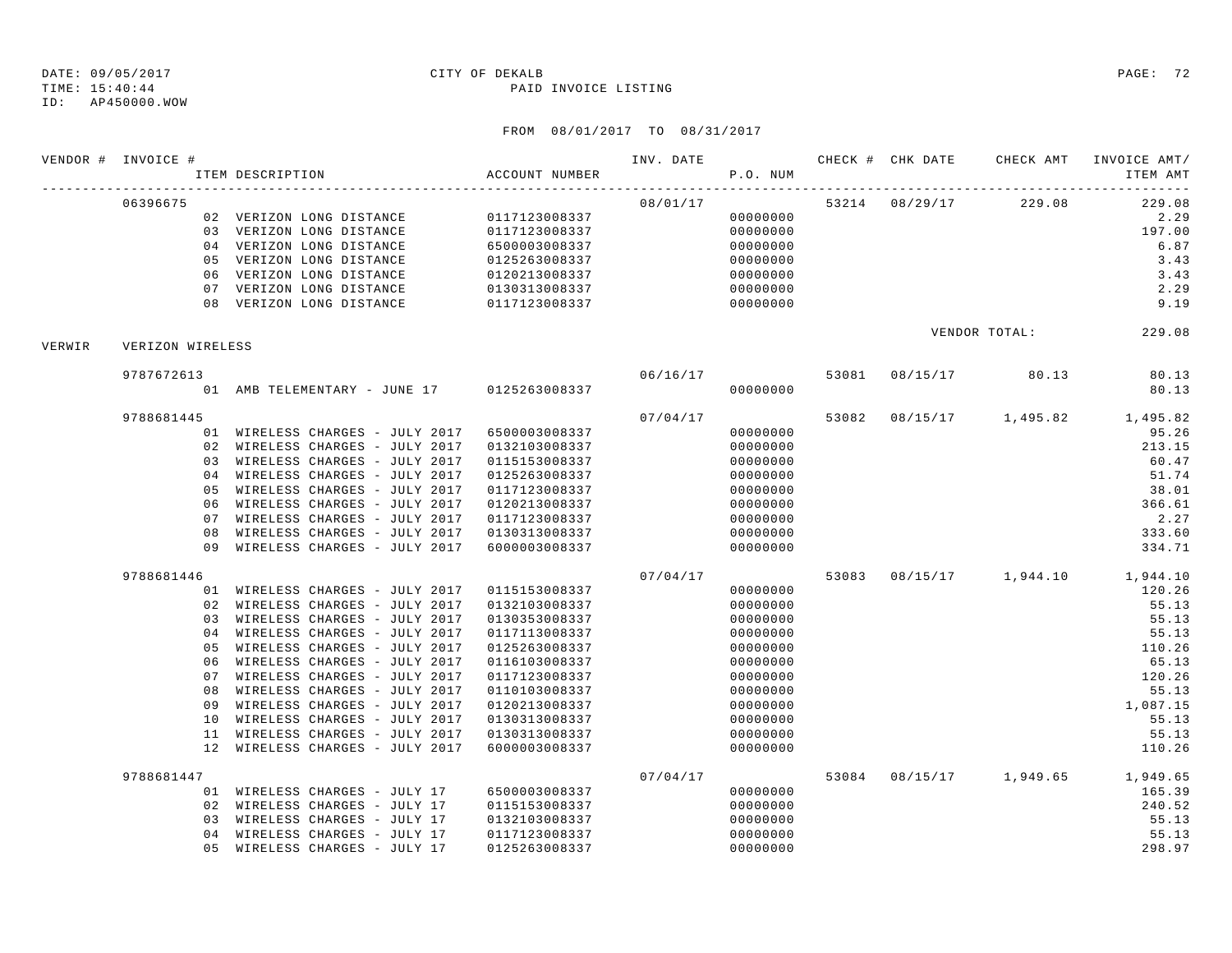ID: AP450000.WOW

|        | VENDOR # INVOICE # | ITEM DESCRIPTION                              | ACCOUNT NUMBER |          | P.O. NUM |  |                                  | INV. DATE 6 CHECK # CHK DATE CHECK AMT INVOICE AMT/<br>ITEM AMT |
|--------|--------------------|-----------------------------------------------|----------------|----------|----------|--|----------------------------------|-----------------------------------------------------------------|
|        | 06396675           |                                               |                |          |          |  | $08/01/17$ 53214 08/29/17 229.08 | 229.08                                                          |
|        |                    | 02 VERIZON LONG DISTANCE 0117123008337        |                |          | 00000000 |  |                                  | 2.29                                                            |
|        |                    | 03 VERIZON LONG DISTANCE                      | 0117123008337  |          | 00000000 |  |                                  | 197.00                                                          |
|        |                    | 04 VERIZON LONG DISTANCE                      | 6500003008337  |          | 00000000 |  |                                  | 6.87                                                            |
|        |                    | 05 VERIZON LONG DISTANCE                      | 0125263008337  |          | 00000000 |  |                                  | 3.43                                                            |
|        |                    | 06 VERIZON LONG DISTANCE                      | 0120213008337  |          | 00000000 |  |                                  | 3.43                                                            |
|        |                    | 07 VERIZON LONG DISTANCE                      | 0130313008337  |          | 00000000 |  |                                  | 2.29                                                            |
|        |                    | 08 VERIZON LONG DISTANCE                      | 0117123008337  |          | 00000000 |  |                                  | 9.19                                                            |
| VERWIR | VERIZON WIRELESS   |                                               |                |          |          |  |                                  | VENDOR TOTAL: 229.08                                            |
|        | 9787672613         |                                               |                | 06/16/17 |          |  | 53081 08/15/17 80.13             | 80.13                                                           |
|        |                    | 01 AMB TELEMENTARY - JUNE 17 0125263008337    |                |          | 00000000 |  |                                  | 80.13                                                           |
|        | 9788681445         |                                               |                | 07/04/17 |          |  |                                  | 53082 08/15/17 1,495.82 1,495.82                                |
|        |                    | 01 WIRELESS CHARGES - JULY 2017 6500003008337 |                |          | 00000000 |  |                                  | 95.26                                                           |
|        |                    | 02 WIRELESS CHARGES - JULY 2017               | 0132103008337  |          | 00000000 |  |                                  | 213.15                                                          |
|        |                    | 03 WIRELESS CHARGES - JULY 2017               | 0115153008337  |          | 00000000 |  |                                  | 60.47                                                           |
|        |                    | 04 WIRELESS CHARGES - JULY 2017               | 0125263008337  |          | 00000000 |  |                                  | 51.74                                                           |
|        | 05                 | WIRELESS CHARGES - JULY 2017                  | 0117123008337  |          | 00000000 |  |                                  | 38.01                                                           |
|        |                    | 06 WIRELESS CHARGES - JULY 2017               | 0120213008337  |          | 00000000 |  |                                  | 366.61                                                          |
|        |                    | 07 WIRELESS CHARGES - JULY 2017               | 0117123008337  |          | 00000000 |  |                                  | 2.27                                                            |
|        |                    | 08 WIRELESS CHARGES - JULY 2017               | 0130313008337  |          | 00000000 |  |                                  | 333.60                                                          |
|        |                    | 09 WIRELESS CHARGES - JULY 2017               | 6000003008337  |          | 00000000 |  |                                  | 334.71                                                          |
|        | 9788681446         |                                               |                | 07/04/17 |          |  |                                  | 53083 08/15/17 1,944.10 1,944.10                                |
|        |                    | 01 WIRELESS CHARGES - JULY 2017               | 0115153008337  |          | 00000000 |  |                                  | 120.26                                                          |
|        |                    | 02 WIRELESS CHARGES - JULY 2017               | 0132103008337  |          | 00000000 |  |                                  | 55.13                                                           |
|        |                    | 03 WIRELESS CHARGES - JULY 2017               | 0130353008337  |          | 00000000 |  |                                  | 55.13                                                           |
|        |                    | 04 WIRELESS CHARGES - JULY 2017               | 0117113008337  |          | 00000000 |  |                                  | 55.13                                                           |
|        | 05                 | WIRELESS CHARGES - JULY 2017                  | 0125263008337  |          | 00000000 |  |                                  | 110.26                                                          |
|        |                    | 06 WIRELESS CHARGES - JULY 2017               | 0116103008337  |          | 00000000 |  |                                  | 65.13                                                           |
|        |                    | 07 WIRELESS CHARGES - JULY 2017               | 0117123008337  |          | 00000000 |  |                                  | 120.26                                                          |
|        | 08                 | WIRELESS CHARGES - JULY 2017                  | 0110103008337  |          | 00000000 |  |                                  | 55.13                                                           |
|        | 09                 | WIRELESS CHARGES - JULY 2017                  | 0120213008337  |          | 00000000 |  |                                  | 1,087.15                                                        |
|        | 10                 | WIRELESS CHARGES - JULY 2017                  | 0130313008337  |          | 00000000 |  |                                  | 55.13                                                           |
|        |                    | 11 WIRELESS CHARGES - JULY 2017               | 0130313008337  |          | 00000000 |  |                                  | 55.13                                                           |
|        |                    | 12 WIRELESS CHARGES - JULY 2017               | 6000003008337  |          | 00000000 |  |                                  | 110.26                                                          |
|        | 9788681447         |                                               |                | 07/04/17 |          |  |                                  | 53084 08/15/17 1,949.65 1,949.65                                |
|        |                    | 01 WIRELESS CHARGES - JULY 17                 | 6500003008337  |          | 00000000 |  |                                  | 165.39                                                          |
|        |                    | 02 WIRELESS CHARGES - JULY 17                 | 0115153008337  |          | 00000000 |  |                                  | 240.52                                                          |
|        |                    | 03 WIRELESS CHARGES - JULY 17                 | 0132103008337  |          | 00000000 |  |                                  | 55.13                                                           |
|        |                    | 04 WIRELESS CHARGES - JULY 17                 | 0117123008337  |          | 00000000 |  |                                  | 55.13                                                           |
|        |                    | 05 WIRELESS CHARGES - JULY 17                 | 0125263008337  |          | 00000000 |  |                                  | 298.97                                                          |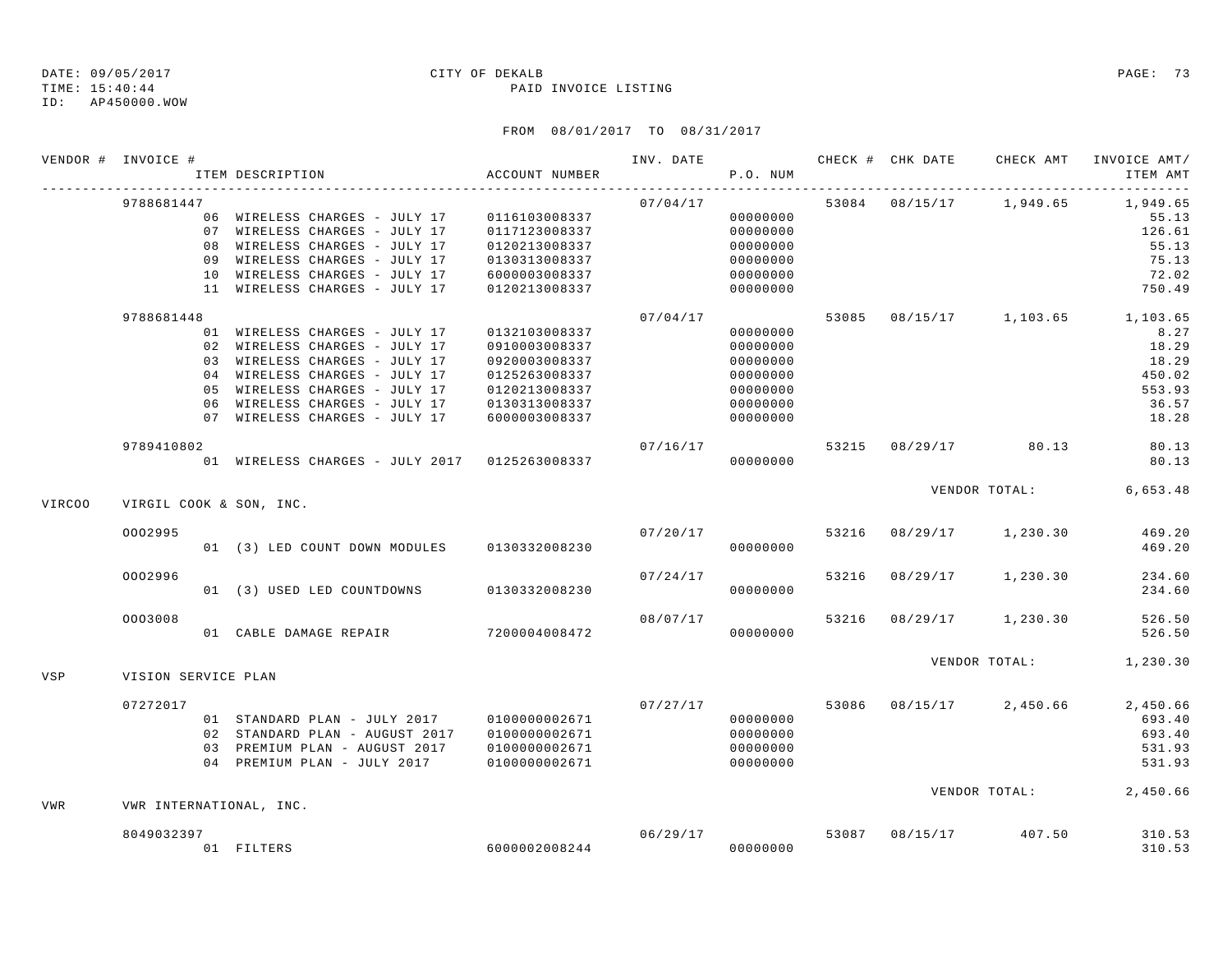## DATE: 09/05/2017 CITY OF DEKALB PAGE: 73

TIME: 15:40:44 PAID INVOICE LISTING

ID: AP450000.WOW

|               | VENDOR # INVOICE #  | ITEM DESCRIPTION                              | ACCOUNT NUMBER |          | P.O. NUM |       |               | INV. DATE 6 CHECK # CHK DATE CHECK AMT | INVOICE AMT/<br>ITEM AMT   |
|---------------|---------------------|-----------------------------------------------|----------------|----------|----------|-------|---------------|----------------------------------------|----------------------------|
|               | 9788681447          |                                               |                | 07/04/17 |          |       |               | 53084 08/15/17 1,949.65                | 1,949.65                   |
|               |                     | 06 WIRELESS CHARGES - JULY 17                 | 0116103008337  |          | 00000000 |       |               |                                        | 55.13                      |
|               |                     | 07 WIRELESS CHARGES - JULY 17                 | 0117123008337  |          | 00000000 |       |               |                                        | 126.61                     |
|               |                     | 08 WIRELESS CHARGES - JULY 17                 | 0120213008337  |          | 00000000 |       |               |                                        | 55.13                      |
|               |                     | 09 WIRELESS CHARGES - JULY 17                 | 0130313008337  |          | 00000000 |       |               |                                        | 75.13                      |
|               |                     | 10 WIRELESS CHARGES - JULY 17                 | 6000003008337  |          | 00000000 |       |               |                                        | 72.02                      |
|               |                     | 11 WIRELESS CHARGES - JULY 17                 | 0120213008337  |          | 00000000 |       |               |                                        | 750.49                     |
|               | 9788681448          |                                               |                | 07/04/17 |          | 53085 |               |                                        | 08/15/17 1,103.65 1,103.65 |
|               |                     | 01 WIRELESS CHARGES - JULY 17                 | 0132103008337  |          | 00000000 |       |               |                                        | 8.27                       |
|               |                     | 02 WIRELESS CHARGES - JULY 17                 | 0910003008337  |          | 00000000 |       |               |                                        | 18.29                      |
|               |                     | 03 WIRELESS CHARGES - JULY 17                 | 0920003008337  |          | 00000000 |       |               |                                        | 18.29                      |
|               |                     | 04 WIRELESS CHARGES - JULY 17                 | 0125263008337  |          | 00000000 |       |               |                                        | 450.02                     |
|               |                     | 05 WIRELESS CHARGES - JULY 17                 | 0120213008337  |          | 00000000 |       |               |                                        | 553.93                     |
|               |                     | 06 WIRELESS CHARGES - JULY 17                 | 0130313008337  |          | 00000000 |       |               |                                        | 36.57                      |
|               |                     | 07 WIRELESS CHARGES - JULY 17                 | 6000003008337  |          | 00000000 |       |               |                                        | 18.28                      |
|               | 9789410802          |                                               |                | 07/16/17 |          | 53215 |               | 08/29/17 80.13                         | 80.13                      |
|               |                     | 01 WIRELESS CHARGES - JULY 2017 0125263008337 |                |          | 00000000 |       |               |                                        | 80.13                      |
|               |                     | VIRGIL COOK & SON, INC.                       |                |          |          |       | VENDOR TOTAL: |                                        | 6,653.48                   |
| <b>VIRCOO</b> |                     |                                               |                |          |          |       |               |                                        |                            |
|               | 0002995             |                                               |                | 07/20/17 |          | 53216 | 08/29/17      | 1,230.30                               | 469.20                     |
|               |                     | 01 (3) LED COUNT DOWN MODULES                 | 0130332008230  |          | 00000000 |       |               |                                        | 469.20                     |
|               | 0002996             |                                               |                | 07/24/17 |          | 53216 | 08/29/17      | 1,230.30                               | 234.60                     |
|               |                     | 01 (3) USED LED COUNTDOWNS                    | 0130332008230  |          | 00000000 |       |               |                                        | 234.60                     |
|               | 0003008             |                                               |                | 08/07/17 |          | 53216 | 08/29/17      | 1,230.30                               | 526.50                     |
|               |                     |                                               |                |          | 00000000 |       |               |                                        | 526.50                     |
| <b>VSP</b>    | VISION SERVICE PLAN |                                               |                |          |          |       |               | VENDOR TOTAL:                          | 1,230.30                   |
|               |                     |                                               |                |          |          |       |               |                                        |                            |
|               | 07272017            |                                               |                |          | 07/27/17 | 53086 | 08/15/17      | 2,450.66                               | 2,450.66                   |
|               |                     | 01 STANDARD PLAN - JULY 2017                  | 0100000002671  |          | 00000000 |       |               |                                        | 693.40                     |
|               |                     | 02 STANDARD PLAN - AUGUST 2017                | 0100000002671  |          | 00000000 |       |               |                                        | 693.40                     |
|               |                     | 03 PREMIUM PLAN - AUGUST 2017                 | 0100000002671  |          | 00000000 |       |               |                                        | 531.93                     |
|               |                     | 04 PREMIUM PLAN - JULY 2017                   | 0100000002671  |          | 00000000 |       |               |                                        | 531.93                     |
| VWR           |                     | VWR INTERNATIONAL, INC.                       |                |          |          |       |               |                                        | VENDOR TOTAL: 2,450.66     |
|               | 8049032397          |                                               |                | 06/29/17 |          | 53087 | 08/15/17      | 407.50                                 | 310.53                     |
|               |                     |                                               | 60000002008244 |          | 00000000 |       |               |                                        | 310.53                     |
|               |                     | 01 FILTERS                                    |                |          |          |       |               |                                        |                            |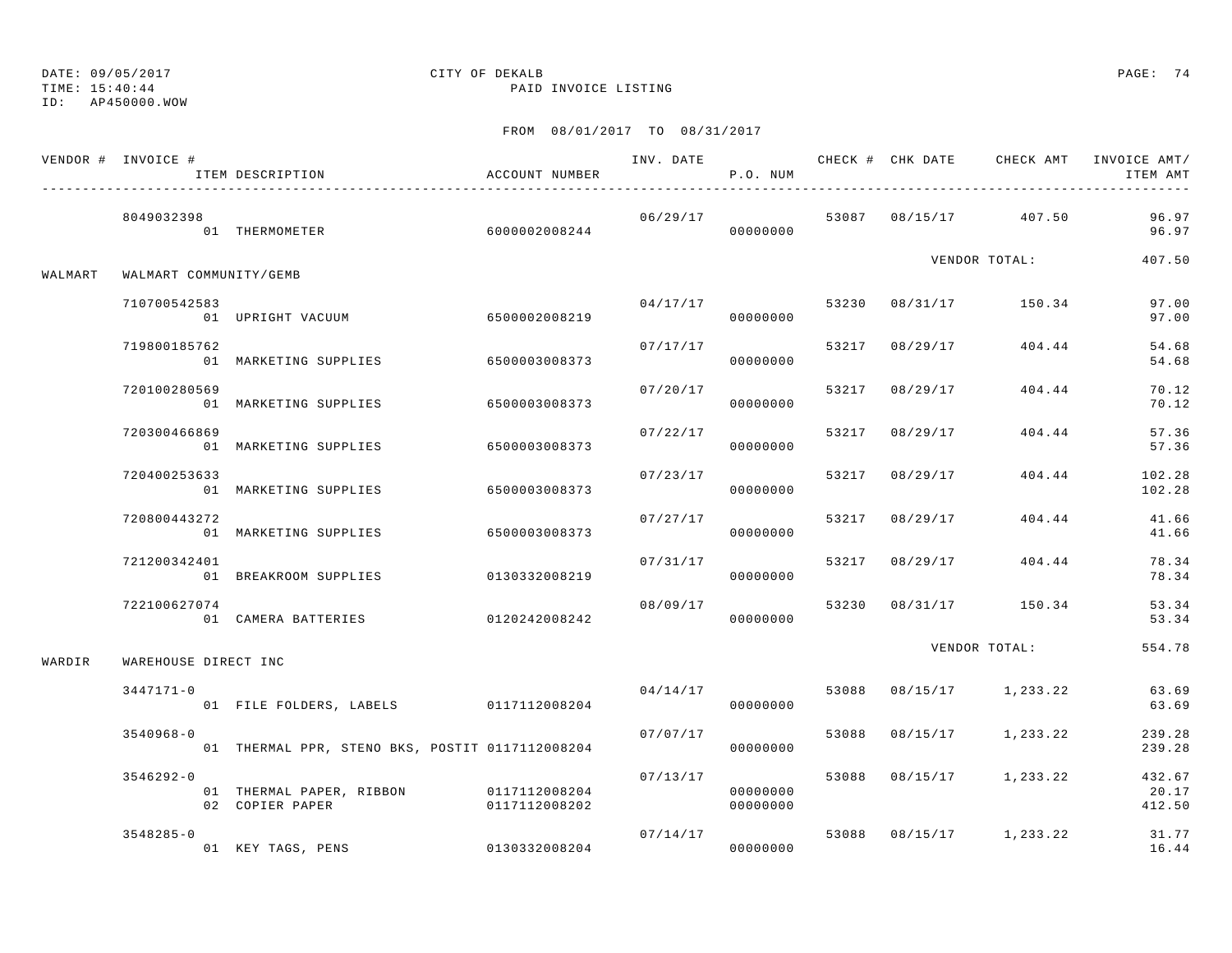DATE: 09/05/2017 CITY OF DEKALB PAGE: 74

TIME: 15:40:44 PAID INVOICE LISTING

ID: AP450000.WOW

|         | VENDOR # INVOICE #     | ITEM DESCRIPTION                                          | ACCOUNT NUMBER |          | P.O. NUM             |       |                |                         | ITEM AMT                  |
|---------|------------------------|-----------------------------------------------------------|----------------|----------|----------------------|-------|----------------|-------------------------|---------------------------|
|         | 8049032398             | 01 THERMOMETER                                            | 60000002008244 | 06/29/17 | 00000000             |       |                | 53087 08/15/17 407.50   | 96.97<br>96.97            |
| WALMART | WALMART COMMUNITY/GEMB |                                                           |                |          |                      |       |                | VENDOR TOTAL:           | 407.50                    |
|         | 710700542583           | 01 UPRIGHT VACUUM                                         | 6500002008219  | 04/17/17 | 00000000             |       |                | 53230 08/31/17 150.34   | 97.00<br>97.00            |
|         | 719800185762           | 01 MARKETING SUPPLIES                                     | 6500003008373  | 07/17/17 | 00000000             |       |                | 53217 08/29/17 404.44   | 54.68<br>54.68            |
|         | 720100280569           | 01 MARKETING SUPPLIES                                     | 6500003008373  | 07/20/17 | 00000000             |       | 53217 08/29/17 | 404.44                  | 70.12<br>70.12            |
|         | 720300466869           | 01 MARKETING SUPPLIES                                     | 6500003008373  | 07/22/17 | 00000000             |       | 53217 08/29/17 | 404.44                  | 57.36<br>57.36            |
|         | 720400253633           | 01 MARKETING SUPPLIES                                     | 6500003008373  | 07/23/17 | 00000000             |       | 53217 08/29/17 | 404.44                  | 102.28<br>102.28          |
|         | 720800443272           | 01 MARKETING SUPPLIES                                     | 6500003008373  | 07/27/17 | 00000000             |       | 53217 08/29/17 | 404.44                  | 41.66<br>41.66            |
|         | 721200342401           | 01 BREAKROOM SUPPLIES                                     | 0130332008219  | 07/31/17 | 00000000             |       |                | 53217 08/29/17 404.44   | 78.34<br>78.34            |
|         | 722100627074           | 01 CAMERA BATTERIES                                       | 0120242008242  | 08/09/17 | 00000000             | 53230 |                | 08/31/17 150.34         | 53.34<br>53.34            |
| WARDIR  | WAREHOUSE DIRECT INC   |                                                           |                |          |                      |       |                | VENDOR TOTAL:           | 554.78                    |
|         | $3447171 - 0$          | 01 FILE FOLDERS, LABELS 0117112008204                     |                | 04/14/17 | 00000000             |       |                | 53088 08/15/17 1,233.22 | 63.69<br>63.69            |
|         | $3540968 - 0$          | 01 THERMAL PPR, STENO BKS, POSTIT 0117112008204           |                | 07/07/17 | 00000000             |       |                | 53088 08/15/17 1,233.22 | 239.28<br>239.28          |
|         | $3546292 - 0$          | 01 THERMAL PAPER, RIBBON 0117112008204<br>02 COPIER PAPER | 0117112008202  | 07/13/17 | 00000000<br>00000000 | 53088 |                | $08/15/17$ 1, 233.22    | 432.67<br>20.17<br>412.50 |
|         | $3548285 - 0$          | 01 KEY TAGS, PENS 0130332008204                           |                |          | 07/14/17<br>00000000 |       |                | 53088 08/15/17 1,233.22 | 31.77<br>16.44            |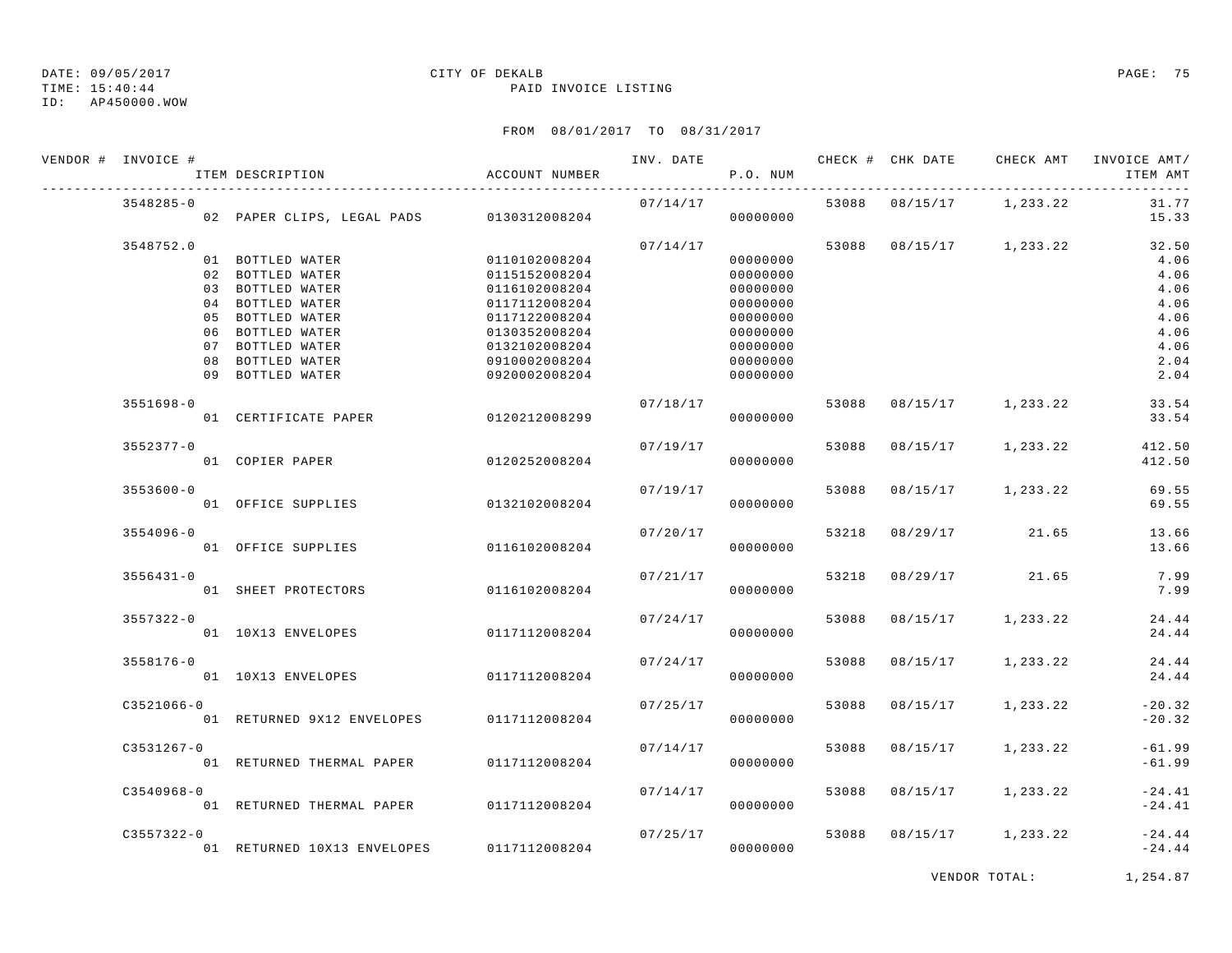#### TIME: 15:40:44 PAID INVOICE LISTING ID: AP450000.WOW

# DATE: 09/05/2017 CITY OF DEKALB PAGE: 75

| VENDOR # INVOICE #                                        | ITEM DESCRIPTION                          | ACCOUNT NUMBER                 | INV. DATE | P.O. NUM             |       |          | CHECK # CHK DATE CHECK AMT | INVOICE AMT/<br>ITEM AMT |
|-----------------------------------------------------------|-------------------------------------------|--------------------------------|-----------|----------------------|-------|----------|----------------------------|--------------------------|
| $3548285 - 0$<br>02 PAPER CLIPS, LEGAL PADS 0130312008204 |                                           |                                |           | 07/14/17<br>00000000 |       |          | 53088 08/15/17 1,233.22    | 31.77<br>15.33           |
| 3548752.0                                                 |                                           |                                | 07/14/17  |                      |       |          | 53088 08/15/17 1,233.22    | 32.50                    |
|                                                           | 01 BOTTLED WATER                          | 0110102008204                  |           | 00000000             |       |          |                            | 4.06                     |
|                                                           | 02 BOTTLED WATER                          | 0115152008204                  |           | 00000000             |       |          |                            | 4.06                     |
|                                                           | 03 BOTTLED WATER                          | 0116102008204                  |           | 00000000             |       |          |                            | 4.06                     |
|                                                           | 04 BOTTLED WATER                          | 0117112008204                  |           | 00000000             |       |          |                            | 4.06                     |
|                                                           | 05 BOTTLED WATER<br>06 BOTTLED WATER      | 0117122008204                  |           | 00000000             |       |          |                            | 4.06                     |
|                                                           | 07 BOTTLED WATER                          | 0130352008204<br>0132102008204 |           | 00000000<br>00000000 |       |          |                            | 4.06<br>4.06             |
|                                                           | 08 BOTTLED WATER                          | 0910002008204                  |           | 00000000             |       |          |                            | 2.04                     |
|                                                           | 09 BOTTLED WATER                          | 0920002008204                  |           | 00000000             |       |          |                            | 2.04                     |
| $3551698 - 0$                                             |                                           |                                | 07/18/17  |                      | 53088 | 08/15/17 | 1,233.22                   | 33.54                    |
|                                                           | 01 CERTIFICATE PAPER                      | 0120212008299                  |           | 00000000             |       |          |                            | 33.54                    |
| 3552377-0                                                 |                                           |                                | 07/19/17  |                      | 53088 |          | 08/15/17 1,233.22          | 412.50                   |
|                                                           | 01 COPIER PAPER                           | 0120252008204                  |           | 00000000             |       |          |                            | 412.50                   |
| $3553600 - 0$                                             |                                           |                                | 07/19/17  |                      | 53088 |          | 08/15/17 1,233.22          | 69.55                    |
|                                                           | 01 OFFICE SUPPLIES                        | 0132102008204                  |           | 00000000             |       |          |                            | 69.55                    |
| $3554096 - 0$                                             |                                           |                                | 07/20/17  |                      | 53218 | 08/29/17 | 21.65                      | 13.66                    |
|                                                           | 01 OFFICE SUPPLIES                        | 0116102008204                  |           | 00000000             |       |          |                            | 13.66                    |
| $3556431 - 0$                                             |                                           |                                | 07/21/17  |                      | 53218 | 08/29/17 | 21.65                      | 7.99                     |
|                                                           | 01 SHEET PROTECTORS                       | 0116102008204                  |           | 00000000             |       |          |                            | 7.99                     |
| $3557322 - 0$                                             |                                           |                                | 07/24/17  |                      | 53088 | 08/15/17 | 1,233.22                   | 24.44                    |
|                                                           | 01 10X13 ENVELOPES                        | 0117112008204                  |           | 00000000             |       |          |                            | 24.44                    |
| $3558176 - 0$                                             |                                           |                                | 07/24/17  |                      | 53088 | 08/15/17 | 1,233.22                   | 24.44                    |
|                                                           | 01 10X13 ENVELOPES                        | 0117112008204                  |           | 00000000             |       |          |                            | 24.44                    |
| $C3521066 - 0$                                            |                                           |                                | 07/25/17  |                      | 53088 | 08/15/17 | 1,233.22                   | $-20.32$                 |
|                                                           | 01 RETURNED 9X12 ENVELOPES                | 0117112008204                  |           | 00000000             |       |          |                            | $-20.32$                 |
| $C3531267 - 0$                                            |                                           |                                | 07/14/17  |                      | 53088 | 08/15/17 | 1,233.22                   | $-61.99$                 |
|                                                           | 01 RETURNED THERMAL PAPER                 | 0117112008204                  |           | 00000000             |       |          |                            | $-61.99$                 |
| $C3540968 - 0$                                            |                                           |                                | 07/14/17  |                      | 53088 |          | 08/15/17 1,233.22          | $-24.41$                 |
|                                                           | 01 RETURNED THERMAL PAPER 0117112008204   |                                |           | 00000000             |       |          |                            | $-24.41$                 |
| $C3557322 - 0$                                            |                                           |                                | 07/25/17  |                      | 53088 |          | 08/15/17 1,233.22          | $-24.44$                 |
|                                                           | 01 RETURNED 10X13 ENVELOPES 0117112008204 |                                |           | 00000000             |       |          |                            | $-24.44$                 |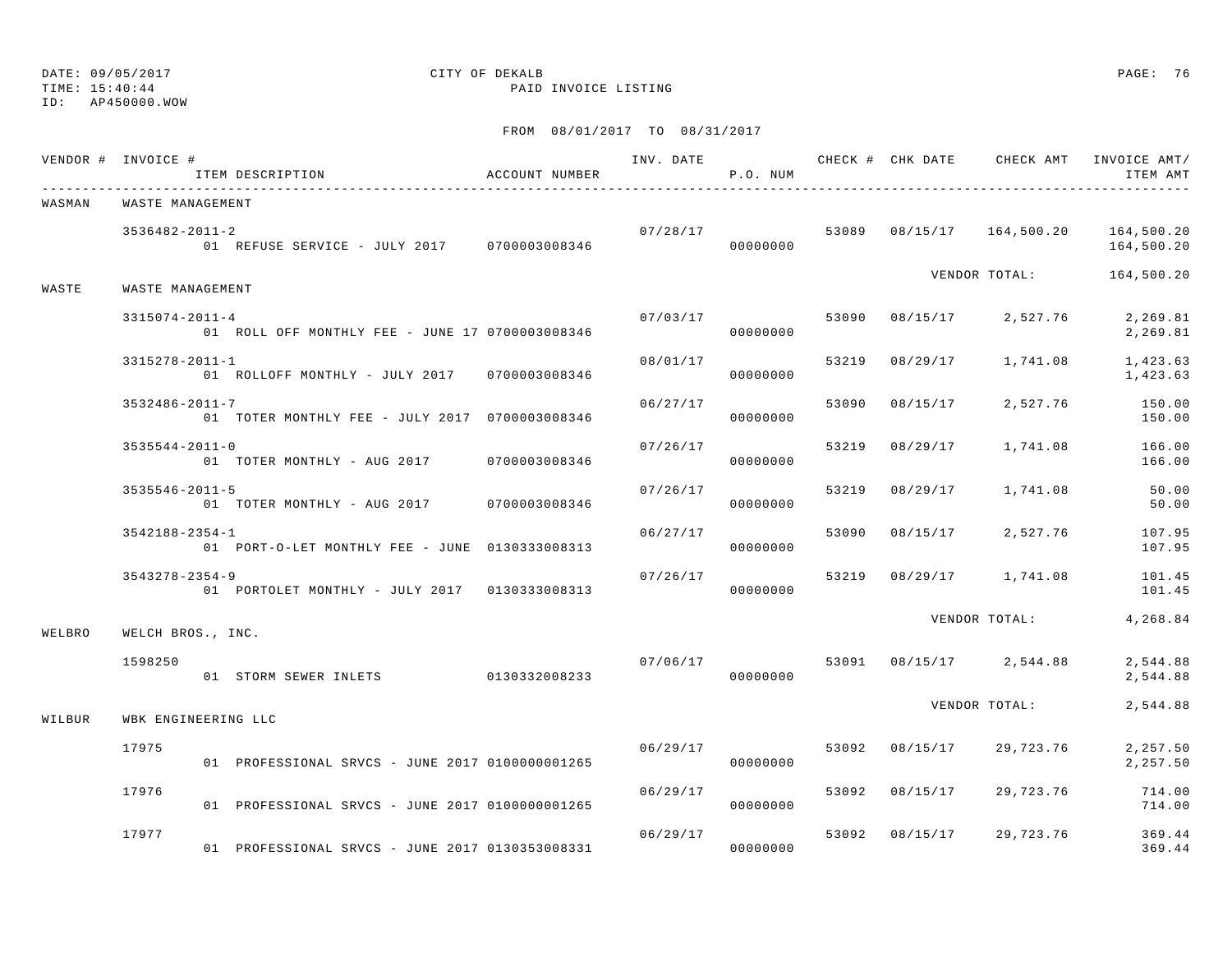# ID: AP450000.WOW

## DATE: 09/05/2017 CITY OF DEKALB PAGE: 76

TIME: 15:40:44 PAID INVOICE LISTING

|        | VENDOR # INVOICE #<br>ITEM DESCRIPTION                                       | ACCOUNT NUMBER |          | P.O. NUM             |       |                | INV. DATE 6 CHECK # CHK DATE CHECK AMT | INVOICE AMT/<br>ITEM AMT                                        |  |  |  |
|--------|------------------------------------------------------------------------------|----------------|----------|----------------------|-------|----------------|----------------------------------------|-----------------------------------------------------------------|--|--|--|
| WASMAN | ___________________________________<br>WASTE MANAGEMENT                      |                |          |                      |       |                |                                        |                                                                 |  |  |  |
|        | $3536482 - 2011 - 2$<br>01 REFUSE SERVICE - JULY 2017 0700003008346          |                |          | 00000000             |       |                |                                        | $07/28/17$ 53089 $08/15/17$ 164,500.20 164,500.20<br>164,500.20 |  |  |  |
| WASTE  | WASTE MANAGEMENT                                                             |                |          |                      |       |                | VENDOR TOTAL: 164,500.20               |                                                                 |  |  |  |
|        | $3315074 - 2011 - 4$<br>01 ROLL OFF MONTHLY FEE - JUNE 17 0700003008346      |                | 07/03/17 | 00000000             |       |                | 53090 08/15/17 2,527.76                | 2,269.81<br>2,269.81                                            |  |  |  |
|        | 3315278-2011-1<br>01 ROLLOFF MONTHLY - JULY 2017 0700003008346               |                | 08/01/17 | 00000000             | 53219 |                | 08/29/17 1,741.08                      | 1,423.63<br>1,423.63                                            |  |  |  |
|        | $3532486 - 2011 - 7$<br>01 TOTER MONTHLY FEE - JULY 2017 0700003008346       |                | 06/27/17 | 00000000             | 53090 | 08/15/17       | 2,527.76                               | 150.00<br>150.00                                                |  |  |  |
|        | $3535544 - 2011 - 0$<br>01 TOTER MONTHLY - AUG 2017 0700003008346            |                | 07/26/17 | 00000000             | 53219 | 08/29/17       | 1,741.08                               | 166.00<br>166.00                                                |  |  |  |
|        | $3535546 - 2011 - 5$<br>01 TOTER MONTHLY - AUG 2017 0700003008346            |                | 07/26/17 | 00000000             | 53219 |                | 08/29/17 1,741.08                      | 50.00<br>50.00                                                  |  |  |  |
|        | $3542188 - 2354 - 1$<br>01    PORT-O-LET MONTHLY FEE - JUNE    0130333008313 |                | 06/27/17 | 00000000             | 53090 |                | $08/15/17$ 2,527.76                    | 107.95<br>107.95                                                |  |  |  |
|        | $3543278 - 2354 - 9$<br>01 PORTOLET MONTHLY - JULY 2017 0130333008313        |                | 07/26/17 | 00000000             |       |                | 53219 08/29/17 1,741.08                | 101.45<br>101.45                                                |  |  |  |
| WELBRO | WELCH BROS., INC.                                                            |                |          |                      |       |                | VENDOR TOTAL:                          | 4,268.84                                                        |  |  |  |
|        | 1598250<br>01 STORM SEWER INLETS 0130332008233                               |                |          | 00000000             |       |                | $07/06/17$ 53091 08/15/17 2,544.88     | 2,544.88<br>2,544.88                                            |  |  |  |
| WILBUR | WBK ENGINEERING LLC                                                          |                |          |                      |       |                | VENDOR TOTAL:                          | 2,544.88                                                        |  |  |  |
|        | 17975<br>01 PROFESSIONAL SRVCS - JUNE 2017 0100000001265                     |                | 06/29/17 | 00000000             |       | 53092 08/15/17 | 29,723.76                              | 2,257.50<br>2,257.50                                            |  |  |  |
|        | 17976<br>01 PROFESSIONAL SRVCS - JUNE 2017 01000000001265                    |                |          | 06/29/17<br>00000000 | 53092 | 08/15/17       | 29,723.76                              | 714.00<br>714.00                                                |  |  |  |
|        | 17977<br>01 PROFESSIONAL SRVCS - JUNE 2017 0130353008331                     |                | 06/29/17 | 00000000             | 53092 |                | 08/15/17 29,723.76                     | 369.44<br>369.44                                                |  |  |  |